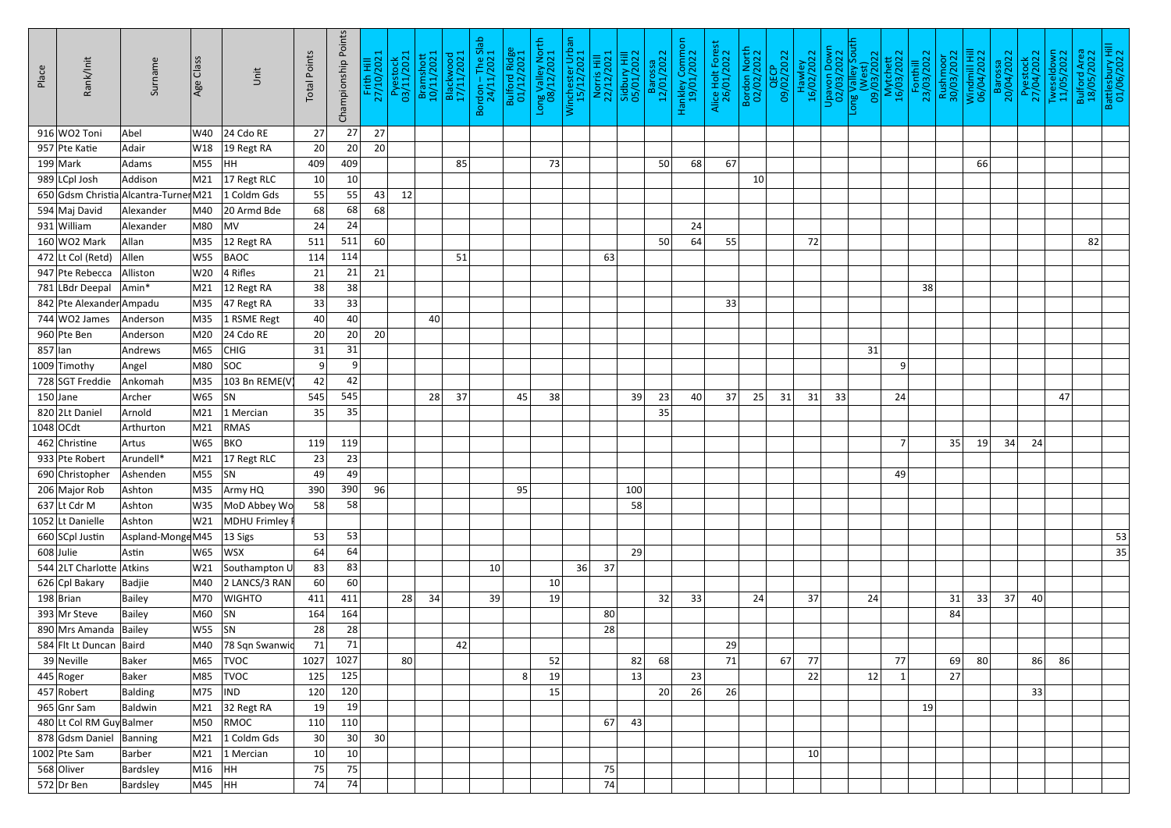| 27<br>27<br>916 WO2 Toni<br>W40<br>$24$ Cdo RE<br>27<br>Abel<br>20<br>957 Pte Katie<br>20<br>20<br>Adair<br>W18<br>$ 19$ Regt RA<br>409<br>$199$ Mark<br>HH<br>73<br>68<br>67<br>Adams<br>M55<br>409<br>85<br>66<br>50<br>989 LCpl Josh<br>Addison<br>$17$ Regt RLC<br>10 <sup>°</sup><br>M21<br>10<br>10<br>55<br> 12 <br>650 Gdsm Christia Alcantra-Turner M21<br>1 Coldm Gds<br>55<br>43<br>68<br>594 Maj David<br>20 Armd Bde<br>Alexander<br>68<br>68<br>M40<br>24<br>931 William<br>M80<br>$\overline{\mathsf{M}}$ V<br>24<br>Alexander<br>24<br>$160$ WO2 Mark<br>511<br>60<br>64<br>Allan<br>55<br>72<br>82<br>M35<br>$12$ Regt RA<br>511<br>50<br>114<br>$472$ Lt Col (Retd)<br><b>BAOC</b><br><b>W55</b><br>114<br>Allen<br>51<br>63<br>21<br>21<br>947 Pte Rebecca<br>$ 4$ Rifles<br>21<br>Alliston<br>W20<br>38<br>781 LBdr Deepal<br>38<br>38<br>Amin*<br>$ 12$ Regt RA<br>M21<br>33<br>842 Pte Alexander Ampadu<br>M35 $ 47$ Regt RA<br>33<br>33<br>$744$ WO2 James<br>40<br>M35<br>1 RSME Regt<br>40<br>40<br>Anderson<br>20<br>960 Pte Ben<br>$24$ Cdo RE<br>20<br>M20<br>20 <sup>2</sup><br>Anderson<br>31<br>$857$  lan<br> CHIG<br>31<br>31<br>Andrews<br>M65<br>$\overline{9}$<br> SOC <br>1009 Timothy<br>M80<br>9 <br>$\overline{9}$<br>Angel<br>728 SGT Freddie<br>42<br>103 Bn REME(V<br>42<br>Ankomah<br>M35<br>545<br>$150$ Jane<br>$W65$ SN<br>28<br>37<br>38<br>40<br>37<br>25<br>31<br>31<br>Archer<br>545<br>45<br>39<br>23<br>33<br>24<br>47<br>35<br>820 2Lt Daniel<br>1 Mercian<br>35<br>35<br>Arnold<br>M21<br>$1048$ OCdt<br>M21<br>RMAS<br>Arthurton<br>119<br>34<br>462 Christine<br>$\overline{7}$<br>35<br>24<br>W65<br>BKO<br>119<br>19<br>Artus<br>23<br>$\vert$ M21 $\vert$ 17 Regt RLC<br>23<br>933 Pte Robert<br>Arundell*<br>690 Christopher<br>$M55$ SN<br>49<br>Ashenden<br>49<br>49<br>390<br>96<br>95<br>206 Major Rob<br>M35<br>Army HQ<br>390<br>100<br>Ashton<br>637 Lt Cdr M<br>MoD Abbey Wo<br>58<br>Ashton<br><b>W35</b><br>58<br>58<br>W21 MDHU Frimley<br>1052 Lt Danielle<br>Ashton<br>53<br>53<br>660 SCpl Justin<br>Aspland-Monge M45<br>$ 13 \text{ Sigs}$<br>53<br>64<br>$608$ Julie<br>64<br>29<br>Astin<br>$W65$ WSX<br>35<br>83<br>36<br>37<br>544 2LT Charlotte Atkins<br>W21 Southampton U<br>83<br>10<br>$\vert$ M40 $\vert$ 2 LANCS/3 RAN<br>60<br>626 Cpl Bakary<br>60<br>Badjie<br>10 <sup>1</sup><br>M70 WIGHTO<br>34<br>32<br>33<br>33<br>37<br>$198$ Brian<br>411<br>411<br>39<br>24<br>37<br>24<br>40<br>Bailey<br>28<br>19<br>31<br>$MO$ SN<br>164<br>393 Mr Steve<br>80<br>84<br>Bailey<br>164<br>28<br>$ W55 $ $ SN$<br>890 Mrs Amanda Bailey<br>28<br>28<br>71<br>584 Flt Lt Duncan Baird<br>71<br>78 Sqn Swanwid<br>42<br>29<br>M40<br>1027<br>86<br>$39$ Neville<br>80 <sup>°</sup><br>82<br>68<br>71<br>77<br>77<br>69<br> 80 <br>86<br>M65<br><b>TVOC</b><br>1027<br>52<br>67<br>Baker<br>125<br>Baker<br>23<br>22<br> 12 <br>$445$ Roger<br>M85<br><b>TVOC</b><br>125<br>13<br>27<br>19<br>8<br>26<br>120<br>26<br>33<br>457 Robert<br><b>IND</b><br>120<br>Balding<br>M75<br>20<br>15<br>19<br>965 Gnr Sam<br>Baldwin<br>$\vert$ M21 $\vert$ 32 Regt RA<br>19<br>19<br>480 Lt Col RM Guy Balmer<br>110<br>67<br>43<br>M50<br>RMOC<br> 110 <br>30<br>878 Gdsm Daniel Banning<br>1 Coldm Gds<br>30 <sup>2</sup><br>30 <sup>2</sup><br>M21<br>10 <sup>1</sup><br>$1$ Mercian<br>10<br>10 <sup>°</sup><br>$1002$ Pte Sam<br>Barber<br>M21<br>75<br>568 Oliver<br>$M16$ HH<br>75<br>Bardsley<br>75<br>74<br>M45  HH<br>74<br>$572$ Dr Ben | Place | Rank/Init | Surname  | Age Class | Unit | <b>Total Points</b> | Championship Points | Frith Hill<br>27/10/2021 | Pyestock<br>03/11/2021 | Bramshott<br>10/11/2021 | Blackwood<br>17/11/2021 | Bordon – The Slab<br>24/11/2021 | Bulford Ridge<br>01/12/2021 | Long Valley North<br>08/12/2021 | Winchester Urban<br>15/12/2021 | Norris Hill<br>22/12/2021 | Sidbury Hill<br>05/01/2022 | Barossa<br>12/01/2022 | Hankley Common<br>19/01/2022 | Alice Holt Forest<br>26/01/2022 | <b>Bordon North</b><br>02/02/2022 | QECP<br>09/02/2022 | Hawley<br>16/02/2022 | <b>Upavon Down<br/>02/03/2022</b> | South<br>Long Valley Sou<br>(West)<br>09/03/2022 | Mytchett<br>16/03/2022 | Fonthill<br>23/03/2022 | Rushmoor<br>30/03/2022 | Windmill Hill<br>06/04/2022 | Barossa<br>20/04/2022 | Pyestock<br>27/04/2022 | Tweseldown<br>11/05/2022 | Bulford Area<br>18/05/2022 | Battlesbury Hill<br>01/06/2022 |
|---------------------------------------------------------------------------------------------------------------------------------------------------------------------------------------------------------------------------------------------------------------------------------------------------------------------------------------------------------------------------------------------------------------------------------------------------------------------------------------------------------------------------------------------------------------------------------------------------------------------------------------------------------------------------------------------------------------------------------------------------------------------------------------------------------------------------------------------------------------------------------------------------------------------------------------------------------------------------------------------------------------------------------------------------------------------------------------------------------------------------------------------------------------------------------------------------------------------------------------------------------------------------------------------------------------------------------------------------------------------------------------------------------------------------------------------------------------------------------------------------------------------------------------------------------------------------------------------------------------------------------------------------------------------------------------------------------------------------------------------------------------------------------------------------------------------------------------------------------------------------------------------------------------------------------------------------------------------------------------------------------------------------------------------------------------------------------------------------------------------------------------------------------------------------------------------------------------------------------------------------------------------------------------------------------------------------------------------------------------------------------------------------------------------------------------------------------------------------------------------------------------------------------------------------------------------------------------------------------------------------------------------------------------------------------------------------------------------------------------------------------------------------------------------------------------------------------------------------------------------------------------------------------------------------------------------------------------------------------------------------------------------------------------------------------------------------------------------------------------------------------------------------------------------------------------------------------------------------------------------------------------------------------------------------------------------------------------------------------------------------------------------------------------------------------------------------------------------------------------------------------------------------|-------|-----------|----------|-----------|------|---------------------|---------------------|--------------------------|------------------------|-------------------------|-------------------------|---------------------------------|-----------------------------|---------------------------------|--------------------------------|---------------------------|----------------------------|-----------------------|------------------------------|---------------------------------|-----------------------------------|--------------------|----------------------|-----------------------------------|--------------------------------------------------|------------------------|------------------------|------------------------|-----------------------------|-----------------------|------------------------|--------------------------|----------------------------|--------------------------------|
|                                                                                                                                                                                                                                                                                                                                                                                                                                                                                                                                                                                                                                                                                                                                                                                                                                                                                                                                                                                                                                                                                                                                                                                                                                                                                                                                                                                                                                                                                                                                                                                                                                                                                                                                                                                                                                                                                                                                                                                                                                                                                                                                                                                                                                                                                                                                                                                                                                                                                                                                                                                                                                                                                                                                                                                                                                                                                                                                                                                                                                                                                                                                                                                                                                                                                                                                                                                                                                                                                                                           |       |           |          |           |      |                     |                     |                          |                        |                         |                         |                                 |                             |                                 |                                |                           |                            |                       |                              |                                 |                                   |                    |                      |                                   |                                                  |                        |                        |                        |                             |                       |                        |                          |                            |                                |
|                                                                                                                                                                                                                                                                                                                                                                                                                                                                                                                                                                                                                                                                                                                                                                                                                                                                                                                                                                                                                                                                                                                                                                                                                                                                                                                                                                                                                                                                                                                                                                                                                                                                                                                                                                                                                                                                                                                                                                                                                                                                                                                                                                                                                                                                                                                                                                                                                                                                                                                                                                                                                                                                                                                                                                                                                                                                                                                                                                                                                                                                                                                                                                                                                                                                                                                                                                                                                                                                                                                           |       |           |          |           |      |                     |                     |                          |                        |                         |                         |                                 |                             |                                 |                                |                           |                            |                       |                              |                                 |                                   |                    |                      |                                   |                                                  |                        |                        |                        |                             |                       |                        |                          |                            |                                |
|                                                                                                                                                                                                                                                                                                                                                                                                                                                                                                                                                                                                                                                                                                                                                                                                                                                                                                                                                                                                                                                                                                                                                                                                                                                                                                                                                                                                                                                                                                                                                                                                                                                                                                                                                                                                                                                                                                                                                                                                                                                                                                                                                                                                                                                                                                                                                                                                                                                                                                                                                                                                                                                                                                                                                                                                                                                                                                                                                                                                                                                                                                                                                                                                                                                                                                                                                                                                                                                                                                                           |       |           |          |           |      |                     |                     |                          |                        |                         |                         |                                 |                             |                                 |                                |                           |                            |                       |                              |                                 |                                   |                    |                      |                                   |                                                  |                        |                        |                        |                             |                       |                        |                          |                            |                                |
|                                                                                                                                                                                                                                                                                                                                                                                                                                                                                                                                                                                                                                                                                                                                                                                                                                                                                                                                                                                                                                                                                                                                                                                                                                                                                                                                                                                                                                                                                                                                                                                                                                                                                                                                                                                                                                                                                                                                                                                                                                                                                                                                                                                                                                                                                                                                                                                                                                                                                                                                                                                                                                                                                                                                                                                                                                                                                                                                                                                                                                                                                                                                                                                                                                                                                                                                                                                                                                                                                                                           |       |           |          |           |      |                     |                     |                          |                        |                         |                         |                                 |                             |                                 |                                |                           |                            |                       |                              |                                 |                                   |                    |                      |                                   |                                                  |                        |                        |                        |                             |                       |                        |                          |                            |                                |
|                                                                                                                                                                                                                                                                                                                                                                                                                                                                                                                                                                                                                                                                                                                                                                                                                                                                                                                                                                                                                                                                                                                                                                                                                                                                                                                                                                                                                                                                                                                                                                                                                                                                                                                                                                                                                                                                                                                                                                                                                                                                                                                                                                                                                                                                                                                                                                                                                                                                                                                                                                                                                                                                                                                                                                                                                                                                                                                                                                                                                                                                                                                                                                                                                                                                                                                                                                                                                                                                                                                           |       |           |          |           |      |                     |                     |                          |                        |                         |                         |                                 |                             |                                 |                                |                           |                            |                       |                              |                                 |                                   |                    |                      |                                   |                                                  |                        |                        |                        |                             |                       |                        |                          |                            |                                |
|                                                                                                                                                                                                                                                                                                                                                                                                                                                                                                                                                                                                                                                                                                                                                                                                                                                                                                                                                                                                                                                                                                                                                                                                                                                                                                                                                                                                                                                                                                                                                                                                                                                                                                                                                                                                                                                                                                                                                                                                                                                                                                                                                                                                                                                                                                                                                                                                                                                                                                                                                                                                                                                                                                                                                                                                                                                                                                                                                                                                                                                                                                                                                                                                                                                                                                                                                                                                                                                                                                                           |       |           |          |           |      |                     |                     |                          |                        |                         |                         |                                 |                             |                                 |                                |                           |                            |                       |                              |                                 |                                   |                    |                      |                                   |                                                  |                        |                        |                        |                             |                       |                        |                          |                            |                                |
|                                                                                                                                                                                                                                                                                                                                                                                                                                                                                                                                                                                                                                                                                                                                                                                                                                                                                                                                                                                                                                                                                                                                                                                                                                                                                                                                                                                                                                                                                                                                                                                                                                                                                                                                                                                                                                                                                                                                                                                                                                                                                                                                                                                                                                                                                                                                                                                                                                                                                                                                                                                                                                                                                                                                                                                                                                                                                                                                                                                                                                                                                                                                                                                                                                                                                                                                                                                                                                                                                                                           |       |           |          |           |      |                     |                     |                          |                        |                         |                         |                                 |                             |                                 |                                |                           |                            |                       |                              |                                 |                                   |                    |                      |                                   |                                                  |                        |                        |                        |                             |                       |                        |                          |                            |                                |
|                                                                                                                                                                                                                                                                                                                                                                                                                                                                                                                                                                                                                                                                                                                                                                                                                                                                                                                                                                                                                                                                                                                                                                                                                                                                                                                                                                                                                                                                                                                                                                                                                                                                                                                                                                                                                                                                                                                                                                                                                                                                                                                                                                                                                                                                                                                                                                                                                                                                                                                                                                                                                                                                                                                                                                                                                                                                                                                                                                                                                                                                                                                                                                                                                                                                                                                                                                                                                                                                                                                           |       |           |          |           |      |                     |                     |                          |                        |                         |                         |                                 |                             |                                 |                                |                           |                            |                       |                              |                                 |                                   |                    |                      |                                   |                                                  |                        |                        |                        |                             |                       |                        |                          |                            |                                |
|                                                                                                                                                                                                                                                                                                                                                                                                                                                                                                                                                                                                                                                                                                                                                                                                                                                                                                                                                                                                                                                                                                                                                                                                                                                                                                                                                                                                                                                                                                                                                                                                                                                                                                                                                                                                                                                                                                                                                                                                                                                                                                                                                                                                                                                                                                                                                                                                                                                                                                                                                                                                                                                                                                                                                                                                                                                                                                                                                                                                                                                                                                                                                                                                                                                                                                                                                                                                                                                                                                                           |       |           |          |           |      |                     |                     |                          |                        |                         |                         |                                 |                             |                                 |                                |                           |                            |                       |                              |                                 |                                   |                    |                      |                                   |                                                  |                        |                        |                        |                             |                       |                        |                          |                            |                                |
|                                                                                                                                                                                                                                                                                                                                                                                                                                                                                                                                                                                                                                                                                                                                                                                                                                                                                                                                                                                                                                                                                                                                                                                                                                                                                                                                                                                                                                                                                                                                                                                                                                                                                                                                                                                                                                                                                                                                                                                                                                                                                                                                                                                                                                                                                                                                                                                                                                                                                                                                                                                                                                                                                                                                                                                                                                                                                                                                                                                                                                                                                                                                                                                                                                                                                                                                                                                                                                                                                                                           |       |           |          |           |      |                     |                     |                          |                        |                         |                         |                                 |                             |                                 |                                |                           |                            |                       |                              |                                 |                                   |                    |                      |                                   |                                                  |                        |                        |                        |                             |                       |                        |                          |                            |                                |
|                                                                                                                                                                                                                                                                                                                                                                                                                                                                                                                                                                                                                                                                                                                                                                                                                                                                                                                                                                                                                                                                                                                                                                                                                                                                                                                                                                                                                                                                                                                                                                                                                                                                                                                                                                                                                                                                                                                                                                                                                                                                                                                                                                                                                                                                                                                                                                                                                                                                                                                                                                                                                                                                                                                                                                                                                                                                                                                                                                                                                                                                                                                                                                                                                                                                                                                                                                                                                                                                                                                           |       |           |          |           |      |                     |                     |                          |                        |                         |                         |                                 |                             |                                 |                                |                           |                            |                       |                              |                                 |                                   |                    |                      |                                   |                                                  |                        |                        |                        |                             |                       |                        |                          |                            |                                |
|                                                                                                                                                                                                                                                                                                                                                                                                                                                                                                                                                                                                                                                                                                                                                                                                                                                                                                                                                                                                                                                                                                                                                                                                                                                                                                                                                                                                                                                                                                                                                                                                                                                                                                                                                                                                                                                                                                                                                                                                                                                                                                                                                                                                                                                                                                                                                                                                                                                                                                                                                                                                                                                                                                                                                                                                                                                                                                                                                                                                                                                                                                                                                                                                                                                                                                                                                                                                                                                                                                                           |       |           |          |           |      |                     |                     |                          |                        |                         |                         |                                 |                             |                                 |                                |                           |                            |                       |                              |                                 |                                   |                    |                      |                                   |                                                  |                        |                        |                        |                             |                       |                        |                          |                            |                                |
|                                                                                                                                                                                                                                                                                                                                                                                                                                                                                                                                                                                                                                                                                                                                                                                                                                                                                                                                                                                                                                                                                                                                                                                                                                                                                                                                                                                                                                                                                                                                                                                                                                                                                                                                                                                                                                                                                                                                                                                                                                                                                                                                                                                                                                                                                                                                                                                                                                                                                                                                                                                                                                                                                                                                                                                                                                                                                                                                                                                                                                                                                                                                                                                                                                                                                                                                                                                                                                                                                                                           |       |           |          |           |      |                     |                     |                          |                        |                         |                         |                                 |                             |                                 |                                |                           |                            |                       |                              |                                 |                                   |                    |                      |                                   |                                                  |                        |                        |                        |                             |                       |                        |                          |                            |                                |
|                                                                                                                                                                                                                                                                                                                                                                                                                                                                                                                                                                                                                                                                                                                                                                                                                                                                                                                                                                                                                                                                                                                                                                                                                                                                                                                                                                                                                                                                                                                                                                                                                                                                                                                                                                                                                                                                                                                                                                                                                                                                                                                                                                                                                                                                                                                                                                                                                                                                                                                                                                                                                                                                                                                                                                                                                                                                                                                                                                                                                                                                                                                                                                                                                                                                                                                                                                                                                                                                                                                           |       |           |          |           |      |                     |                     |                          |                        |                         |                         |                                 |                             |                                 |                                |                           |                            |                       |                              |                                 |                                   |                    |                      |                                   |                                                  |                        |                        |                        |                             |                       |                        |                          |                            |                                |
|                                                                                                                                                                                                                                                                                                                                                                                                                                                                                                                                                                                                                                                                                                                                                                                                                                                                                                                                                                                                                                                                                                                                                                                                                                                                                                                                                                                                                                                                                                                                                                                                                                                                                                                                                                                                                                                                                                                                                                                                                                                                                                                                                                                                                                                                                                                                                                                                                                                                                                                                                                                                                                                                                                                                                                                                                                                                                                                                                                                                                                                                                                                                                                                                                                                                                                                                                                                                                                                                                                                           |       |           |          |           |      |                     |                     |                          |                        |                         |                         |                                 |                             |                                 |                                |                           |                            |                       |                              |                                 |                                   |                    |                      |                                   |                                                  |                        |                        |                        |                             |                       |                        |                          |                            |                                |
|                                                                                                                                                                                                                                                                                                                                                                                                                                                                                                                                                                                                                                                                                                                                                                                                                                                                                                                                                                                                                                                                                                                                                                                                                                                                                                                                                                                                                                                                                                                                                                                                                                                                                                                                                                                                                                                                                                                                                                                                                                                                                                                                                                                                                                                                                                                                                                                                                                                                                                                                                                                                                                                                                                                                                                                                                                                                                                                                                                                                                                                                                                                                                                                                                                                                                                                                                                                                                                                                                                                           |       |           |          |           |      |                     |                     |                          |                        |                         |                         |                                 |                             |                                 |                                |                           |                            |                       |                              |                                 |                                   |                    |                      |                                   |                                                  |                        |                        |                        |                             |                       |                        |                          |                            |                                |
|                                                                                                                                                                                                                                                                                                                                                                                                                                                                                                                                                                                                                                                                                                                                                                                                                                                                                                                                                                                                                                                                                                                                                                                                                                                                                                                                                                                                                                                                                                                                                                                                                                                                                                                                                                                                                                                                                                                                                                                                                                                                                                                                                                                                                                                                                                                                                                                                                                                                                                                                                                                                                                                                                                                                                                                                                                                                                                                                                                                                                                                                                                                                                                                                                                                                                                                                                                                                                                                                                                                           |       |           |          |           |      |                     |                     |                          |                        |                         |                         |                                 |                             |                                 |                                |                           |                            |                       |                              |                                 |                                   |                    |                      |                                   |                                                  |                        |                        |                        |                             |                       |                        |                          |                            |                                |
|                                                                                                                                                                                                                                                                                                                                                                                                                                                                                                                                                                                                                                                                                                                                                                                                                                                                                                                                                                                                                                                                                                                                                                                                                                                                                                                                                                                                                                                                                                                                                                                                                                                                                                                                                                                                                                                                                                                                                                                                                                                                                                                                                                                                                                                                                                                                                                                                                                                                                                                                                                                                                                                                                                                                                                                                                                                                                                                                                                                                                                                                                                                                                                                                                                                                                                                                                                                                                                                                                                                           |       |           |          |           |      |                     |                     |                          |                        |                         |                         |                                 |                             |                                 |                                |                           |                            |                       |                              |                                 |                                   |                    |                      |                                   |                                                  |                        |                        |                        |                             |                       |                        |                          |                            |                                |
|                                                                                                                                                                                                                                                                                                                                                                                                                                                                                                                                                                                                                                                                                                                                                                                                                                                                                                                                                                                                                                                                                                                                                                                                                                                                                                                                                                                                                                                                                                                                                                                                                                                                                                                                                                                                                                                                                                                                                                                                                                                                                                                                                                                                                                                                                                                                                                                                                                                                                                                                                                                                                                                                                                                                                                                                                                                                                                                                                                                                                                                                                                                                                                                                                                                                                                                                                                                                                                                                                                                           |       |           |          |           |      |                     |                     |                          |                        |                         |                         |                                 |                             |                                 |                                |                           |                            |                       |                              |                                 |                                   |                    |                      |                                   |                                                  |                        |                        |                        |                             |                       |                        |                          |                            |                                |
|                                                                                                                                                                                                                                                                                                                                                                                                                                                                                                                                                                                                                                                                                                                                                                                                                                                                                                                                                                                                                                                                                                                                                                                                                                                                                                                                                                                                                                                                                                                                                                                                                                                                                                                                                                                                                                                                                                                                                                                                                                                                                                                                                                                                                                                                                                                                                                                                                                                                                                                                                                                                                                                                                                                                                                                                                                                                                                                                                                                                                                                                                                                                                                                                                                                                                                                                                                                                                                                                                                                           |       |           |          |           |      |                     |                     |                          |                        |                         |                         |                                 |                             |                                 |                                |                           |                            |                       |                              |                                 |                                   |                    |                      |                                   |                                                  |                        |                        |                        |                             |                       |                        |                          |                            |                                |
|                                                                                                                                                                                                                                                                                                                                                                                                                                                                                                                                                                                                                                                                                                                                                                                                                                                                                                                                                                                                                                                                                                                                                                                                                                                                                                                                                                                                                                                                                                                                                                                                                                                                                                                                                                                                                                                                                                                                                                                                                                                                                                                                                                                                                                                                                                                                                                                                                                                                                                                                                                                                                                                                                                                                                                                                                                                                                                                                                                                                                                                                                                                                                                                                                                                                                                                                                                                                                                                                                                                           |       |           |          |           |      |                     |                     |                          |                        |                         |                         |                                 |                             |                                 |                                |                           |                            |                       |                              |                                 |                                   |                    |                      |                                   |                                                  |                        |                        |                        |                             |                       |                        |                          |                            |                                |
|                                                                                                                                                                                                                                                                                                                                                                                                                                                                                                                                                                                                                                                                                                                                                                                                                                                                                                                                                                                                                                                                                                                                                                                                                                                                                                                                                                                                                                                                                                                                                                                                                                                                                                                                                                                                                                                                                                                                                                                                                                                                                                                                                                                                                                                                                                                                                                                                                                                                                                                                                                                                                                                                                                                                                                                                                                                                                                                                                                                                                                                                                                                                                                                                                                                                                                                                                                                                                                                                                                                           |       |           |          |           |      |                     |                     |                          |                        |                         |                         |                                 |                             |                                 |                                |                           |                            |                       |                              |                                 |                                   |                    |                      |                                   |                                                  |                        |                        |                        |                             |                       |                        |                          |                            |                                |
|                                                                                                                                                                                                                                                                                                                                                                                                                                                                                                                                                                                                                                                                                                                                                                                                                                                                                                                                                                                                                                                                                                                                                                                                                                                                                                                                                                                                                                                                                                                                                                                                                                                                                                                                                                                                                                                                                                                                                                                                                                                                                                                                                                                                                                                                                                                                                                                                                                                                                                                                                                                                                                                                                                                                                                                                                                                                                                                                                                                                                                                                                                                                                                                                                                                                                                                                                                                                                                                                                                                           |       |           |          |           |      |                     |                     |                          |                        |                         |                         |                                 |                             |                                 |                                |                           |                            |                       |                              |                                 |                                   |                    |                      |                                   |                                                  |                        |                        |                        |                             |                       |                        |                          |                            |                                |
|                                                                                                                                                                                                                                                                                                                                                                                                                                                                                                                                                                                                                                                                                                                                                                                                                                                                                                                                                                                                                                                                                                                                                                                                                                                                                                                                                                                                                                                                                                                                                                                                                                                                                                                                                                                                                                                                                                                                                                                                                                                                                                                                                                                                                                                                                                                                                                                                                                                                                                                                                                                                                                                                                                                                                                                                                                                                                                                                                                                                                                                                                                                                                                                                                                                                                                                                                                                                                                                                                                                           |       |           |          |           |      |                     |                     |                          |                        |                         |                         |                                 |                             |                                 |                                |                           |                            |                       |                              |                                 |                                   |                    |                      |                                   |                                                  |                        |                        |                        |                             |                       |                        |                          |                            |                                |
|                                                                                                                                                                                                                                                                                                                                                                                                                                                                                                                                                                                                                                                                                                                                                                                                                                                                                                                                                                                                                                                                                                                                                                                                                                                                                                                                                                                                                                                                                                                                                                                                                                                                                                                                                                                                                                                                                                                                                                                                                                                                                                                                                                                                                                                                                                                                                                                                                                                                                                                                                                                                                                                                                                                                                                                                                                                                                                                                                                                                                                                                                                                                                                                                                                                                                                                                                                                                                                                                                                                           |       |           |          |           |      |                     |                     |                          |                        |                         |                         |                                 |                             |                                 |                                |                           |                            |                       |                              |                                 |                                   |                    |                      |                                   |                                                  |                        |                        |                        |                             |                       |                        |                          |                            |                                |
|                                                                                                                                                                                                                                                                                                                                                                                                                                                                                                                                                                                                                                                                                                                                                                                                                                                                                                                                                                                                                                                                                                                                                                                                                                                                                                                                                                                                                                                                                                                                                                                                                                                                                                                                                                                                                                                                                                                                                                                                                                                                                                                                                                                                                                                                                                                                                                                                                                                                                                                                                                                                                                                                                                                                                                                                                                                                                                                                                                                                                                                                                                                                                                                                                                                                                                                                                                                                                                                                                                                           |       |           |          |           |      |                     |                     |                          |                        |                         |                         |                                 |                             |                                 |                                |                           |                            |                       |                              |                                 |                                   |                    |                      |                                   |                                                  |                        |                        |                        |                             |                       |                        |                          |                            |                                |
|                                                                                                                                                                                                                                                                                                                                                                                                                                                                                                                                                                                                                                                                                                                                                                                                                                                                                                                                                                                                                                                                                                                                                                                                                                                                                                                                                                                                                                                                                                                                                                                                                                                                                                                                                                                                                                                                                                                                                                                                                                                                                                                                                                                                                                                                                                                                                                                                                                                                                                                                                                                                                                                                                                                                                                                                                                                                                                                                                                                                                                                                                                                                                                                                                                                                                                                                                                                                                                                                                                                           |       |           |          |           |      |                     |                     |                          |                        |                         |                         |                                 |                             |                                 |                                |                           |                            |                       |                              |                                 |                                   |                    |                      |                                   |                                                  |                        |                        |                        |                             |                       |                        |                          |                            |                                |
|                                                                                                                                                                                                                                                                                                                                                                                                                                                                                                                                                                                                                                                                                                                                                                                                                                                                                                                                                                                                                                                                                                                                                                                                                                                                                                                                                                                                                                                                                                                                                                                                                                                                                                                                                                                                                                                                                                                                                                                                                                                                                                                                                                                                                                                                                                                                                                                                                                                                                                                                                                                                                                                                                                                                                                                                                                                                                                                                                                                                                                                                                                                                                                                                                                                                                                                                                                                                                                                                                                                           |       |           |          |           |      |                     |                     |                          |                        |                         |                         |                                 |                             |                                 |                                |                           |                            |                       |                              |                                 |                                   |                    |                      |                                   |                                                  |                        |                        |                        |                             |                       |                        |                          |                            |                                |
|                                                                                                                                                                                                                                                                                                                                                                                                                                                                                                                                                                                                                                                                                                                                                                                                                                                                                                                                                                                                                                                                                                                                                                                                                                                                                                                                                                                                                                                                                                                                                                                                                                                                                                                                                                                                                                                                                                                                                                                                                                                                                                                                                                                                                                                                                                                                                                                                                                                                                                                                                                                                                                                                                                                                                                                                                                                                                                                                                                                                                                                                                                                                                                                                                                                                                                                                                                                                                                                                                                                           |       |           |          |           |      |                     |                     |                          |                        |                         |                         |                                 |                             |                                 |                                |                           |                            |                       |                              |                                 |                                   |                    |                      |                                   |                                                  |                        |                        |                        |                             |                       |                        |                          |                            |                                |
|                                                                                                                                                                                                                                                                                                                                                                                                                                                                                                                                                                                                                                                                                                                                                                                                                                                                                                                                                                                                                                                                                                                                                                                                                                                                                                                                                                                                                                                                                                                                                                                                                                                                                                                                                                                                                                                                                                                                                                                                                                                                                                                                                                                                                                                                                                                                                                                                                                                                                                                                                                                                                                                                                                                                                                                                                                                                                                                                                                                                                                                                                                                                                                                                                                                                                                                                                                                                                                                                                                                           |       |           |          |           |      |                     |                     |                          |                        |                         |                         |                                 |                             |                                 |                                |                           |                            |                       |                              |                                 |                                   |                    |                      |                                   |                                                  |                        |                        |                        |                             |                       |                        |                          |                            |                                |
|                                                                                                                                                                                                                                                                                                                                                                                                                                                                                                                                                                                                                                                                                                                                                                                                                                                                                                                                                                                                                                                                                                                                                                                                                                                                                                                                                                                                                                                                                                                                                                                                                                                                                                                                                                                                                                                                                                                                                                                                                                                                                                                                                                                                                                                                                                                                                                                                                                                                                                                                                                                                                                                                                                                                                                                                                                                                                                                                                                                                                                                                                                                                                                                                                                                                                                                                                                                                                                                                                                                           |       |           |          |           |      |                     |                     |                          |                        |                         |                         |                                 |                             |                                 |                                |                           |                            |                       |                              |                                 |                                   |                    |                      |                                   |                                                  |                        |                        |                        |                             |                       |                        |                          |                            |                                |
|                                                                                                                                                                                                                                                                                                                                                                                                                                                                                                                                                                                                                                                                                                                                                                                                                                                                                                                                                                                                                                                                                                                                                                                                                                                                                                                                                                                                                                                                                                                                                                                                                                                                                                                                                                                                                                                                                                                                                                                                                                                                                                                                                                                                                                                                                                                                                                                                                                                                                                                                                                                                                                                                                                                                                                                                                                                                                                                                                                                                                                                                                                                                                                                                                                                                                                                                                                                                                                                                                                                           |       |           |          |           |      |                     |                     |                          |                        |                         |                         |                                 |                             |                                 |                                |                           |                            |                       |                              |                                 |                                   |                    |                      |                                   |                                                  |                        |                        |                        |                             |                       |                        |                          |                            |                                |
|                                                                                                                                                                                                                                                                                                                                                                                                                                                                                                                                                                                                                                                                                                                                                                                                                                                                                                                                                                                                                                                                                                                                                                                                                                                                                                                                                                                                                                                                                                                                                                                                                                                                                                                                                                                                                                                                                                                                                                                                                                                                                                                                                                                                                                                                                                                                                                                                                                                                                                                                                                                                                                                                                                                                                                                                                                                                                                                                                                                                                                                                                                                                                                                                                                                                                                                                                                                                                                                                                                                           |       |           |          |           |      |                     |                     |                          |                        |                         |                         |                                 |                             |                                 |                                |                           |                            |                       |                              |                                 |                                   |                    |                      |                                   |                                                  |                        |                        |                        |                             |                       |                        |                          |                            |                                |
|                                                                                                                                                                                                                                                                                                                                                                                                                                                                                                                                                                                                                                                                                                                                                                                                                                                                                                                                                                                                                                                                                                                                                                                                                                                                                                                                                                                                                                                                                                                                                                                                                                                                                                                                                                                                                                                                                                                                                                                                                                                                                                                                                                                                                                                                                                                                                                                                                                                                                                                                                                                                                                                                                                                                                                                                                                                                                                                                                                                                                                                                                                                                                                                                                                                                                                                                                                                                                                                                                                                           |       |           |          |           |      |                     |                     |                          |                        |                         |                         |                                 |                             |                                 |                                |                           |                            |                       |                              |                                 |                                   |                    |                      |                                   |                                                  |                        |                        |                        |                             |                       |                        |                          |                            |                                |
|                                                                                                                                                                                                                                                                                                                                                                                                                                                                                                                                                                                                                                                                                                                                                                                                                                                                                                                                                                                                                                                                                                                                                                                                                                                                                                                                                                                                                                                                                                                                                                                                                                                                                                                                                                                                                                                                                                                                                                                                                                                                                                                                                                                                                                                                                                                                                                                                                                                                                                                                                                                                                                                                                                                                                                                                                                                                                                                                                                                                                                                                                                                                                                                                                                                                                                                                                                                                                                                                                                                           |       |           |          |           |      |                     |                     |                          |                        |                         |                         |                                 |                             |                                 |                                |                           |                            |                       |                              |                                 |                                   |                    |                      |                                   |                                                  |                        |                        |                        |                             |                       |                        |                          |                            |                                |
|                                                                                                                                                                                                                                                                                                                                                                                                                                                                                                                                                                                                                                                                                                                                                                                                                                                                                                                                                                                                                                                                                                                                                                                                                                                                                                                                                                                                                                                                                                                                                                                                                                                                                                                                                                                                                                                                                                                                                                                                                                                                                                                                                                                                                                                                                                                                                                                                                                                                                                                                                                                                                                                                                                                                                                                                                                                                                                                                                                                                                                                                                                                                                                                                                                                                                                                                                                                                                                                                                                                           |       |           |          |           |      |                     |                     |                          |                        |                         |                         |                                 |                             |                                 |                                |                           |                            |                       |                              |                                 |                                   |                    |                      |                                   |                                                  |                        |                        |                        |                             |                       |                        |                          |                            |                                |
|                                                                                                                                                                                                                                                                                                                                                                                                                                                                                                                                                                                                                                                                                                                                                                                                                                                                                                                                                                                                                                                                                                                                                                                                                                                                                                                                                                                                                                                                                                                                                                                                                                                                                                                                                                                                                                                                                                                                                                                                                                                                                                                                                                                                                                                                                                                                                                                                                                                                                                                                                                                                                                                                                                                                                                                                                                                                                                                                                                                                                                                                                                                                                                                                                                                                                                                                                                                                                                                                                                                           |       |           |          |           |      |                     |                     |                          |                        |                         |                         |                                 |                             |                                 |                                |                           |                            |                       |                              |                                 |                                   |                    |                      |                                   |                                                  |                        |                        |                        |                             |                       |                        |                          |                            |                                |
|                                                                                                                                                                                                                                                                                                                                                                                                                                                                                                                                                                                                                                                                                                                                                                                                                                                                                                                                                                                                                                                                                                                                                                                                                                                                                                                                                                                                                                                                                                                                                                                                                                                                                                                                                                                                                                                                                                                                                                                                                                                                                                                                                                                                                                                                                                                                                                                                                                                                                                                                                                                                                                                                                                                                                                                                                                                                                                                                                                                                                                                                                                                                                                                                                                                                                                                                                                                                                                                                                                                           |       |           |          |           |      |                     |                     |                          |                        |                         |                         |                                 |                             |                                 |                                |                           |                            |                       |                              |                                 |                                   |                    |                      |                                   |                                                  |                        |                        |                        |                             |                       |                        |                          |                            |                                |
|                                                                                                                                                                                                                                                                                                                                                                                                                                                                                                                                                                                                                                                                                                                                                                                                                                                                                                                                                                                                                                                                                                                                                                                                                                                                                                                                                                                                                                                                                                                                                                                                                                                                                                                                                                                                                                                                                                                                                                                                                                                                                                                                                                                                                                                                                                                                                                                                                                                                                                                                                                                                                                                                                                                                                                                                                                                                                                                                                                                                                                                                                                                                                                                                                                                                                                                                                                                                                                                                                                                           |       |           |          |           |      |                     |                     |                          |                        |                         |                         |                                 |                             |                                 |                                |                           |                            |                       |                              |                                 |                                   |                    |                      |                                   |                                                  |                        |                        |                        |                             |                       |                        |                          |                            |                                |
|                                                                                                                                                                                                                                                                                                                                                                                                                                                                                                                                                                                                                                                                                                                                                                                                                                                                                                                                                                                                                                                                                                                                                                                                                                                                                                                                                                                                                                                                                                                                                                                                                                                                                                                                                                                                                                                                                                                                                                                                                                                                                                                                                                                                                                                                                                                                                                                                                                                                                                                                                                                                                                                                                                                                                                                                                                                                                                                                                                                                                                                                                                                                                                                                                                                                                                                                                                                                                                                                                                                           |       |           |          |           |      |                     |                     |                          |                        |                         |                         |                                 |                             |                                 |                                |                           |                            |                       |                              |                                 |                                   |                    |                      |                                   |                                                  |                        |                        |                        |                             |                       |                        |                          |                            |                                |
|                                                                                                                                                                                                                                                                                                                                                                                                                                                                                                                                                                                                                                                                                                                                                                                                                                                                                                                                                                                                                                                                                                                                                                                                                                                                                                                                                                                                                                                                                                                                                                                                                                                                                                                                                                                                                                                                                                                                                                                                                                                                                                                                                                                                                                                                                                                                                                                                                                                                                                                                                                                                                                                                                                                                                                                                                                                                                                                                                                                                                                                                                                                                                                                                                                                                                                                                                                                                                                                                                                                           |       |           |          |           |      |                     |                     |                          |                        |                         |                         |                                 |                             |                                 |                                |                           |                            |                       |                              |                                 |                                   |                    |                      |                                   |                                                  |                        |                        |                        |                             |                       |                        |                          |                            |                                |
|                                                                                                                                                                                                                                                                                                                                                                                                                                                                                                                                                                                                                                                                                                                                                                                                                                                                                                                                                                                                                                                                                                                                                                                                                                                                                                                                                                                                                                                                                                                                                                                                                                                                                                                                                                                                                                                                                                                                                                                                                                                                                                                                                                                                                                                                                                                                                                                                                                                                                                                                                                                                                                                                                                                                                                                                                                                                                                                                                                                                                                                                                                                                                                                                                                                                                                                                                                                                                                                                                                                           |       |           | Bardsley |           |      | 74                  |                     |                          |                        |                         |                         |                                 |                             |                                 |                                |                           |                            |                       |                              |                                 |                                   |                    |                      |                                   |                                                  |                        |                        |                        |                             |                       |                        |                          |                            |                                |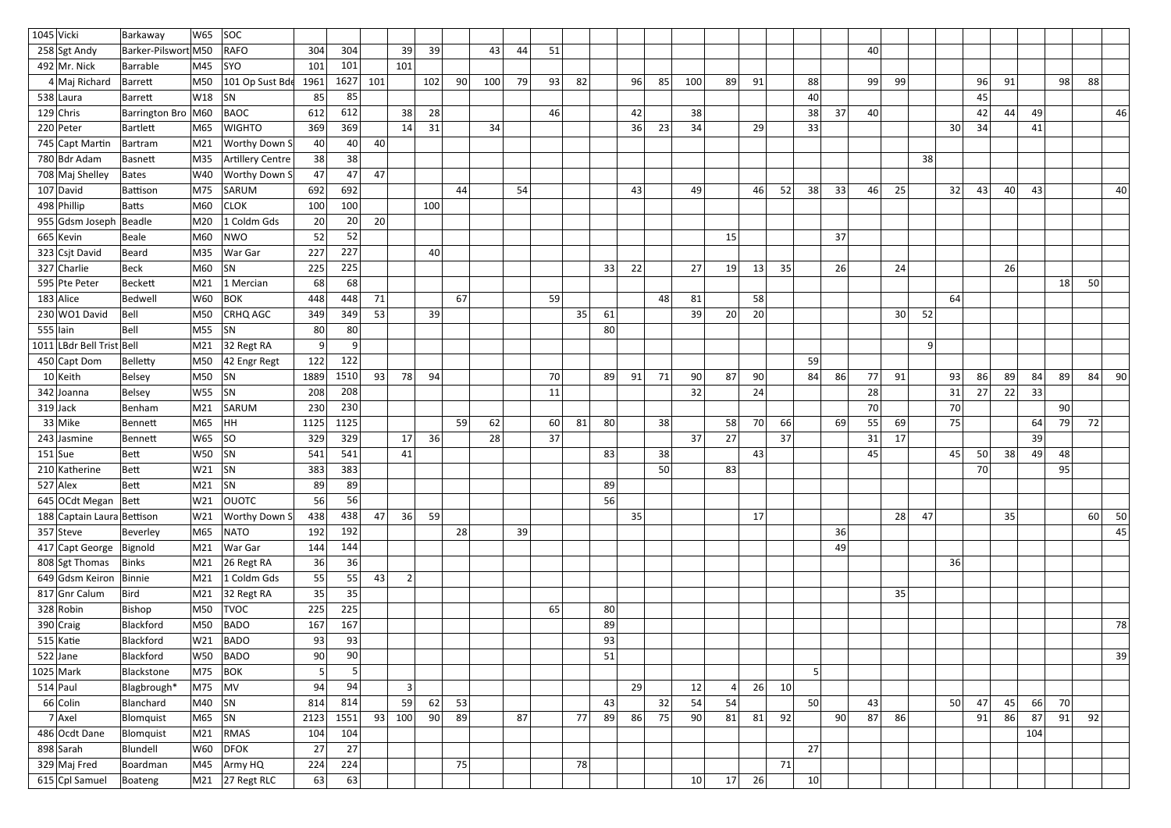| 304<br>39<br>44<br>51<br>258 Sgt Andy<br>Barker-Pilswort M50<br><b>RAFO</b><br>304<br>39<br>43<br>40<br>101<br>492 Mr. Nick<br>101<br>M45<br><b>SYO</b><br>101<br>Barrable<br>4 Maj Richard<br>101 Op Sust Bde<br>102<br>90<br>100<br>79<br>93<br>82<br>91<br>99<br>96<br>88<br>M50<br>1961<br>1627<br>101<br>96<br>85<br>100<br>89<br>88<br>99<br>91<br>98<br>Barrett<br>W18<br><b>SN</b><br>85<br>85<br>40<br>538 Laura<br>45<br>Barrett<br>28<br>612<br>38<br>37<br>40 <sup>1</sup><br>44<br>49<br>$129$ Chris<br><b>BAOC</b><br>612<br>38<br>46<br>42<br>38<br>42<br>46<br>Barrington Bro   M60<br>369<br>31<br>34<br>36<br>23<br>34<br>33<br>30<br>220 Peter<br>Bartlett<br><b>WIGHTO</b><br>369<br>14<br>29<br>34<br>41<br>M65<br>40<br>745 Capt Martin<br><b>Worthy Down S</b><br>40 <sup>°</sup><br>40<br>M21<br>Bartram<br>780 Bdr Adam<br>38<br>38<br>Artillery Centre<br>38<br>M35<br>Basnett<br>708 Maj Shelley<br>47<br>47<br>47<br><b>Worthy Down S</b><br>W40<br>Bates<br>692<br>54<br>$107$ David<br>SARUM<br>692<br>49<br>46<br>52<br>38<br>33<br>46<br>32<br>43<br>40<br>43<br>M75<br>44<br>25<br>40<br>43<br>Battison<br>498 Phillip<br>100<br><b>CLOK</b><br>100<br>M60<br>100<br>Batts<br>1 Coldm Gds<br>20<br>955 Gdsm Joseph<br>M20<br>20<br>Beadle<br>20<br>52<br>665 Kevin<br>M60<br>NWO<br>52<br>37<br>Beale<br>15<br>227<br>323 Csjt David<br>227<br>40<br>M35<br>War Gar<br>Beard<br>225<br>26<br> 22 <br>27<br>35<br>26<br>327 Charlie<br>M60<br><b>SN</b><br>33<br>19<br>13<br>24<br>Beck<br>225<br>68<br>68<br>50<br>595 Pte Peter<br>Beckett<br>M21<br>1 Mercian<br> 18 <br>67<br>58<br>$183$ Alice<br>W60<br><b>BOK</b><br>448<br>59<br>48<br>81<br>64<br>71<br>Bedwell<br>448<br>230 WO1 David<br>349<br>39<br>35<br>61<br>39<br>20<br>52<br>Bell<br>M50<br><b>CRHQ AGC</b><br>53<br>20<br>30 <sup>1</sup><br>349<br>Bell<br>M55<br> SN<br>80<br>$555$  lain<br>80<br>80 <sup>2</sup><br>$\overline{9}$<br>1011 LBdr Bell Trist Bell<br>9<br>32 Regt RA<br>$\vert 9 \vert$<br>M21<br>122<br>42 Engr Regt<br>122<br>59<br>450 Capt Dom<br>M50<br>Belletty<br>$10$ Keith<br>M50<br> SN<br>1510<br>93<br>78<br>94<br>70<br>91<br>71<br>90 <sup>°</sup><br>87<br>90 <br>86<br>77<br>93<br>86<br>89<br>-89<br>84<br><b>Belsey</b><br>1889<br>89<br>84<br>91<br>84<br>90 <sub>l</sub><br>208<br>33<br> SN<br>32<br>24<br>28<br>22<br>342 Joanna<br>Belsey<br>W55<br>208<br>11<br>31<br>27<br>230<br>70<br>70<br>90 <br>M21<br>SARUM<br>230<br>$319$ Jack<br> Benham<br>33 Mike<br>72<br>1125<br>59<br>60<br>81<br>80<br>38<br>70<br>69<br>55<br>75<br>79<br>M65<br>HH.<br>62<br>58<br>66<br>69<br>64<br>1125<br>Bennett<br>36<br>329<br>37<br>37<br>27<br>37<br>39<br>W65<br> SO<br>329<br>28<br>31<br>17<br>$243$ Jasmine<br>17<br>Bennett<br>38<br>48<br> SN<br>541<br>83<br>38<br>43<br>45<br>45<br>50<br>49<br>$151$ Sue<br>Bett<br>W50<br>541<br>41<br>210 Katherine<br>$W21$ SN<br>383<br>383<br>50<br>83<br>70<br>95<br>Bett<br>$527$ Alex<br>$\mid$ M21 $\mid$ SN<br>89<br>89<br>89<br>Bett<br>56<br>645 OCdt Megan Bett<br>W21<br><b>OUOTC</b><br>56<br>56<br>59<br>50<br>188 Captain Laura Bettison<br>438<br>438<br>36<br>35<br>17<br>28<br>47<br>35<br>60<br>W21<br><b>Worthy Down S</b><br>47<br>192<br>28<br>39<br>36<br>$357$ Steve<br><b>NATO</b><br>192<br>45<br>M65<br>Beverley<br>417 Capt George Bignold<br>144<br>War Gar<br>144<br>49<br> M21<br>36<br>808 Sgt Thomas<br>36<br>26 Regt RA<br>36<br>Binks<br>M21<br>55<br>649 Gdsm Keiron Binnie<br> M21 <br>1 Coldm Gds<br>55<br>43<br>2 <br>35<br>817 Gnr Calum<br>Bird<br>32 Regt RA<br>M21<br>35<br>35<br>225<br>328 Robin<br>M50<br><b>TVOC</b><br>225<br>65<br>80<br>Bishop<br>167<br>$390$ Craig<br><b>BADO</b><br>Blackford<br>M50<br>167<br>89<br>78<br>$515$ Katie<br>93<br>Blackford<br>BADO<br>93<br>93<br>W21<br>90<br>$522$ Jane<br>W50<br><b>BADO</b><br>90 <br>51<br>39<br>Blackford<br>5 <sup>1</sup><br>5 <sup>1</sup><br>$1025$ Mark<br>M75<br>$ $ BOK<br>5<br>Blackstone<br>94<br>$514$ Paul<br>$ M75 $ $ MV $<br>94<br>29<br>12<br>26<br>10<br>Blagbrough*<br>3<br>54<br>814<br>62<br>53<br>32<br>54<br>50<br>66<br>70<br>66 Colin<br>59<br>43<br>50<br>43<br>47<br>45<br> M40  SN<br>814<br>Blanchard<br>92<br>$7$ Axel<br> M65  SN<br>1551<br>90<br>89<br>77<br>86<br>75<br>90<br>92<br>90<br>87<br>87<br>91<br>2123<br>93<br>100<br>87<br>89<br>81<br>81<br>86<br>91<br>86<br>Blomquist<br>104<br>486 Ocdt Dane<br>RMAS<br>104<br>M21<br>104<br>Blomquist<br>27<br>898 Sarah<br>W60  <br>DFOK<br>27<br>27<br>Blundell<br>224<br>78<br>71<br>329 Maj Fred<br>224<br>75<br>M45<br>Army HQ<br>Boardman<br>63<br>26<br>10 <sup>1</sup><br>615 Cpl Samuel<br>M21 27 Regt RLC<br>10 <sup>°</sup><br>63<br>17<br>Boateng | $1045$ Vicki | Barkaway | W65 | SOC |  |  |  |  |  |  |  |  |  |  |  |  |  |  |
|--------------------------------------------------------------------------------------------------------------------------------------------------------------------------------------------------------------------------------------------------------------------------------------------------------------------------------------------------------------------------------------------------------------------------------------------------------------------------------------------------------------------------------------------------------------------------------------------------------------------------------------------------------------------------------------------------------------------------------------------------------------------------------------------------------------------------------------------------------------------------------------------------------------------------------------------------------------------------------------------------------------------------------------------------------------------------------------------------------------------------------------------------------------------------------------------------------------------------------------------------------------------------------------------------------------------------------------------------------------------------------------------------------------------------------------------------------------------------------------------------------------------------------------------------------------------------------------------------------------------------------------------------------------------------------------------------------------------------------------------------------------------------------------------------------------------------------------------------------------------------------------------------------------------------------------------------------------------------------------------------------------------------------------------------------------------------------------------------------------------------------------------------------------------------------------------------------------------------------------------------------------------------------------------------------------------------------------------------------------------------------------------------------------------------------------------------------------------------------------------------------------------------------------------------------------------------------------------------------------------------------------------------------------------------------------------------------------------------------------------------------------------------------------------------------------------------------------------------------------------------------------------------------------------------------------------------------------------------------------------------------------------------------------------------------------------------------------------------------------------------------------------------------------------------------------------------------------------------------------------------------------------------------------------------------------------------------------------------------------------------------------------------------------------------------------------------------------------------------------------------------------------------------------------------------------------------------------------------------------------------------------------------------------------------------------------------------------------------------------------------------------------------------------------------------------------------------------------------------------------------------------------------------------------------------------------------------------------------------------------------------------------------------------------------------------------------------------------------------------------------------------------------------------------------------------------------------------------------------------------------------------------------------------------------------------------------------------------------------------------------------------------------------------------------------------------------------------------------------------------------------------------------------------------------------------------------------------------------------------------------------------------------------------------------------------------------------------------------------------------|--------------|----------|-----|-----|--|--|--|--|--|--|--|--|--|--|--|--|--|--|
|                                                                                                                                                                                                                                                                                                                                                                                                                                                                                                                                                                                                                                                                                                                                                                                                                                                                                                                                                                                                                                                                                                                                                                                                                                                                                                                                                                                                                                                                                                                                                                                                                                                                                                                                                                                                                                                                                                                                                                                                                                                                                                                                                                                                                                                                                                                                                                                                                                                                                                                                                                                                                                                                                                                                                                                                                                                                                                                                                                                                                                                                                                                                                                                                                                                                                                                                                                                                                                                                                                                                                                                                                                                                                                                                                                                                                                                                                                                                                                                                                                                                                                                                                                                                                                                                                                                                                                                                                                                                                                                                                                                                                                                                                                                                            |              |          |     |     |  |  |  |  |  |  |  |  |  |  |  |  |  |  |
|                                                                                                                                                                                                                                                                                                                                                                                                                                                                                                                                                                                                                                                                                                                                                                                                                                                                                                                                                                                                                                                                                                                                                                                                                                                                                                                                                                                                                                                                                                                                                                                                                                                                                                                                                                                                                                                                                                                                                                                                                                                                                                                                                                                                                                                                                                                                                                                                                                                                                                                                                                                                                                                                                                                                                                                                                                                                                                                                                                                                                                                                                                                                                                                                                                                                                                                                                                                                                                                                                                                                                                                                                                                                                                                                                                                                                                                                                                                                                                                                                                                                                                                                                                                                                                                                                                                                                                                                                                                                                                                                                                                                                                                                                                                                            |              |          |     |     |  |  |  |  |  |  |  |  |  |  |  |  |  |  |
|                                                                                                                                                                                                                                                                                                                                                                                                                                                                                                                                                                                                                                                                                                                                                                                                                                                                                                                                                                                                                                                                                                                                                                                                                                                                                                                                                                                                                                                                                                                                                                                                                                                                                                                                                                                                                                                                                                                                                                                                                                                                                                                                                                                                                                                                                                                                                                                                                                                                                                                                                                                                                                                                                                                                                                                                                                                                                                                                                                                                                                                                                                                                                                                                                                                                                                                                                                                                                                                                                                                                                                                                                                                                                                                                                                                                                                                                                                                                                                                                                                                                                                                                                                                                                                                                                                                                                                                                                                                                                                                                                                                                                                                                                                                                            |              |          |     |     |  |  |  |  |  |  |  |  |  |  |  |  |  |  |
|                                                                                                                                                                                                                                                                                                                                                                                                                                                                                                                                                                                                                                                                                                                                                                                                                                                                                                                                                                                                                                                                                                                                                                                                                                                                                                                                                                                                                                                                                                                                                                                                                                                                                                                                                                                                                                                                                                                                                                                                                                                                                                                                                                                                                                                                                                                                                                                                                                                                                                                                                                                                                                                                                                                                                                                                                                                                                                                                                                                                                                                                                                                                                                                                                                                                                                                                                                                                                                                                                                                                                                                                                                                                                                                                                                                                                                                                                                                                                                                                                                                                                                                                                                                                                                                                                                                                                                                                                                                                                                                                                                                                                                                                                                                                            |              |          |     |     |  |  |  |  |  |  |  |  |  |  |  |  |  |  |
|                                                                                                                                                                                                                                                                                                                                                                                                                                                                                                                                                                                                                                                                                                                                                                                                                                                                                                                                                                                                                                                                                                                                                                                                                                                                                                                                                                                                                                                                                                                                                                                                                                                                                                                                                                                                                                                                                                                                                                                                                                                                                                                                                                                                                                                                                                                                                                                                                                                                                                                                                                                                                                                                                                                                                                                                                                                                                                                                                                                                                                                                                                                                                                                                                                                                                                                                                                                                                                                                                                                                                                                                                                                                                                                                                                                                                                                                                                                                                                                                                                                                                                                                                                                                                                                                                                                                                                                                                                                                                                                                                                                                                                                                                                                                            |              |          |     |     |  |  |  |  |  |  |  |  |  |  |  |  |  |  |
|                                                                                                                                                                                                                                                                                                                                                                                                                                                                                                                                                                                                                                                                                                                                                                                                                                                                                                                                                                                                                                                                                                                                                                                                                                                                                                                                                                                                                                                                                                                                                                                                                                                                                                                                                                                                                                                                                                                                                                                                                                                                                                                                                                                                                                                                                                                                                                                                                                                                                                                                                                                                                                                                                                                                                                                                                                                                                                                                                                                                                                                                                                                                                                                                                                                                                                                                                                                                                                                                                                                                                                                                                                                                                                                                                                                                                                                                                                                                                                                                                                                                                                                                                                                                                                                                                                                                                                                                                                                                                                                                                                                                                                                                                                                                            |              |          |     |     |  |  |  |  |  |  |  |  |  |  |  |  |  |  |
|                                                                                                                                                                                                                                                                                                                                                                                                                                                                                                                                                                                                                                                                                                                                                                                                                                                                                                                                                                                                                                                                                                                                                                                                                                                                                                                                                                                                                                                                                                                                                                                                                                                                                                                                                                                                                                                                                                                                                                                                                                                                                                                                                                                                                                                                                                                                                                                                                                                                                                                                                                                                                                                                                                                                                                                                                                                                                                                                                                                                                                                                                                                                                                                                                                                                                                                                                                                                                                                                                                                                                                                                                                                                                                                                                                                                                                                                                                                                                                                                                                                                                                                                                                                                                                                                                                                                                                                                                                                                                                                                                                                                                                                                                                                                            |              |          |     |     |  |  |  |  |  |  |  |  |  |  |  |  |  |  |
|                                                                                                                                                                                                                                                                                                                                                                                                                                                                                                                                                                                                                                                                                                                                                                                                                                                                                                                                                                                                                                                                                                                                                                                                                                                                                                                                                                                                                                                                                                                                                                                                                                                                                                                                                                                                                                                                                                                                                                                                                                                                                                                                                                                                                                                                                                                                                                                                                                                                                                                                                                                                                                                                                                                                                                                                                                                                                                                                                                                                                                                                                                                                                                                                                                                                                                                                                                                                                                                                                                                                                                                                                                                                                                                                                                                                                                                                                                                                                                                                                                                                                                                                                                                                                                                                                                                                                                                                                                                                                                                                                                                                                                                                                                                                            |              |          |     |     |  |  |  |  |  |  |  |  |  |  |  |  |  |  |
|                                                                                                                                                                                                                                                                                                                                                                                                                                                                                                                                                                                                                                                                                                                                                                                                                                                                                                                                                                                                                                                                                                                                                                                                                                                                                                                                                                                                                                                                                                                                                                                                                                                                                                                                                                                                                                                                                                                                                                                                                                                                                                                                                                                                                                                                                                                                                                                                                                                                                                                                                                                                                                                                                                                                                                                                                                                                                                                                                                                                                                                                                                                                                                                                                                                                                                                                                                                                                                                                                                                                                                                                                                                                                                                                                                                                                                                                                                                                                                                                                                                                                                                                                                                                                                                                                                                                                                                                                                                                                                                                                                                                                                                                                                                                            |              |          |     |     |  |  |  |  |  |  |  |  |  |  |  |  |  |  |
|                                                                                                                                                                                                                                                                                                                                                                                                                                                                                                                                                                                                                                                                                                                                                                                                                                                                                                                                                                                                                                                                                                                                                                                                                                                                                                                                                                                                                                                                                                                                                                                                                                                                                                                                                                                                                                                                                                                                                                                                                                                                                                                                                                                                                                                                                                                                                                                                                                                                                                                                                                                                                                                                                                                                                                                                                                                                                                                                                                                                                                                                                                                                                                                                                                                                                                                                                                                                                                                                                                                                                                                                                                                                                                                                                                                                                                                                                                                                                                                                                                                                                                                                                                                                                                                                                                                                                                                                                                                                                                                                                                                                                                                                                                                                            |              |          |     |     |  |  |  |  |  |  |  |  |  |  |  |  |  |  |
|                                                                                                                                                                                                                                                                                                                                                                                                                                                                                                                                                                                                                                                                                                                                                                                                                                                                                                                                                                                                                                                                                                                                                                                                                                                                                                                                                                                                                                                                                                                                                                                                                                                                                                                                                                                                                                                                                                                                                                                                                                                                                                                                                                                                                                                                                                                                                                                                                                                                                                                                                                                                                                                                                                                                                                                                                                                                                                                                                                                                                                                                                                                                                                                                                                                                                                                                                                                                                                                                                                                                                                                                                                                                                                                                                                                                                                                                                                                                                                                                                                                                                                                                                                                                                                                                                                                                                                                                                                                                                                                                                                                                                                                                                                                                            |              |          |     |     |  |  |  |  |  |  |  |  |  |  |  |  |  |  |
|                                                                                                                                                                                                                                                                                                                                                                                                                                                                                                                                                                                                                                                                                                                                                                                                                                                                                                                                                                                                                                                                                                                                                                                                                                                                                                                                                                                                                                                                                                                                                                                                                                                                                                                                                                                                                                                                                                                                                                                                                                                                                                                                                                                                                                                                                                                                                                                                                                                                                                                                                                                                                                                                                                                                                                                                                                                                                                                                                                                                                                                                                                                                                                                                                                                                                                                                                                                                                                                                                                                                                                                                                                                                                                                                                                                                                                                                                                                                                                                                                                                                                                                                                                                                                                                                                                                                                                                                                                                                                                                                                                                                                                                                                                                                            |              |          |     |     |  |  |  |  |  |  |  |  |  |  |  |  |  |  |
|                                                                                                                                                                                                                                                                                                                                                                                                                                                                                                                                                                                                                                                                                                                                                                                                                                                                                                                                                                                                                                                                                                                                                                                                                                                                                                                                                                                                                                                                                                                                                                                                                                                                                                                                                                                                                                                                                                                                                                                                                                                                                                                                                                                                                                                                                                                                                                                                                                                                                                                                                                                                                                                                                                                                                                                                                                                                                                                                                                                                                                                                                                                                                                                                                                                                                                                                                                                                                                                                                                                                                                                                                                                                                                                                                                                                                                                                                                                                                                                                                                                                                                                                                                                                                                                                                                                                                                                                                                                                                                                                                                                                                                                                                                                                            |              |          |     |     |  |  |  |  |  |  |  |  |  |  |  |  |  |  |
|                                                                                                                                                                                                                                                                                                                                                                                                                                                                                                                                                                                                                                                                                                                                                                                                                                                                                                                                                                                                                                                                                                                                                                                                                                                                                                                                                                                                                                                                                                                                                                                                                                                                                                                                                                                                                                                                                                                                                                                                                                                                                                                                                                                                                                                                                                                                                                                                                                                                                                                                                                                                                                                                                                                                                                                                                                                                                                                                                                                                                                                                                                                                                                                                                                                                                                                                                                                                                                                                                                                                                                                                                                                                                                                                                                                                                                                                                                                                                                                                                                                                                                                                                                                                                                                                                                                                                                                                                                                                                                                                                                                                                                                                                                                                            |              |          |     |     |  |  |  |  |  |  |  |  |  |  |  |  |  |  |
|                                                                                                                                                                                                                                                                                                                                                                                                                                                                                                                                                                                                                                                                                                                                                                                                                                                                                                                                                                                                                                                                                                                                                                                                                                                                                                                                                                                                                                                                                                                                                                                                                                                                                                                                                                                                                                                                                                                                                                                                                                                                                                                                                                                                                                                                                                                                                                                                                                                                                                                                                                                                                                                                                                                                                                                                                                                                                                                                                                                                                                                                                                                                                                                                                                                                                                                                                                                                                                                                                                                                                                                                                                                                                                                                                                                                                                                                                                                                                                                                                                                                                                                                                                                                                                                                                                                                                                                                                                                                                                                                                                                                                                                                                                                                            |              |          |     |     |  |  |  |  |  |  |  |  |  |  |  |  |  |  |
|                                                                                                                                                                                                                                                                                                                                                                                                                                                                                                                                                                                                                                                                                                                                                                                                                                                                                                                                                                                                                                                                                                                                                                                                                                                                                                                                                                                                                                                                                                                                                                                                                                                                                                                                                                                                                                                                                                                                                                                                                                                                                                                                                                                                                                                                                                                                                                                                                                                                                                                                                                                                                                                                                                                                                                                                                                                                                                                                                                                                                                                                                                                                                                                                                                                                                                                                                                                                                                                                                                                                                                                                                                                                                                                                                                                                                                                                                                                                                                                                                                                                                                                                                                                                                                                                                                                                                                                                                                                                                                                                                                                                                                                                                                                                            |              |          |     |     |  |  |  |  |  |  |  |  |  |  |  |  |  |  |
|                                                                                                                                                                                                                                                                                                                                                                                                                                                                                                                                                                                                                                                                                                                                                                                                                                                                                                                                                                                                                                                                                                                                                                                                                                                                                                                                                                                                                                                                                                                                                                                                                                                                                                                                                                                                                                                                                                                                                                                                                                                                                                                                                                                                                                                                                                                                                                                                                                                                                                                                                                                                                                                                                                                                                                                                                                                                                                                                                                                                                                                                                                                                                                                                                                                                                                                                                                                                                                                                                                                                                                                                                                                                                                                                                                                                                                                                                                                                                                                                                                                                                                                                                                                                                                                                                                                                                                                                                                                                                                                                                                                                                                                                                                                                            |              |          |     |     |  |  |  |  |  |  |  |  |  |  |  |  |  |  |
|                                                                                                                                                                                                                                                                                                                                                                                                                                                                                                                                                                                                                                                                                                                                                                                                                                                                                                                                                                                                                                                                                                                                                                                                                                                                                                                                                                                                                                                                                                                                                                                                                                                                                                                                                                                                                                                                                                                                                                                                                                                                                                                                                                                                                                                                                                                                                                                                                                                                                                                                                                                                                                                                                                                                                                                                                                                                                                                                                                                                                                                                                                                                                                                                                                                                                                                                                                                                                                                                                                                                                                                                                                                                                                                                                                                                                                                                                                                                                                                                                                                                                                                                                                                                                                                                                                                                                                                                                                                                                                                                                                                                                                                                                                                                            |              |          |     |     |  |  |  |  |  |  |  |  |  |  |  |  |  |  |
|                                                                                                                                                                                                                                                                                                                                                                                                                                                                                                                                                                                                                                                                                                                                                                                                                                                                                                                                                                                                                                                                                                                                                                                                                                                                                                                                                                                                                                                                                                                                                                                                                                                                                                                                                                                                                                                                                                                                                                                                                                                                                                                                                                                                                                                                                                                                                                                                                                                                                                                                                                                                                                                                                                                                                                                                                                                                                                                                                                                                                                                                                                                                                                                                                                                                                                                                                                                                                                                                                                                                                                                                                                                                                                                                                                                                                                                                                                                                                                                                                                                                                                                                                                                                                                                                                                                                                                                                                                                                                                                                                                                                                                                                                                                                            |              |          |     |     |  |  |  |  |  |  |  |  |  |  |  |  |  |  |
|                                                                                                                                                                                                                                                                                                                                                                                                                                                                                                                                                                                                                                                                                                                                                                                                                                                                                                                                                                                                                                                                                                                                                                                                                                                                                                                                                                                                                                                                                                                                                                                                                                                                                                                                                                                                                                                                                                                                                                                                                                                                                                                                                                                                                                                                                                                                                                                                                                                                                                                                                                                                                                                                                                                                                                                                                                                                                                                                                                                                                                                                                                                                                                                                                                                                                                                                                                                                                                                                                                                                                                                                                                                                                                                                                                                                                                                                                                                                                                                                                                                                                                                                                                                                                                                                                                                                                                                                                                                                                                                                                                                                                                                                                                                                            |              |          |     |     |  |  |  |  |  |  |  |  |  |  |  |  |  |  |
|                                                                                                                                                                                                                                                                                                                                                                                                                                                                                                                                                                                                                                                                                                                                                                                                                                                                                                                                                                                                                                                                                                                                                                                                                                                                                                                                                                                                                                                                                                                                                                                                                                                                                                                                                                                                                                                                                                                                                                                                                                                                                                                                                                                                                                                                                                                                                                                                                                                                                                                                                                                                                                                                                                                                                                                                                                                                                                                                                                                                                                                                                                                                                                                                                                                                                                                                                                                                                                                                                                                                                                                                                                                                                                                                                                                                                                                                                                                                                                                                                                                                                                                                                                                                                                                                                                                                                                                                                                                                                                                                                                                                                                                                                                                                            |              |          |     |     |  |  |  |  |  |  |  |  |  |  |  |  |  |  |
|                                                                                                                                                                                                                                                                                                                                                                                                                                                                                                                                                                                                                                                                                                                                                                                                                                                                                                                                                                                                                                                                                                                                                                                                                                                                                                                                                                                                                                                                                                                                                                                                                                                                                                                                                                                                                                                                                                                                                                                                                                                                                                                                                                                                                                                                                                                                                                                                                                                                                                                                                                                                                                                                                                                                                                                                                                                                                                                                                                                                                                                                                                                                                                                                                                                                                                                                                                                                                                                                                                                                                                                                                                                                                                                                                                                                                                                                                                                                                                                                                                                                                                                                                                                                                                                                                                                                                                                                                                                                                                                                                                                                                                                                                                                                            |              |          |     |     |  |  |  |  |  |  |  |  |  |  |  |  |  |  |
|                                                                                                                                                                                                                                                                                                                                                                                                                                                                                                                                                                                                                                                                                                                                                                                                                                                                                                                                                                                                                                                                                                                                                                                                                                                                                                                                                                                                                                                                                                                                                                                                                                                                                                                                                                                                                                                                                                                                                                                                                                                                                                                                                                                                                                                                                                                                                                                                                                                                                                                                                                                                                                                                                                                                                                                                                                                                                                                                                                                                                                                                                                                                                                                                                                                                                                                                                                                                                                                                                                                                                                                                                                                                                                                                                                                                                                                                                                                                                                                                                                                                                                                                                                                                                                                                                                                                                                                                                                                                                                                                                                                                                                                                                                                                            |              |          |     |     |  |  |  |  |  |  |  |  |  |  |  |  |  |  |
|                                                                                                                                                                                                                                                                                                                                                                                                                                                                                                                                                                                                                                                                                                                                                                                                                                                                                                                                                                                                                                                                                                                                                                                                                                                                                                                                                                                                                                                                                                                                                                                                                                                                                                                                                                                                                                                                                                                                                                                                                                                                                                                                                                                                                                                                                                                                                                                                                                                                                                                                                                                                                                                                                                                                                                                                                                                                                                                                                                                                                                                                                                                                                                                                                                                                                                                                                                                                                                                                                                                                                                                                                                                                                                                                                                                                                                                                                                                                                                                                                                                                                                                                                                                                                                                                                                                                                                                                                                                                                                                                                                                                                                                                                                                                            |              |          |     |     |  |  |  |  |  |  |  |  |  |  |  |  |  |  |
|                                                                                                                                                                                                                                                                                                                                                                                                                                                                                                                                                                                                                                                                                                                                                                                                                                                                                                                                                                                                                                                                                                                                                                                                                                                                                                                                                                                                                                                                                                                                                                                                                                                                                                                                                                                                                                                                                                                                                                                                                                                                                                                                                                                                                                                                                                                                                                                                                                                                                                                                                                                                                                                                                                                                                                                                                                                                                                                                                                                                                                                                                                                                                                                                                                                                                                                                                                                                                                                                                                                                                                                                                                                                                                                                                                                                                                                                                                                                                                                                                                                                                                                                                                                                                                                                                                                                                                                                                                                                                                                                                                                                                                                                                                                                            |              |          |     |     |  |  |  |  |  |  |  |  |  |  |  |  |  |  |
|                                                                                                                                                                                                                                                                                                                                                                                                                                                                                                                                                                                                                                                                                                                                                                                                                                                                                                                                                                                                                                                                                                                                                                                                                                                                                                                                                                                                                                                                                                                                                                                                                                                                                                                                                                                                                                                                                                                                                                                                                                                                                                                                                                                                                                                                                                                                                                                                                                                                                                                                                                                                                                                                                                                                                                                                                                                                                                                                                                                                                                                                                                                                                                                                                                                                                                                                                                                                                                                                                                                                                                                                                                                                                                                                                                                                                                                                                                                                                                                                                                                                                                                                                                                                                                                                                                                                                                                                                                                                                                                                                                                                                                                                                                                                            |              |          |     |     |  |  |  |  |  |  |  |  |  |  |  |  |  |  |
|                                                                                                                                                                                                                                                                                                                                                                                                                                                                                                                                                                                                                                                                                                                                                                                                                                                                                                                                                                                                                                                                                                                                                                                                                                                                                                                                                                                                                                                                                                                                                                                                                                                                                                                                                                                                                                                                                                                                                                                                                                                                                                                                                                                                                                                                                                                                                                                                                                                                                                                                                                                                                                                                                                                                                                                                                                                                                                                                                                                                                                                                                                                                                                                                                                                                                                                                                                                                                                                                                                                                                                                                                                                                                                                                                                                                                                                                                                                                                                                                                                                                                                                                                                                                                                                                                                                                                                                                                                                                                                                                                                                                                                                                                                                                            |              |          |     |     |  |  |  |  |  |  |  |  |  |  |  |  |  |  |
|                                                                                                                                                                                                                                                                                                                                                                                                                                                                                                                                                                                                                                                                                                                                                                                                                                                                                                                                                                                                                                                                                                                                                                                                                                                                                                                                                                                                                                                                                                                                                                                                                                                                                                                                                                                                                                                                                                                                                                                                                                                                                                                                                                                                                                                                                                                                                                                                                                                                                                                                                                                                                                                                                                                                                                                                                                                                                                                                                                                                                                                                                                                                                                                                                                                                                                                                                                                                                                                                                                                                                                                                                                                                                                                                                                                                                                                                                                                                                                                                                                                                                                                                                                                                                                                                                                                                                                                                                                                                                                                                                                                                                                                                                                                                            |              |          |     |     |  |  |  |  |  |  |  |  |  |  |  |  |  |  |
|                                                                                                                                                                                                                                                                                                                                                                                                                                                                                                                                                                                                                                                                                                                                                                                                                                                                                                                                                                                                                                                                                                                                                                                                                                                                                                                                                                                                                                                                                                                                                                                                                                                                                                                                                                                                                                                                                                                                                                                                                                                                                                                                                                                                                                                                                                                                                                                                                                                                                                                                                                                                                                                                                                                                                                                                                                                                                                                                                                                                                                                                                                                                                                                                                                                                                                                                                                                                                                                                                                                                                                                                                                                                                                                                                                                                                                                                                                                                                                                                                                                                                                                                                                                                                                                                                                                                                                                                                                                                                                                                                                                                                                                                                                                                            |              |          |     |     |  |  |  |  |  |  |  |  |  |  |  |  |  |  |
|                                                                                                                                                                                                                                                                                                                                                                                                                                                                                                                                                                                                                                                                                                                                                                                                                                                                                                                                                                                                                                                                                                                                                                                                                                                                                                                                                                                                                                                                                                                                                                                                                                                                                                                                                                                                                                                                                                                                                                                                                                                                                                                                                                                                                                                                                                                                                                                                                                                                                                                                                                                                                                                                                                                                                                                                                                                                                                                                                                                                                                                                                                                                                                                                                                                                                                                                                                                                                                                                                                                                                                                                                                                                                                                                                                                                                                                                                                                                                                                                                                                                                                                                                                                                                                                                                                                                                                                                                                                                                                                                                                                                                                                                                                                                            |              |          |     |     |  |  |  |  |  |  |  |  |  |  |  |  |  |  |
|                                                                                                                                                                                                                                                                                                                                                                                                                                                                                                                                                                                                                                                                                                                                                                                                                                                                                                                                                                                                                                                                                                                                                                                                                                                                                                                                                                                                                                                                                                                                                                                                                                                                                                                                                                                                                                                                                                                                                                                                                                                                                                                                                                                                                                                                                                                                                                                                                                                                                                                                                                                                                                                                                                                                                                                                                                                                                                                                                                                                                                                                                                                                                                                                                                                                                                                                                                                                                                                                                                                                                                                                                                                                                                                                                                                                                                                                                                                                                                                                                                                                                                                                                                                                                                                                                                                                                                                                                                                                                                                                                                                                                                                                                                                                            |              |          |     |     |  |  |  |  |  |  |  |  |  |  |  |  |  |  |
|                                                                                                                                                                                                                                                                                                                                                                                                                                                                                                                                                                                                                                                                                                                                                                                                                                                                                                                                                                                                                                                                                                                                                                                                                                                                                                                                                                                                                                                                                                                                                                                                                                                                                                                                                                                                                                                                                                                                                                                                                                                                                                                                                                                                                                                                                                                                                                                                                                                                                                                                                                                                                                                                                                                                                                                                                                                                                                                                                                                                                                                                                                                                                                                                                                                                                                                                                                                                                                                                                                                                                                                                                                                                                                                                                                                                                                                                                                                                                                                                                                                                                                                                                                                                                                                                                                                                                                                                                                                                                                                                                                                                                                                                                                                                            |              |          |     |     |  |  |  |  |  |  |  |  |  |  |  |  |  |  |
|                                                                                                                                                                                                                                                                                                                                                                                                                                                                                                                                                                                                                                                                                                                                                                                                                                                                                                                                                                                                                                                                                                                                                                                                                                                                                                                                                                                                                                                                                                                                                                                                                                                                                                                                                                                                                                                                                                                                                                                                                                                                                                                                                                                                                                                                                                                                                                                                                                                                                                                                                                                                                                                                                                                                                                                                                                                                                                                                                                                                                                                                                                                                                                                                                                                                                                                                                                                                                                                                                                                                                                                                                                                                                                                                                                                                                                                                                                                                                                                                                                                                                                                                                                                                                                                                                                                                                                                                                                                                                                                                                                                                                                                                                                                                            |              |          |     |     |  |  |  |  |  |  |  |  |  |  |  |  |  |  |
|                                                                                                                                                                                                                                                                                                                                                                                                                                                                                                                                                                                                                                                                                                                                                                                                                                                                                                                                                                                                                                                                                                                                                                                                                                                                                                                                                                                                                                                                                                                                                                                                                                                                                                                                                                                                                                                                                                                                                                                                                                                                                                                                                                                                                                                                                                                                                                                                                                                                                                                                                                                                                                                                                                                                                                                                                                                                                                                                                                                                                                                                                                                                                                                                                                                                                                                                                                                                                                                                                                                                                                                                                                                                                                                                                                                                                                                                                                                                                                                                                                                                                                                                                                                                                                                                                                                                                                                                                                                                                                                                                                                                                                                                                                                                            |              |          |     |     |  |  |  |  |  |  |  |  |  |  |  |  |  |  |
|                                                                                                                                                                                                                                                                                                                                                                                                                                                                                                                                                                                                                                                                                                                                                                                                                                                                                                                                                                                                                                                                                                                                                                                                                                                                                                                                                                                                                                                                                                                                                                                                                                                                                                                                                                                                                                                                                                                                                                                                                                                                                                                                                                                                                                                                                                                                                                                                                                                                                                                                                                                                                                                                                                                                                                                                                                                                                                                                                                                                                                                                                                                                                                                                                                                                                                                                                                                                                                                                                                                                                                                                                                                                                                                                                                                                                                                                                                                                                                                                                                                                                                                                                                                                                                                                                                                                                                                                                                                                                                                                                                                                                                                                                                                                            |              |          |     |     |  |  |  |  |  |  |  |  |  |  |  |  |  |  |
|                                                                                                                                                                                                                                                                                                                                                                                                                                                                                                                                                                                                                                                                                                                                                                                                                                                                                                                                                                                                                                                                                                                                                                                                                                                                                                                                                                                                                                                                                                                                                                                                                                                                                                                                                                                                                                                                                                                                                                                                                                                                                                                                                                                                                                                                                                                                                                                                                                                                                                                                                                                                                                                                                                                                                                                                                                                                                                                                                                                                                                                                                                                                                                                                                                                                                                                                                                                                                                                                                                                                                                                                                                                                                                                                                                                                                                                                                                                                                                                                                                                                                                                                                                                                                                                                                                                                                                                                                                                                                                                                                                                                                                                                                                                                            |              |          |     |     |  |  |  |  |  |  |  |  |  |  |  |  |  |  |
|                                                                                                                                                                                                                                                                                                                                                                                                                                                                                                                                                                                                                                                                                                                                                                                                                                                                                                                                                                                                                                                                                                                                                                                                                                                                                                                                                                                                                                                                                                                                                                                                                                                                                                                                                                                                                                                                                                                                                                                                                                                                                                                                                                                                                                                                                                                                                                                                                                                                                                                                                                                                                                                                                                                                                                                                                                                                                                                                                                                                                                                                                                                                                                                                                                                                                                                                                                                                                                                                                                                                                                                                                                                                                                                                                                                                                                                                                                                                                                                                                                                                                                                                                                                                                                                                                                                                                                                                                                                                                                                                                                                                                                                                                                                                            |              |          |     |     |  |  |  |  |  |  |  |  |  |  |  |  |  |  |
|                                                                                                                                                                                                                                                                                                                                                                                                                                                                                                                                                                                                                                                                                                                                                                                                                                                                                                                                                                                                                                                                                                                                                                                                                                                                                                                                                                                                                                                                                                                                                                                                                                                                                                                                                                                                                                                                                                                                                                                                                                                                                                                                                                                                                                                                                                                                                                                                                                                                                                                                                                                                                                                                                                                                                                                                                                                                                                                                                                                                                                                                                                                                                                                                                                                                                                                                                                                                                                                                                                                                                                                                                                                                                                                                                                                                                                                                                                                                                                                                                                                                                                                                                                                                                                                                                                                                                                                                                                                                                                                                                                                                                                                                                                                                            |              |          |     |     |  |  |  |  |  |  |  |  |  |  |  |  |  |  |
|                                                                                                                                                                                                                                                                                                                                                                                                                                                                                                                                                                                                                                                                                                                                                                                                                                                                                                                                                                                                                                                                                                                                                                                                                                                                                                                                                                                                                                                                                                                                                                                                                                                                                                                                                                                                                                                                                                                                                                                                                                                                                                                                                                                                                                                                                                                                                                                                                                                                                                                                                                                                                                                                                                                                                                                                                                                                                                                                                                                                                                                                                                                                                                                                                                                                                                                                                                                                                                                                                                                                                                                                                                                                                                                                                                                                                                                                                                                                                                                                                                                                                                                                                                                                                                                                                                                                                                                                                                                                                                                                                                                                                                                                                                                                            |              |          |     |     |  |  |  |  |  |  |  |  |  |  |  |  |  |  |
|                                                                                                                                                                                                                                                                                                                                                                                                                                                                                                                                                                                                                                                                                                                                                                                                                                                                                                                                                                                                                                                                                                                                                                                                                                                                                                                                                                                                                                                                                                                                                                                                                                                                                                                                                                                                                                                                                                                                                                                                                                                                                                                                                                                                                                                                                                                                                                                                                                                                                                                                                                                                                                                                                                                                                                                                                                                                                                                                                                                                                                                                                                                                                                                                                                                                                                                                                                                                                                                                                                                                                                                                                                                                                                                                                                                                                                                                                                                                                                                                                                                                                                                                                                                                                                                                                                                                                                                                                                                                                                                                                                                                                                                                                                                                            |              |          |     |     |  |  |  |  |  |  |  |  |  |  |  |  |  |  |
|                                                                                                                                                                                                                                                                                                                                                                                                                                                                                                                                                                                                                                                                                                                                                                                                                                                                                                                                                                                                                                                                                                                                                                                                                                                                                                                                                                                                                                                                                                                                                                                                                                                                                                                                                                                                                                                                                                                                                                                                                                                                                                                                                                                                                                                                                                                                                                                                                                                                                                                                                                                                                                                                                                                                                                                                                                                                                                                                                                                                                                                                                                                                                                                                                                                                                                                                                                                                                                                                                                                                                                                                                                                                                                                                                                                                                                                                                                                                                                                                                                                                                                                                                                                                                                                                                                                                                                                                                                                                                                                                                                                                                                                                                                                                            |              |          |     |     |  |  |  |  |  |  |  |  |  |  |  |  |  |  |
|                                                                                                                                                                                                                                                                                                                                                                                                                                                                                                                                                                                                                                                                                                                                                                                                                                                                                                                                                                                                                                                                                                                                                                                                                                                                                                                                                                                                                                                                                                                                                                                                                                                                                                                                                                                                                                                                                                                                                                                                                                                                                                                                                                                                                                                                                                                                                                                                                                                                                                                                                                                                                                                                                                                                                                                                                                                                                                                                                                                                                                                                                                                                                                                                                                                                                                                                                                                                                                                                                                                                                                                                                                                                                                                                                                                                                                                                                                                                                                                                                                                                                                                                                                                                                                                                                                                                                                                                                                                                                                                                                                                                                                                                                                                                            |              |          |     |     |  |  |  |  |  |  |  |  |  |  |  |  |  |  |
|                                                                                                                                                                                                                                                                                                                                                                                                                                                                                                                                                                                                                                                                                                                                                                                                                                                                                                                                                                                                                                                                                                                                                                                                                                                                                                                                                                                                                                                                                                                                                                                                                                                                                                                                                                                                                                                                                                                                                                                                                                                                                                                                                                                                                                                                                                                                                                                                                                                                                                                                                                                                                                                                                                                                                                                                                                                                                                                                                                                                                                                                                                                                                                                                                                                                                                                                                                                                                                                                                                                                                                                                                                                                                                                                                                                                                                                                                                                                                                                                                                                                                                                                                                                                                                                                                                                                                                                                                                                                                                                                                                                                                                                                                                                                            |              |          |     |     |  |  |  |  |  |  |  |  |  |  |  |  |  |  |
|                                                                                                                                                                                                                                                                                                                                                                                                                                                                                                                                                                                                                                                                                                                                                                                                                                                                                                                                                                                                                                                                                                                                                                                                                                                                                                                                                                                                                                                                                                                                                                                                                                                                                                                                                                                                                                                                                                                                                                                                                                                                                                                                                                                                                                                                                                                                                                                                                                                                                                                                                                                                                                                                                                                                                                                                                                                                                                                                                                                                                                                                                                                                                                                                                                                                                                                                                                                                                                                                                                                                                                                                                                                                                                                                                                                                                                                                                                                                                                                                                                                                                                                                                                                                                                                                                                                                                                                                                                                                                                                                                                                                                                                                                                                                            |              |          |     |     |  |  |  |  |  |  |  |  |  |  |  |  |  |  |
|                                                                                                                                                                                                                                                                                                                                                                                                                                                                                                                                                                                                                                                                                                                                                                                                                                                                                                                                                                                                                                                                                                                                                                                                                                                                                                                                                                                                                                                                                                                                                                                                                                                                                                                                                                                                                                                                                                                                                                                                                                                                                                                                                                                                                                                                                                                                                                                                                                                                                                                                                                                                                                                                                                                                                                                                                                                                                                                                                                                                                                                                                                                                                                                                                                                                                                                                                                                                                                                                                                                                                                                                                                                                                                                                                                                                                                                                                                                                                                                                                                                                                                                                                                                                                                                                                                                                                                                                                                                                                                                                                                                                                                                                                                                                            |              |          |     |     |  |  |  |  |  |  |  |  |  |  |  |  |  |  |
|                                                                                                                                                                                                                                                                                                                                                                                                                                                                                                                                                                                                                                                                                                                                                                                                                                                                                                                                                                                                                                                                                                                                                                                                                                                                                                                                                                                                                                                                                                                                                                                                                                                                                                                                                                                                                                                                                                                                                                                                                                                                                                                                                                                                                                                                                                                                                                                                                                                                                                                                                                                                                                                                                                                                                                                                                                                                                                                                                                                                                                                                                                                                                                                                                                                                                                                                                                                                                                                                                                                                                                                                                                                                                                                                                                                                                                                                                                                                                                                                                                                                                                                                                                                                                                                                                                                                                                                                                                                                                                                                                                                                                                                                                                                                            |              |          |     |     |  |  |  |  |  |  |  |  |  |  |  |  |  |  |
|                                                                                                                                                                                                                                                                                                                                                                                                                                                                                                                                                                                                                                                                                                                                                                                                                                                                                                                                                                                                                                                                                                                                                                                                                                                                                                                                                                                                                                                                                                                                                                                                                                                                                                                                                                                                                                                                                                                                                                                                                                                                                                                                                                                                                                                                                                                                                                                                                                                                                                                                                                                                                                                                                                                                                                                                                                                                                                                                                                                                                                                                                                                                                                                                                                                                                                                                                                                                                                                                                                                                                                                                                                                                                                                                                                                                                                                                                                                                                                                                                                                                                                                                                                                                                                                                                                                                                                                                                                                                                                                                                                                                                                                                                                                                            |              |          |     |     |  |  |  |  |  |  |  |  |  |  |  |  |  |  |
|                                                                                                                                                                                                                                                                                                                                                                                                                                                                                                                                                                                                                                                                                                                                                                                                                                                                                                                                                                                                                                                                                                                                                                                                                                                                                                                                                                                                                                                                                                                                                                                                                                                                                                                                                                                                                                                                                                                                                                                                                                                                                                                                                                                                                                                                                                                                                                                                                                                                                                                                                                                                                                                                                                                                                                                                                                                                                                                                                                                                                                                                                                                                                                                                                                                                                                                                                                                                                                                                                                                                                                                                                                                                                                                                                                                                                                                                                                                                                                                                                                                                                                                                                                                                                                                                                                                                                                                                                                                                                                                                                                                                                                                                                                                                            |              |          |     |     |  |  |  |  |  |  |  |  |  |  |  |  |  |  |
|                                                                                                                                                                                                                                                                                                                                                                                                                                                                                                                                                                                                                                                                                                                                                                                                                                                                                                                                                                                                                                                                                                                                                                                                                                                                                                                                                                                                                                                                                                                                                                                                                                                                                                                                                                                                                                                                                                                                                                                                                                                                                                                                                                                                                                                                                                                                                                                                                                                                                                                                                                                                                                                                                                                                                                                                                                                                                                                                                                                                                                                                                                                                                                                                                                                                                                                                                                                                                                                                                                                                                                                                                                                                                                                                                                                                                                                                                                                                                                                                                                                                                                                                                                                                                                                                                                                                                                                                                                                                                                                                                                                                                                                                                                                                            |              |          |     |     |  |  |  |  |  |  |  |  |  |  |  |  |  |  |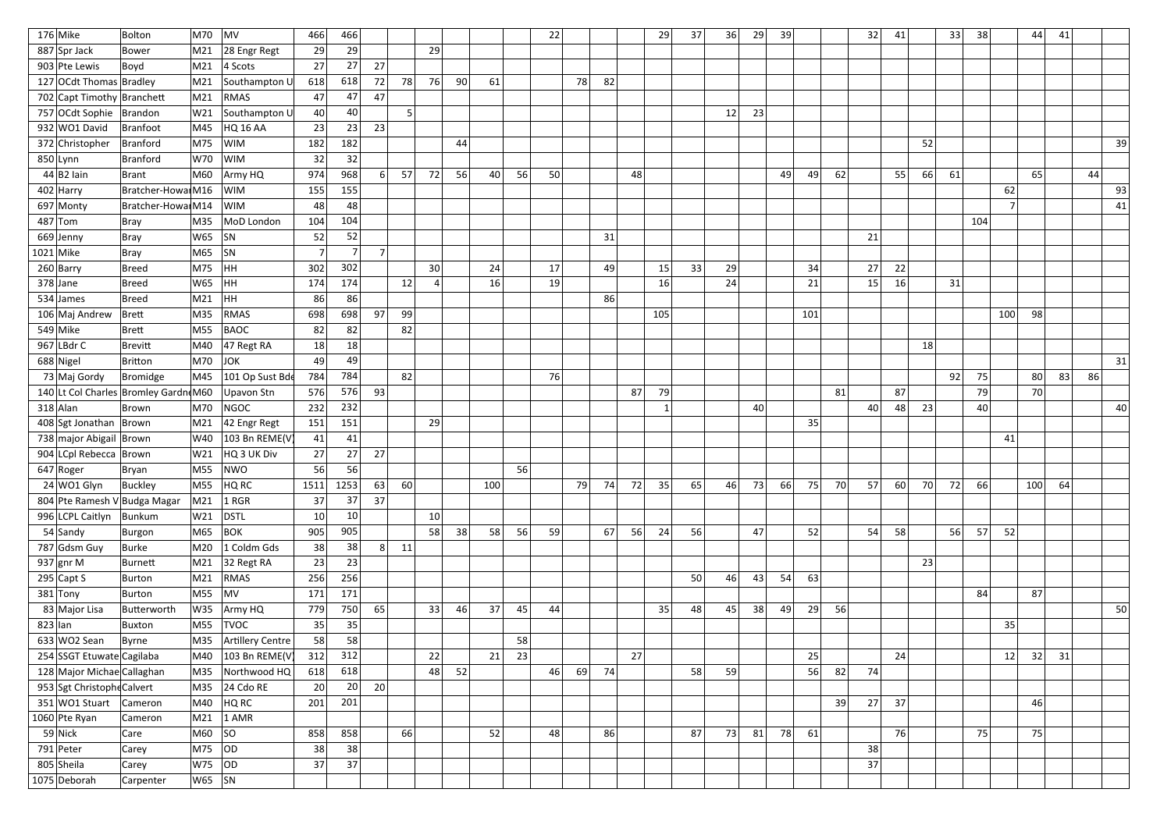| $176$ Mike                           | Bolton             | M70        | $\vert$ MV                | 466            | 466            |                |     |                 |    |     |    | 22 |    |    |    | 29  | 37 | 36 | 29 | 39 |     |    | 32 | 41              |    | 33 | 38  |     | 44  | 41 |    |    |
|--------------------------------------|--------------------|------------|---------------------------|----------------|----------------|----------------|-----|-----------------|----|-----|----|----|----|----|----|-----|----|----|----|----|-----|----|----|-----------------|----|----|-----|-----|-----|----|----|----|
| 887 Spr Jack                         | <b>Bower</b>       | M21        | 28 Engr Regt              | 29             | 29             |                |     | 29              |    |     |    |    |    |    |    |     |    |    |    |    |     |    |    |                 |    |    |     |     |     |    |    |    |
| 903 Pte Lewis                        | Boyd               | M21        | $ 4$ Scots                | 27             | 27             | 27             |     |                 |    |     |    |    |    |    |    |     |    |    |    |    |     |    |    |                 |    |    |     |     |     |    |    |    |
| 127 OCdt Thomas Bradley              |                    | M21        | Southampton U             | 618            | 618            | 72             | 78  | 76              | 90 | 61  |    |    | 78 | 82 |    |     |    |    |    |    |     |    |    |                 |    |    |     |     |     |    |    |    |
| 702 Capt Timothy Branchett           |                    | M21        | RMAS                      | 47             | 47             | 47             |     |                 |    |     |    |    |    |    |    |     |    |    |    |    |     |    |    |                 |    |    |     |     |     |    |    |    |
| 757 OCdt Sophie   Brandon            |                    | W21        | Southampton U             | 40             | 40             |                | 5.  |                 |    |     |    |    |    |    |    |     |    | 12 | 23 |    |     |    |    |                 |    |    |     |     |     |    |    |    |
| 932 WO1 David                        | Branfoot           |            | M45 HQ 16 AA              | 23             | 23             | 23             |     |                 |    |     |    |    |    |    |    |     |    |    |    |    |     |    |    |                 |    |    |     |     |     |    |    |    |
| 372 Christopher                      | Branford           | M75        | <b>WIM</b>                | 182            | 182            |                |     |                 | 44 |     |    |    |    |    |    |     |    |    |    |    |     |    |    |                 | 52 |    |     |     |     |    |    | 39 |
| $850$  Lynn                          | Branford           | W70        | <b>WIM</b>                | 32             | 32             |                |     |                 |    |     |    |    |    |    |    |     |    |    |    |    |     |    |    |                 |    |    |     |     |     |    |    |    |
| 44 B2 ain                            | Brant              | M60        | Army HQ                   | 974            | 968            | 6 <sup>1</sup> | 57  | 72              | 56 | 40  | 56 | 50 |    |    | 48 |     |    |    |    | 49 | 49  | 62 |    | 55              | 66 | 61 |     |     | 65  |    | 44 |    |
| $402$ Harry                          | Bratcher-Howa M16  |            | <b>WIM</b>                | 155            | 155            |                |     |                 |    |     |    |    |    |    |    |     |    |    |    |    |     |    |    |                 |    |    |     | 62  |     |    |    | 93 |
| 697 Monty                            | Bratcher-Howai M14 |            | <b>WIM</b>                | 48             | 48             |                |     |                 |    |     |    |    |    |    |    |     |    |    |    |    |     |    |    |                 |    |    |     |     |     |    |    | 41 |
| $487$ Tom                            | Bray               | M35        | MoD London                | 104            | 104            |                |     |                 |    |     |    |    |    |    |    |     |    |    |    |    |     |    |    |                 |    |    | 104 |     |     |    |    |    |
| 669 Jenny                            | Bray               | W65        | $ $ SN                    | 52             | 52             |                |     |                 |    |     |    |    |    | 31 |    |     |    |    |    |    |     |    | 21 |                 |    |    |     |     |     |    |    |    |
| $1021$ Mike                          | Bray               | M65        | SN                        | $\overline{ }$ | $\overline{7}$ | 7 <sup>1</sup> |     |                 |    |     |    |    |    |    |    |     |    |    |    |    |     |    |    |                 |    |    |     |     |     |    |    |    |
| $260$  Barry                         | Breed              | M75        | HH                        | 302            | 302            |                |     | 30 <sup>°</sup> |    | 24  |    | 17 |    | 49 |    | 15  | 33 | 29 |    |    | 34  |    | 27 | 22              |    |    |     |     |     |    |    |    |
| $378$ Jane                           | Breed              | $W65$ HH   |                           | 174            | 174            |                | 12  |                 |    | 16  |    | 19 |    |    |    | 16  |    | 24 |    |    | 21  |    | 15 | 16              |    | 31 |     |     |     |    |    |    |
| 534 James                            | Breed              | M21        | HH                        | 86             | 86             |                |     |                 |    |     |    |    |    | 86 |    |     |    |    |    |    |     |    |    |                 |    |    |     |     |     |    |    |    |
| 106 Maj Andrew                       | Brett              | M35        | RMAS                      | 698            | 698            | 97             | -99 |                 |    |     |    |    |    |    |    | 105 |    |    |    |    | 101 |    |    |                 |    |    |     | 100 | 98  |    |    |    |
| $549$ Mike                           | Brett              | M55        | $\vert$ BAOC              | 82             | 82             |                | 82  |                 |    |     |    |    |    |    |    |     |    |    |    |    |     |    |    |                 |    |    |     |     |     |    |    |    |
| $967$ LBdr C                         | Brevitt            | M40        | $ 47$ Regt RA             | 18             | 18             |                |     |                 |    |     |    |    |    |    |    |     |    |    |    |    |     |    |    |                 | 18 |    |     |     |     |    |    |    |
| 688 Nigel                            | Britton            | M70        | <b>JOK</b>                | 49             | 49             |                |     |                 |    |     |    |    |    |    |    |     |    |    |    |    |     |    |    |                 |    |    |     |     |     |    |    | 31 |
| 73 Maj Gordy                         | Bromidge           | M45        | 101 Op Sust Bde           | 784            | 784            |                | 82  |                 |    |     |    | 76 |    |    |    |     |    |    |    |    |     |    |    |                 |    | 92 | 75  |     | 80  | 83 | 86 |    |
| 140 Lt Col Charles Bromley Gardn M60 |                    |            | Upavon Stn                | 576            | 576            | 93             |     |                 |    |     |    |    |    |    | 87 | 79  |    |    |    |    |     | 81 |    | 87              |    |    | 79  |     | 70  |    |    |    |
| $318$ Alan                           | Brown              | M70        | NGOC                      | 232            | 232            |                |     |                 |    |     |    |    |    |    |    |     |    |    | 40 |    |     |    | 40 | 48              | 23 |    | 40  |     |     |    |    | 40 |
| 408 Sgt Jonathan Brown               |                    | M21        | $ 42$ Engr Regt           | 151            | 151            |                |     | 29              |    |     |    |    |    |    |    |     |    |    |    |    | 35  |    |    |                 |    |    |     |     |     |    |    |    |
| 738 major Abigail Brown              |                    | W40        | 103 Bn REME(V             | 41             | 41             |                |     |                 |    |     |    |    |    |    |    |     |    |    |    |    |     |    |    |                 |    |    |     | 41  |     |    |    |    |
| 904 LCpl Rebecca Brown               |                    | W21        | HQ 3 UK Div               | 27             | 27             | 27             |     |                 |    |     |    |    |    |    |    |     |    |    |    |    |     |    |    |                 |    |    |     |     |     |    |    |    |
| $647$ Roger                          | Bryan              |            | M55 NWO                   | 56             | 56             |                |     |                 |    |     | 56 |    |    |    |    |     |    |    |    |    |     |    |    |                 |    |    |     |     |     |    |    |    |
| 24 WO1 Glyn                          | Buckley            | M55        | HQRC                      | 1511           | 1253           | 63             | 60  |                 |    | 100 |    |    | 79 | 74 | 72 | 35  | 65 | 46 | 73 | 66 | 75  | 70 | 57 | 60 <sup>2</sup> | 70 | 72 | 66  |     | 100 | 64 |    |    |
| 804 Pte Ramesh V Budga Magar         |                    |            | $\vert$ M21 $\vert$ 1 RGR | 37             | 37             | 37             |     |                 |    |     |    |    |    |    |    |     |    |    |    |    |     |    |    |                 |    |    |     |     |     |    |    |    |
| 996 LCPL Caitlyn                     | Bunkum             | W21        | DSTL                      | 10             | 10             |                |     | 10              |    |     |    |    |    |    |    |     |    |    |    |    |     |    |    |                 |    |    |     |     |     |    |    |    |
| $54$ Sandy                           | Burgon             | M65        | BOK                       | 905            | 905            |                |     | 58              | 38 | 58  | 56 | 59 |    | 67 | 56 | 24  | 56 |    | 47 |    | 52  |    | 54 | 58              |    | 56 | 57  | 52  |     |    |    |    |
| 787 Gdsm Guy                         | Burke              |            | M20 1 Coldm Gds           | 38             | 38             | 8 <sup>1</sup> | 11  |                 |    |     |    |    |    |    |    |     |    |    |    |    |     |    |    |                 |    |    |     |     |     |    |    |    |
| 937 gnr M                            | Burnett            | M21        | 32 Regt RA                | 23             | 23             |                |     |                 |    |     |    |    |    |    |    |     |    |    |    |    |     |    |    |                 | 23 |    |     |     |     |    |    |    |
| $295$ Capt S                         | Burton             | M21        | RMAS                      | 256            | 256            |                |     |                 |    |     |    |    |    |    |    |     | 50 | 46 | 43 | 54 | 63  |    |    |                 |    |    |     |     |     |    |    |    |
| $381$ Tony                           | Burton             | $M55$ MV   |                           | 171            | 171            |                |     |                 |    |     |    |    |    |    |    |     |    |    |    |    |     |    |    |                 |    |    | 84  |     | 87  |    |    |    |
| 83 Major Lisa                        | Butterworth        |            | W35 Army HQ               | 779            | 750            | 65             |     | 33              | 46 | 37  | 45 | 44 |    |    |    | 35  | 48 | 45 | 38 | 49 | 29  | 56 |    |                 |    |    |     |     |     |    |    | 50 |
| $823$ lan                            | Buxton             | M55        | <b>TVOC</b>               | 35             | 35             |                |     |                 |    |     |    |    |    |    |    |     |    |    |    |    |     |    |    |                 |    |    |     | 35  |     |    |    |    |
| $633$ WO2 Sean                       | Byrne              | M35        | Artillery Centre          | 58             | 58             |                |     |                 |    |     | 58 |    |    |    |    |     |    |    |    |    |     |    |    |                 |    |    |     |     |     |    |    |    |
| 254 SSGT Etuwate Cagilaba            |                    | M40        | 103 Bn REME(V             | 312            | 312            |                |     | 22              |    | 21  | 23 |    |    |    | 27 |     |    |    |    |    | 25  |    |    | 24              |    |    |     | 12  | 32  | 31 |    |    |
| 128 Major Michae Callaghan           |                    | M35        | Northwood HQ              | 618            | 618            |                |     | 48              | 52 |     |    | 46 | 69 | 74 |    |     | 58 | 59 |    |    | 56  | 82 | 74 |                 |    |    |     |     |     |    |    |    |
| 953 Sgt Christophe Calvert           |                    | M35        | $24$ Cdo RE               | 20             | 20             | 20             |     |                 |    |     |    |    |    |    |    |     |    |    |    |    |     |    |    |                 |    |    |     |     |     |    |    |    |
| 351 WO1 Stuart                       | Cameron            | M40        | HQ RC                     | 201            | 201            |                |     |                 |    |     |    |    |    |    |    |     |    |    |    |    |     | 39 | 27 | 37              |    |    |     |     | 46  |    |    |    |
| $1060$ Pte Ryan                      | Cameron            | M21        | $1$ AMR                   |                |                |                |     |                 |    |     |    |    |    |    |    |     |    |    |    |    |     |    |    |                 |    |    |     |     |     |    |    |    |
| $59$ Nick                            | Care               | M60  SO    |                           | 858            | 858            |                | 66  |                 |    | 52  |    | 48 |    | 86 |    |     | 87 | 73 | 81 | 78 | 61  |    |    | 76              |    |    | 75  |     | 75  |    |    |    |
| 791 Peter                            | Carey              | M75  OD    |                           | 38             | 38             |                |     |                 |    |     |    |    |    |    |    |     |    |    |    |    |     |    | 38 |                 |    |    |     |     |     |    |    |    |
| 805 Sheila                           | Carey              | W75  OD    |                           | 37             | 37             |                |     |                 |    |     |    |    |    |    |    |     |    |    |    |    |     |    | 37 |                 |    |    |     |     |     |    |    |    |
| 1075 Deborah                         | Carpenter          | $ W65 $ SN |                           |                |                |                |     |                 |    |     |    |    |    |    |    |     |    |    |    |    |     |    |    |                 |    |    |     |     |     |    |    |    |
|                                      |                    |            |                           |                |                |                |     |                 |    |     |    |    |    |    |    |     |    |    |    |    |     |    |    |                 |    |    |     |     |     |    |    |    |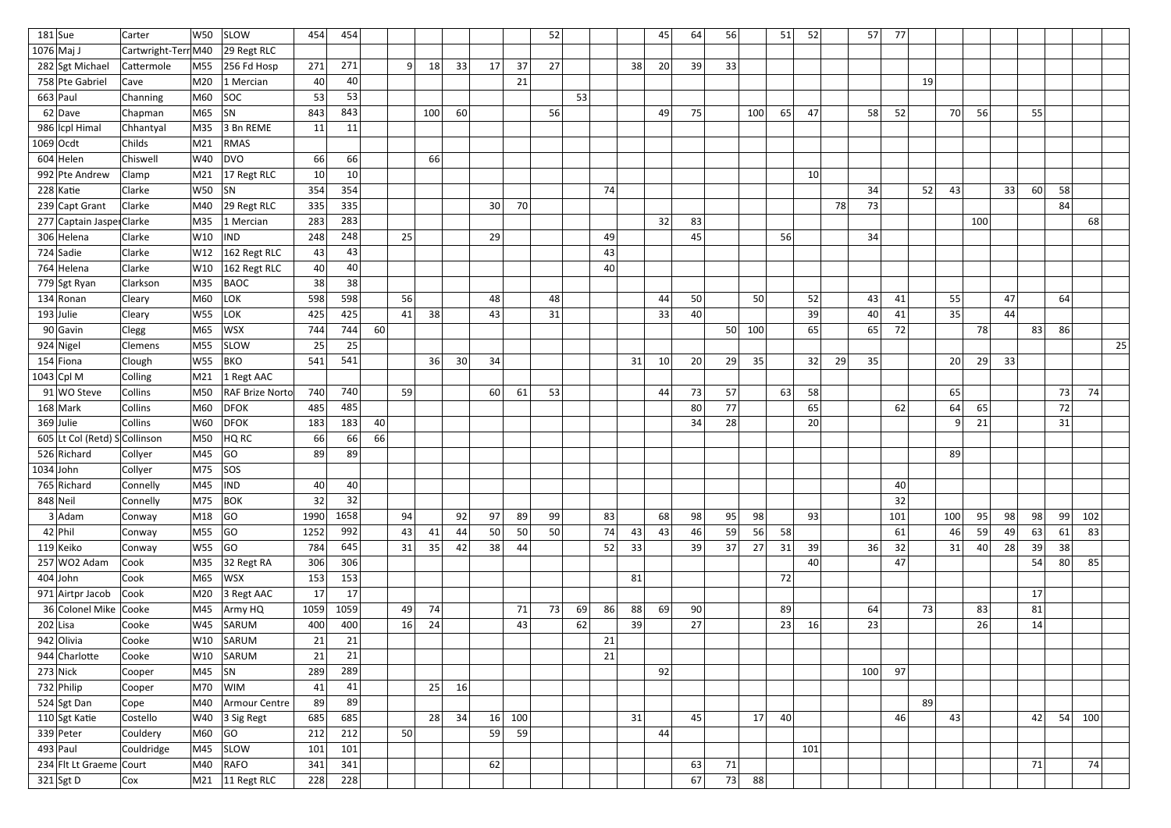| $181$ Sue                    | Carter              | W50                                                                                                         | <b>SLOW</b>                     | 454             | 454  |    |                |     |    |    |     | 52 |    |    |    | 45              | 64 | 56 |     | 51 | 52              |    | 57  | 77  |     |                 |     |     |    |    |     |    |
|------------------------------|---------------------|-------------------------------------------------------------------------------------------------------------|---------------------------------|-----------------|------|----|----------------|-----|----|----|-----|----|----|----|----|-----------------|----|----|-----|----|-----------------|----|-----|-----|-----|-----------------|-----|-----|----|----|-----|----|
| $1076$ Maj J                 | Cartwright-Terr M40 |                                                                                                             | 29 Regt RLC                     |                 |      |    |                |     |    |    |     |    |    |    |    |                 |    |    |     |    |                 |    |     |     |     |                 |     |     |    |    |     |    |
| 282 Sgt Michael              | Cattermole          | M55                                                                                                         | $ 256$ Fd Hosp                  | 271             | 271  |    | 9 <sup>1</sup> | 18  | 33 | 17 | 37  | 27 |    |    | 38 | 20              | 39 | 33 |     |    |                 |    |     |     |     |                 |     |     |    |    |     |    |
| 758 Pte Gabriel              | Cave                | M20                                                                                                         | 1 Mercian                       | 40              | 40   |    |                |     |    |    | 21  |    |    |    |    |                 |    |    |     |    |                 |    |     |     | 19  |                 |     |     |    |    |     |    |
| $663$ Paul                   | Channing            | M60                                                                                                         | SOC                             | 53              | 53   |    |                |     |    |    |     |    | 53 |    |    |                 |    |    |     |    |                 |    |     |     |     |                 |     |     |    |    |     |    |
| $62$ Dave                    | Chapman             | M65                                                                                                         | SN                              | 843             | 843  |    |                | 100 | 60 |    |     | 56 |    |    |    | 49              | 75 |    | 100 | 65 | 47              |    | 58  | 52  |     | 70              | 56  |     | 55 |    |     |    |
| 986 Icpl Himal               | Chhantyal           | M35                                                                                                         | 3 Bn REME                       | 11              | 11   |    |                |     |    |    |     |    |    |    |    |                 |    |    |     |    |                 |    |     |     |     |                 |     |     |    |    |     |    |
| $1069$ Ocdt                  | Childs              | M21                                                                                                         | RMAS                            |                 |      |    |                |     |    |    |     |    |    |    |    |                 |    |    |     |    |                 |    |     |     |     |                 |     |     |    |    |     |    |
| $604$ Helen                  | Chiswell            | W40                                                                                                         | DVO                             | 66              | 66   |    |                | 66  |    |    |     |    |    |    |    |                 |    |    |     |    |                 |    |     |     |     |                 |     |     |    |    |     |    |
| 992 Pte Andrew               | Clamp               | M21                                                                                                         | 17 Regt RLC                     | 10 <sup>1</sup> | 10   |    |                |     |    |    |     |    |    |    |    |                 |    |    |     |    | 10 <sup>1</sup> |    |     |     |     |                 |     |     |    |    |     |    |
| $228$ Katie                  | Clarke              | W50                                                                                                         | SN                              | 354             | 354  |    |                |     |    |    |     |    |    | 74 |    |                 |    |    |     |    |                 |    | 34  |     | 52  | 43              |     | 33  | 60 | 58 |     |    |
| 239 Capt Grant               | Clarke              | M40                                                                                                         | 29 Regt RLC                     | 335             | 335  |    |                |     |    | 30 | 70  |    |    |    |    |                 |    |    |     |    |                 | 78 | 73  |     |     |                 |     |     |    | 84 |     |    |
| 277 Captain Jaspe Clarke     |                     | M35                                                                                                         | $ 1$ Mercian                    | 283             | 283  |    |                |     |    |    |     |    |    |    |    | 32              | 83 |    |     |    |                 |    |     |     |     |                 | 100 |     |    |    | 68  |    |
| 306 Helena                   | Clarke              | W10                                                                                                         | IND                             | 248             | 248  |    | 25             |     |    | 29 |     |    |    | 49 |    |                 | 45 |    |     | 56 |                 |    | 34  |     |     |                 |     |     |    |    |     |    |
| 724 Sadie                    | Clarke              | W12                                                                                                         | 162 Regt RLC                    | 43              | 43   |    |                |     |    |    |     |    |    | 43 |    |                 |    |    |     |    |                 |    |     |     |     |                 |     |     |    |    |     |    |
| 764 Helena                   | Clarke              | W10                                                                                                         | 162 Regt RLC                    | 40              | 40   |    |                |     |    |    |     |    |    | 40 |    |                 |    |    |     |    |                 |    |     |     |     |                 |     |     |    |    |     |    |
| 779 Sgt Ryan                 | Clarkson            | M35                                                                                                         | <b>BAOC</b>                     | 38              | 38   |    |                |     |    |    |     |    |    |    |    |                 |    |    |     |    |                 |    |     |     |     |                 |     |     |    |    |     |    |
| $134$ Ronan                  | Cleary              | M60                                                                                                         | LOK                             | 598             | 598  |    | 56             |     |    | 48 |     | 48 |    |    |    | 44              | 50 |    | 50  |    | 52              |    | 43  | 41  |     | 55              |     | 47  |    | 64 |     |    |
| $193$ Julie                  | Cleary              | W55                                                                                                         | LOK                             | 425             | 425  |    | 41             | 38  |    | 43 |     | 31 |    |    |    | 33              | 40 |    |     |    | 39              |    | 40  | 41  |     | 35              |     | 44  |    |    |     |    |
| $90$ Gavin                   | Clegg               | M65                                                                                                         | WSX                             | 744             | 744  | 60 |                |     |    |    |     |    |    |    |    |                 |    | 50 | 100 |    | 65              |    | 65  | 72  |     |                 | 78  |     | 83 | 86 |     |    |
| 924 Nigel                    | <b>Clemens</b>      | M55                                                                                                         | <b>SLOW</b>                     | 25              | 25   |    |                |     |    |    |     |    |    |    |    |                 |    |    |     |    |                 |    |     |     |     |                 |     |     |    |    |     | 25 |
| $154$ Fiona                  | Clough              | <b>W55</b>                                                                                                  | BKO                             | 541             | 541  |    |                | 36  | 30 | 34 |     |    |    |    | 31 | 10 <sup>1</sup> | 20 | 29 | 35  |    | 32              | 29 | 35  |     |     | 20 <sup>2</sup> | 29  | 33  |    |    |     |    |
| $1043$ Cpl M                 | Colling             | M21                                                                                                         | $\vert$ 1 Regt AAC              |                 |      |    |                |     |    |    |     |    |    |    |    |                 |    |    |     |    |                 |    |     |     |     |                 |     |     |    |    |     |    |
| $91$ WO Steve                | Collins             | M50                                                                                                         | <b>RAF Brize Norto</b>          | 740             | 740  |    | 59             |     |    | 60 | 61  | 53 |    |    |    | 44              | 73 | 57 |     | 63 | 58              |    |     |     |     | 65              |     |     |    | 73 | 74  |    |
| $168$ Mark                   | Collins             | M60                                                                                                         | <b>DFOK</b>                     | 485             | 485  |    |                |     |    |    |     |    |    |    |    |                 | 80 | 77 |     |    | 65              |    |     | 62  |     | 64              | 65  |     |    | 72 |     |    |
| $369$ Julie                  | <b>Collins</b>      | W60                                                                                                         | $\overline{DFOK}$               | 183             | 183  | 40 |                |     |    |    |     |    |    |    |    |                 | 34 | 28 |     |    | 20              |    |     |     |     | 9               | 21  |     |    | 31 |     |    |
| 605 Lt Col (Retd) SCollinson |                     | M50                                                                                                         | HQ RC                           | 66              | 66   | 66 |                |     |    |    |     |    |    |    |    |                 |    |    |     |    |                 |    |     |     |     |                 |     |     |    |    |     |    |
| 526 Richard                  | Collyer             | M45                                                                                                         | GO                              | 89              | 89   |    |                |     |    |    |     |    |    |    |    |                 |    |    |     |    |                 |    |     |     |     | 89              |     |     |    |    |     |    |
| $1034$ John                  | Collyer             | $ M75 $ $ SOS $                                                                                             |                                 |                 |      |    |                |     |    |    |     |    |    |    |    |                 |    |    |     |    |                 |    |     |     |     |                 |     |     |    |    |     |    |
| 765 Richard                  | Connelly            | $\overline{\hspace{0.08cm}\text{M45}}\hspace{0.08cm}$ $\overline{\hspace{0.08cm}\text{NDD}}\hspace{0.08cm}$ |                                 | 40              | 40   |    |                |     |    |    |     |    |    |    |    |                 |    |    |     |    |                 |    |     | 40  |     |                 |     |     |    |    |     |    |
| $848$ Neil                   | Connelly            | M75 BOK                                                                                                     |                                 | 32              | 32   |    |                |     |    |    |     |    |    |    |    |                 |    |    |     |    |                 |    |     | 32  |     |                 |     |     |    |    |     |    |
| $3$ Adam                     | Conway              | M18                                                                                                         | GO                              | 1990            | 1658 |    | 94             |     | 92 | 97 | 89  | 99 |    | 83 |    | 68              | 98 | 95 | 98  |    | 93              |    |     | 101 |     | 100             | 95  | 98  | 98 | 99 | 102 |    |
| $42$ Phil                    | Conway              | M55  GO                                                                                                     |                                 | 1252            | 992  |    | 43             | 41  | 44 | 50 | 50  | 50 |    | 74 | 43 | 43              | 46 | 59 | 56  | 58 |                 |    |     | 61  |     | 46              | 59  | -49 | 63 | 61 | 83  |    |
| 119 Keiko                    | Conway              | W55  GO                                                                                                     |                                 | 784             | 645  |    | 31             | 35  | 42 | 38 | -44 |    |    | 52 | 33 |                 | 39 | 37 | 27  | 31 | 39              |    | 36  | 32  |     | 31              | 40  | 28  | 39 | 38 |     |    |
| $257$ WO2 Adam               | Cook                | M35                                                                                                         | 32 Regt RA                      | 306             | 306  |    |                |     |    |    |     |    |    |    |    |                 |    |    |     |    | 40              |    |     | 47  |     |                 |     |     | 54 | 80 | 85  |    |
| $404$ John                   | Cook                | M65                                                                                                         | <b>WSX</b>                      | 153             | 153  |    |                |     |    |    |     |    |    |    | 81 |                 |    |    |     | 72 |                 |    |     |     |     |                 |     |     |    |    |     |    |
| 971 Airtpr Jacob             | Cook                |                                                                                                             | $\vert$ M20 $\vert$ 3 Regt AAC  | 17              | 17   |    |                |     |    |    |     |    |    |    |    |                 |    |    |     |    |                 |    |     |     |     |                 |     |     | 17 |    |     |    |
| 36 Colonel Mike Cooke        |                     |                                                                                                             | M45 Army HQ                     | 1059            | 1059 |    | 49             | 74  |    |    | 71  | 73 | 69 | 86 | 88 | 69              | 90 |    |     | 89 |                 |    | 64  |     | 73  |                 | 83  |     | 81 |    |     |    |
| $202$ Lisa                   | Cooke               | W45                                                                                                         | SARUM                           | 400             | 400  |    | 16             | 24  |    |    | 43  |    | 62 |    | 39 |                 | 27 |    |     | 23 | 16              |    | 23  |     |     |                 | 26  |     | 14 |    |     |    |
| 942 Olivia                   | Cooke               | $\vert$ W10                                                                                                 | SARUM                           | 21              | 21   |    |                |     |    |    |     |    |    | 21 |    |                 |    |    |     |    |                 |    |     |     |     |                 |     |     |    |    |     |    |
| 944 Charlotte                | Cooke               |                                                                                                             | W10 SARUM                       | 21              | 21   |    |                |     |    |    |     |    |    | 21 |    |                 |    |    |     |    |                 |    |     |     |     |                 |     |     |    |    |     |    |
| $273$ Nick                   | Cooper              | $\vert$ M45 $\vert$ SN                                                                                      |                                 | 289             | 289  |    |                |     |    |    |     |    |    |    |    | 92              |    |    |     |    |                 |    | 100 | 97  |     |                 |     |     |    |    |     |    |
| $732$ Philip                 | Cooper              |                                                                                                             | $ M70 $ $ WIM $                 | 41              | 41   |    |                | 25  | 16 |    |     |    |    |    |    |                 |    |    |     |    |                 |    |     |     |     |                 |     |     |    |    |     |    |
| 524 Sgt Dan                  | Cope                | M40                                                                                                         | Armour Centre                   | 89              | 89   |    |                |     |    |    |     |    |    |    |    |                 |    |    |     |    |                 |    |     |     | -89 |                 |     |     |    |    |     |    |
| 110 Sgt Katie                | Costello            |                                                                                                             | W40 $ 3$ Sig Regt               | 685             | 685  |    |                | 28  | 34 | 16 | 100 |    |    |    | 31 |                 | 45 |    | 17  | 40 |                 |    |     | 46  |     | 43              |     |     | 42 | 54 | 100 |    |
| $339$ Peter                  | Couldery            | M60                                                                                                         | GO                              | 212             | 212  |    | 50             |     |    | 59 | 59  |    |    |    |    | 44              |    |    |     |    |                 |    |     |     |     |                 |     |     |    |    |     |    |
| $493$ Paul                   | Couldridge          | M45                                                                                                         | <b>SLOW</b>                     | 101             | 101  |    |                |     |    |    |     |    |    |    |    |                 |    |    |     |    | 101             |    |     |     |     |                 |     |     |    |    |     |    |
| 234 Flt Lt Graeme Court      |                     | M40                                                                                                         | RAFO                            | 341             | 341  |    |                |     |    | 62 |     |    |    |    |    |                 | 63 | 71 |     |    |                 |    |     |     |     |                 |     |     | 71 |    | 74  |    |
| $321$ Sgt D                  | Cox                 |                                                                                                             | $\vert$ M21 $\vert$ 11 Regt RLC | 228             | 228  |    |                |     |    |    |     |    |    |    |    |                 | 67 | 73 | 88  |    |                 |    |     |     |     |                 |     |     |    |    |     |    |
|                              |                     |                                                                                                             |                                 |                 |      |    |                |     |    |    |     |    |    |    |    |                 |    |    |     |    |                 |    |     |     |     |                 |     |     |    |    |     |    |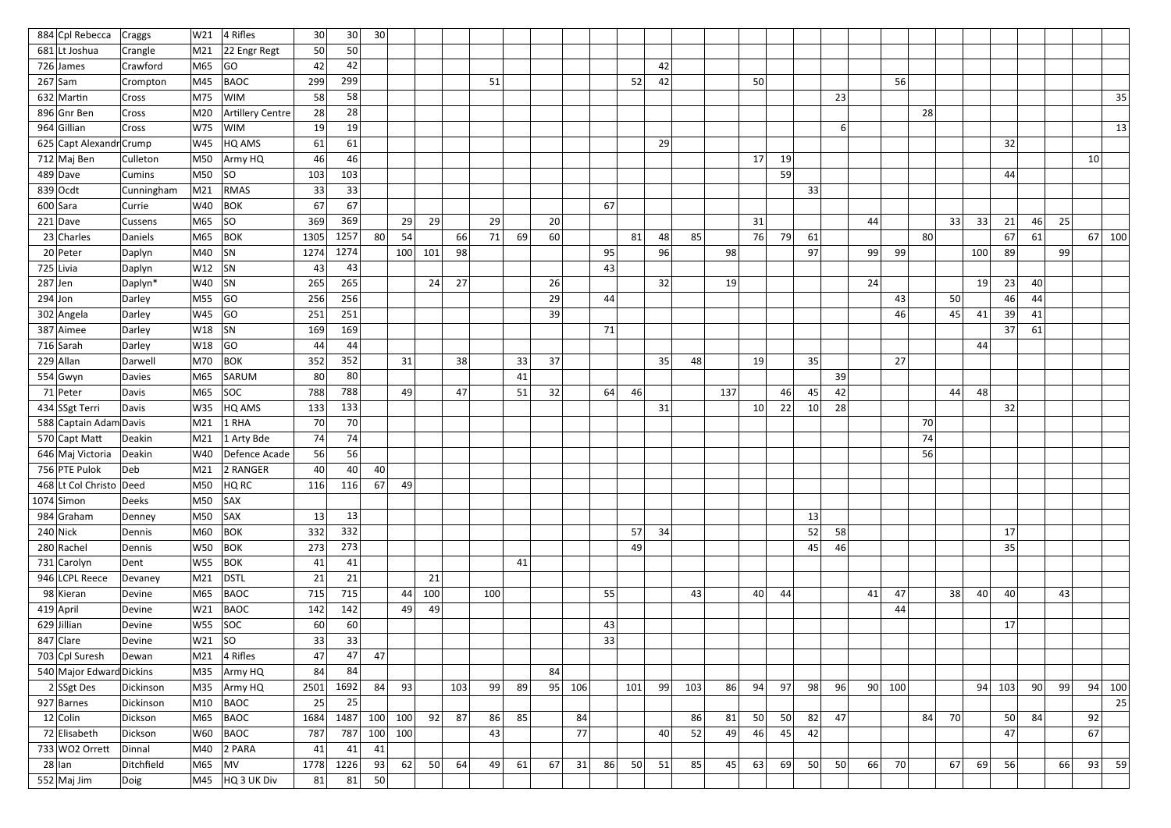| 884 Cpl Rebecca          | Craggs        | W21        | 4 Rifles           | 30 <sup>2</sup> | 30 <sup>°</sup> | 30        |     |     |     |     |    |    |     |    |     |    |     |     |                 |    |                 |                |    |     |    |    |     |          |    |    |                 |
|--------------------------|---------------|------------|--------------------|-----------------|-----------------|-----------|-----|-----|-----|-----|----|----|-----|----|-----|----|-----|-----|-----------------|----|-----------------|----------------|----|-----|----|----|-----|----------|----|----|-----------------|
| 681 Lt Joshua            | Crangle       | M21        | 22 Engr Regt       | 50              | 50              |           |     |     |     |     |    |    |     |    |     |    |     |     |                 |    |                 |                |    |     |    |    |     |          |    |    |                 |
| $726$ James              | Crawford      | M65        | GO                 | 42              | 42              |           |     |     |     |     |    |    |     |    |     | 42 |     |     |                 |    |                 |                |    |     |    |    |     |          |    |    |                 |
| $267$ Sam                | Crompton      | M45        | <b>BAOC</b>        | 299             | 299             |           |     |     |     | 51  |    |    |     |    | 52  | 42 |     |     | 50              |    |                 |                |    | 56  |    |    |     |          |    |    |                 |
| 632 Martin               | Cross         | M75        | <b>WIM</b>         | 58              | 58              |           |     |     |     |     |    |    |     |    |     |    |     |     |                 |    |                 | 23             |    |     |    |    |     |          |    |    | 35              |
| 896 Gnr Ben              | Cross         | M20        | Artillery Centre   | 28              | 28              |           |     |     |     |     |    |    |     |    |     |    |     |     |                 |    |                 |                |    |     | 28 |    |     |          |    |    |                 |
| 964 Gillian              | <b>Cross</b>  | W75        | <b>WIM</b>         | 19              | 19              |           |     |     |     |     |    |    |     |    |     |    |     |     |                 |    |                 | 6 <sup>1</sup> |    |     |    |    |     |          |    |    | 13              |
| 625 Capt Alexandr Crump  |               | W45        | HQ AMS             | 61              | 61              |           |     |     |     |     |    |    |     |    |     | 29 |     |     |                 |    |                 |                |    |     |    |    |     | 32       |    |    |                 |
| 712 Maj Ben              | Culleton      | M50        | Army HQ            | 46              | 46              |           |     |     |     |     |    |    |     |    |     |    |     |     | 17              | 19 |                 |                |    |     |    |    |     |          |    |    | 10 <sup>1</sup> |
| $489$ Dave               | <b>Cumins</b> | M50        | SO                 | 103             | 103             |           |     |     |     |     |    |    |     |    |     |    |     |     |                 | 59 |                 |                |    |     |    |    |     | 44       |    |    |                 |
| $839$ Ocdt               | Cunningham    | M21        | RMAS               | 33              | 33              |           |     |     |     |     |    |    |     |    |     |    |     |     |                 |    | 33              |                |    |     |    |    |     |          |    |    |                 |
| 600 Sara                 | Currie        | W40        | <b>BOK</b>         | 67              | 67              |           |     |     |     |     |    |    |     | 67 |     |    |     |     |                 |    |                 |                |    |     |    |    |     |          |    |    |                 |
| $221$ Dave               | Cussens       | M65        | SO                 | 369             | 369             |           | 29  | 29  |     | 29  |    | 20 |     |    |     |    |     |     | 31              |    |                 |                | 44 |     |    | 33 | 33  | 21       | 46 | 25 |                 |
| $23$ Charles             | Daniels       | M65        | <b>BOK</b>         | 1305            | 1257            | 80        | 54  |     | 66  | 71  | 69 | 60 |     |    | 81  | 48 | 85  |     | 76              | 79 | 61              |                |    |     | 80 |    |     | 67       | 61 |    | $67$ 100        |
| $20$ Peter               | Daplyn        | M40        | SN                 | 1274            | 1274            |           | 100 | 101 | 98  |     |    |    |     | 95 |     | 96 |     | 98  |                 |    | 97              |                | 99 | 99  |    |    | 100 | 89       |    | 99 |                 |
| $725$ Livia              | Daplyn        | W12        | SN                 | 43              | 43              |           |     |     |     |     |    |    |     | 43 |     |    |     |     |                 |    |                 |                |    |     |    |    |     |          |    |    |                 |
| $287$ Jen                | Daplyn*       | W40        | SN                 | 265             | 265             |           |     | 24  | 27  |     |    | 26 |     |    |     | 32 |     | 19  |                 |    |                 |                | 24 |     |    |    | 19  | 23       | 40 |    |                 |
| $294$ Jon                | Darley        | M55        | GO                 | 256             | 256             |           |     |     |     |     |    | 29 |     | 44 |     |    |     |     |                 |    |                 |                |    | 43  |    | 50 |     | 46       | 44 |    |                 |
| 302 Angela               | Darley        | W45        | GO                 | 251             | 251             |           |     |     |     |     |    | 39 |     |    |     |    |     |     |                 |    |                 |                |    | 46  |    | 45 | 41  | 39       | 41 |    |                 |
| 387 Aimee                | Darley        | W18        | <b>SN</b>          | 169             | 169             |           |     |     |     |     |    |    |     | 71 |     |    |     |     |                 |    |                 |                |    |     |    |    |     | 37       | 61 |    |                 |
| 716 Sarah                | Darley        | W18        | GO                 | 44              | 44              |           |     |     |     |     |    |    |     |    |     |    |     |     |                 |    |                 |                |    |     |    |    | 44  |          |    |    |                 |
| $229$ Allan              | Darwell       | M70        | <b>BOK</b>         | 352             | 352             |           | 31  |     | 38  |     | 33 | 37 |     |    |     | 35 | 48  |     | 19              |    | 35              |                |    | 27  |    |    |     |          |    |    |                 |
| $554$ Gwyn               | Davies        | M65        | SARUM              | 80              | 80              |           |     |     |     |     | 41 |    |     |    |     |    |     |     |                 |    |                 | 39             |    |     |    |    |     |          |    |    |                 |
| 71 Peter                 | Davis         | M65        | SOC                | 788             | 788             |           | 49  |     | 47  |     | 51 | 32 |     | 64 | 46  |    |     | 137 |                 | 46 | 45              | 42             |    |     |    | 44 | 48  |          |    |    |                 |
| 434 SSgt Terri           | Davis         | W35        | HQ AMS             | 133             | 133             |           |     |     |     |     |    |    |     |    |     | 31 |     |     | 10              | 22 | 10 <sup>°</sup> | 28             |    |     |    |    |     | 32       |    |    |                 |
| 588 Captain Adam Davis   |               | M21        | $ 1$ RHA           | 70              | 70              |           |     |     |     |     |    |    |     |    |     |    |     |     |                 |    |                 |                |    |     | 70 |    |     |          |    |    |                 |
| 570 Capt Matt            | Deakin        | M21        | 1 Arty Bde         | 74              | 74              |           |     |     |     |     |    |    |     |    |     |    |     |     |                 |    |                 |                |    |     | 74 |    |     |          |    |    |                 |
| 646 Maj Victoria         | Deakin        | W40        | Defence Acade      | 56              | 56              |           |     |     |     |     |    |    |     |    |     |    |     |     |                 |    |                 |                |    |     | 56 |    |     |          |    |    |                 |
| 756 PTE Pulok            | Deb           | M21        | $ 2$ RANGER        | 40              | 40              | 40        |     |     |     |     |    |    |     |    |     |    |     |     |                 |    |                 |                |    |     |    |    |     |          |    |    |                 |
| 468 Lt Col Christo Deed  |               | M50        | HQ RC              | 116             | 116             | 67        | 49  |     |     |     |    |    |     |    |     |    |     |     |                 |    |                 |                |    |     |    |    |     |          |    |    |                 |
| $1074$ Simon             | Deeks         |            | $M50$ SAX          |                 |                 |           |     |     |     |     |    |    |     |    |     |    |     |     |                 |    |                 |                |    |     |    |    |     |          |    |    |                 |
| 984 Graham               | Denney        |            | $M50$ SAX          | 13              | 13              |           |     |     |     |     |    |    |     |    |     |    |     |     |                 |    | 13              |                |    |     |    |    |     |          |    |    |                 |
| $240$ Nick               | Dennis        | M60        | <b>BOK</b>         | 332             | 332             |           |     |     |     |     |    |    |     |    | 57  | 34 |     |     |                 |    | 52              | 58             |    |     |    |    |     | 17       |    |    |                 |
| 280 Rachel               | Dennis        | W50        | $ $ BOK            | 273             | 273             |           |     |     |     |     |    |    |     |    | 49  |    |     |     |                 |    | 45              | 46             |    |     |    |    |     | 35       |    |    |                 |
| 731 Carolyn              | Dent          | <b>W55</b> | <b>BOK</b>         | 41              | 41              |           |     |     |     |     | 41 |    |     |    |     |    |     |     |                 |    |                 |                |    |     |    |    |     |          |    |    |                 |
| 946 LCPL Reece           | Devaney       | M21        | <b>DSTL</b>        | 21              | 21              |           |     | 21  |     |     |    |    |     |    |     |    |     |     |                 |    |                 |                |    |     |    |    |     |          |    |    |                 |
| 98 Kieran                | Devine        | M65        | BAOC               | 715             | 715             |           | 44  | 100 |     | 100 |    |    |     | 55 |     |    | 43  |     | 40 <sup>1</sup> | 44 |                 |                | 41 | 47  |    | 38 | 40  | 40       |    | 43 |                 |
| $419$ April              | Devine        | W21        | BAOC               | 142             | 142             |           | 49  | 49  |     |     |    |    |     |    |     |    |     |     |                 |    |                 |                |    | 44  |    |    |     |          |    |    |                 |
| $629$ Jillian            | Devine        | <b>W55</b> | SOC                | 60              | 60              |           |     |     |     |     |    |    |     | 43 |     |    |     |     |                 |    |                 |                |    |     |    |    |     | 17       |    |    |                 |
| $847$ Clare              | Devine        | $W21$ SO   |                    | 33              | 33              |           |     |     |     |     |    |    |     | 33 |     |    |     |     |                 |    |                 |                |    |     |    |    |     |          |    |    |                 |
| 703 Cpl Suresh           | Dewan         | M21        | $ 4$ Rifles        | 47              | 47              | 47        |     |     |     |     |    |    |     |    |     |    |     |     |                 |    |                 |                |    |     |    |    |     |          |    |    |                 |
| 540 Major Edward Dickins |               | M35        | Army HQ            | 84              | 84              |           |     |     |     |     |    | 84 |     |    |     |    |     |     |                 |    |                 |                |    |     |    |    |     |          |    |    |                 |
| $2$ SSgt Des             | Dickinson     |            | M35   Army HQ      | 2501            | 1692            | 84        | 93  |     | 103 | 99  | 89 | 95 | 106 |    | 101 | 99 | 103 | 86  | 94              | 97 | 98              | 96             | 90 | 100 |    |    |     | 94   103 | 90 | 99 | 94<br>100       |
| 927 Barnes               | Dickinson     | M10        | <b>BAOC</b>        | 25              | 25              |           |     |     |     |     |    |    |     |    |     |    |     |     |                 |    |                 |                |    |     |    |    |     |          |    |    | 25              |
| 12 Colin                 | Dickson       | M65        | <b>BAOC</b>        | 1684            | 1487            | 100       | 100 | 92  | 87  | 86  | 85 |    | 84  |    |     |    | 86  | 81  | 50              | 50 | 82              | 47             |    |     | 84 | 70 |     | 50       | 84 |    | 92              |
| 72 Elisabeth             | Dickson       | W60        | <b>BAOC</b>        | 787             | 787             | $100$ 100 |     |     |     | 43  |    |    | 77  |    |     | 40 | 52  | 49  | 46              | 45 | 42              |                |    |     |    |    |     | 47       |    |    | 67              |
| 733 WO2 Orrett           | Dinnal        | M40        | 2 PARA             | 41              | 41              | 41        |     |     |     |     |    |    |     |    |     |    |     |     |                 |    |                 |                |    |     |    |    |     |          |    |    |                 |
| $28$  lan                | Ditchfield    |            | $M65$ MV           | 1778            | 1226            | 93        | 62  | 50  | 64  | 49  | 61 | 67 | 31  | 86 | 50  | 51 | 85  | 45  | 63              | 69 | 50              | 50             | 66 | 70  |    | 67 | 69  | 56       |    | 66 | 93<br>59        |
| $552$ Maj Jim            | Doig          |            | M45 $ HQ 3 UK Div$ | 81              | 81              | 50        |     |     |     |     |    |    |     |    |     |    |     |     |                 |    |                 |                |    |     |    |    |     |          |    |    |                 |
|                          |               |            |                    |                 |                 |           |     |     |     |     |    |    |     |    |     |    |     |     |                 |    |                 |                |    |     |    |    |     |          |    |    |                 |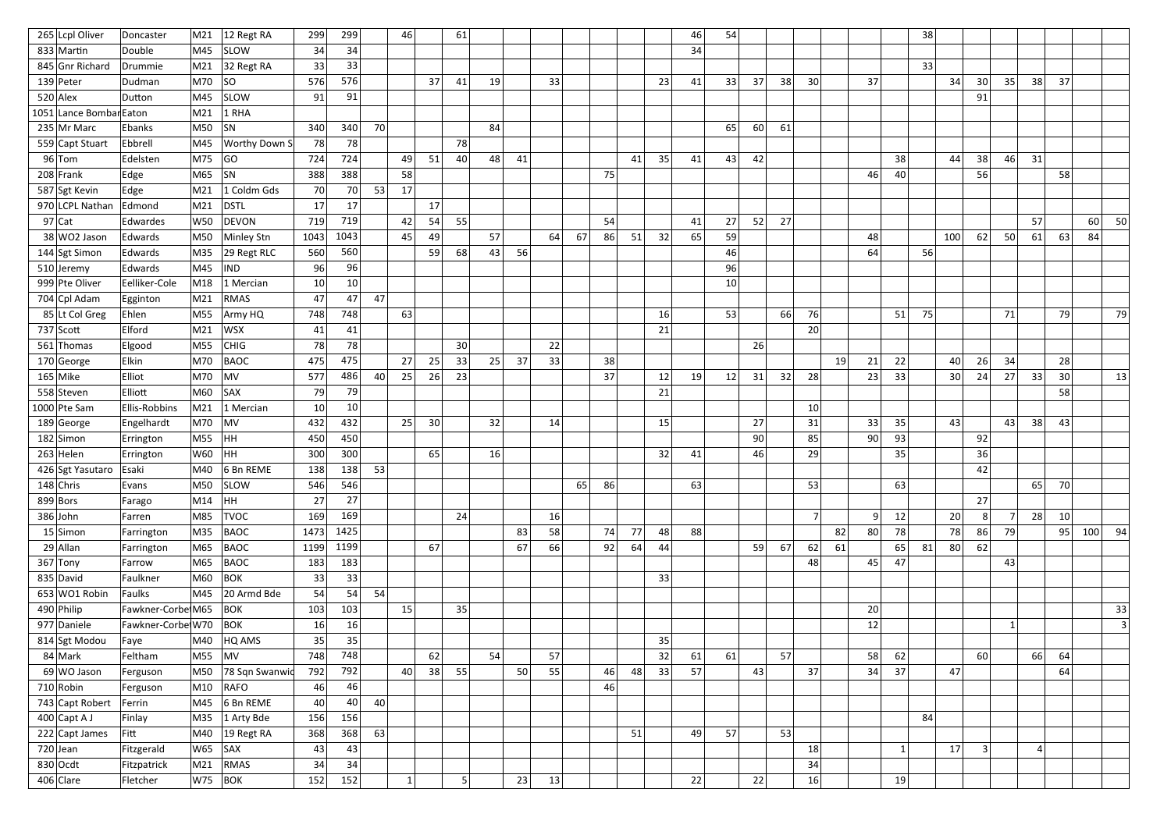| 265 Lcpl Oliver         | Doncaster             | M21         | 12 Regt RA                  | 299             | 299             |    | 46       |    | 61 |    |    |    |    |    |    |    | 46 | 54 |    |    |                 |    |                 |                 | 38 |     |                 |    |                |    |     |    |
|-------------------------|-----------------------|-------------|-----------------------------|-----------------|-----------------|----|----------|----|----|----|----|----|----|----|----|----|----|----|----|----|-----------------|----|-----------------|-----------------|----|-----|-----------------|----|----------------|----|-----|----|
| 833 Martin              | Double                | M45         | <b>SLOW</b>                 | 34              | 34              |    |          |    |    |    |    |    |    |    |    |    | 34 |    |    |    |                 |    |                 |                 |    |     |                 |    |                |    |     |    |
| 845 Gnr Richard         | Drummie               | M21         | $ 32$ Regt RA               | 33              | 33              |    |          |    |    |    |    |    |    |    |    |    |    |    |    |    |                 |    |                 |                 | 33 |     |                 |    |                |    |     |    |
| $139$ Peter             | Dudman                | M70         | SO                          | 576             | 576             |    |          | 37 | 41 | 19 |    | 33 |    |    |    | 23 | 41 | 33 | 37 | 38 | 30 <sup>2</sup> |    | 37              |                 |    | 34  | 30 <sup>2</sup> | 35 | 38             | 37 |     |    |
| $520$ Alex              | Dutton                | M45         | <b>SLOW</b>                 | 91              | 91              |    |          |    |    |    |    |    |    |    |    |    |    |    |    |    |                 |    |                 |                 |    |     | 91              |    |                |    |     |    |
| 1051 Lance Bombar Eaton |                       | M21         | $1$ RHA                     |                 |                 |    |          |    |    |    |    |    |    |    |    |    |    |    |    |    |                 |    |                 |                 |    |     |                 |    |                |    |     |    |
| 235 Mr Marc             | Ebanks                | M50         | SN                          | 340             | 340             | 70 |          |    |    | 84 |    |    |    |    |    |    |    | 65 | 60 | 61 |                 |    |                 |                 |    |     |                 |    |                |    |     |    |
| 559 Capt Stuart         | Ebbrell               | M45         | <b>Worthy Down S</b>        | 78              | 78              |    |          |    | 78 |    |    |    |    |    |    |    |    |    |    |    |                 |    |                 |                 |    |     |                 |    |                |    |     |    |
| $96$ Tom                | Edelsten              | M75         | GO                          | 724             | 724             |    | 49       | 51 | 40 | 48 | 41 |    |    |    | 41 | 35 | 41 | 43 | 42 |    |                 |    |                 | 38              |    | 44  | 38              | 46 | 31             |    |     |    |
| 208 Frank               | Edge                  | M65         | SN                          | 388             | 388             |    | 58       |    |    |    |    |    |    | 75 |    |    |    |    |    |    |                 |    | 46              | 40              |    |     | 56              |    |                | 58 |     |    |
| 587 Sgt Kevin           | Edge                  | M21         | 1 Coldm Gds                 | 70              | 70              | 53 | 17       |    |    |    |    |    |    |    |    |    |    |    |    |    |                 |    |                 |                 |    |     |                 |    |                |    |     |    |
| 970 LCPL Nathan         | Edmond                | M21         | <b>DSTL</b>                 | 17              | 17              |    |          | 17 |    |    |    |    |    |    |    |    |    |    |    |    |                 |    |                 |                 |    |     |                 |    |                |    |     |    |
| $97$ Cat                | Edwardes              | W50         | DEVON                       | 719             | 719             |    | 42       | 54 | 55 |    |    |    |    | 54 |    |    | 41 | 27 | 52 | 27 |                 |    |                 |                 |    |     |                 |    | 57             |    | 60  | 50 |
| 38 WO2 Jason            | Edwards               | M50         | Minley Stn                  | 1043            | 1043            |    | 45       | 49 |    | 57 |    | 64 | 67 | 86 | 51 | 32 | 65 | 59 |    |    |                 |    | 48              |                 |    | 100 | 62              | 50 | 61             | 63 | 84  |    |
| 144 Sgt Simon           | Edwards               | M35         | 29 Regt RLC                 | 560             | 560             |    |          | 59 | 68 | 43 | 56 |    |    |    |    |    |    | 46 |    |    |                 |    | 64              |                 | 56 |     |                 |    |                |    |     |    |
| 510 Jeremy              | Edwards               | M45         | <b>IND</b>                  | 96              | 96              |    |          |    |    |    |    |    |    |    |    |    |    | 96 |    |    |                 |    |                 |                 |    |     |                 |    |                |    |     |    |
| 999 Pte Oliver          | Eelliker-Cole         | M18         | 1 Mercian                   | 10 <sup>°</sup> | 10 <sup>°</sup> |    |          |    |    |    |    |    |    |    |    |    |    | 10 |    |    |                 |    |                 |                 |    |     |                 |    |                |    |     |    |
| 704 Cpl Adam            | Egginton              | M21         | <b>RMAS</b>                 | 47              | 47              | 47 |          |    |    |    |    |    |    |    |    |    |    |    |    |    |                 |    |                 |                 |    |     |                 |    |                |    |     |    |
| 85 Lt Col Greg          | Ehlen                 | M55         | Army HQ                     | 748             | 748             |    | 63       |    |    |    |    |    |    |    |    | 16 |    | 53 |    | 66 | 76              |    |                 | 51              | 75 |     |                 | 71 |                | 79 |     | 79 |
| $737$ Scott             | Elford                | M21         | <b>WSX</b>                  | 41              | 41              |    |          |    |    |    |    |    |    |    |    | 21 |    |    |    |    | 20              |    |                 |                 |    |     |                 |    |                |    |     |    |
| 561 Thomas              | Elgood                | M55         | CHIG                        | 78              | 78              |    |          |    | 30 |    |    | 22 |    |    |    |    |    |    | 26 |    |                 |    |                 |                 |    |     |                 |    |                |    |     |    |
| 170 George              | <b>Elkin</b>          | M70         | BAOC                        | 475             | 475             |    | 27       | 25 | 33 | 25 | 37 | 33 |    | 38 |    |    |    |    |    |    |                 | 19 | 21              | 22              |    | 40  | 26              | 34 |                | 28 |     |    |
| $165$ Mike              | Elliot                | M70         | MV                          | 577             | 486             | 40 | 25       | 26 | 23 |    |    |    |    | 37 |    | 12 | 19 | 12 | 31 | 32 | 28              |    | 23              | 33              |    | 30  | 24              | 27 | 33             | 30 |     | 13 |
| 558 Steven              | Elliott               | M60         | <b>SAX</b>                  | 79              | 79              |    |          |    |    |    |    |    |    |    |    | 21 |    |    |    |    |                 |    |                 |                 |    |     |                 |    |                | 58 |     |    |
| 1000 Pte Sam            | <b>Ellis-Robbins</b>  | M21         | 1 Mercian                   | 10 <sup>1</sup> | 10              |    |          |    |    |    |    |    |    |    |    |    |    |    |    |    | 10              |    |                 |                 |    |     |                 |    |                |    |     |    |
| 189 George              | Engelhardt            | M70         | MV                          | 432             | 432             |    | 25       | 30 |    | 32 |    | 14 |    |    |    | 15 |    |    | 27 |    | 31              |    | 33              | 35              |    | 43  |                 | 43 | 38             | 43 |     |    |
| $182$ Simon             | Errington             | M55         | HH                          | 450             | 450             |    |          |    |    |    |    |    |    |    |    |    |    |    | 90 |    | 85              |    | 90              | 93              |    |     | 92              |    |                |    |     |    |
| $263$ Helen             | Errington             | W60         | HH                          | 300             | 300             |    |          | 65 |    | 16 |    |    |    |    |    | 32 | 41 |    | 46 |    | 29              |    |                 | 35 <sub>1</sub> |    |     | 36              |    |                |    |     |    |
| 426 Sgt Yasutaro Esaki  |                       |             | $\mid$ M40 $\mid$ 6 Bn REME | 138             | 138             | 53 |          |    |    |    |    |    |    |    |    |    |    |    |    |    |                 |    |                 |                 |    |     | 42              |    |                |    |     |    |
| $148$ Chris             | Evans                 | M50         | <b>SLOW</b>                 | 546             | 546             |    |          |    |    |    |    |    | 65 | 86 |    |    | 63 |    |    |    | 53              |    |                 | 63              |    |     |                 |    | 65             | 70 |     |    |
| $899$ Bors              | Farago                | M14         | HH                          | 27              | 27              |    |          |    |    |    |    |    |    |    |    |    |    |    |    |    |                 |    |                 |                 |    |     | 27              |    |                |    |     |    |
| $386$ John              | Farren                | M85         | <b>TVOC</b>                 | 169             | 169             |    |          |    | 24 |    |    | 16 |    |    |    |    |    |    |    |    | 7 <sup>1</sup>  |    | $\vert 9 \vert$ | 12              |    | 20  | 8 <sup>1</sup>  |    | 28             | 10 |     |    |
| $15$ Simon              | Farrington            | M35         | <b>BAOC</b>                 | 1473            | 1425            |    |          |    |    |    | 83 | 58 |    | 74 | 77 | 48 | 88 |    |    |    |                 | 82 | 80              | 78              |    | 78  | 86              | 79 |                | 95 | 100 | 94 |
| $29$ Allan              | Farrington            | M65         | <b>BAOC</b>                 | 1199            | 1199            |    |          | 67 |    |    | 67 | 66 |    | 92 | 64 | 44 |    |    | 59 | 67 | 62              | 61 |                 | 65              | 81 | 80  | 62              |    |                |    |     |    |
| $367$ Tony              | Farrow                | M65         | BAOC                        | 183             | 183             |    |          |    |    |    |    |    |    |    |    |    |    |    |    |    | 48              |    | 45              | 47              |    |     |                 | 43 |                |    |     |    |
| 835 David               | Faulkner              | M60         | $ $ BOK                     | 33              | 33              |    |          |    |    |    |    |    |    |    |    | 33 |    |    |    |    |                 |    |                 |                 |    |     |                 |    |                |    |     |    |
| 653 WO1 Robin           | Faulks                | M45         | 20 Armd Bde                 | 54              | 54              | 54 |          |    |    |    |    |    |    |    |    |    |    |    |    |    |                 |    |                 |                 |    |     |                 |    |                |    |     |    |
| 490 Philip              | Fawkner-Corbe M65     |             | BOK                         | 103             | 103             |    | 15       |    | 35 |    |    |    |    |    |    |    |    |    |    |    |                 |    | 20              |                 |    |     |                 |    |                |    |     | 33 |
| 977 Daniele             | Fawkner-Corbe W70 BOK |             |                             | 16              | 16              |    |          |    |    |    |    |    |    |    |    |    |    |    |    |    |                 |    | 12              |                 |    |     |                 |    |                |    |     | 3  |
| 814 Sgt Modou           | Faye                  | M40         | HQ AMS                      | 35              | 35              |    |          |    |    |    |    |    |    |    |    | 35 |    |    |    |    |                 |    |                 |                 |    |     |                 |    |                |    |     |    |
| 84 Mark                 | Feltham               | M55         | MV                          | 748             | 748             |    |          | 62 |    | 54 |    | 57 |    |    |    | 32 | 61 | 61 |    | 57 |                 |    | 58              | 62              |    |     | 60              |    | 66             | 64 |     |    |
| 69 WO Jason             | Ferguson              | M50         | 78 Sqn Swanwid              | 792             | 792             |    | 40       | 38 | 55 |    | 50 | 55 |    | 46 | 48 | 33 | 57 |    | 43 |    | 37              |    | 34              | 37              |    | 47  |                 |    |                | 64 |     |    |
| $710$ Robin             | Ferguson              | M10         | RAFO                        | 46              | 46              |    |          |    |    |    |    |    |    | 46 |    |    |    |    |    |    |                 |    |                 |                 |    |     |                 |    |                |    |     |    |
| 743 Capt Robert         | Ferrin                | M45         | $6Bn$ REME                  | 40              | 40              | 40 |          |    |    |    |    |    |    |    |    |    |    |    |    |    |                 |    |                 |                 |    |     |                 |    |                |    |     |    |
| $400$ Capt A J          | Finlay                | M35         | 1 Arty Bde                  | 156             | 156             |    |          |    |    |    |    |    |    |    |    |    |    |    |    |    |                 |    |                 |                 | 84 |     |                 |    |                |    |     |    |
| $222$ Capt James        | Fitt                  | M40         | $ 19$ Regt RA               | 368             | 368             | 63 |          |    |    |    |    |    |    |    | 51 |    | 49 | 57 |    | 53 |                 |    |                 |                 |    |     |                 |    |                |    |     |    |
| $720$ Jean              | Fitzgerald            | $ W65 $ SAX |                             | 43              | 43              |    |          |    |    |    |    |    |    |    |    |    |    |    |    |    | 18              |    |                 | $\overline{1}$  |    | 17  | 3 <sup>2</sup>  |    | $\overline{4}$ |    |     |    |
| $830$ Ocdt              | Fitzpatrick           | M21         | RMAS                        | 34              | 34              |    |          |    |    |    |    |    |    |    |    |    |    |    |    |    | 34              |    |                 |                 |    |     |                 |    |                |    |     |    |
| $406$ Clare             | Fletcher              | $ W75 $ BOK |                             | 152             | 152             |    | $1\vert$ |    | 5  |    | 23 | 13 |    |    |    |    | 22 |    | 22 |    | 16              |    |                 | 19              |    |     |                 |    |                |    |     |    |
|                         |                       |             |                             |                 |                 |    |          |    |    |    |    |    |    |    |    |    |    |    |    |    |                 |    |                 |                 |    |     |                 |    |                |    |     |    |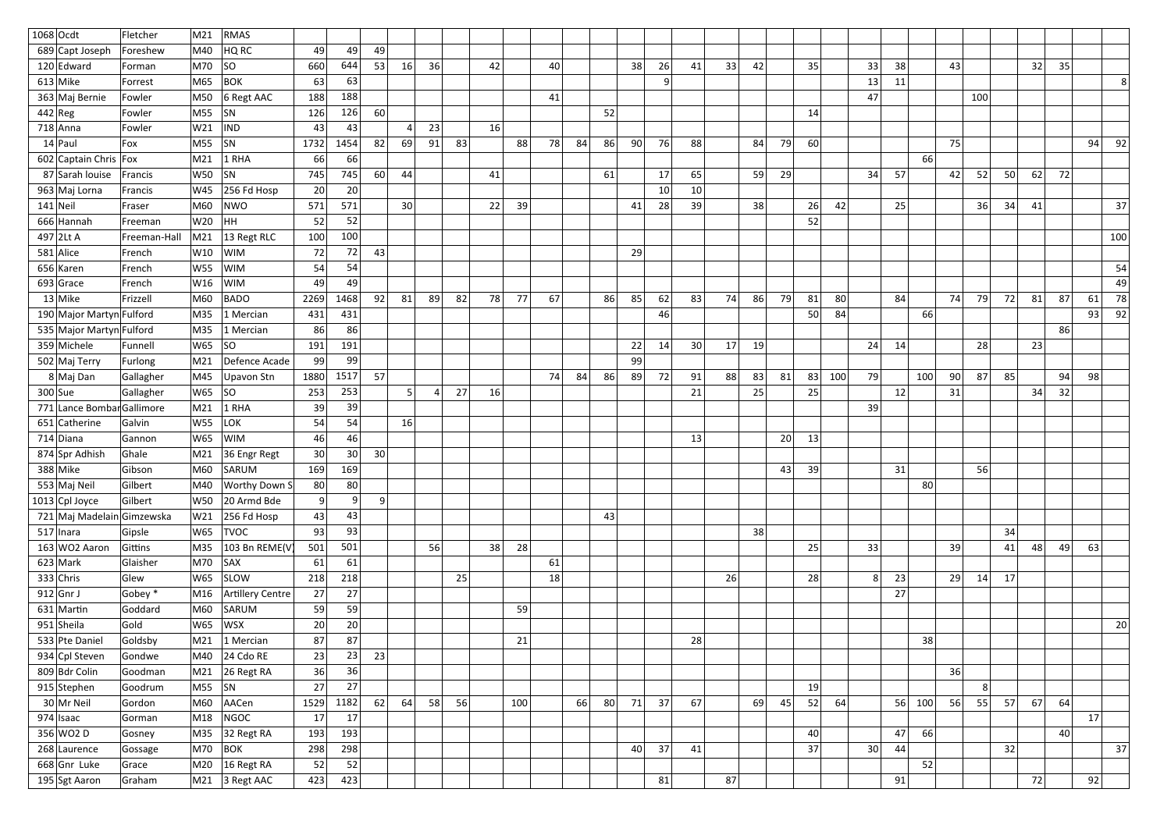| $1068$ Ocdt                | Fletcher     | M21 | <b>RMAS</b>                    |                 |                 |                |                 |    |    |    |     |    |    |    |     |    |                 |    |    |    |     |     |                |    |                 |    |     |    |    |    |          |
|----------------------------|--------------|-----|--------------------------------|-----------------|-----------------|----------------|-----------------|----|----|----|-----|----|----|----|-----|----|-----------------|----|----|----|-----|-----|----------------|----|-----------------|----|-----|----|----|----|----------|
| 689 Capt Joseph            | Foreshew     | M40 | HQ RC                          | 49              | 49              | 49             |                 |    |    |    |     |    |    |    |     |    |                 |    |    |    |     |     |                |    |                 |    |     |    |    |    |          |
| 120 Edward                 | Forman       | M70 | SO                             | 660             | 644             | 53             | 16              | 36 |    | 42 |     | 40 |    |    | 38  | 26 | 41              | 33 | 42 |    | 35  |     | 33             | 38 |                 | 43 |     |    | 32 | 35 |          |
| $613$ Mike                 | Forrest      | M65 | BOK                            | 63              | 63              |                |                 |    |    |    |     |    |    |    |     | 9  |                 |    |    |    |     |     | 13             | 11 |                 |    |     |    |    |    | 81       |
| 363 Maj Bernie             | Fowler       | M50 | 6 Regt AAC                     | 188             | 188             |                |                 |    |    |    |     | 41 |    |    |     |    |                 |    |    |    |     |     | 47             |    |                 |    | 100 |    |    |    |          |
| $442$ Reg                  | Fowler       | M55 | SN                             | 126             | 126             | 60             |                 |    |    |    |     |    |    | 52 |     |    |                 |    |    |    | 14  |     |                |    |                 |    |     |    |    |    |          |
| $718$ Anna                 | Fowler       | W21 | <b>IND</b>                     | 43              | 43              |                |                 | 23 |    | 16 |     |    |    |    |     |    |                 |    |    |    |     |     |                |    |                 |    |     |    |    |    |          |
| $14$ Paul                  | Fox          | M55 | SN                             | 1732            | 1454            | 82             | 69              | 91 | 83 |    | 88  | 78 | 84 | 86 | 90  | 76 | 88              |    | 84 | 79 | 60  |     |                |    |                 | 75 |     |    |    |    | 94<br>92 |
| 602 Captain Chris   Fox    |              | M21 | $1$ RHA                        | 66              | 66              |                |                 |    |    |    |     |    |    |    |     |    |                 |    |    |    |     |     |                |    | -66             |    |     |    |    |    |          |
| 87 Sarah Iouise            | Francis      | W50 | SN                             | 745             | 745             | 60             | 44              |    |    | 41 |     |    |    | 61 |     | 17 | 65              |    | 59 | 29 |     |     | 34             | 57 |                 | 42 | 52  | 50 | 62 | 72 |          |
| 963 Maj Lorna              | Francis      | W45 | $ 256$ Fd Hosp                 | 20              | 20              |                |                 |    |    |    |     |    |    |    |     | 10 | 10 <sup>1</sup> |    |    |    |     |     |                |    |                 |    |     |    |    |    |          |
| $141$ Neil                 | Fraser       | M60 | NWO                            | 571             | 571             |                | 30 <sup>1</sup> |    |    | 22 | 39  |    |    |    | 41  | 28 | 39              |    | 38 |    | 26  | 42  |                | 25 |                 |    | 36  | 34 | 41 |    | 37       |
| 666 Hannah                 | Freeman      | W20 | HH                             | 52              | 52              |                |                 |    |    |    |     |    |    |    |     |    |                 |    |    |    | 52  |     |                |    |                 |    |     |    |    |    |          |
| $497$  2Lt A               | Freeman-Hall | M21 | 13 Regt RLC                    | 100             | 100             |                |                 |    |    |    |     |    |    |    |     |    |                 |    |    |    |     |     |                |    |                 |    |     |    |    |    | 100      |
| $581$ Alice                | French       | W10 | WIM                            | 72              | 72              | 43             |                 |    |    |    |     |    |    |    | 29  |    |                 |    |    |    |     |     |                |    |                 |    |     |    |    |    |          |
| 656 Karen                  | French       | W55 | <b>WIM</b>                     | -54             | 54              |                |                 |    |    |    |     |    |    |    |     |    |                 |    |    |    |     |     |                |    |                 |    |     |    |    |    | 54       |
| $693$ Grace                | French       | W16 | WIM                            | 49              | 49              |                |                 |    |    |    |     |    |    |    |     |    |                 |    |    |    |     |     |                |    |                 |    |     |    |    |    | 49       |
| $13$ Mike                  | Frizzell     | M60 | BADO                           | 2269            | 1468            | 92             | 81              | 89 | 82 | 78 | 77  | 67 |    | 86 | 85  | 62 | 83              | 74 | 86 | 79 | 81  | 80  |                | 84 |                 | 74 | 79  | 72 | 81 | 87 | 61<br>78 |
| 190 Major Martyn Fulford   |              | M35 | 1 Mercian                      | 431             | 431             |                |                 |    |    |    |     |    |    |    |     | 46 |                 |    |    |    | 50  | 84  |                |    | -66             |    |     |    |    |    | 93<br>92 |
| 535 Major Martyn Fulford   |              | M35 | 1 Mercian                      | 86              | 86              |                |                 |    |    |    |     |    |    |    |     |    |                 |    |    |    |     |     |                |    |                 |    |     |    |    | 86 |          |
| 359 Michele                | Funnell      | W65 | SO                             | 191             | 191             |                |                 |    |    |    |     |    |    |    | 22  | 14 | 30              | 17 | 19 |    |     |     | 24             | 14 |                 |    | 28  |    | 23 |    |          |
| 502 Maj Terry              | Furlong      | M21 | Defence Acade                  | 99              | 99              |                |                 |    |    |    |     |    |    |    | -99 |    |                 |    |    |    |     |     |                |    |                 |    |     |    |    |    |          |
| 8 Maj Dan                  | Gallagher    | M45 | Upavon Stn                     | 1880            | 1517            | 57             |                 |    |    |    |     | 74 | 84 | 86 | 89  | 72 | 91              | 88 | 83 | 81 | 83  | 100 | 79             |    | 100             | 90 | 87  | 85 |    | 94 | 98       |
| $300$ Sue                  | Gallagher    | W65 | SO                             | 253             | 253             |                | 5 <sup>1</sup>  |    | 27 | 16 |     |    |    |    |     |    | 21              |    | 25 |    | 25  |     |                | 12 |                 | 31 |     |    | 34 | 32 |          |
| 771 Lance Bombar Gallimore |              | M21 | $1$ RHA                        | 39              | 39              |                |                 |    |    |    |     |    |    |    |     |    |                 |    |    |    |     |     | 39             |    |                 |    |     |    |    |    |          |
| 651 Catherine              | Galvin       | W55 | LOK                            | 54              | 54              |                | 16              |    |    |    |     |    |    |    |     |    |                 |    |    |    |     |     |                |    |                 |    |     |    |    |    |          |
| 714 Diana                  | Gannon       | W65 | <b>WIM</b>                     | 46              | 46              |                |                 |    |    |    |     |    |    |    |     |    | 13              |    |    | 20 | 13  |     |                |    |                 |    |     |    |    |    |          |
| 874 Spr Adhish             | Ghale        | M21 | 36 Engr Regt                   | 30 <sup>°</sup> | 30 <sub>2</sub> | 30             |                 |    |    |    |     |    |    |    |     |    |                 |    |    |    |     |     |                |    |                 |    |     |    |    |    |          |
| 388 Mike                   | Gibson       | M60 | SARUM                          | 169             | 169             |                |                 |    |    |    |     |    |    |    |     |    |                 |    |    | 43 | -39 |     |                | 31 |                 |    | 56  |    |    |    |          |
| 553 Maj Neil               | Gilbert      | M40 | <b>Worthy Down S</b>           | 80              | 80              |                |                 |    |    |    |     |    |    |    |     |    |                 |    |    |    |     |     |                |    | 80 <sup>2</sup> |    |     |    |    |    |          |
| 1013 Cpl Joyce             | Gilbert      | W50 | 20 Armd Bde                    | 9               | 9               | 9 <sup>1</sup> |                 |    |    |    |     |    |    |    |     |    |                 |    |    |    |     |     |                |    |                 |    |     |    |    |    |          |
| 721 Maj Madelain Gimzewska |              | W21 | $ 256$ Fd Hosp                 | 43              | 43              |                |                 |    |    |    |     |    |    | 43 |     |    |                 |    |    |    |     |     |                |    |                 |    |     |    |    |    |          |
| $517$  Inara               | Gipsle       | W65 | <b>TVOC</b>                    | 93              | 93              |                |                 |    |    |    |     |    |    |    |     |    |                 |    | 38 |    |     |     |                |    |                 |    |     | 34 |    |    |          |
| $163$ WO2 Aaron            | Gittins      | M35 | 103 Bn REME(V                  | 501             | 501             |                |                 | 56 |    | 38 | 28  |    |    |    |     |    |                 |    |    |    | 25  |     | 33             |    |                 | 39 |     | 41 | 48 | 49 | 63       |
| $623$ Mark                 | Glaisher     | M70 | SAX                            | 61              | 61              |                |                 |    |    |    |     | 61 |    |    |     |    |                 |    |    |    |     |     |                |    |                 |    |     |    |    |    |          |
| $333$ Chris                | Glew         | W65 | SLOW                           | 218             | 218             |                |                 |    | 25 |    |     | 18 |    |    |     |    |                 | 26 |    |    | 28  |     | 8 <sup>1</sup> | 23 |                 | 29 | 14  | 17 |    |    |          |
| $912$ Gnr J                | Gobey *      | M16 | Artillery Centre               | 27              | 27              |                |                 |    |    |    |     |    |    |    |     |    |                 |    |    |    |     |     |                | 27 |                 |    |     |    |    |    |          |
| $631$ Martin               | Goddard      | M60 | SARUM                          | 59              | 59              |                |                 |    |    |    | 59  |    |    |    |     |    |                 |    |    |    |     |     |                |    |                 |    |     |    |    |    |          |
| 951 Sheila                 | Gold         | W65 | <b>WSX</b>                     | 20              | 20              |                |                 |    |    |    |     |    |    |    |     |    |                 |    |    |    |     |     |                |    |                 |    |     |    |    |    | 20       |
| 533 Pte Daniel             | Goldsby      | M21 | $ 1$ Mercian                   | 87              | 87              |                |                 |    |    |    | 21  |    |    |    |     |    | 28              |    |    |    |     |     |                |    | 38              |    |     |    |    |    |          |
| 934 Cpl Steven             | Gondwe       | M40 | $24$ Cdo RE                    | 23              | 23              | 23             |                 |    |    |    |     |    |    |    |     |    |                 |    |    |    |     |     |                |    |                 |    |     |    |    |    |          |
| 809 Bdr Colin              | Goodman      | M21 | 26 Regt RA                     | 36              | 36              |                |                 |    |    |    |     |    |    |    |     |    |                 |    |    |    |     |     |                |    |                 | 36 |     |    |    |    |          |
| 915 Stephen                | Goodrum      | M55 | SN                             | 27              | 27              |                |                 |    |    |    |     |    |    |    |     |    |                 |    |    |    | 19  |     |                |    |                 |    | 8   |    |    |    |          |
| $30$ Mr Neil               | Gordon       | M60 | AACen                          | 1529            | 1182            | 62             | 64              | 58 | 56 |    | 100 |    | 66 | 80 | 71  | 37 | 67              |    | 69 | 45 | 52  | 64  |                | 56 | 100             | 56 | 55  | 57 | 67 | 64 |          |
| $974$ Isaac                | Gorman       | M18 | NGOC                           | 17              | 17              |                |                 |    |    |    |     |    |    |    |     |    |                 |    |    |    |     |     |                |    |                 |    |     |    |    |    | 17       |
| $356\vert\text{WO2}$ D     | Gosney       | M35 | 32 Regt RA                     | 193             | 193             |                |                 |    |    |    |     |    |    |    |     |    |                 |    |    |    | 40  |     |                | 47 | 66              |    |     |    |    | 40 |          |
| 268 Laurence               | Gossage      | M70 | $ $ BOK                        | 298             | 298             |                |                 |    |    |    |     |    |    |    | 40  | 37 | 41              |    |    |    | 37  |     | 30             | 44 |                 |    |     | 32 |    |    | 37       |
| 668 Gnr Luke               | Grace        | M20 | $16$ Regt RA                   | 52              | 52 <sup>1</sup> |                |                 |    |    |    |     |    |    |    |     |    |                 |    |    |    |     |     |                |    | 52              |    |     |    |    |    |          |
| 195 Sgt Aaron              | Graham       |     | $\vert$ M21 $\vert$ 3 Regt AAC | 423             | 423             |                |                 |    |    |    |     |    |    |    |     | 81 |                 | 87 |    |    |     |     |                | 91 |                 |    |     |    | 72 |    | 92       |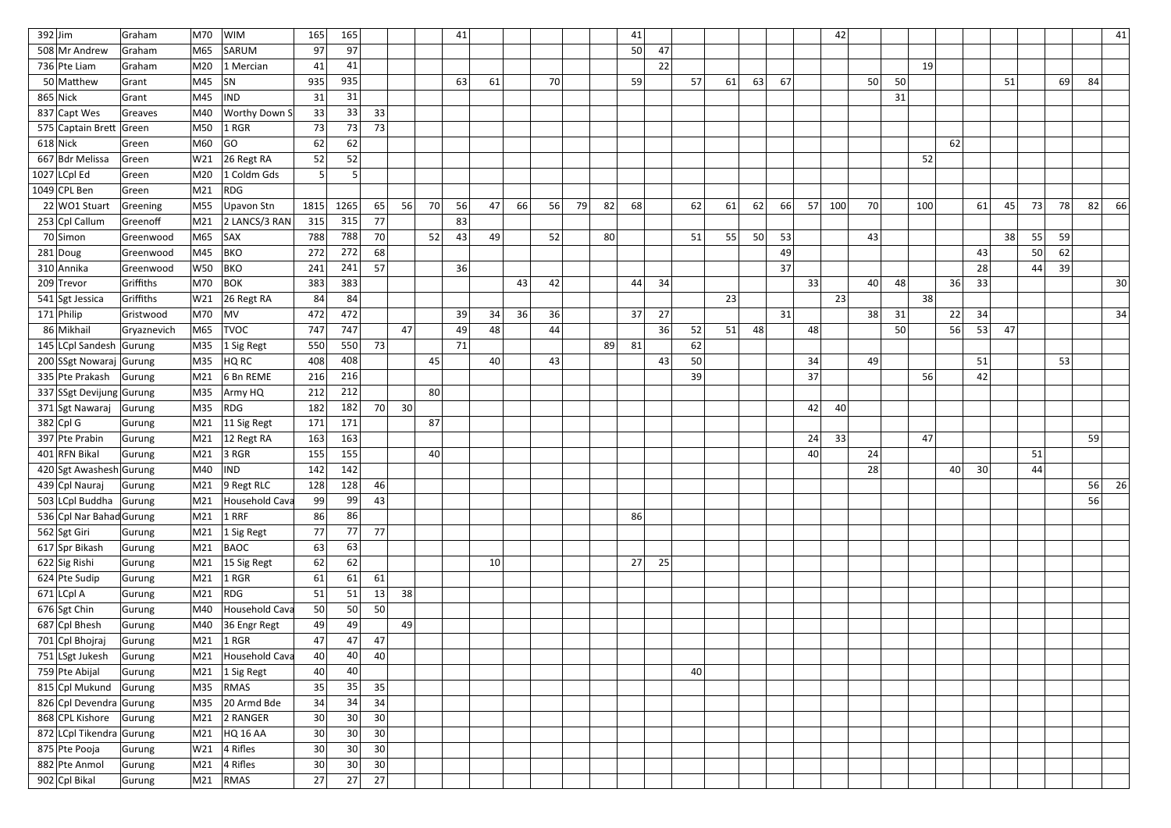| $392$ Jim                        | Graham           | M70        | <b>WIM</b>                                   | 165             | 165             |    |                 |                 | 41 |    |    |    |    |    | 41 |    |    |    |    |    |    | 42  |    |    |                 |    |    |    |    |    |    | 41            |
|----------------------------------|------------------|------------|----------------------------------------------|-----------------|-----------------|----|-----------------|-----------------|----|----|----|----|----|----|----|----|----|----|----|----|----|-----|----|----|-----------------|----|----|----|----|----|----|---------------|
| 508 Mr Andrew                    | Graham           | M65        | SARUM                                        | 97              | 97              |    |                 |                 |    |    |    |    |    |    | 50 | 47 |    |    |    |    |    |     |    |    |                 |    |    |    |    |    |    |               |
| 736 Pte Liam                     | Graham           | M20        | 1 Mercian                                    | 41              | 41              |    |                 |                 |    |    |    |    |    |    |    | 22 |    |    |    |    |    |     |    |    | 19              |    |    |    |    |    |    |               |
| 50 Matthew                       | Grant            | M45        | SN                                           | 935             | 935             |    |                 |                 | 63 | 61 |    | 70 |    |    | 59 |    | 57 | 61 | 63 | 67 |    |     | 50 | 50 |                 |    |    | 51 |    | 69 | 84 |               |
| $865$ Nick                       | Grant            | M45        | IND                                          | 31              | 31              |    |                 |                 |    |    |    |    |    |    |    |    |    |    |    |    |    |     |    | 31 |                 |    |    |    |    |    |    |               |
| 837 Capt Wes                     | Greaves          | M40        | <b>Worthy Down S</b>                         | 33              | 33              | 33 |                 |                 |    |    |    |    |    |    |    |    |    |    |    |    |    |     |    |    |                 |    |    |    |    |    |    |               |
| 575 Captain Brett                | Green            | M50        | $1$ RGR                                      | 73              | 73              | 73 |                 |                 |    |    |    |    |    |    |    |    |    |    |    |    |    |     |    |    |                 |    |    |    |    |    |    |               |
| $618$ Nick                       | Green            | M60        | GO                                           | 62              | 62              |    |                 |                 |    |    |    |    |    |    |    |    |    |    |    |    |    |     |    |    |                 | 62 |    |    |    |    |    |               |
| 667 Bdr Melissa                  | Green            | W21        | 26 Regt RA                                   | 52              | 52              |    |                 |                 |    |    |    |    |    |    |    |    |    |    |    |    |    |     |    |    | 52              |    |    |    |    |    |    |               |
| $1027$ LCpl Ed                   | Green            | M20        | 1 Coldm Gds                                  |                 | 5               |    |                 |                 |    |    |    |    |    |    |    |    |    |    |    |    |    |     |    |    |                 |    |    |    |    |    |    |               |
| $1049$ CPL Ben                   | Green            | M21        | RDG                                          |                 |                 |    |                 |                 |    |    |    |    |    |    |    |    |    |    |    |    |    |     |    |    |                 |    |    |    |    |    |    |               |
| 22 WO1 Stuart                    | Greening         | M55        | Upavon Stn                                   | 1815            | 1265            | 65 | 56              | 70              | 56 | 47 | 66 | 56 | 79 | 82 | 68 |    | 62 | 61 | 62 | 66 | 57 | 100 | 70 |    | 100             |    | 61 | 45 | 73 | 78 | 82 | <sup>66</sup> |
| 253 Cpl Callum                   | Greenoff         | M21        | 2 LANCS/3 RAN                                | 315             | 315             | 77 |                 |                 | 83 |    |    |    |    |    |    |    |    |    |    |    |    |     |    |    |                 |    |    |    |    |    |    |               |
| 70 Simon                         | Greenwood        | M65        | SAX                                          | 788             | 788             | 70 |                 | 52              | 43 | 49 |    | 52 |    | 80 |    |    | 51 | 55 | 50 | 53 |    |     | 43 |    |                 |    |    | 38 | 55 | 59 |    |               |
| $281$ Doug                       | Greenwood        | M45        | <b>BKO</b>                                   | 272             | 272             | 68 |                 |                 |    |    |    |    |    |    |    |    |    |    |    | 49 |    |     |    |    |                 |    | 43 |    | 50 | 62 |    |               |
| 310 Annika                       | Greenwood        | W50        | BKO                                          | 241             | 241             | 57 |                 |                 | 36 |    |    |    |    |    |    |    |    |    |    | 37 |    |     |    |    |                 |    | 28 |    | 44 | 39 |    |               |
| 209 Trevor                       | Griffiths        | M70        | $ $ BOK                                      | 383             | 383             |    |                 |                 |    |    | 43 | 42 |    |    | 44 | 34 |    |    |    |    | 33 |     | 40 | 48 |                 | 36 | 33 |    |    |    |    | 30            |
| 541 Sgt Jessica                  | Griffiths        | W21        | 26 Regt RA                                   | 84              | 84              |    |                 |                 |    |    |    |    |    |    |    |    |    | 23 |    |    |    | 23  |    |    | 38 <sup>2</sup> |    |    |    |    |    |    |               |
| $171$ Philip                     | Gristwood        | M70        | $\overline{\mathsf{M}}$ V                    | 472             | 472             |    |                 |                 | 39 | 34 | 36 | 36 |    |    | 37 | 27 |    |    |    | 31 |    |     | 38 | 31 |                 | 22 | 34 |    |    |    |    | 34            |
| 86 Mikhail                       | Gryaznevich      | M65        | <b>TVOC</b>                                  | 747             | 747             |    | 47              |                 | 49 | 48 |    | 44 |    |    |    | 36 | 52 | 51 | 48 |    | 48 |     |    | 50 |                 | 56 | 53 | 47 |    |    |    |               |
| 145 LCpl Sandesh Gurung          |                  | M35        | $ 1$ Sig Regt                                | 550             | 550             | 73 |                 |                 | 71 |    |    |    |    | 89 | 81 |    | 62 |    |    |    |    |     |    |    |                 |    |    |    |    |    |    |               |
| 200 SSgt Nowaraj Gurung          |                  | M35        | HQ RC                                        | 408             | 408             |    |                 | 45              |    | 40 |    | 43 |    |    |    | 43 | 50 |    |    |    | 34 |     | 49 |    |                 |    | 51 |    |    | 53 |    |               |
| 335 Pte Prakash                  | Gurung           | M21        | 6 Bn REME                                    | 216             | 216             |    |                 |                 |    |    |    |    |    |    |    |    | 39 |    |    |    | 37 |     |    |    | 56              |    | 42 |    |    |    |    |               |
| 337 SSgt Devijung Gurung         |                  | M35        | Army HQ                                      | 212             | 212             |    |                 | 80 <sup>2</sup> |    |    |    |    |    |    |    |    |    |    |    |    |    |     |    |    |                 |    |    |    |    |    |    |               |
| 371 Sgt Nawaraj                  | Gurung           | M35        | RDG                                          | 182             | 182             | 70 | 30 <sup>°</sup> |                 |    |    |    |    |    |    |    |    |    |    |    |    | 42 | 40  |    |    |                 |    |    |    |    |    |    |               |
| $382$ Cpl G                      | Gurung           | M21        | 11 Sig Regt                                  | 171             | 171             |    |                 | 87              |    |    |    |    |    |    |    |    |    |    |    |    |    |     |    |    |                 |    |    |    |    |    |    |               |
| 397 Pte Prabin                   | Gurung           | M21        | $ 12$ Regt RA                                | 163             | 163             |    |                 |                 |    |    |    |    |    |    |    |    |    |    |    |    | 24 | 33  |    |    | 47              |    |    |    |    |    | 59 |               |
| 401 RFN Bikal                    | Gurung           | M21        | $ 3$ RGR                                     | 155             | 155             |    |                 | 40              |    |    |    |    |    |    |    |    |    |    |    |    | 40 |     | 24 |    |                 |    |    |    | 51 |    |    |               |
| 420 Sgt Awashesh Gurung          |                  | $M40$ $ N$ |                                              | 142             | 142             |    |                 |                 |    |    |    |    |    |    |    |    |    |    |    |    |    |     | 28 |    |                 | 40 | 30 |    | 44 |    |    |               |
| 439 Cpl Nauraj                   | Gurung           |            | $\vert$ M21 $\vert$ 9 Regt RLC               | 128             | 128             | 46 |                 |                 |    |    |    |    |    |    |    |    |    |    |    |    |    |     |    |    |                 |    |    |    |    |    | 56 | 26            |
| 503 LCpl Buddha Gurung           |                  |            | M21 Household Cava                           | 99              | 99              | 43 |                 |                 |    |    |    |    |    |    |    |    |    |    |    |    |    |     |    |    |                 |    |    |    |    |    | 56 |               |
| 536 Cpl Nar Bahad Gurung         |                  |            | $M21$ 1 RRF                                  | 86              | 86              |    |                 |                 |    |    |    |    |    |    | 86 |    |    |    |    |    |    |     |    |    |                 |    |    |    |    |    |    |               |
| 562 Sgt Giri                     | Gurung           |            | $\vert$ M21 $\vert$ 1 Sig Regt               | 77              | 77              | 77 |                 |                 |    |    |    |    |    |    |    |    |    |    |    |    |    |     |    |    |                 |    |    |    |    |    |    |               |
| 617 Spr Bikash                   | Gurung           | M21        | BAOC                                         | 63              | 63<br>62        |    |                 |                 |    |    |    |    |    |    |    |    |    |    |    |    |    |     |    |    |                 |    |    |    |    |    |    |               |
| $622$ Sig Rishi<br>624 Pte Sudip | Gurung<br>Gurung |            | $\vert$ M21 $\vert$ 15 Sig Regt<br>M21 1 RGR | 62<br>61        | 61              | 61 |                 |                 |    | 10 |    |    |    |    | 27 | 25 |    |    |    |    |    |     |    |    |                 |    |    |    |    |    |    |               |
| $671$ LCpl A                     | Gurung           |            | M21 RDG                                      | 51              | 51              | 13 | 38              |                 |    |    |    |    |    |    |    |    |    |    |    |    |    |     |    |    |                 |    |    |    |    |    |    |               |
| $676$ Sgt Chin                   | Gurung           | M40        | Household Cava                               | 50              | 50              | 50 |                 |                 |    |    |    |    |    |    |    |    |    |    |    |    |    |     |    |    |                 |    |    |    |    |    |    |               |
| 687 Cpl Bhesh                    | Gurung           |            | M40 36 Engr Regt                             | 49              | 49              |    | 49              |                 |    |    |    |    |    |    |    |    |    |    |    |    |    |     |    |    |                 |    |    |    |    |    |    |               |
| 701 Cpl Bhojraj                  | Gurung           | M21        | $1$ RGR                                      | 47              | 47              | 47 |                 |                 |    |    |    |    |    |    |    |    |    |    |    |    |    |     |    |    |                 |    |    |    |    |    |    |               |
| 751 LSgt Jukesh                  | Gurung           | M21        | Household Cava                               | 40              | 40              | 40 |                 |                 |    |    |    |    |    |    |    |    |    |    |    |    |    |     |    |    |                 |    |    |    |    |    |    |               |
| 759 Pte Abijal                   | Gurung           |            | $\vert$ M21 $\vert$ 1 Sig Regt               | 40              | 40              |    |                 |                 |    |    |    |    |    |    |    |    | 40 |    |    |    |    |     |    |    |                 |    |    |    |    |    |    |               |
| 815 Cpl Mukund                   | Gurung           |            | M35 RMAS                                     | 35              | 35              | 35 |                 |                 |    |    |    |    |    |    |    |    |    |    |    |    |    |     |    |    |                 |    |    |    |    |    |    |               |
| 826 Cpl Devendra Gurung          |                  |            | M35 20 Armd Bde                              | 34              | 34              | 34 |                 |                 |    |    |    |    |    |    |    |    |    |    |    |    |    |     |    |    |                 |    |    |    |    |    |    |               |
| 868 CPL Kishore                  | Gurung           | M21        | 2 RANGER                                     | 30              | 30              | 30 |                 |                 |    |    |    |    |    |    |    |    |    |    |    |    |    |     |    |    |                 |    |    |    |    |    |    |               |
| 872 LCpl Tikendra Gurung         |                  |            | M21 HQ 16 AA                                 | 30 <sup>°</sup> | 30              | 30 |                 |                 |    |    |    |    |    |    |    |    |    |    |    |    |    |     |    |    |                 |    |    |    |    |    |    |               |
| 875 Pte Pooja                    | Gurung           | W21        | $4$ Rifles                                   | 30 <sup>°</sup> | 30              | 30 |                 |                 |    |    |    |    |    |    |    |    |    |    |    |    |    |     |    |    |                 |    |    |    |    |    |    |               |
| 882 Pte Anmol                    | Gurung           | M21        | $ 4$ Rifles                                  | 30 <sup>°</sup> | 30 <sup>°</sup> | 30 |                 |                 |    |    |    |    |    |    |    |    |    |    |    |    |    |     |    |    |                 |    |    |    |    |    |    |               |
| 902 Cpl Bikal                    | Gurung           |            | $\mid$ M21 $\mid$ RMAS                       | 27              | 27              | 27 |                 |                 |    |    |    |    |    |    |    |    |    |    |    |    |    |     |    |    |                 |    |    |    |    |    |    |               |
|                                  |                  |            |                                              |                 |                 |    |                 |                 |    |    |    |    |    |    |    |    |    |    |    |    |    |     |    |    |                 |    |    |    |    |    |    |               |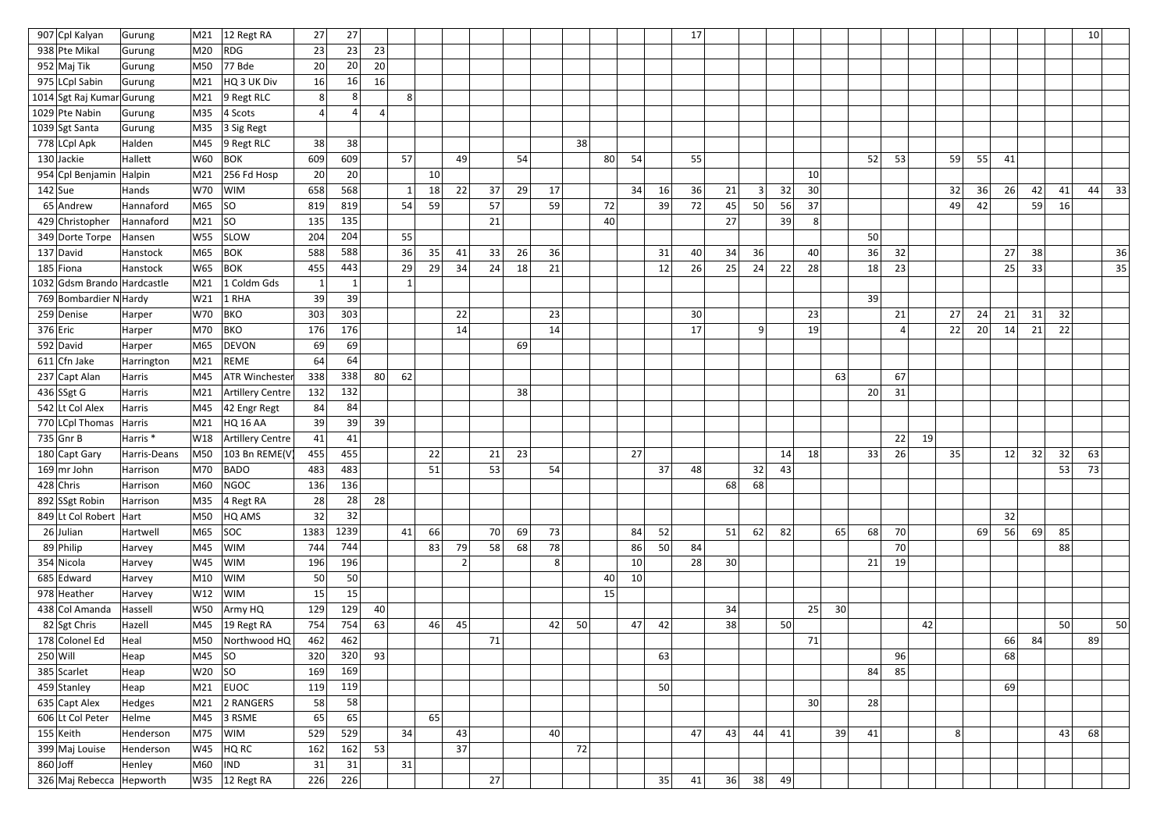| 907 Cpl Kalyan              | Gurung              | M21        | 12 Regt RA            | 27             | 27             |           |    |    |                |    |    |    |    |    |    |    | 17 |                 |    |    |                 |                 |    |    |    |    |    |    |    |    | 10 <sup>°</sup> |
|-----------------------------|---------------------|------------|-----------------------|----------------|----------------|-----------|----|----|----------------|----|----|----|----|----|----|----|----|-----------------|----|----|-----------------|-----------------|----|----|----|----|----|----|----|----|-----------------|
| 938 Pte Mikal               | Gurung              | M20        | ROG                   | 23             | 23             | 23        |    |    |                |    |    |    |    |    |    |    |    |                 |    |    |                 |                 |    |    |    |    |    |    |    |    |                 |
| 952 Maj Tik                 | Gurung              | M50        | $77$ Bde              | 20             | 20             | 20        |    |    |                |    |    |    |    |    |    |    |    |                 |    |    |                 |                 |    |    |    |    |    |    |    |    |                 |
| 975 LCpl Sabin              | Gurung              | M21        | HQ 3 UK Div           | 16             | 16             | 16        |    |    |                |    |    |    |    |    |    |    |    |                 |    |    |                 |                 |    |    |    |    |    |    |    |    |                 |
| 1014 Sgt Raj Kumar Gurung   |                     | M21        | $ 9$ Regt RLC         | 8 <sup>2</sup> | 8 <sup>1</sup> |           | 8  |    |                |    |    |    |    |    |    |    |    |                 |    |    |                 |                 |    |    |    |    |    |    |    |    |                 |
| 1029 Pte Nabin              | Gurung              | M35        | $ 4$ Scots            | Δ              | Δ              | $\vert$ 4 |    |    |                |    |    |    |    |    |    |    |    |                 |    |    |                 |                 |    |    |    |    |    |    |    |    |                 |
| 1039 Sgt Santa              | Gurung              | M35        | $ 3$ Sig Regt         |                |                |           |    |    |                |    |    |    |    |    |    |    |    |                 |    |    |                 |                 |    |    |    |    |    |    |    |    |                 |
| 778 LCpl Apk                | Halden              | M45        | $9$ Regt RLC          | 38             | 38             |           |    |    |                |    |    |    | 38 |    |    |    |    |                 |    |    |                 |                 |    |    |    |    |    |    |    |    |                 |
| 130 Jackie                  | Hallett             | W60        | <b>BOK</b>            | 609            | 609            |           | 57 |    | 49             |    | 54 |    |    | 80 | 54 |    | 55 |                 |    |    |                 |                 | 52 | 53 |    | 59 | 55 | 41 |    |    |                 |
| 954 Cpl Benjamin Halpin     |                     | M21        | $256$ Fd Hosp         | 20             | 20             |           |    | 10 |                |    |    |    |    |    |    |    |    |                 |    |    | 10              |                 |    |    |    |    |    |    |    |    |                 |
| $142$ Sue                   | Hands               | W70        | WIM                   | 658            | 568            |           |    | 18 | 22             | 37 | 29 | 17 |    |    | 34 | 16 | 36 | 21              | 3  | 32 | 30 <sup>°</sup> |                 |    |    |    | 32 | 36 | 26 | 42 | 41 | 33<br>44        |
| $65$ Andrew                 | Hannaford           | M65        | SO                    | 819            | 819            |           | 54 | 59 |                | 57 |    | 59 |    | 72 |    | 39 | 72 | 45              | 50 | 56 | 37              |                 |    |    |    | 49 | 42 |    | 59 | 16 |                 |
| 429 Christopher             | Hannaford           | M21        | SO                    | 135            | 135            |           |    |    |                | 21 |    |    |    | 40 |    |    |    | 27              |    | 39 | 8               |                 |    |    |    |    |    |    |    |    |                 |
| 349 Dorte Torpe             | Hansen              | W55        | <b>SLOW</b>           | 204            | 204            |           | 55 |    |                |    |    |    |    |    |    |    |    |                 |    |    |                 |                 | 50 |    |    |    |    |    |    |    |                 |
| 137 David                   | Hanstock            | M65        | <b>BOK</b>            | 588            | 588            |           | 36 | 35 | 41             | 33 | 26 | 36 |    |    |    | 31 | 40 | 34              | 36 |    | 40              |                 | 36 | 32 |    |    |    | 27 | 38 |    | 36              |
| 185 Fiona                   | Hanstock            | W65        | <b>BOK</b>            | 455            | 443            |           | 29 | 29 | 34             | 24 | 18 | 21 |    |    |    | 12 | 26 | 25              | 24 | 22 | 28              |                 | 18 | 23 |    |    |    | 25 | 33 |    | 35              |
| 1032 Gdsm Brando Hardcastle |                     | M21        | 1 Coldm Gds           | 1              | $\mathbf{1}$   |           |    |    |                |    |    |    |    |    |    |    |    |                 |    |    |                 |                 |    |    |    |    |    |    |    |    |                 |
| 769 Bombardier N Hardy      |                     | W21        | $1$ RHA               | 39             | 39             |           |    |    |                |    |    |    |    |    |    |    |    |                 |    |    |                 |                 | 39 |    |    |    |    |    |    |    |                 |
| 259 Denise                  | Harper              | W70        | <b>BKO</b>            | 303            | 303            |           |    |    | 22             |    |    | 23 |    |    |    |    | 30 |                 |    |    | 23              |                 |    | 21 |    | 27 | 24 | 21 | 31 | 32 |                 |
| $376$ Eric                  | Harper              | M70        | <b>BKO</b>            | 176            | 176            |           |    |    | 14             |    |    | 14 |    |    |    |    | 17 |                 | q  |    | 19              |                 |    |    |    | 22 | 20 | 14 | 21 | 22 |                 |
| 592 David                   | Harper              | M65        | DEVON                 | 69             | 69             |           |    |    |                |    | 69 |    |    |    |    |    |    |                 |    |    |                 |                 |    |    |    |    |    |    |    |    |                 |
| $611$ Cfn Jake              | Harrington          | M21        | <b>REME</b>           | 64             | 64             |           |    |    |                |    |    |    |    |    |    |    |    |                 |    |    |                 |                 |    |    |    |    |    |    |    |    |                 |
| 237 Capt Alan               | Harris              | M45        | <b>ATR Winchester</b> | 338            | 338            | 80        | 62 |    |                |    |    |    |    |    |    |    |    |                 |    |    |                 | 63              |    | 67 |    |    |    |    |    |    |                 |
| 436 SSgt G                  | Harris              | M21        | Artillery Centre      | 132            | 132            |           |    |    |                |    | 38 |    |    |    |    |    |    |                 |    |    |                 |                 | 20 | 31 |    |    |    |    |    |    |                 |
| 542 Lt Col Alex             | Harris              | M45        | 42 Engr Regt          | 84             | 84             |           |    |    |                |    |    |    |    |    |    |    |    |                 |    |    |                 |                 |    |    |    |    |    |    |    |    |                 |
| 770 LCpl Thomas             | Harris              | M21        | HQ 16 AA              | 39             | 39             | 39        |    |    |                |    |    |    |    |    |    |    |    |                 |    |    |                 |                 |    |    |    |    |    |    |    |    |                 |
| $735$ Gnr B                 | Harris <sup>*</sup> | W18        | Artillery Centre      | 41             | 41             |           |    |    |                |    |    |    |    |    |    |    |    |                 |    |    |                 |                 |    | 22 | 19 |    |    |    |    |    |                 |
| 180 Capt Gary               | Harris-Deans        | M50        | 103 Bn REME(V         | 455            | 455            |           |    | 22 |                | 21 | 23 |    |    |    | 27 |    |    |                 |    | 14 | 18              |                 | 33 | 26 |    | 35 |    | 12 | 32 | 32 | 63              |
| $169$ mr John               | Harrison            | M70        | <b>BADO</b>           | 483            | 483            |           |    | 51 |                | 53 |    | 54 |    |    |    | 37 | 48 |                 | 32 | 43 |                 |                 |    |    |    |    |    |    |    | 53 | 73              |
| $428$ Chris                 | Harrison            | M60        | NGOC                  | 136            | 136            |           |    |    |                |    |    |    |    |    |    |    |    | 68              | 68 |    |                 |                 |    |    |    |    |    |    |    |    |                 |
| 892 SSgt Robin              | Harrison            | M35        | $4$ Regt RA           | 28             | 28             | 28        |    |    |                |    |    |    |    |    |    |    |    |                 |    |    |                 |                 |    |    |    |    |    |    |    |    |                 |
| 849 Lt Col Robert   Hart    |                     | M50        | HQ AMS                | 32             | 32             |           |    |    |                |    |    |    |    |    |    |    |    |                 |    |    |                 |                 |    |    |    |    |    | 32 |    |    |                 |
| $26$ Julian                 | Hartwell            | M65        | SOC                   | 1383           | 1239           |           | 41 | 66 |                | 70 | 69 | 73 |    |    | 84 | 52 |    | 51              | 62 | 82 |                 | 65              | 68 | 70 |    |    | 69 | 56 | 69 | 85 |                 |
| 89 Philip                   | Harvey              | M45        | <b>WIM</b>            | 744            | 744            |           |    | 83 | 79             | 58 | 68 | 78 |    |    | 86 | 50 | 84 |                 |    |    |                 |                 |    | 70 |    |    |    |    |    | 88 |                 |
| 354 Nicola                  | Harvey              | W45        | <b>WIM</b>            | 196            | 196            |           |    |    | $\overline{2}$ |    |    | 8  |    |    | 10 |    | 28 | 30 <sup>2</sup> |    |    |                 |                 | 21 | 19 |    |    |    |    |    |    |                 |
| 685 Edward                  | Harvey              | M10        | WIM                   | 50             | 50             |           |    |    |                |    |    |    |    | 40 | 10 |    |    |                 |    |    |                 |                 |    |    |    |    |    |    |    |    |                 |
| 978 Heather                 | Harvey              | W12        | WIM                   | 15             | 15             |           |    |    |                |    |    |    |    | 15 |    |    |    |                 |    |    |                 |                 |    |    |    |    |    |    |    |    |                 |
| 438 Col Amanda              | Hassell             | <b>W50</b> | Army HQ               | 129            | 129            | 40        |    |    |                |    |    |    |    |    |    |    |    | 34              |    |    | 25              | 30 <sup>2</sup> |    |    |    |    |    |    |    |    |                 |
| 82 Sgt Chris                | Hazell              | M45        | $ 19$ Regt RA         | 754            | 754            | 63        |    | 46 | 45             |    |    | 42 | 50 |    | 47 | 42 |    | 38              |    | 50 |                 |                 |    |    | 42 |    |    |    |    | 50 | 50              |
| 178 Colonel Ed              | Heal                | M50        | Northwood HQ          | 462            | 462            |           |    |    |                | 71 |    |    |    |    |    |    |    |                 |    |    | 71              |                 |    |    |    |    |    | 66 | 84 |    | 89              |
| $250$ Will                  | Heap                | M45        | SO                    | 320            | 320            | 93        |    |    |                |    |    |    |    |    |    | 63 |    |                 |    |    |                 |                 |    | 96 |    |    |    | 68 |    |    |                 |
| 385 Scarlet                 | Heap                | $W20$ SO   |                       | 169            | 169            |           |    |    |                |    |    |    |    |    |    |    |    |                 |    |    |                 |                 | 84 | 85 |    |    |    |    |    |    |                 |
| 459 Stanley                 | Heap                | M21        | <b>EUOC</b>           | 119            | 119            |           |    |    |                |    |    |    |    |    |    | 50 |    |                 |    |    |                 |                 |    |    |    |    |    | 69 |    |    |                 |
| 635 Capt Alex               | Hedges              | M21        | 2 RANGERS             | 58             | 58             |           |    |    |                |    |    |    |    |    |    |    |    |                 |    |    | 30 <sup>2</sup> |                 | 28 |    |    |    |    |    |    |    |                 |
| 606 Lt Col Peter            | Helme               | M45        | $ 3$ RSME             | 65             | 65             |           |    | 65 |                |    |    |    |    |    |    |    |    |                 |    |    |                 |                 |    |    |    |    |    |    |    |    |                 |
| $155$ Keith                 | Henderson           | M75        | <b>WIM</b>            | 529            | 529            |           | 34 |    | 43             |    |    | 40 |    |    |    |    | 47 | 43              | 44 | 41 |                 | 39              | 41 |    |    | 8  |    |    |    | 43 | 68              |
| 399 Maj Louise              | Henderson           | W45        | HQ RC                 | 162            | 162            | 53        |    |    | 37             |    |    |    | 72 |    |    |    |    |                 |    |    |                 |                 |    |    |    |    |    |    |    |    |                 |
| $860$ Joff                  | Henley              | M60        | <b>IND</b>            | 31             | 31             |           | 31 |    |                |    |    |    |    |    |    |    |    |                 |    |    |                 |                 |    |    |    |    |    |    |    |    |                 |
| 326 Maj Rebecca Hepworth    |                     |            | W35 12 Regt RA        | 226            | 226            |           |    |    |                | 27 |    |    |    |    |    | 35 | 41 | 36              | 38 | 49 |                 |                 |    |    |    |    |    |    |    |    |                 |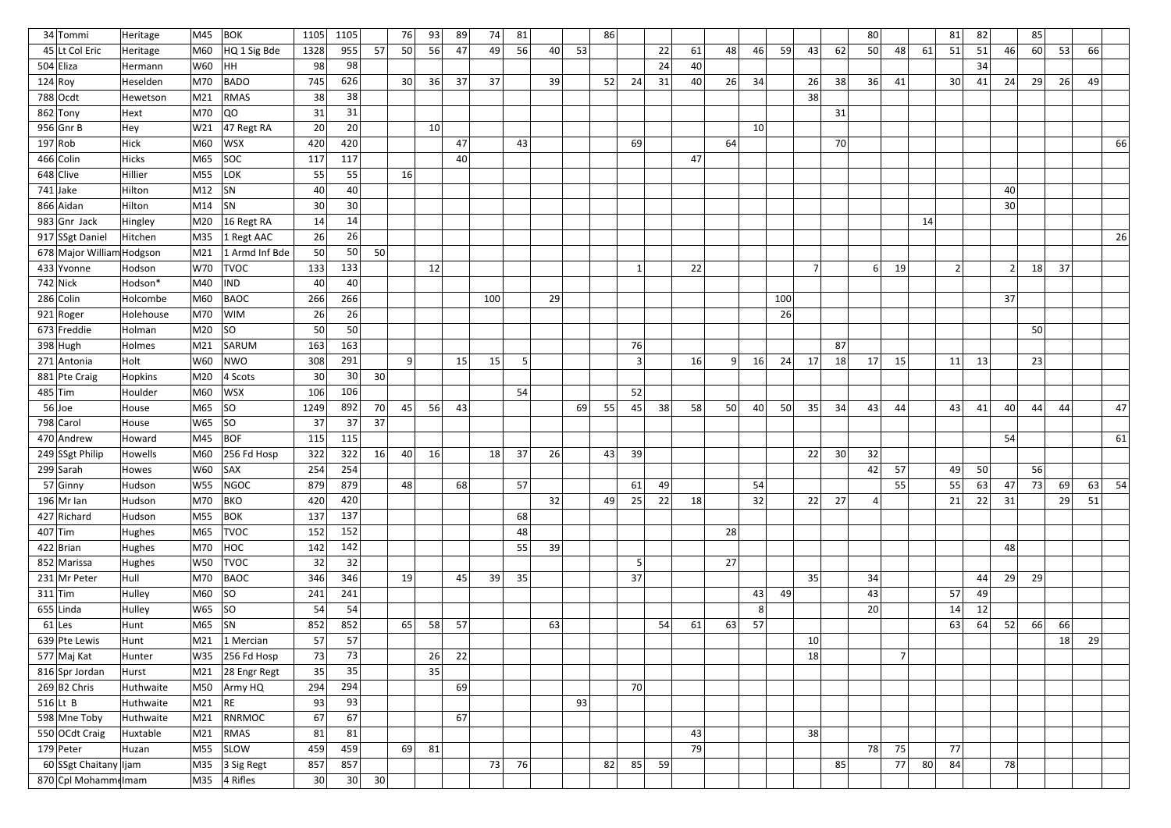| 34 Tommi                  | Heritage     | M45        | $ $ BOK                        | 1105            | 1105 |    | 76              | 93 | 89 | 74  | 81 |    |    | 86 |                |    |    |    |    |     |                |                 | 80              |                |    | 81              | 82 |    | 85 |    |    |    |
|---------------------------|--------------|------------|--------------------------------|-----------------|------|----|-----------------|----|----|-----|----|----|----|----|----------------|----|----|----|----|-----|----------------|-----------------|-----------------|----------------|----|-----------------|----|----|----|----|----|----|
| 45 Lt Col Eric            | Heritage     | M60        | HQ 1 Sig Bde                   | 1328            | 955  | 57 | 50              | 56 | 47 | 49  | 56 | 40 | 53 |    |                | 22 | 61 | 48 | 46 | 59  | 43             | 62              | 50              | 48             | 61 | 51              | 51 | 46 | 60 | 53 | 66 |    |
| $504$ Eliza               | Hermann      | W60        | HH                             | 98              | 98   |    |                 |    |    |     |    |    |    |    |                | 24 | 40 |    |    |     |                |                 |                 |                |    |                 | 34 |    |    |    |    |    |
| 124 Roy                   | Heselden     | M70        | <b>BADO</b>                    | 745             | 626  |    | 30 <sup>2</sup> | 36 | 37 | 37  |    | 39 |    | 52 | 24             | 31 | 40 | 26 | 34 |     | 26             | 38              | 36              | 41             |    | 30 <sup>2</sup> | 41 | 24 | 29 | 26 | 49 |    |
| 788 Ocdt                  | Hewetson     | M21        | RMAS                           | 38              | 38   |    |                 |    |    |     |    |    |    |    |                |    |    |    |    |     | 38             |                 |                 |                |    |                 |    |    |    |    |    |    |
| $862$ Tony                | Hext         | M70        | QO                             | 31              | 31   |    |                 |    |    |     |    |    |    |    |                |    |    |    |    |     |                | 31              |                 |                |    |                 |    |    |    |    |    |    |
| $956$ Gnr B               | Hey          | W21        | $ 47$ Regt RA                  | 20              | 20   |    |                 | 10 |    |     |    |    |    |    |                |    |    |    | 10 |     |                |                 |                 |                |    |                 |    |    |    |    |    |    |
| 197 Rob                   | Hick         | M60        | <b>WSX</b>                     | 420             | 420  |    |                 |    | 47 |     | 43 |    |    |    | 69             |    |    | 64 |    |     |                | 70              |                 |                |    |                 |    |    |    |    |    | 66 |
| 466 Colin                 | <b>Hicks</b> | M65        | SOC                            | 117             | 117  |    |                 |    | 40 |     |    |    |    |    |                |    | 47 |    |    |     |                |                 |                 |                |    |                 |    |    |    |    |    |    |
| 648 Clive                 | Hillier      | M55        | LOK                            | 55              | 55   |    | 16              |    |    |     |    |    |    |    |                |    |    |    |    |     |                |                 |                 |                |    |                 |    |    |    |    |    |    |
| $741$ Jake                | Hilton       | M12        | SN                             | 40              | 40   |    |                 |    |    |     |    |    |    |    |                |    |    |    |    |     |                |                 |                 |                |    |                 |    | 40 |    |    |    |    |
| 866 Aidan                 | Hilton       | M14        | $ $ SN                         | 30 <sup>°</sup> | 30   |    |                 |    |    |     |    |    |    |    |                |    |    |    |    |     |                |                 |                 |                |    |                 |    | 30 |    |    |    |    |
| $983$ Gnr Jack            | Hingley      | M20        | 16 Regt RA                     | 14              | 14   |    |                 |    |    |     |    |    |    |    |                |    |    |    |    |     |                |                 |                 |                | 14 |                 |    |    |    |    |    |    |
| 917 SSgt Daniel           | Hitchen      | M35        | $1$ Regt AAC                   | 26              | 26   |    |                 |    |    |     |    |    |    |    |                |    |    |    |    |     |                |                 |                 |                |    |                 |    |    |    |    |    | 26 |
| 678 Major William Hodgson |              | M21        | 1 Armd Inf Bde                 | 50              | 50   | 50 |                 |    |    |     |    |    |    |    |                |    |    |    |    |     |                |                 |                 |                |    |                 |    |    |    |    |    |    |
| 433 Yvonne                | Hodson       | W70        | <b>TVOC</b>                    | 133             | 133  |    |                 | 12 |    |     |    |    |    |    | $\mathbf{1}$   |    | 22 |    |    |     | 7 <sup>1</sup> |                 | 6               | 19             |    | 2               |    |    | 18 | 37 |    |    |
| $742$ Nick                | Hodson*      | M40        | IND                            | 40              | 40   |    |                 |    |    |     |    |    |    |    |                |    |    |    |    |     |                |                 |                 |                |    |                 |    |    |    |    |    |    |
| 286 Colin                 | Holcombe     | M60        | BAOC                           | 266             | 266  |    |                 |    |    | 100 |    | 29 |    |    |                |    |    |    |    | 100 |                |                 |                 |                |    |                 |    | 37 |    |    |    |    |
| 921 Roger                 | Holehouse    | M70        | <b>WIM</b>                     | 26              | 26   |    |                 |    |    |     |    |    |    |    |                |    |    |    |    | 26  |                |                 |                 |                |    |                 |    |    |    |    |    |    |
| $673$ Freddie             | Holman       | M20        | SO                             | 50              | 50   |    |                 |    |    |     |    |    |    |    |                |    |    |    |    |     |                |                 |                 |                |    |                 |    |    | 50 |    |    |    |
| $398$ Hugh                | Holmes       | M21        | SARUM                          | 163             | 163  |    |                 |    |    |     |    |    |    |    | 76             |    |    |    |    |     |                | 87              |                 |                |    |                 |    |    |    |    |    |    |
| 271 Antonia               | Holt         | W60        | NWO                            | 308             | 291  |    | 9 <sup>1</sup>  |    | 15 | 15  | -5 |    |    |    | 3              |    | 16 | q  | 16 | 24  | 17             | 18              | 17              | 15             |    | 11              | 13 |    | 23 |    |    |    |
| 881 Pte Craig             | Hopkins      | M20        | $ 4$ Scots                     | 30              | 30   | 30 |                 |    |    |     |    |    |    |    |                |    |    |    |    |     |                |                 |                 |                |    |                 |    |    |    |    |    |    |
| $485$ Tim                 | Houlder      | M60        | WSX                            | 106             | 106  |    |                 |    |    |     | 54 |    |    |    | 52             |    |    |    |    |     |                |                 |                 |                |    |                 |    |    |    |    |    |    |
| $56$ Joe                  | House        | M65        | SO                             | 1249            | 892  | 70 | 45              | 56 | 43 |     |    |    | 69 | 55 | 45             | 38 | 58 | 50 | 40 | 50  | 35             | 34              | 43              | 44             |    | 43              | 41 | 40 | 44 | 44 |    | 47 |
| 798 Carol                 | House        | W65        | SO                             | 37              | 37   | 37 |                 |    |    |     |    |    |    |    |                |    |    |    |    |     |                |                 |                 |                |    |                 |    |    |    |    |    |    |
| 470 Andrew                | Howard       | M45        | BOF                            | 115             | 115  |    |                 |    |    |     |    |    |    |    |                |    |    |    |    |     |                |                 |                 |                |    |                 |    | 54 |    |    |    | 61 |
| 249 SSgt Philip           | Howells      | M60        | $ 256$ Fd Hosp                 | 322             | 322  | 16 | 40              | 16 |    | 18  | 37 | 26 |    | 43 | 39             |    |    |    |    |     | 22             | 30 <sup>°</sup> | 32              |                |    |                 |    |    |    |    |    |    |
| 299 Sarah                 | Howes        | $W60$ SAX  |                                | 254             | 254  |    |                 |    |    |     |    |    |    |    |                |    |    |    |    |     |                |                 | 42              | 57             |    | 49              | 50 |    | 56 |    |    |    |
| $57$ Ginny                | Hudson       |            | W55 NGOC                       | 879             | 879  |    | 48              |    | 68 |     | 57 |    |    |    | 61             | 49 |    |    | 54 |     |                |                 |                 | 55             |    | 55              | 63 | 47 | 73 | 69 | 63 | 54 |
| $196$ Mr Ian              | Hudson       | M70        | BKO                            | 420             | 420  |    |                 |    |    |     |    | 32 |    | 49 | 25             | 22 | 18 |    | 32 |     | 22             | 27              | $\vert 4 \vert$ |                |    | 21              | 22 | 31 |    | 29 | 51 |    |
| 427 Richard               | Hudson       | M55        | $ $ BOK                        | 137             | 137  |    |                 |    |    |     | 68 |    |    |    |                |    |    |    |    |     |                |                 |                 |                |    |                 |    |    |    |    |    |    |
| $407$ Tim                 | Hughes       | M65        | <b>TVOC</b>                    | 152             | 152  |    |                 |    |    |     | 48 |    |    |    |                |    |    | 28 |    |     |                |                 |                 |                |    |                 |    |    |    |    |    |    |
| $422$ Brian               | Hughes       | M70        | HOC                            | 142             | 142  |    |                 |    |    |     | 55 | 39 |    |    |                |    |    |    |    |     |                |                 |                 |                |    |                 |    | 48 |    |    |    |    |
| 852 Marissa               | Hughes       | W50        | <b>TVOC</b>                    | 32              | 32   |    |                 |    |    |     |    |    |    |    | 5 <sup>2</sup> |    |    | 27 |    |     |                |                 |                 |                |    |                 |    |    |    |    |    |    |
| 231 Mr Peter              | Hull         | M70        | BAOC                           | 346             | 346  |    | 19              |    | 45 | 39  | 35 |    |    |    | 37             |    |    |    |    |     | 35             |                 | 34              |                |    |                 | 44 | 29 | 29 |    |    |    |
| $311$ Tim                 | Hulley       | M60  SO    |                                | 241             | 241  |    |                 |    |    |     |    |    |    |    |                |    |    |    | 43 | 49  |                |                 | 43              |                |    | 57              | 49 |    |    |    |    |    |
| $655$ Linda               | Hulley       | W65  SO    |                                | 54              | 54   |    |                 |    |    |     |    |    |    |    |                |    |    |    | 8  |     |                |                 | 20              |                |    | 14              | 12 |    |    |    |    |    |
| $61$  Les                 | Hunt         | $ M65 $ SN |                                | 852             | 852  |    | 65              | 58 | 57 |     |    | 63 |    |    |                | 54 | 61 | 63 | 57 |     |                |                 |                 |                |    | 63              | 64 | 52 | 66 | 66 |    |    |
| 639 Pte Lewis             | Hunt         |            | M21 1 Mercian                  | 57              | 57   |    |                 |    |    |     |    |    |    |    |                |    |    |    |    |     | 10             |                 |                 |                |    |                 |    |    |    | 18 | 29 |    |
| 577 Maj Kat               | Hunter       | W35        | $ 256$ Fd Hosp                 | 73              | 73   |    |                 | 26 | 22 |     |    |    |    |    |                |    |    |    |    |     | 18             |                 |                 | $\overline{7}$ |    |                 |    |    |    |    |    |    |
| 816 Spr Jordan            | Hurst        | M21        | 28 Engr Regt                   | 35              | 35   |    |                 | 35 |    |     |    |    |    |    |                |    |    |    |    |     |                |                 |                 |                |    |                 |    |    |    |    |    |    |
| $269 B2$ Chris            | Huthwaite    |            | M50 Army HQ                    | 294             | 294  |    |                 |    | 69 |     |    |    |    |    | 70             |    |    |    |    |     |                |                 |                 |                |    |                 |    |    |    |    |    |    |
| $516$ Lt B                | Huthwaite    | $M21$ RE   |                                | 93              | 93   |    |                 |    |    |     |    |    | 93 |    |                |    |    |    |    |     |                |                 |                 |                |    |                 |    |    |    |    |    |    |
| 598 Mne Toby              | Huthwaite    | M21        | RNRMOC                         | 67              | 67   |    |                 |    | 67 |     |    |    |    |    |                |    |    |    |    |     |                |                 |                 |                |    |                 |    |    |    |    |    |    |
| 550 OCdt Craig            | Huxtable     | M21        | RMAS                           | 81              | 81   |    |                 |    |    |     |    |    |    |    |                |    | 43 |    |    |     | 38             |                 |                 |                |    |                 |    |    |    |    |    |    |
| $179$ Peter               | Huzan        | M55        | SLOW                           | 459             | 459  |    | 69              | 81 |    |     |    |    |    |    |                |    | 79 |    |    |     |                |                 | 78              | 75             |    | 77              |    |    |    |    |    |    |
| 60 SSgt Chaitany Ijam     |              |            | $\vert$ M35 $\vert$ 3 Sig Regt | 857             | 857  |    |                 |    |    | 73  | 76 |    |    | 82 | 85             | 59 |    |    |    |     |                | 85              |                 | 77             | 80 | 84              |    | 78 |    |    |    |    |
| 870 Cpl Mohammelmam       |              |            | $MS5$ 4 Rifles                 | 30              | 30   | 30 |                 |    |    |     |    |    |    |    |                |    |    |    |    |     |                |                 |                 |                |    |                 |    |    |    |    |    |    |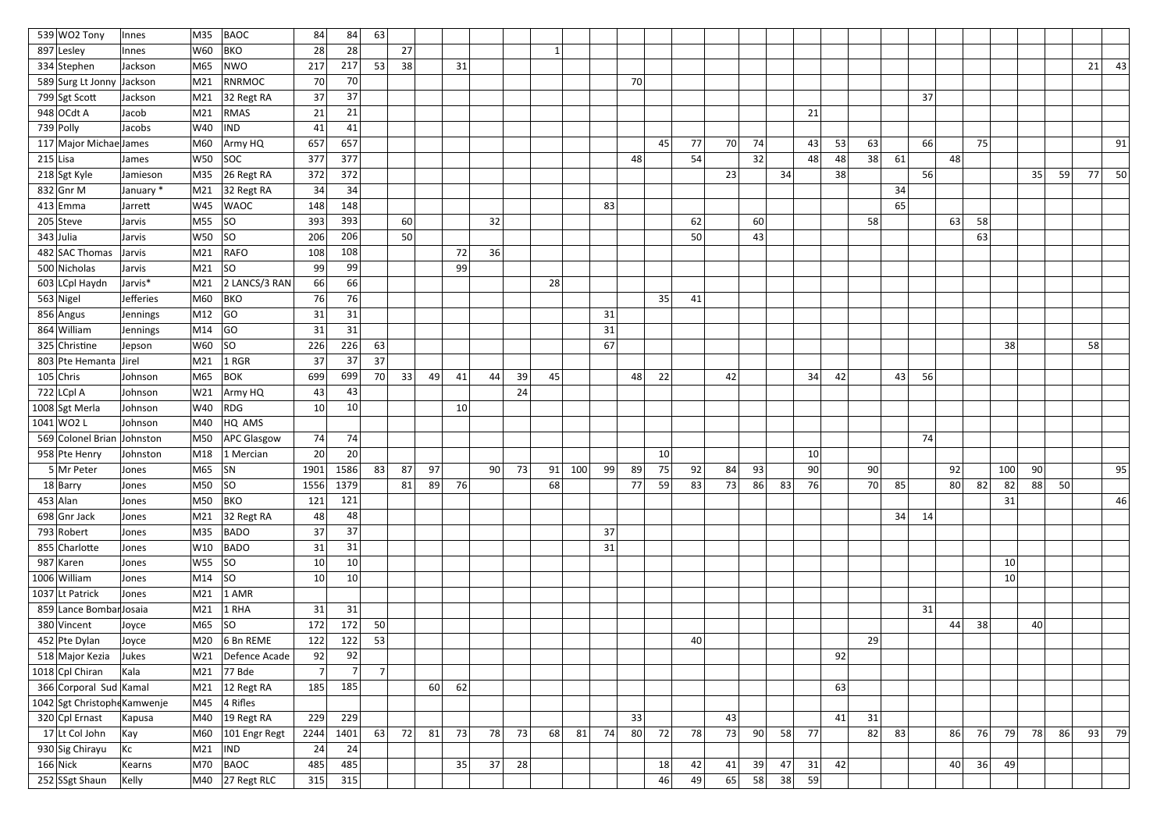| 539 WO2 Tony                 | Innes     | M35                    | BAOC                              | 84             | 84             | 63             |    |    |    |    |    |    |         |    |    |    |    |    |    |    |    |    |    |    |    |                 |    |     |    |    |    |      |
|------------------------------|-----------|------------------------|-----------------------------------|----------------|----------------|----------------|----|----|----|----|----|----|---------|----|----|----|----|----|----|----|----|----|----|----|----|-----------------|----|-----|----|----|----|------|
| 897 Lesley                   | Innes     | W60                    | <b>BKO</b>                        | 28             | 28             |                | 27 |    |    |    |    |    |         |    |    |    |    |    |    |    |    |    |    |    |    |                 |    |     |    |    |    |      |
| 334 Stephen                  | Jackson   | M65                    | NWO                               | 217            | 217            | 53             | 38 |    | 31 |    |    |    |         |    |    |    |    |    |    |    |    |    |    |    |    |                 |    |     |    |    | 21 | 43   |
| 589 Surg Lt Jonny            | Jackson   | M21                    | RNRMOC                            | 70             | 70             |                |    |    |    |    |    |    |         |    | 70 |    |    |    |    |    |    |    |    |    |    |                 |    |     |    |    |    |      |
| 799 Sgt Scott                | Jackson   | M21                    | 32 Regt RA                        | 37             | 37             |                |    |    |    |    |    |    |         |    |    |    |    |    |    |    |    |    |    |    | 37 |                 |    |     |    |    |    |      |
| $948$ OCdt A                 | Jacob     | M21                    | RMAS                              | 21             | 21             |                |    |    |    |    |    |    |         |    |    |    |    |    |    |    | 21 |    |    |    |    |                 |    |     |    |    |    |      |
| $739$ Polly                  | Jacobs    | W40                    | $\overline{I}$ IND                | 41             | 41             |                |    |    |    |    |    |    |         |    |    |    |    |    |    |    |    |    |    |    |    |                 |    |     |    |    |    |      |
| 117 Major Michae James       |           | M60                    | Army HQ                           | 657            | 657            |                |    |    |    |    |    |    |         |    |    | 45 | 77 | 70 | 74 |    | 43 | 53 | 63 |    | 66 |                 | 75 |     |    |    |    | 91   |
| $215$ Lisa                   | James     | W50                    | SOC                               | 377            | 377            |                |    |    |    |    |    |    |         |    | 48 |    | 54 |    | 32 |    | 48 | 48 | 38 | 61 |    | 48              |    |     |    |    |    |      |
| $218$ Sgt Kyle               | Jamieson  |                        | $\vert$ M35 $\vert$ 26 Regt RA    | 372            | 372            |                |    |    |    |    |    |    |         |    |    |    |    | 23 |    | 34 |    | 38 |    |    | 56 |                 |    |     | 35 | 59 | 77 | 50   |
| $832$ Gnr M                  | January * |                        | $\vert$ M21 32 Regt RA            | 34             | 34             |                |    |    |    |    |    |    |         |    |    |    |    |    |    |    |    |    |    | 34 |    |                 |    |     |    |    |    |      |
| $413$ Emma                   | Jarrett   | W45                    | <b>WAOC</b>                       | 148            | 148            |                |    |    |    |    |    |    |         | 83 |    |    |    |    |    |    |    |    |    | 65 |    |                 |    |     |    |    |    |      |
| $205$ Steve                  | Jarvis    | M55                    | SO                                | 393            | 393            |                | 60 |    |    | 32 |    |    |         |    |    |    | 62 |    | 60 |    |    |    | 58 |    |    | 63              | 58 |     |    |    |    |      |
| $343$ Julia                  | Jarvis    | <b>W50</b>             | SO                                | 206            | 206            |                | 50 |    |    |    |    |    |         |    |    |    | 50 |    | 43 |    |    |    |    |    |    |                 | 63 |     |    |    |    |      |
| 482 SAC Thomas               | Jarvis    | M21                    | RAFO                              | 108            | 108            |                |    |    | 72 | 36 |    |    |         |    |    |    |    |    |    |    |    |    |    |    |    |                 |    |     |    |    |    |      |
| 500 Nicholas                 | Jarvis    | M21                    | SO                                | 99             | 99             |                |    |    | 99 |    |    |    |         |    |    |    |    |    |    |    |    |    |    |    |    |                 |    |     |    |    |    |      |
| 603 LCpl Haydn               | Jarvis*   |                        | $\vert$ M21 $\vert$ 2 LANCS/3 RAN | 66             | 66             |                |    |    |    |    |    | 28 |         |    |    |    |    |    |    |    |    |    |    |    |    |                 |    |     |    |    |    |      |
| $563$ Nigel                  | Jefferies |                        | M60 BKO                           | 76             | 76             |                |    |    |    |    |    |    |         |    |    | 35 | 41 |    |    |    |    |    |    |    |    |                 |    |     |    |    |    |      |
| 856 Angus                    | Jennings  | M12                    | GO                                | 31             | 31             |                |    |    |    |    |    |    |         | 31 |    |    |    |    |    |    |    |    |    |    |    |                 |    |     |    |    |    |      |
| 864 William                  | Jennings  | M14                    | GO                                | 31             | 31             |                |    |    |    |    |    |    |         | 31 |    |    |    |    |    |    |    |    |    |    |    |                 |    |     |    |    |    |      |
| 325 Christine                | Jepson    | W60                    | SO                                | 226            | 226            | 63             |    |    |    |    |    |    |         | 67 |    |    |    |    |    |    |    |    |    |    |    |                 |    | 38  |    |    | 58 |      |
| 803 Pte Hemanta              | Jirel     | M21                    | $1$ RGR                           | 37             | 37             | 37             |    |    |    |    |    |    |         |    |    |    |    |    |    |    |    |    |    |    |    |                 |    |     |    |    |    |      |
| $105$ Chris                  | Johnson   | M65                    | BOK                               | 699            | 699            | 70             | 33 | 49 | 41 | 44 | 39 | 45 |         |    | 48 | 22 |    | 42 |    |    | 34 | 42 |    | 43 | 56 |                 |    |     |    |    |    |      |
| $722$ LCpl A                 | Johnson   | W21                    | Army HQ                           | 43             | 43             |                |    |    |    |    | 24 |    |         |    |    |    |    |    |    |    |    |    |    |    |    |                 |    |     |    |    |    |      |
| 1008 Sgt Merla               | Johnson   | W40                    | RDG                               | 10             | 10             |                |    |    | 10 |    |    |    |         |    |    |    |    |    |    |    |    |    |    |    |    |                 |    |     |    |    |    |      |
| 1041 WO2 L                   | Johnson   |                        | $M40$ HQ AMS                      |                |                |                |    |    |    |    |    |    |         |    |    |    |    |    |    |    |    |    |    |    |    |                 |    |     |    |    |    |      |
| 569 Colonel Brian            | Johnston  | M50                    | <b>APC Glasgow</b>                | 74             | 74             |                |    |    |    |    |    |    |         |    |    |    |    |    |    |    |    |    |    |    | 74 |                 |    |     |    |    |    |      |
| 958 Pte Henry                | Johnston  | M18                    | 1 Mercian                         | 20             | 20             |                |    |    |    |    |    |    |         |    |    | 10 |    |    |    |    | 10 |    |    |    |    |                 |    |     |    |    |    |      |
| 5 Mr Peter                   | Jones     | $M65$ SN               |                                   | 1901           | 1586           | 83             | 87 | 97 |    | 90 | 73 |    | 91  100 | 99 | 89 | 75 | 92 | 84 | 93 |    | 90 |    | 90 |    |    | 92              |    | 100 | 90 |    |    | 95   |
| 18 Barry                     | Jones     | M50  SO                |                                   | 1556           | 1379           |                | 81 | 89 | 76 |    |    | 68 |         |    | 77 | 59 | 83 | 73 | 86 | 83 | 76 |    | 70 | 85 |    | 80 <sup>2</sup> | 82 | 82  | 88 | 50 |    |      |
| $453$ Alan                   | Jones     |                        | M50  BKO                          | 121            | 121            |                |    |    |    |    |    |    |         |    |    |    |    |    |    |    |    |    |    |    |    |                 |    | 31  |    |    |    | 46   |
| 698 Gnr Jack                 | Jones     |                        | $\vert$ M21 32 Regt RA            | 48             | 48             |                |    |    |    |    |    |    |         |    |    |    |    |    |    |    |    |    |    | 34 | 14 |                 |    |     |    |    |    |      |
| 793 Robert                   | Jones     |                        | M35 BADO                          | 37             | 37             |                |    |    |    |    |    |    |         | 37 |    |    |    |    |    |    |    |    |    |    |    |                 |    |     |    |    |    |      |
| 855 Charlotte                | Jones     |                        | W10 BADO                          | 31             | 31             |                |    |    |    |    |    |    |         | 31 |    |    |    |    |    |    |    |    |    |    |    |                 |    |     |    |    |    |      |
| 987 Karen                    | Jones     | W55  SO                |                                   | 10             | 10             |                |    |    |    |    |    |    |         |    |    |    |    |    |    |    |    |    |    |    |    |                 |    | 10  |    |    |    |      |
| 1006 William                 | Jones     | $\vert$ M14 $\vert$ SO |                                   | 10             | 10             |                |    |    |    |    |    |    |         |    |    |    |    |    |    |    |    |    |    |    |    |                 |    | 10  |    |    |    |      |
| 1037 Lt Patrick              | Jones     |                        | $M21$ 1 AMR                       |                |                |                |    |    |    |    |    |    |         |    |    |    |    |    |    |    |    |    |    |    |    |                 |    |     |    |    |    |      |
| 859 Lance Bombar Josaia      |           |                        | $M21$ 1 RHA                       | 31             | 31             |                |    |    |    |    |    |    |         |    |    |    |    |    |    |    |    |    |    |    | 31 |                 |    |     |    |    |    |      |
| 380 Vincent                  | Joyce     | M65  SO                |                                   | 172            | 172            | 50             |    |    |    |    |    |    |         |    |    |    |    |    |    |    |    |    |    |    |    | 44              | 38 |     | 40 |    |    |      |
| 452 Pte Dylan                | Joyce     |                        | $MO$ 6 Bn REME                    | 122            | 122            | 53             |    |    |    |    |    |    |         |    |    |    | 40 |    |    |    |    |    | 29 |    |    |                 |    |     |    |    |    |      |
| 518 Major Kezia              | Jukes     |                        | W21 Defence Acade                 | 92             | 92             |                |    |    |    |    |    |    |         |    |    |    |    |    |    |    |    | 92 |    |    |    |                 |    |     |    |    |    |      |
| 1018 Cpl Chiran              | Kala      | M21                    | $ 77 \text{ B}$ de                | 7 <sup>1</sup> | $\overline{7}$ | 7 <sup>1</sup> |    |    |    |    |    |    |         |    |    |    |    |    |    |    |    |    |    |    |    |                 |    |     |    |    |    |      |
| 366 Corporal Sud Kamal       |           | M21                    | $12$ Regt RA                      | 185            | 185            |                |    | 60 | 62 |    |    |    |         |    |    |    |    |    |    |    |    | 63 |    |    |    |                 |    |     |    |    |    |      |
| 1042 Sgt Christophe Kamwenje |           |                        | $\vert$ M45 $\vert$ 4 Rifles      |                |                |                |    |    |    |    |    |    |         |    |    |    |    |    |    |    |    |    |    |    |    |                 |    |     |    |    |    |      |
| 320 Cpl Ernast               | Kapusa    | M40                    | $ 19$ Regt RA                     | 229            | 229            |                |    |    |    |    |    |    |         |    | 33 |    |    | 43 |    |    |    | 41 | 31 |    |    |                 |    |     |    |    |    |      |
| $17$ Lt Col John             | Kay       | M60                    | 101 Engr Regt                     | 2244           | 1401           | 63             | 72 | 81 | 73 | 78 | 73 | 68 | 81      | 74 | 80 | 72 | 78 | 73 | 90 | 58 | 77 |    | 82 | 83 |    | 86              | 76 | 79  | 78 | 86 | 93 | - 79 |
| 930 Sig Chirayu              | Kc        | M21                    | <b>IND</b>                        | 24             | 24             |                |    |    |    |    |    |    |         |    |    |    |    |    |    |    |    |    |    |    |    |                 |    |     |    |    |    |      |
| $166$ Nick                   | Kearns    |                        | M70 BAOC                          | 485            | 485            |                |    |    | 35 | 37 | 28 |    |         |    |    | 18 | 42 | 41 | 39 | 47 | 31 | 42 |    |    |    | 40              | 36 | 49  |    |    |    |      |
| 252 SSgt Shaun               | Kelly     |                        | $\vert$ M40 $\vert$ 27 Regt RLC   | 315            | 315            |                |    |    |    |    |    |    |         |    |    | 46 | 49 | 65 | 58 | 38 | 59 |    |    |    |    |                 |    |     |    |    |    |      |
|                              |           |                        |                                   |                |                |                |    |    |    |    |    |    |         |    |    |    |    |    |    |    |    |    |    |    |    |                 |    |     |    |    |    |      |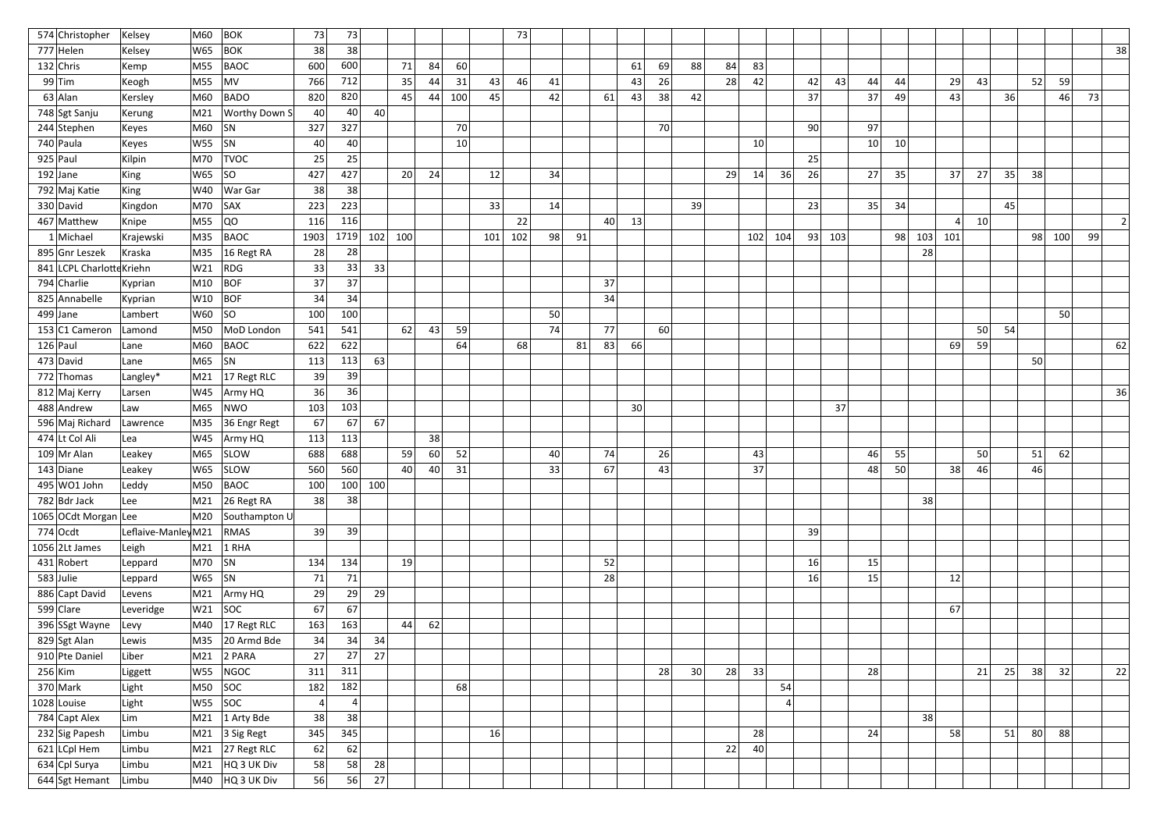| 574 Christopher           | Kelsey              | M60     | <b>BOK</b>                      | 73   | 73             |     |                 |    |     |     | 73  |    |    |    |           |                 |    |    |     |     |           |                 |          |     |         |    |    |                 |     |    |    |
|---------------------------|---------------------|---------|---------------------------------|------|----------------|-----|-----------------|----|-----|-----|-----|----|----|----|-----------|-----------------|----|----|-----|-----|-----------|-----------------|----------|-----|---------|----|----|-----------------|-----|----|----|
| 777 Helen                 | Kelsey              | W65     | $ $ BOK                         | 38   | 38             |     |                 |    |     |     |     |    |    |    |           |                 |    |    |     |     |           |                 |          |     |         |    |    |                 |     |    | 38 |
| $132$ Chris               | Kemp                | M55     | BAOC                            | 600  | 600            |     | 71              | 84 | 60  |     |     |    |    |    | 61        | 69              | 88 | 84 | 83  |     |           |                 |          |     |         |    |    |                 |     |    |    |
| $99$ Tim                  | Keogh               | M55     | MV                              | 766  | 712            |     | 35              | 44 | 31  | 43  | 46  | 41 |    |    | 43        | 26              |    | 28 | 42  |     | 42        | 43<br>44        | 44       |     | 29      | 43 |    | 52              | 59  |    |    |
| $63$ Alan                 | Kersley             | M60     | <b>BADO</b>                     | 820  | 820            |     | 45              | 44 | 100 | 45  |     | 42 |    | 61 | 43        | 38              | 42 |    |     |     | 37        | 37              | 49       |     | 43      |    | 36 |                 | 46  | 73 |    |
| 748 Sgt Sanju             | Kerung              |         | M21   Worthy Down S             | 40   | 40             | 40  |                 |    |     |     |     |    |    |    |           |                 |    |    |     |     |           |                 |          |     |         |    |    |                 |     |    |    |
| $244$ Stephen             | Keyes               | M60     | SN                              | 327  | 327            |     |                 |    | 70  |     |     |    |    |    |           | 70              |    |    |     |     | 90        | 97              |          |     |         |    |    |                 |     |    |    |
| 740 Paula                 | Keyes               | W55     | SN                              | 40   | 40             |     |                 |    | 10  |     |     |    |    |    |           |                 |    |    | 10  |     |           | 10 <sup>1</sup> | 10       |     |         |    |    |                 |     |    |    |
| $925$ Paul                | Kilpin              | M70     | <b>TVOC</b>                     | 25   | 25             |     |                 |    |     |     |     |    |    |    |           |                 |    |    |     |     | 25        |                 |          |     |         |    |    |                 |     |    |    |
| $192$ Jane                | King                | W65     | SO                              | 427  | 427            |     | 20 <sup>2</sup> | 24 |     | 12  |     | 34 |    |    |           |                 |    | 29 | 14  | 36  | 26        | 27              | 35       |     | 37      | 27 | 35 | 38              |     |    |    |
| 792 Maj Katie             | King                | W40     | War Gar                         | 38   | 38             |     |                 |    |     |     |     |    |    |    |           |                 |    |    |     |     |           |                 |          |     |         |    |    |                 |     |    |    |
| 330 David                 | Kingdon             | M70     | SAX                             | 223  | 223            |     |                 |    |     | 33  |     | 14 |    |    |           |                 | 39 |    |     |     | 23        | 35              | 34       |     |         |    | 45 |                 |     |    |    |
| 467 Matthew               | Knipe               | M55     | QO                              | 116  | 116            |     |                 |    |     |     | 22  |    |    | 40 | 13        |                 |    |    |     |     |           |                 |          |     | $\vert$ | 10 |    |                 |     |    |    |
| 1 Michael                 | Krajewski           | M35     | BAOC                            | 1903 | 1719           | 102 | 100             |    |     | 101 | 102 | 98 | 91 |    |           |                 |    |    | 102 | 104 | 93<br>103 |                 | 98       | 103 | 101     |    |    | 98              | 100 | 99 |    |
| 895 Gnr Leszek            | Kraska              | M35     | 16 Regt RA                      | 28   | 28             |     |                 |    |     |     |     |    |    |    |           |                 |    |    |     |     |           |                 |          | 28  |         |    |    |                 |     |    |    |
| 841 LCPL Charlotte Kriehn |                     | W21     | RDG                             | 33   | 33             | 33  |                 |    |     |     |     |    |    |    |           |                 |    |    |     |     |           |                 |          |     |         |    |    |                 |     |    |    |
| 794 Charlie               | Kyprian             | M10     | BOF                             | 37   | 37             |     |                 |    |     |     |     |    |    | 37 |           |                 |    |    |     |     |           |                 |          |     |         |    |    |                 |     |    |    |
| 825 Annabelle             | Kyprian             | W10     | BOF                             | 34   | 34             |     |                 |    |     |     |     |    |    | 34 |           |                 |    |    |     |     |           |                 |          |     |         |    |    |                 |     |    |    |
| $499$ Jane                | Lambert             | W60     | SO                              | 100  | 100            |     |                 |    |     |     |     | 50 |    |    |           |                 |    |    |     |     |           |                 |          |     |         |    |    |                 | 50  |    |    |
| 153 C1 Cameron            | Lamond              | M50     | MoD London                      | 541  | 541            |     | 62              | 43 | 59  |     |     | 74 |    | 77 |           | 60 <sup>1</sup> |    |    |     |     |           |                 |          |     |         | 50 | 54 |                 |     |    |    |
| $126$ Paul                | Lane                | M60     | BAOC                            | 622  | 622            |     |                 |    | 64  |     | 68  |    | 81 | 83 | <b>66</b> |                 |    |    |     |     |           |                 |          |     | 69      | 59 |    |                 |     |    | 62 |
| 473 David                 | Lane                | M65     | SN                              | 113  | 113            | 63  |                 |    |     |     |     |    |    |    |           |                 |    |    |     |     |           |                 |          |     |         |    |    | 50              |     |    |    |
| 772 Thomas                | Langley*            | M21     | 17 Regt RLC                     | 39   | 39             |     |                 |    |     |     |     |    |    |    |           |                 |    |    |     |     |           |                 |          |     |         |    |    |                 |     |    |    |
| 812 Maj Kerry             | Larsen              | W45     | Army HQ                         | 36   | 36             |     |                 |    |     |     |     |    |    |    |           |                 |    |    |     |     |           |                 |          |     |         |    |    |                 |     |    | 36 |
| 488 Andrew                | l Law               | M65     | NWO                             | 103  | 103            |     |                 |    |     |     |     |    |    |    | 30        |                 |    |    |     |     |           | 37              |          |     |         |    |    |                 |     |    |    |
| 596 Maj Richard           | Lawrence            | M35     | 36 Engr Regt                    | 67   | 67             | 67  |                 |    |     |     |     |    |    |    |           |                 |    |    |     |     |           |                 |          |     |         |    |    |                 |     |    |    |
| 474 Lt Col Ali            | Lea                 | W45     | Army HQ                         | 113  | 113            |     |                 | 38 |     |     |     |    |    |    |           |                 |    |    |     |     |           |                 |          |     |         |    |    |                 |     |    |    |
| $109$ Mr Alan             | Leakey              | M65     | SLOW                            | 688  | 688            |     | 59              | 60 | 52  |     |     | 40 |    | 74 |           | 26              |    |    | 43  |     |           |                 | 46<br>55 |     |         | 50 |    | 51              | 62  |    |    |
| $143$ Diane               | Leakey              |         | $W65$ SLOW                      | 560  | 560            |     | 40              | 40 | 31  |     |     | 33 |    | 67 |           | 43              |    |    | 37  |     |           |                 | 48<br>50 |     | 38      | 46 |    | 46              |     |    |    |
| 495 WO1 John              | Leddy               | M50     | BAOC                            | 100  | 100            | 100 |                 |    |     |     |     |    |    |    |           |                 |    |    |     |     |           |                 |          |     |         |    |    |                 |     |    |    |
| $782$ Bdr Jack            | Lee                 |         | $\vert$ M21 $\vert$ 26 Regt RA  | 38   | 38             |     |                 |    |     |     |     |    |    |    |           |                 |    |    |     |     |           |                 |          | 38  |         |    |    |                 |     |    |    |
| 1065 OCdt Morgan Lee      |                     |         | M20 Southampton U               |      |                |     |                 |    |     |     |     |    |    |    |           |                 |    |    |     |     |           |                 |          |     |         |    |    |                 |     |    |    |
| $774$ Ocdt                | Leflaive-Manley M21 |         | RMAS                            | 39   | 39             |     |                 |    |     |     |     |    |    |    |           |                 |    |    |     |     | 39        |                 |          |     |         |    |    |                 |     |    |    |
| $1056$ 2Lt James          | Leigh               | M21     | $1$ RHA                         |      |                |     |                 |    |     |     |     |    |    |    |           |                 |    |    |     |     |           |                 |          |     |         |    |    |                 |     |    |    |
| $431$ Robert              | Leppard             | M70  SN |                                 | 134  | 134            |     | 19              |    |     |     |     |    |    | 52 |           |                 |    |    |     |     | 16        | 15              |          |     |         |    |    |                 |     |    |    |
| $583$ Julie               | Leppard             | W65  SN |                                 | 71   | 71             |     |                 |    |     |     |     |    |    | 28 |           |                 |    |    |     |     | 16        | 15              |          |     | 12      |    |    |                 |     |    |    |
| 886 Capt David            | Levens              |         | M21 Army HQ                     | 29   | 29             | 29  |                 |    |     |     |     |    |    |    |           |                 |    |    |     |     |           |                 |          |     |         |    |    |                 |     |    |    |
| 599 $ $ Clare             | Leveridge           |         | $ W21 $ SOC                     | 67   | 67             |     |                 |    |     |     |     |    |    |    |           |                 |    |    |     |     |           |                 |          |     | 67      |    |    |                 |     |    |    |
| 396 SSgt Wayne            | Levy                |         | $\vert$ M40 $\vert$ 17 Regt RLC | 163  | 163            |     | 44              | 62 |     |     |     |    |    |    |           |                 |    |    |     |     |           |                 |          |     |         |    |    |                 |     |    |    |
| $829$ Sgt Alan            | Lewis               |         | M35 20 Armd Bde                 | 34   | 34             | 34  |                 |    |     |     |     |    |    |    |           |                 |    |    |     |     |           |                 |          |     |         |    |    |                 |     |    |    |
| 910 Pte Daniel            | Liber               | M21     | $2$ PARA                        | 27   | 27             | 27  |                 |    |     |     |     |    |    |    |           |                 |    |    |     |     |           |                 |          |     |         |    |    |                 |     |    |    |
| $256$ Kim                 | Liggett             | W55     | NGOC                            | 311  | 311            |     |                 |    |     |     |     |    |    |    |           | 28              | 30 | 28 | 33  |     |           | 28              |          |     |         | 21 | 25 | 38              | 32  |    | 22 |
| $370$ Mark                | Light               |         | $MSO$ $SOC$                     | 182  | 182            |     |                 |    | 68  |     |     |    |    |    |           |                 |    |    |     | 54  |           |                 |          |     |         |    |    |                 |     |    |    |
| $1028$ Louise             | Light               |         | $ WS5 $ SOC                     | 4    | $\overline{4}$ |     |                 |    |     |     |     |    |    |    |           |                 |    |    |     |     |           |                 |          |     |         |    |    |                 |     |    |    |
| 784 Capt Alex             | Lim                 | M21     | $\vert$ 1 Arty Bde              | 38   | 38             |     |                 |    |     |     |     |    |    |    |           |                 |    |    |     |     |           |                 |          | 38  |         |    |    |                 |     |    |    |
| 232 Sig Papesh            | Limbu               |         | $\vert$ M21 $\vert$ 3 Sig Regt  | 345  | 345            |     |                 |    |     | 16  |     |    |    |    |           |                 |    |    | 28  |     |           | 24              |          |     | 58      |    | 51 | 80 <sup>2</sup> | 88  |    |    |
| 621 LCpl Hem              | Limbu               |         | $\vert$ M21 $\vert$ 27 Regt RLC | 62   | 62             |     |                 |    |     |     |     |    |    |    |           |                 |    | 22 | 40  |     |           |                 |          |     |         |    |    |                 |     |    |    |
| 634 Cpl Surya             | Limbu               |         | M21 HQ 3 UK Div                 | 58   | 58             | 28  |                 |    |     |     |     |    |    |    |           |                 |    |    |     |     |           |                 |          |     |         |    |    |                 |     |    |    |
| 644 Sgt Hemant            |                     |         |                                 |      | 56<br>56       |     |                 |    |     |     |     |    |    |    |           |                 |    |    |     |     |           |                 |          |     |         |    |    |                 |     |    |    |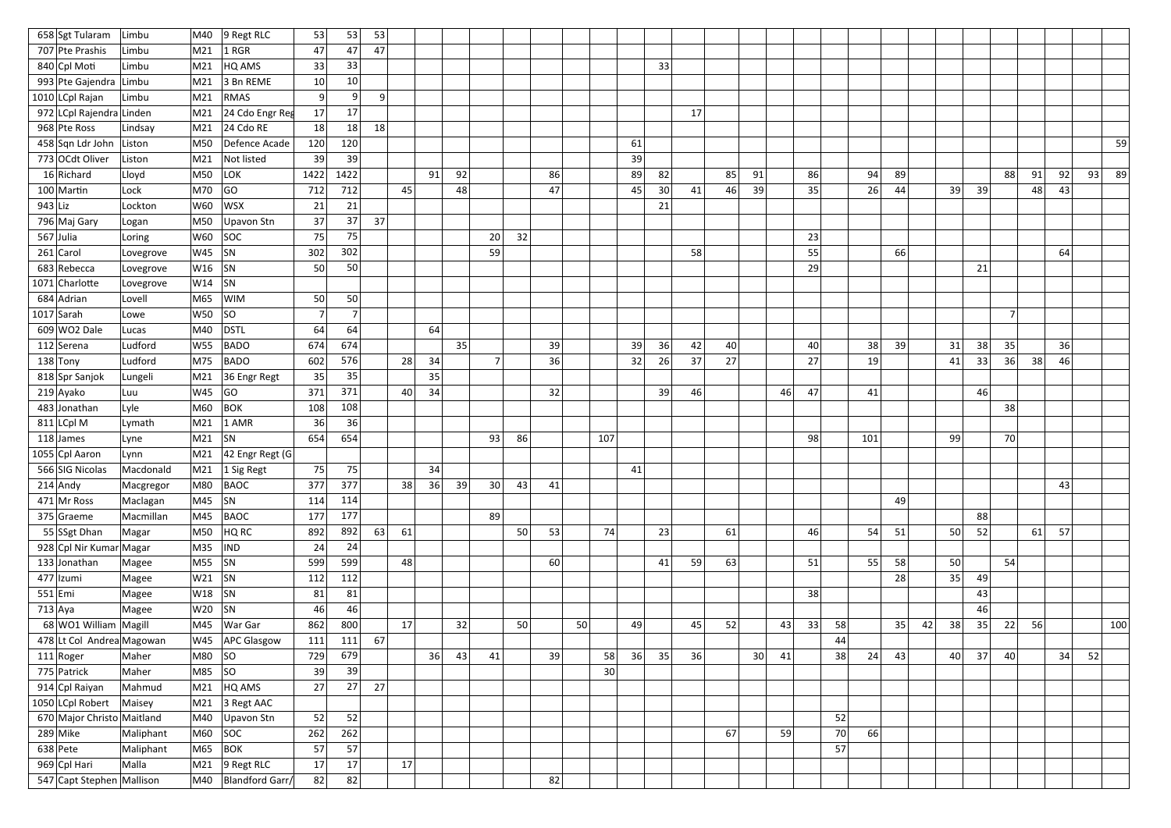| 658 Sgt Tularam            | Limbu     | M40        | 9 Regt RLC             | 53             | 53              | 53             |    |    |    |    |    |    |    |     |    |    |    |    |    |    |          |     |    |    |    |          |                |    |    |    |     |
|----------------------------|-----------|------------|------------------------|----------------|-----------------|----------------|----|----|----|----|----|----|----|-----|----|----|----|----|----|----|----------|-----|----|----|----|----------|----------------|----|----|----|-----|
| 707 Pte Prashis            | Limbu     | M21        | $ 1$ RGR               | 47             | 47              | 47             |    |    |    |    |    |    |    |     |    |    |    |    |    |    |          |     |    |    |    |          |                |    |    |    |     |
| 840 Cpl Moti               | Limbu     | M21        | HQ AMS                 | 33             | 33              |                |    |    |    |    |    |    |    |     |    | 33 |    |    |    |    |          |     |    |    |    |          |                |    |    |    |     |
| 993 Pte Gajendra           | Limbu     | M21        | 3 Bn REME              | 10             | 10 <sup>°</sup> |                |    |    |    |    |    |    |    |     |    |    |    |    |    |    |          |     |    |    |    |          |                |    |    |    |     |
| 1010 LCpl Rajan            | Limbu     | M21        | RMAS                   | 9              | 9 <sub>l</sub>  | $\overline{9}$ |    |    |    |    |    |    |    |     |    |    |    |    |    |    |          |     |    |    |    |          |                |    |    |    |     |
| 972 LCpl Rajendra Linden   |           | M21        | 24 Cdo Engr Reg        | 17             | 17              |                |    |    |    |    |    |    |    |     |    |    | 17 |    |    |    |          |     |    |    |    |          |                |    |    |    |     |
| 968 Pte Ross               | Lindsay   | M21        | $24$ Cdo RE            | 18             | 18              | 18             |    |    |    |    |    |    |    |     |    |    |    |    |    |    |          |     |    |    |    |          |                |    |    |    |     |
| 458 Sqn Ldr John Liston    |           | M50        | Defence Acade          | 120            | 120             |                |    |    |    |    |    |    |    |     | 61 |    |    |    |    |    |          |     |    |    |    |          |                |    |    |    | 59  |
| 773 OCdt Oliver            | Liston    | M21        | Not listed             | 39             | 39              |                |    |    |    |    |    |    |    |     | 39 |    |    |    |    |    |          |     |    |    |    |          |                |    |    |    |     |
| 16 Richard                 | Lloyd     | M50        | LOK                    | 1422           | 1422            |                |    | 91 | 92 |    |    | 86 |    |     | 89 | 82 |    | 85 | 91 |    | 86       | 94  | 89 |    |    |          | 88             | 91 | 92 | 93 | -89 |
| 100 Martin                 | Lock      | M70        | GO                     | 712            | 712             |                | 45 |    | 48 |    |    | 47 |    |     | 45 | 30 | 41 | 46 | 39 |    | 35       | 26  | 44 |    | 39 | 39       |                | 48 | 43 |    |     |
| $943$ Liz                  | Lockton   | W60        | <b>WSX</b>             | 21             | 21              |                |    |    |    |    |    |    |    |     |    | 21 |    |    |    |    |          |     |    |    |    |          |                |    |    |    |     |
| 796 Maj Gary               | Logan     | M50        | Upavon Stn             | 37             | 37              | 37             |    |    |    |    |    |    |    |     |    |    |    |    |    |    |          |     |    |    |    |          |                |    |    |    |     |
| $567$ Julia                | Loring    | W60        | SOC                    | 75             | 75              |                |    |    |    | 20 | 32 |    |    |     |    |    |    |    |    |    | 23       |     |    |    |    |          |                |    |    |    |     |
| $261$ Carol                | Lovegrove | $W45$ SN   |                        | 302            | 302             |                |    |    |    | 59 |    |    |    |     |    |    | 58 |    |    |    | 55       |     | 66 |    |    |          |                |    | 64 |    |     |
| 683 Rebecca                | Lovegrove | W16        | SN                     | 50             | 50              |                |    |    |    |    |    |    |    |     |    |    |    |    |    |    | 29       |     |    |    |    | 21       |                |    |    |    |     |
| 1071 Charlotte             | Lovegrove | W14        | SN                     |                |                 |                |    |    |    |    |    |    |    |     |    |    |    |    |    |    |          |     |    |    |    |          |                |    |    |    |     |
| 684 Adrian                 | Lovell    | M65        | WIM                    | 50             | 50              |                |    |    |    |    |    |    |    |     |    |    |    |    |    |    |          |     |    |    |    |          |                |    |    |    |     |
| $1017$ Sarah               | Lowe      | W50        | SO                     | $\overline{7}$ | 7 <sup>1</sup>  |                |    |    |    |    |    |    |    |     |    |    |    |    |    |    |          |     |    |    |    |          | $\overline{7}$ |    |    |    |     |
| $609$ WO2 Dale             | Lucas     | M40        | <b>DSTL</b>            | 64             | 64              |                |    | 64 |    |    |    |    |    |     |    |    |    |    |    |    |          |     |    |    |    |          |                |    |    |    |     |
| 112 Serena                 | Ludford   | W55        | <b>BADO</b>            | 674            | 674             |                |    |    | 35 |    |    | 39 |    |     | 39 | 36 | 42 | 40 |    |    | 40       | 38  | 39 |    | 31 | 38       | 35             |    | 36 |    |     |
| $138$ Tony                 | Ludford   | M75        | <b>BADO</b>            | 602            | 576             |                | 28 | 34 |    |    |    | 36 |    |     | 32 | 26 | 37 | 27 |    |    | 27       | 19  |    |    | 41 | 33       | 36             | 38 | 46 |    |     |
| 818 Spr Sanjok             | Lungeli   | M21        | 36 Engr Regt           | 35             | 35              |                |    | 35 |    |    |    |    |    |     |    |    |    |    |    |    |          |     |    |    |    |          |                |    |    |    |     |
| 219 Ayako                  | Luu       | W45        | GO                     | 371            | 371             |                | 40 | 34 |    |    |    | 32 |    |     |    | 39 | 46 |    |    | 46 | 47       | 41  |    |    |    | 46       |                |    |    |    |     |
| 483 Jonathan               | Lyle      | M60        | <b>BOK</b>             | 108            | 108             |                |    |    |    |    |    |    |    |     |    |    |    |    |    |    |          |     |    |    |    |          | 38             |    |    |    |     |
| $811$ LCpl M               | Lymath    | M21        | $1$ AMR                | 36             | 36              |                |    |    |    |    |    |    |    |     |    |    |    |    |    |    |          |     |    |    |    |          |                |    |    |    |     |
| $118$ James                | Lyne      | M21        | <b>SN</b>              | 654            | 654             |                |    |    |    | 93 | 86 |    |    | 107 |    |    |    |    |    |    | 98       | 101 |    |    | 99 |          | 70             |    |    |    |     |
| 1055 Cpl Aaron             | Lynn      | M21        | $ 42$ Engr Regt (G $ $ |                |                 |                |    |    |    |    |    |    |    |     |    |    |    |    |    |    |          |     |    |    |    |          |                |    |    |    |     |
| 566 SIG Nicolas            | Macdonald |            | $ M21 $ 1 Sig Regt     | 75             | 75              |                |    | 34 |    |    |    |    |    |     | 41 |    |    |    |    |    |          |     |    |    |    |          |                |    |    |    |     |
| $214$ Andy                 | Macgregor | M80        | <b>BAOC</b>            | 377            | 377             |                | 38 | 36 | 39 | 30 | 43 | 41 |    |     |    |    |    |    |    |    |          |     |    |    |    |          |                |    | 43 |    |     |
| $471$ Mr Ross              | Maclagan  | M45 $ SN$  |                        | 114            | 114             |                |    |    |    |    |    |    |    |     |    |    |    |    |    |    |          |     | 49 |    |    |          |                |    |    |    |     |
| 375 Graeme                 | Macmillan | M45        | BAOC                   | 177            | 177             |                |    |    |    | 89 |    |    |    |     |    |    |    |    |    |    |          |     |    |    |    | 88       |                |    |    |    |     |
| 55 SSgt Dhan               | Magar     | M50        | HQ RC                  | 892            | 892             | 63             | 61 |    |    |    | 50 | 53 |    | 74  |    | 23 |    | 61 |    |    | 46       | 54  | 51 |    | 50 | 52       |                | 61 | 57 |    |     |
| 928 Cpl Nir Kumar Magar    |           | $M35$  IND |                        | 24             | 24              |                |    |    |    |    |    |    |    |     |    |    |    |    |    |    |          |     |    |    |    |          |                |    |    |    |     |
| 133 Jonathan               | Magee     | $M55$ SN   |                        | 599            | 599             |                | 48 |    |    |    |    | 60 |    |     |    | 41 | 59 | 63 |    |    | 51       | 55  | 58 |    | 50 |          | 54             |    |    |    |     |
| $477$  Izumi               | Magee     | $W21$ SN   |                        | 112            | 112             |                |    |    |    |    |    |    |    |     |    |    |    |    |    |    |          |     | 28 |    | 35 | 49       |                |    |    |    |     |
| $551$ Emi                  | Magee     | $W18$ SN   |                        | 81             | 81              |                |    |    |    |    |    |    |    |     |    |    |    |    |    |    | 38       |     |    |    |    | 43       |                |    |    |    |     |
| $713$ Aya                  | Magee     | $W20$ SN   |                        | 46             | 46              |                |    |    |    |    |    |    |    |     |    |    |    |    |    |    |          |     |    |    |    | 46       |                |    |    |    |     |
| 68 WO1 William Magill      |           | M45        | War Gar                | 862            | 800             |                | 17 |    | 32 |    | 50 |    | 50 |     | 49 |    | 45 | 52 |    | 43 | 33<br>58 |     | 35 | 42 | 38 | 35       | 22             | 56 |    |    | 100 |
| 478 Lt Col Andrea Magowan  |           |            | W45   APC Glasgow      | 111            | 111             | 67             |    |    |    |    |    |    |    |     |    |    |    |    |    |    | 44       |     |    |    |    |          |                |    |    |    |     |
| $111 $ Roger               | Maher     | $M80$ SO   |                        | 729            | 679             |                |    | 36 | 43 | 41 |    | 39 |    | 58  | 36 | 35 | 36 |    | 30 | 41 | 38       | 24  | 43 |    |    | $40 $ 37 | 40             |    | 34 | 52 |     |
| 775 Patrick                | Maher     | $M85$ SO   |                        | 39             | 39              |                |    |    |    |    |    |    |    | 30  |    |    |    |    |    |    |          |     |    |    |    |          |                |    |    |    |     |
| 914 Cpl Raiyan             | Mahmud    | M21        | HQ AMS                 | 27             | 27              | 27             |    |    |    |    |    |    |    |     |    |    |    |    |    |    |          |     |    |    |    |          |                |    |    |    |     |
| 1050 LCpl Robert           | Maisey    |            | M21 $ 3$ Regt AAC      |                |                 |                |    |    |    |    |    |    |    |     |    |    |    |    |    |    |          |     |    |    |    |          |                |    |    |    |     |
| 670 Major Christo Maitland |           | M40        | Upavon Stn             | 52             | 52              |                |    |    |    |    |    |    |    |     |    |    |    |    |    |    | 52       |     |    |    |    |          |                |    |    |    |     |
| $289$ Mike                 | Maliphant |            | $M60$ SOC              | 262            | 262             |                |    |    |    |    |    |    |    |     |    |    |    | 67 |    | 59 | 70       | 66  |    |    |    |          |                |    |    |    |     |
| $638$ Pete                 | Maliphant | M65        | <b>BOK</b>             | 57             | 57              |                |    |    |    |    |    |    |    |     |    |    |    |    |    |    | 57       |     |    |    |    |          |                |    |    |    |     |
| 969 Cpl Hari               | Malla     | M21        | $ 9$ Regt RLC          | 17             | 17              |                | 17 |    |    |    |    |    |    |     |    |    |    |    |    |    |          |     |    |    |    |          |                |    |    |    |     |
| 547 Capt Stephen Mallison  |           |            | M40   Blandford Garr/  | 82             | 82              |                |    |    |    |    |    | 82 |    |     |    |    |    |    |    |    |          |     |    |    |    |          |                |    |    |    |     |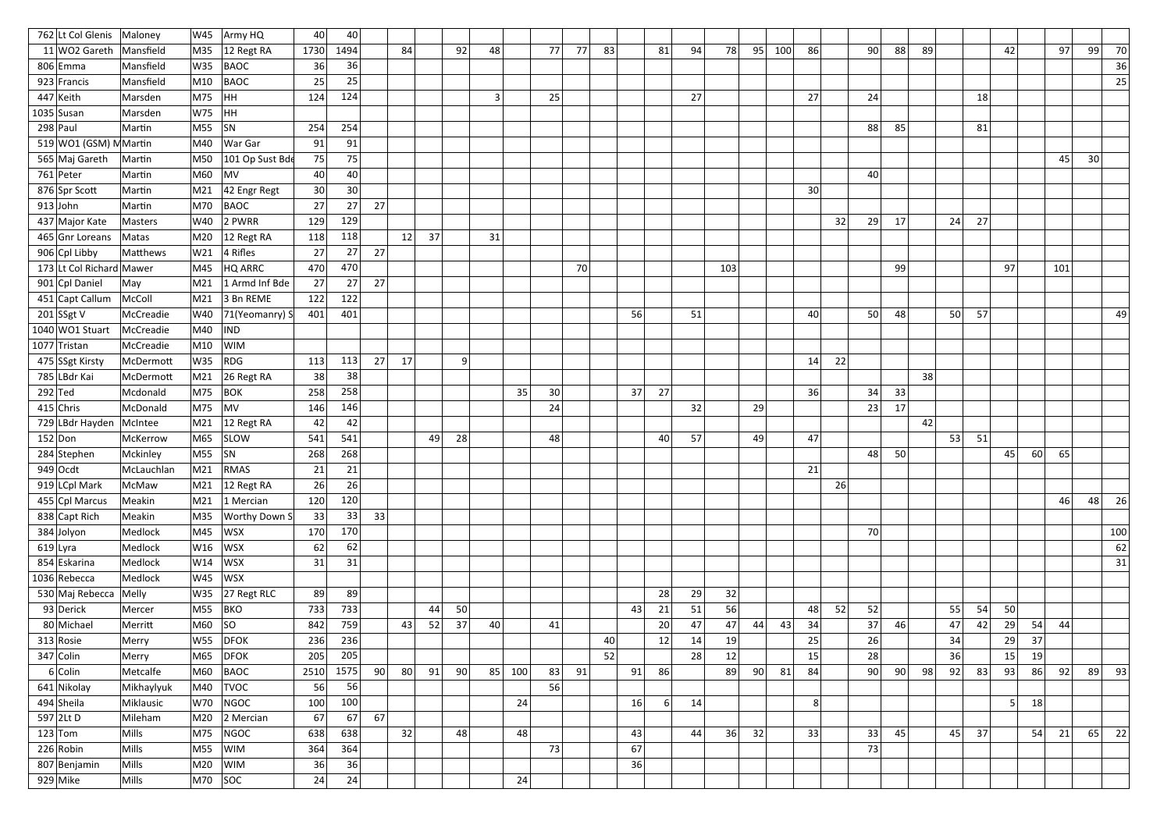|           | 762 Lt Col Glenis           | Maloney              | W45             | Army HQ                      | 40              | 40              |    |                 |    |    |    |     |                 |    |    |    |    |     |    |     |                 |    |    |    |    |    |    |    |    |     |    |     |
|-----------|-----------------------------|----------------------|-----------------|------------------------------|-----------------|-----------------|----|-----------------|----|----|----|-----|-----------------|----|----|----|----|-----|----|-----|-----------------|----|----|----|----|----|----|----|----|-----|----|-----|
|           | 11 WO2 Gareth   Mansfield   |                      | M35             | $ 12$ Regt RA                | 1730            | 1494            |    | 84              |    | 92 | 48 |     | 77              | 77 | 83 | 81 | 94 | 78  | 95 | 100 | 86              |    | 90 | 88 | 89 |    |    | 42 |    | 97  | 99 | 70  |
|           | $806$ Emma                  | Mansfield            | W35             | <b>BAOC</b>                  | 36              | 36              |    |                 |    |    |    |     |                 |    |    |    |    |     |    |     |                 |    |    |    |    |    |    |    |    |     |    | 36  |
|           | $923$ Francis               | Mansfield            | M10             | <b>BAOC</b>                  | 25              | 25              |    |                 |    |    |    |     |                 |    |    |    |    |     |    |     |                 |    |    |    |    |    |    |    |    |     |    | 25  |
|           | $447$ Keith                 | Marsden              | M75             | HH                           | 124             | 124             |    |                 |    |    | 3  |     | 25              |    |    |    | 27 |     |    |     | 27              |    | 24 |    |    |    | 18 |    |    |     |    |     |
|           | $1035$ Susan                | Marsden              | W75             | HH                           |                 |                 |    |                 |    |    |    |     |                 |    |    |    |    |     |    |     |                 |    |    |    |    |    |    |    |    |     |    |     |
|           | $298$ Paul                  | Martin               | M55 SN          |                              | 254             | 254             |    |                 |    |    |    |     |                 |    |    |    |    |     |    |     |                 |    | 88 | 85 |    |    | 81 |    |    |     |    |     |
|           | 519 WO1 (GSM) MMartin       |                      | M40             | War Gar                      | 91              | 91              |    |                 |    |    |    |     |                 |    |    |    |    |     |    |     |                 |    |    |    |    |    |    |    |    |     |    |     |
|           | 565 Maj Gareth              | Martin               | M50             | 101 Op Sust Bde              | 75              | 75              |    |                 |    |    |    |     |                 |    |    |    |    |     |    |     |                 |    |    |    |    |    |    |    |    | 45  | 30 |     |
|           | 761 Peter                   | Martin               | M60             | MV                           | 40              | 40 <sup>1</sup> |    |                 |    |    |    |     |                 |    |    |    |    |     |    |     |                 |    | 40 |    |    |    |    |    |    |     |    |     |
|           | 876 Spr Scott               | Martin               | M21             | $42$ Engr Regt               | 30 <sup>2</sup> | 30 <sup>°</sup> |    |                 |    |    |    |     |                 |    |    |    |    |     |    |     | 30 <sup>2</sup> |    |    |    |    |    |    |    |    |     |    |     |
|           | $913$ John                  | Martin               | M70             | BAOC                         | 27              | 27              | 27 |                 |    |    |    |     |                 |    |    |    |    |     |    |     |                 |    |    |    |    |    |    |    |    |     |    |     |
|           | 437 Major Kate              | Masters              | W40             | $2$ PWRR                     | 129             | 129             |    |                 |    |    |    |     |                 |    |    |    |    |     |    |     |                 | 32 | 29 | 17 |    | 24 | 27 |    |    |     |    |     |
|           | 465 Gnr Loreans             | Matas                | M20             | 12 Regt RA                   | 118             | 118             |    | 12              | 37 |    | 31 |     |                 |    |    |    |    |     |    |     |                 |    |    |    |    |    |    |    |    |     |    |     |
|           | 906 Cpl Libby               | Matthews             | W21             | 4 Rifles                     | 27              | 27              | 27 |                 |    |    |    |     |                 |    |    |    |    |     |    |     |                 |    |    |    |    |    |    |    |    |     |    |     |
|           | 173 Lt Col Richard Mawer    |                      | M45             | HQ ARRC                      | 470             | 470             |    |                 |    |    |    |     |                 | 70 |    |    |    | 103 |    |     |                 |    |    | 99 |    |    |    | 97 |    | 101 |    |     |
|           | 901 Cpl Daniel              | May                  | M21             | 1 Armd Inf Bde               | 27              | 27              | 27 |                 |    |    |    |     |                 |    |    |    |    |     |    |     |                 |    |    |    |    |    |    |    |    |     |    |     |
|           | 451 Capt Callum             | McColl               | M21             | $ 3$ Bn REME                 | 122             | 122             |    |                 |    |    |    |     |                 |    |    |    |    |     |    |     |                 |    |    |    |    |    |    |    |    |     |    |     |
|           | 201 $ S_{gt}$ V             | McCreadie            | W40             | 71(Yeomanry) S               | 401             | 401             |    |                 |    |    |    |     |                 |    | 56 |    | 51 |     |    |     | 40              |    | 50 | 48 |    | 50 | 57 |    |    |     |    | 49  |
|           | $1040$ WO1 Stuart           | McCreadie            | M40             | IND                          |                 |                 |    |                 |    |    |    |     |                 |    |    |    |    |     |    |     |                 |    |    |    |    |    |    |    |    |     |    |     |
|           | 1077 Tristan                | McCreadie            | M10             | <b>WIM</b>                   |                 |                 |    |                 |    |    |    |     |                 |    |    |    |    |     |    |     |                 |    |    |    |    |    |    |    |    |     |    |     |
|           | 475 SSgt Kirsty             | McDermott            | W35             | ROG                          | 113             | 113             | 27 | 17              |    | 9  |    |     |                 |    |    |    |    |     |    |     | 14              | 22 |    |    |    |    |    |    |    |     |    |     |
|           | 785 LBdr Kai                | McDermott            | M21             | 26 Regt RA                   | 38              | 38              |    |                 |    |    |    |     |                 |    |    |    |    |     |    |     |                 |    |    |    | 38 |    |    |    |    |     |    |     |
| $292$ Ted |                             | Mcdonald             | M75             | <b>BOK</b>                   | 258             | 258             |    |                 |    |    |    | 35  | 30 <sup>2</sup> |    | 37 | 27 |    |     |    |     | 36              |    | 34 | 33 |    |    |    |    |    |     |    |     |
|           | $415$ Chris                 | McDonald             | M75             | MV                           | 146             | 146             |    |                 |    |    |    |     | 24              |    |    |    | 32 |     | 29 |     |                 |    | 23 | 17 |    |    |    |    |    |     |    |     |
|           | 729 LBdr Hayden             | McIntee              | M21<br>M65      | $ 12$ Regt RA<br><b>SLOW</b> | 42<br>541       | 42<br>541       |    |                 | 49 |    |    |     |                 |    |    |    | 57 |     | 49 |     | 47              |    |    |    | 42 | 53 | 51 |    |    |     |    |     |
|           | 152 Don<br>284 Stephen      | McKerrow<br>Mckinley | M55             | SN                           | 268             | 268             |    |                 |    | 28 |    |     | 48              |    |    | 40 |    |     |    |     |                 |    | 48 | 50 |    |    |    | 45 | 60 | 65  |    |     |
|           |                             | McLauchlan           | M21             | RMAS                         | 21              | 21              |    |                 |    |    |    |     |                 |    |    |    |    |     |    |     | 21              |    |    |    |    |    |    |    |    |     |    |     |
|           | $949$ Ocdt<br>919 LCpl Mark | McMaw                | M21             | 12 Regt RA                   | 26              | 26              |    |                 |    |    |    |     |                 |    |    |    |    |     |    |     |                 | 26 |    |    |    |    |    |    |    |     |    |     |
|           | 455 Cpl Marcus              | Meakin               | M21             | 1 Mercian                    | 120             | 120             |    |                 |    |    |    |     |                 |    |    |    |    |     |    |     |                 |    |    |    |    |    |    |    |    | 46  | 48 | 26  |
|           | 838 Capt Rich               | Meakin               | M35             | <b>Worthy Down S</b>         | 33              | 33              | 33 |                 |    |    |    |     |                 |    |    |    |    |     |    |     |                 |    |    |    |    |    |    |    |    |     |    |     |
|           | 384 Jolyon                  | Medlock              | M45             | WSX                          | 170             | 170             |    |                 |    |    |    |     |                 |    |    |    |    |     |    |     |                 |    | 70 |    |    |    |    |    |    |     |    | 100 |
|           | $619$ Lyra                  | Medlock              | W16             | <b>WSX</b>                   | 62              | 62              |    |                 |    |    |    |     |                 |    |    |    |    |     |    |     |                 |    |    |    |    |    |    |    |    |     |    | 62  |
|           | 854 Eskarina                | Medlock              | W14             | <b>WSX</b>                   | 31              | 31              |    |                 |    |    |    |     |                 |    |    |    |    |     |    |     |                 |    |    |    |    |    |    |    |    |     |    | 31  |
|           | 1036 Rebecca                | Medlock              | W45             | <b>WSX</b>                   |                 |                 |    |                 |    |    |    |     |                 |    |    |    |    |     |    |     |                 |    |    |    |    |    |    |    |    |     |    |     |
|           | 530 Maj Rebecca             | Melly                |                 | W35 27 Regt RLC              | 89              | 89              |    |                 |    |    |    |     |                 |    |    | 28 | 29 | 32  |    |     |                 |    |    |    |    |    |    |    |    |     |    |     |
|           | 93 Derick                   | Mercer               | M55             | <b>BKO</b>                   | 733             | 733             |    |                 | 44 | 50 |    |     |                 |    | 43 | 21 | 51 | 56  |    |     | 48              | 52 | 52 |    |    | 55 | 54 | 50 |    |     |    |     |
|           | 80 Michael                  | Merritt              | M60             | SO                           | 842             | 759             |    | 43              | 52 | 37 | 40 |     | 41              |    |    | 20 | 47 | 47  | 44 | 43  | 34              |    | 37 | 46 |    | 47 | 42 | 29 | 54 | 44  |    |     |
|           | $313$ Rosie                 | Merry                | W55             | <b>DFOK</b>                  | 236             | 236             |    |                 |    |    |    |     |                 |    | 40 | 12 | 14 | 19  |    |     | 25              |    | 26 |    |    | 34 |    | 29 | 37 |     |    |     |
|           | $347$ Colin                 | Merry                | M65             | <b>DFOK</b>                  | 205             | 205             |    |                 |    |    |    |     |                 |    | 52 |    | 28 | 12  |    |     | 15              |    | 28 |    |    | 36 |    | 15 | 19 |     |    |     |
|           | 6 Colin                     | Metcalfe             | M60             | BAOC                         | 2510            | 1575            | 90 | 80 <sup>2</sup> | 91 | 90 | 85 | 100 | 83              | 91 | 91 | 86 |    | 89  | 90 | 81  | 84              |    | 90 | 90 | 98 | 92 | 83 | 93 | 86 | 92  | 89 | 93  |
|           | 641 Nikolay                 | Mikhaylyuk           | M40             | <b>TVOC</b>                  | 56              | 56              |    |                 |    |    |    |     | 56              |    |    |    |    |     |    |     |                 |    |    |    |    |    |    |    |    |     |    |     |
|           | 494 Sheila                  | Miklausic            | W70             | NGOC                         | 100             | 100             |    |                 |    |    |    | 24  |                 |    | 16 | 6  | 14 |     |    |     | 8 <sup>1</sup>  |    |    |    |    |    |    |    | 18 |     |    |     |
|           | 597 $2$ Lt D                | Mileham              |                 | M20 2 Mercian                | 67              | 67              | 67 |                 |    |    |    |     |                 |    |    |    |    |     |    |     |                 |    |    |    |    |    |    |    |    |     |    |     |
|           | $123$ Tom                   | Mills                | M75             | NGOC                         | 638             | 638             |    | 32              |    | 48 |    | 48  |                 |    | 43 |    | 44 | 36  | 32 |     | 33              |    | 33 | 45 |    | 45 | 37 |    | 54 | 21  | 65 | 22  |
|           | $226$ Robin                 | Mills                | M55             | <b>WIM</b>                   | 364             | 364             |    |                 |    |    |    |     | 73              |    | 67 |    |    |     |    |     |                 |    | 73 |    |    |    |    |    |    |     |    |     |
|           | 807 Benjamin                | Mills                |                 | M20  WIM                     | 36              | 36              |    |                 |    |    |    |     |                 |    | 36 |    |    |     |    |     |                 |    |    |    |    |    |    |    |    |     |    |     |
|           | 929 Mike                    | Mills                | $ M70 $ $ SOC $ |                              | 24              | 24              |    |                 |    |    |    | 24  |                 |    |    |    |    |     |    |     |                 |    |    |    |    |    |    |    |    |     |    |     |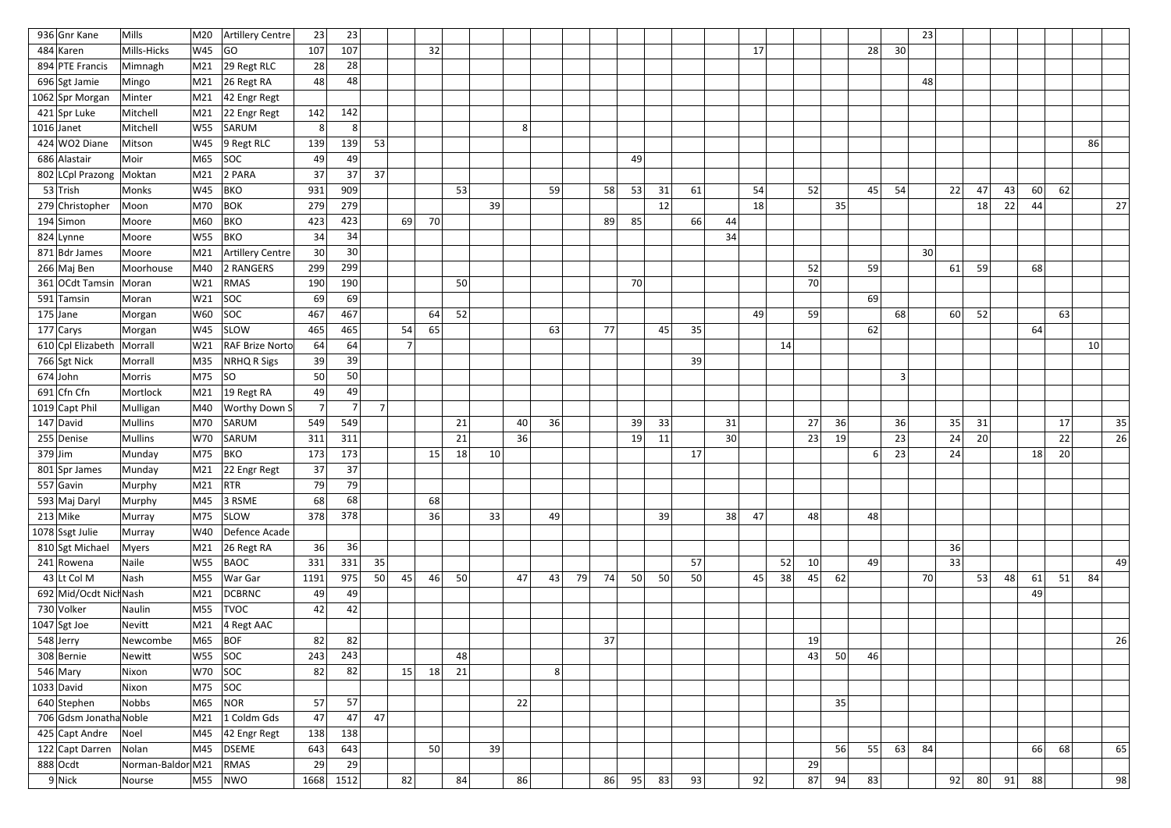| 936 Gnr Kane           | Mills             | M20             | Artillery Centre       | 23              | 23             |                |                |    |    |    |    |                |    |    |    |    |    |    |    |    |    |    |    |                 | 23 |    |    |    |    |    |    |    |
|------------------------|-------------------|-----------------|------------------------|-----------------|----------------|----------------|----------------|----|----|----|----|----------------|----|----|----|----|----|----|----|----|----|----|----|-----------------|----|----|----|----|----|----|----|----|
| 484 Karen              | Mills-Hicks       | W45             | GO                     | 107             | 107            |                |                | 32 |    |    |    |                |    |    |    |    |    |    | 17 |    |    |    | 28 | 30 <sup>°</sup> |    |    |    |    |    |    |    |    |
| 894 PTE Francis        | Mimnagh           | M <sub>21</sub> | $29$ Regt RLC          | 28              | 28             |                |                |    |    |    |    |                |    |    |    |    |    |    |    |    |    |    |    |                 |    |    |    |    |    |    |    |    |
| 696 Sgt Jamie          | Mingo             | M21             | 26 Regt RA             | 48              | 48             |                |                |    |    |    |    |                |    |    |    |    |    |    |    |    |    |    |    |                 | 48 |    |    |    |    |    |    |    |
| 1062 Spr Morgan        | Minter            | M21             | 42 Engr Regt           |                 |                |                |                |    |    |    |    |                |    |    |    |    |    |    |    |    |    |    |    |                 |    |    |    |    |    |    |    |    |
| 421 Spr Luke           | Mitchell          | M21             | 22 Engr Regt           | 142             | 142            |                |                |    |    |    |    |                |    |    |    |    |    |    |    |    |    |    |    |                 |    |    |    |    |    |    |    |    |
| $1016$ Janet           | Mitchell          | W55             | SARUM                  | 8               | 8              |                |                |    |    |    | 8  |                |    |    |    |    |    |    |    |    |    |    |    |                 |    |    |    |    |    |    |    |    |
| $424$ WO2 Diane        | Mitson            | W45             | $9$ Regt RLC           | 139             | 139            | 53             |                |    |    |    |    |                |    |    |    |    |    |    |    |    |    |    |    |                 |    |    |    |    |    |    | 86 |    |
| 686 Alastair           | Moir              | M65             | <b>SOC</b>             | 49              | 49             |                |                |    |    |    |    |                |    |    | 49 |    |    |    |    |    |    |    |    |                 |    |    |    |    |    |    |    |    |
| 802 LCpl Prazong       | Moktan            | M21             | 2 PARA                 | 37              | 37             | 37             |                |    |    |    |    |                |    |    |    |    |    |    |    |    |    |    |    |                 |    |    |    |    |    |    |    |    |
| $53$ Trish             | Monks             | W45             | <b>BKO</b>             | 931             | 909            |                |                |    | 53 |    |    | 59             |    | 58 | 53 | 31 | 61 |    | 54 |    | 52 |    | 45 | 54              |    | 22 | 47 | 43 | 60 | 62 |    |    |
| 279 Christopher        | Moon              | M70             | <b>BOK</b>             | 279             | 279            |                |                |    |    | 39 |    |                |    |    |    | 12 |    |    | 18 |    |    | 35 |    |                 |    |    | 18 | 22 | 44 |    |    | 27 |
| $194$ Simon            | Moore             | M60             | <b>BKO</b>             | 423             | 423            |                | 69             | 70 |    |    |    |                |    | 89 | 85 |    | 66 | 44 |    |    |    |    |    |                 |    |    |    |    |    |    |    |    |
| 824 Lynne              | Moore             | W55             | <b>BKO</b>             | 34              | 34             |                |                |    |    |    |    |                |    |    |    |    |    | 34 |    |    |    |    |    |                 |    |    |    |    |    |    |    |    |
| 871 Bdr James          | Moore             | M21             | Artillery Centre       | 30 <sup>2</sup> | 30             |                |                |    |    |    |    |                |    |    |    |    |    |    |    |    |    |    |    |                 | 30 |    |    |    |    |    |    |    |
| 266 Maj Ben            | Moorhouse         | M40             | 2 RANGERS              | 299             | 299            |                |                |    |    |    |    |                |    |    |    |    |    |    |    |    | 52 |    | 59 |                 |    | 61 | 59 |    | 68 |    |    |    |
| 361 OCdt Tamsin        | Moran             | W21             | <b>RMAS</b>            | 190             | 190            |                |                |    | 50 |    |    |                |    |    | 70 |    |    |    |    |    | 70 |    |    |                 |    |    |    |    |    |    |    |    |
| 591 Tamsin             | Moran             | W21             | SOC                    | 69              | 69             |                |                |    |    |    |    |                |    |    |    |    |    |    |    |    |    |    | 69 |                 |    |    |    |    |    |    |    |    |
| $175$ Jane             | Morgan            | W60             | SOC                    | 467             | 467            |                |                | 64 | 52 |    |    |                |    |    |    |    |    |    | 49 |    | 59 |    |    | 68              |    | 60 | 52 |    |    | 63 |    |    |
| 177 Carys              | Morgan            | W45             | <b>SLOW</b>            | 465             | 465            |                | 54             | 65 |    |    |    | 63             |    | 77 |    | 45 | 35 |    |    |    |    |    | 62 |                 |    |    |    |    | 64 |    |    |    |
| $610$ Cpl Elizabeth    | Morrall           | W21             | <b>RAF Brize Norto</b> | 64              | 64             |                | $\overline{ }$ |    |    |    |    |                |    |    |    |    |    |    |    | 14 |    |    |    |                 |    |    |    |    |    |    | 10 |    |
| 766 Sgt Nick           | Morrall           | M35             | NRHQ R Sigs            | 39              | 39             |                |                |    |    |    |    |                |    |    |    |    | 39 |    |    |    |    |    |    |                 |    |    |    |    |    |    |    |    |
| $674$ John             | Morris            | M75             | SO                     | 50              | 50             |                |                |    |    |    |    |                |    |    |    |    |    |    |    |    |    |    |    | $\mathbf{C}$    |    |    |    |    |    |    |    |    |
| 691 Cfn Cfn            | Mortlock          | M <sub>21</sub> | $19$ Regt RA           | 49              | 49             |                |                |    |    |    |    |                |    |    |    |    |    |    |    |    |    |    |    |                 |    |    |    |    |    |    |    |    |
| 1019 Capt Phil         | Mulligan          | M40             | Worthy Down S          | 7 <sup>1</sup>  | 7 <sup>1</sup> | 7 <sup>1</sup> |                |    |    |    |    |                |    |    |    |    |    |    |    |    |    |    |    |                 |    |    |    |    |    |    |    |    |
| 147 David              | <b>Mullins</b>    | M70             | SARUM                  | 549             | 549            |                |                |    | 21 |    | 40 | 36             |    |    | 39 | 33 |    | 31 |    |    | 27 | 36 |    | 36              |    | 35 | 31 |    |    | 17 |    | 35 |
| 255 Denise             | <b>Mullins</b>    | W70             | SARUM                  | 311             | 311            |                |                |    | 21 |    | 36 |                |    |    | 19 | 11 |    | 30 |    |    | 23 | 19 |    | 23              |    | 24 | 20 |    |    | 22 |    | 26 |
| $379$ Jim              | Munday            | M75             | <b>BKO</b>             | 173             | 173            |                |                | 15 | 18 | 10 |    |                |    |    |    |    | 17 |    |    |    |    |    | 6  | 23              |    | 24 |    |    | 18 | 20 |    |    |
| 801 Spr James          | Munday            |                 | M21 22 Engr Regt       | 37              | 37             |                |                |    |    |    |    |                |    |    |    |    |    |    |    |    |    |    |    |                 |    |    |    |    |    |    |    |    |
| $557$ Gavin            | Murphy            | M <sub>21</sub> | RTR                    | 79              | 79             |                |                |    |    |    |    |                |    |    |    |    |    |    |    |    |    |    |    |                 |    |    |    |    |    |    |    |    |
| 593 Maj Daryl          | Murphy            |                 | M45 3 RSME             | 68              | 68             |                |                | 68 |    |    |    |                |    |    |    |    |    |    |    |    |    |    |    |                 |    |    |    |    |    |    |    |    |
| $213$ Mike             | Murray            |                 | M75 SLOW               | 378             | 378            |                |                | 36 |    | 33 |    | 49             |    |    |    | 39 |    | 38 | 47 |    | 48 |    | 48 |                 |    |    |    |    |    |    |    |    |
| 1078 Ssgt Julie        | Murray            | W40             | Defence Acade          |                 |                |                |                |    |    |    |    |                |    |    |    |    |    |    |    |    |    |    |    |                 |    |    |    |    |    |    |    |    |
| 810 Sgt Michael        | Myers             | M21             | $26$ Regt RA           | 36              | 36             |                |                |    |    |    |    |                |    |    |    |    |    |    |    |    |    |    |    |                 |    | 36 |    |    |    |    |    |    |
| $241$ Rowena           | Naile             |                 | $W55$ BAOC             | 331             | 331            | 35             |                |    |    |    |    |                |    |    |    |    | 57 |    |    | 52 | 10 |    | 49 |                 |    | 33 |    |    |    |    |    | 49 |
| 43 Lt Col M            | Nash              | M55             | War Gar                | 1191            | 975            | 50             | 45             | 46 | 50 |    | 47 | 43             | 79 | 74 | 50 | 50 | 50 |    | 45 | 38 | 45 | 62 |    |                 | 70 |    | 53 | 48 | 61 | 51 | 84 |    |
| 692 Mid/Ocdt Nich Nash |                   | M21             | <b>DCBRNC</b>          | 49              | 49             |                |                |    |    |    |    |                |    |    |    |    |    |    |    |    |    |    |    |                 |    |    |    |    | 49 |    |    |    |
| 730 Volker             | Naulin            |                 | $MS5$ TVOC             | 42              | 42             |                |                |    |    |    |    |                |    |    |    |    |    |    |    |    |    |    |    |                 |    |    |    |    |    |    |    |    |
| $1047$ Sgt Joe         | Nevitt            | M21             | $\vert$ 4 Regt AAC     |                 |                |                |                |    |    |    |    |                |    |    |    |    |    |    |    |    |    |    |    |                 |    |    |    |    |    |    |    |    |
| 548 Jerry              | Newcombe          | M65             | BOF                    | 82              | 82             |                |                |    |    |    |    |                |    | 37 |    |    |    |    |    |    | 19 |    |    |                 |    |    |    |    |    |    |    | 26 |
| 308 Bernie             | Newitt            |                 | $W55$ SOC              | 243             | 243            |                |                |    | 48 |    |    |                |    |    |    |    |    |    |    |    | 43 | 50 | 46 |                 |    |    |    |    |    |    |    |    |
| $546$ Mary             | Nixon             |                 | $W70$ SOC              | 82              | 82             |                | 15             | 18 | 21 |    |    | 8 <sup>2</sup> |    |    |    |    |    |    |    |    |    |    |    |                 |    |    |    |    |    |    |    |    |
| $1033$ David           | Nixon             | $M75$ SOC       |                        |                 |                |                |                |    |    |    |    |                |    |    |    |    |    |    |    |    |    |    |    |                 |    |    |    |    |    |    |    |    |
| 640 Stephen            | <b>Nobbs</b>      |                 | $M65$ NOR              | 57              | 57             |                |                |    |    |    | 22 |                |    |    |    |    |    |    |    |    |    | 35 |    |                 |    |    |    |    |    |    |    |    |
| 706 Gdsm Jonatha Noble |                   | M21             | 1 Coldm Gds            | 47              | 47             | 47             |                |    |    |    |    |                |    |    |    |    |    |    |    |    |    |    |    |                 |    |    |    |    |    |    |    |    |
| 425 Capt Andre         | Noel              |                 | M45 42 Engr Regt       | 138             | 138            |                |                |    |    |    |    |                |    |    |    |    |    |    |    |    |    |    |    |                 |    |    |    |    |    |    |    |    |
| 122 Capt Darren        | Nolan             | M45             | <b>DSEME</b>           | 643             | 643            |                |                | 50 |    | 39 |    |                |    |    |    |    |    |    |    |    |    | 56 | 55 | 63              | 84 |    |    |    | 66 | 68 |    | 65 |
| $888$ Ocdt             | Norman-Baldor M21 |                 | RMAS                   | 29              | 29             |                |                |    |    |    |    |                |    |    |    |    |    |    |    |    | 29 |    |    |                 |    |    |    |    |    |    |    |    |
| $9$ Nick               | Nourse            |                 | $M55$ NWO              |                 | $1668$ 1512    |                | 82             |    | 84 |    | 86 |                |    | 86 | 95 | 83 | 93 |    | 92 |    | 87 | 94 | 83 |                 |    | 92 | 80 | 91 | 88 |    |    | 98 |
|                        |                   |                 |                        |                 |                |                |                |    |    |    |    |                |    |    |    |    |    |    |    |    |    |    |    |                 |    |    |    |    |    |    |    |    |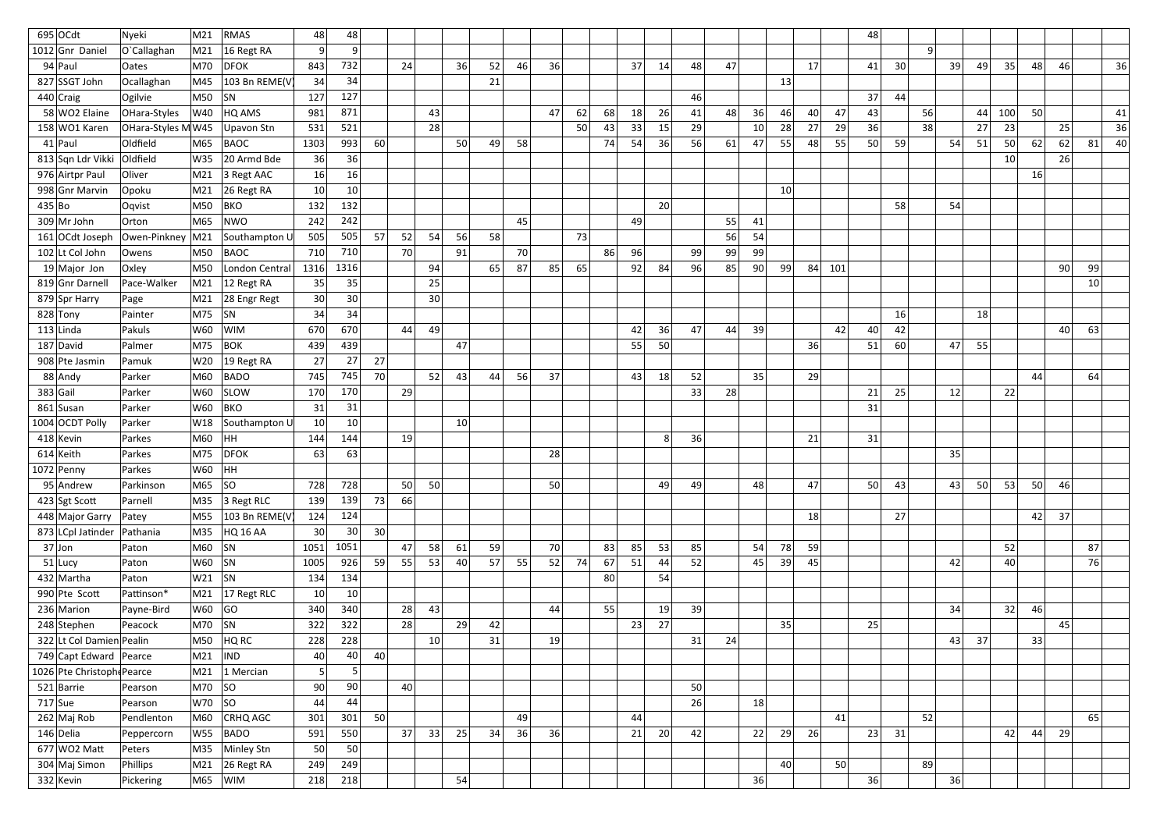| $695$ OCdt                   | Nyeki             | M21       | RMAS               | 48              | 48              |    |                 |                 |                 |    |    |    |    |    |    |    |    |    |    |    |    |     | 48 |    |                |    |    |     |    |    |                 |
|------------------------------|-------------------|-----------|--------------------|-----------------|-----------------|----|-----------------|-----------------|-----------------|----|----|----|----|----|----|----|----|----|----|----|----|-----|----|----|----------------|----|----|-----|----|----|-----------------|
| 1012 Gnr Daniel              | O'Callaghan       | M21       | 16 Regt RA         | $\vert 9 \vert$ | 9 <sup>1</sup>  |    |                 |                 |                 |    |    |    |    |    |    |    |    |    |    |    |    |     |    |    | 9 <sup>1</sup> |    |    |     |    |    |                 |
| $94$ Paul                    | Oates             | M70       | <b>DFOK</b>        | 843             | 732             |    | 24              |                 | 36              | 52 | 46 | 36 |    |    | 37 | 14 | 48 | 47 |    |    | 17 |     | 41 | 30 |                | 39 | 49 | 35  | 48 | 46 | 36              |
| 827 SSGT John                | Ocallaghan        | M45       | 103 Bn REME(V      | 34              | 34              |    |                 |                 |                 | 21 |    |    |    |    |    |    |    |    |    | 13 |    |     |    |    |                |    |    |     |    |    |                 |
| $440$ Craig                  | Ogilvie           | M50       | SN                 | 127             | 127             |    |                 |                 |                 |    |    |    |    |    |    |    | 46 |    |    |    |    |     | 37 | 44 |                |    |    |     |    |    |                 |
| 58 WO2 Elaine                | OHara-Styles      | W40       | HQ AMS             | 981             | 871             |    |                 | 43              |                 |    |    | 47 | 62 | 68 | 18 | 26 | 41 | 48 | 36 | 46 | 40 | 47  | 43 |    | 56             |    | 44 | 100 | 50 |    | 41              |
| 158 WO1 Karen                | OHara-Styles MW45 |           | Upavon Stn         | 531             | 521             |    |                 | 28              |                 |    |    |    | 50 | 43 | 33 | 15 | 29 |    | 10 | 28 | 27 | 29  | 36 |    | 38             |    | 27 | 23  |    | 25 | 36              |
| $41$  Paul                   | Oldfield          | M65       | <b>BAOC</b>        | 1303            | 993             | 60 |                 |                 | 50              | 49 | 58 |    |    | 74 | 54 | 36 | 56 | 61 | 47 | 55 | 48 | 55  | 50 | 59 |                | 54 | 51 | 50  | 62 | 62 | 81 <br>40       |
| 813 Sqn Ldr Vikki            | Oldfield          | W35       | 20 Armd Bde        | 36              | 36              |    |                 |                 |                 |    |    |    |    |    |    |    |    |    |    |    |    |     |    |    |                |    |    | 10  |    | 26 |                 |
| 976 Airtpr Paul              | Oliver            | M21       | 3 Regt AAC         | 16 <sup>1</sup> | 16              |    |                 |                 |                 |    |    |    |    |    |    |    |    |    |    |    |    |     |    |    |                |    |    |     | 16 |    |                 |
| 998 Gnr Marvin               | Opoku             | M21       | 26 Regt RA         | 10              | 10              |    |                 |                 |                 |    |    |    |    |    |    |    |    |    |    | 10 |    |     |    |    |                |    |    |     |    |    |                 |
| 435 Bo                       | Oqvist            | M50       | BKO                | 132             | 132             |    |                 |                 |                 |    |    |    |    |    |    | 20 |    |    |    |    |    |     |    | 58 |                | 54 |    |     |    |    |                 |
| $309$ Mr John                | Orton             | M65       | NWO                | 242             | 242             |    |                 |                 |                 |    | 45 |    |    |    | 49 |    |    | 55 | 41 |    |    |     |    |    |                |    |    |     |    |    |                 |
| 161 OCdt Joseph              | Owen-Pinkney      | M21       | Southampton L      | 505             | 505             | 57 | 52              | 54              | 56              | 58 |    |    | 73 |    |    |    |    | 56 | 54 |    |    |     |    |    |                |    |    |     |    |    |                 |
| 102 Lt Col John              | Owens             | M50       | <b>BAOC</b>        | 710             | 710             |    | 70              |                 | 91              |    | 70 |    |    | 86 | 96 |    | 99 | 99 | 99 |    |    |     |    |    |                |    |    |     |    |    |                 |
| 19 Major Jon                 | Oxley             | M50       | London Central     | 1316            | 1316            |    |                 | 94              |                 | 65 | 87 | 85 | 65 |    | 92 | 84 | 96 | 85 | 90 | 99 | 84 | 101 |    |    |                |    |    |     |    | 90 | 99              |
| 819 Gnr Darnell              | Pace-Walker       | M21       | 12 Regt RA         | 35              | 35              |    |                 | 25              |                 |    |    |    |    |    |    |    |    |    |    |    |    |     |    |    |                |    |    |     |    |    | 10 <sup>1</sup> |
| 879 Spr Harry                | Page              | M21       | 28 Engr Regt       | 30              | 30 <sup>°</sup> |    |                 | 30              |                 |    |    |    |    |    |    |    |    |    |    |    |    |     |    |    |                |    |    |     |    |    |                 |
| 828 Tony                     | Painter           | M75       | <b>SN</b>          | 34              | 34              |    |                 |                 |                 |    |    |    |    |    |    |    |    |    |    |    |    |     |    | 16 |                |    | 18 |     |    |    |                 |
| $113$ Linda                  | Pakuls            | W60       | WIM                | 670             | 670             |    | 44              | -49             |                 |    |    |    |    |    | 42 | 36 | 47 | 44 | 39 |    |    | 42  | 40 | 42 |                |    |    |     |    | 40 | 63              |
| 187 David                    | Palmer            | M75       | <b>BOK</b>         | 439             | 439             |    |                 |                 | 47              |    |    |    |    |    | 55 | 50 |    |    |    |    | 36 |     | 51 | 60 |                | 47 | 55 |     |    |    |                 |
| 908 Pte Jasmin               | Pamuk             | W20       | $ 19$ Regt RA      | 27              | 27              | 27 |                 |                 |                 |    |    |    |    |    |    |    |    |    |    |    |    |     |    |    |                |    |    |     |    |    |                 |
| 88 Andy                      | Parker            | M60       | BADO               | 745             | 745             | 70 |                 | 52              | 43              | 44 | 56 | 37 |    |    | 43 | 18 | 52 |    | 35 |    | 29 |     |    |    |                |    |    |     | 44 |    | 64              |
| $383$ Gail                   | Parker            | W60       | <b>SLOW</b>        | 170             | 170             |    | 29              |                 |                 |    |    |    |    |    |    |    | 33 | 28 |    |    |    |     | 21 | 25 |                | 12 |    | 22  |    |    |                 |
| 861 Susan                    | Parker            | W60       | <b>BKO</b>         | 31              | 31              |    |                 |                 |                 |    |    |    |    |    |    |    |    |    |    |    |    |     | 31 |    |                |    |    |     |    |    |                 |
| 1004 OCDT Polly              | Parker            | W18       | Southampton L      | 10 <sup>2</sup> | 10 <sup>1</sup> |    |                 |                 | 10 <sup>1</sup> |    |    |    |    |    |    |    |    |    |    |    |    |     |    |    |                |    |    |     |    |    |                 |
| 418 Kevin                    | Parkes            | M60       | HH.                | 144             | 144             |    | 19 <sup>°</sup> |                 |                 |    |    |    |    |    |    | 8  | 36 |    |    |    | 21 |     | 31 |    |                |    |    |     |    |    |                 |
| $614$ Keith                  | Parkes            | M75       | <b>DFOK</b>        | 63              | 63              |    |                 |                 |                 |    |    | 28 |    |    |    |    |    |    |    |    |    |     |    |    |                | 35 |    |     |    |    |                 |
| $1072$ Penny                 | Parkes            | W60 HH    |                    |                 |                 |    |                 |                 |                 |    |    |    |    |    |    |    |    |    |    |    |    |     |    |    |                |    |    |     |    |    |                 |
| $95$ Andrew                  | Parkinson         | $M65$ SO  |                    | 728             | 728             |    | 50              | 50              |                 |    |    | 50 |    |    |    | 49 | 49 |    | 48 |    | 47 |     | 50 | 43 |                | 43 | 50 | 53  | 50 | 46 |                 |
| $423$ Sgt Scott              | Parnell           | M35       | 3 Regt RLC         | 139             | 139             | 73 | 66              |                 |                 |    |    |    |    |    |    |    |    |    |    |    |    |     |    |    |                |    |    |     |    |    |                 |
| 448 Major Garry              | Patey             | M55       | 103 Bn REME(V      | 124             | 124             |    |                 |                 |                 |    |    |    |    |    |    |    |    |    |    |    | 18 |     |    | 27 |                |    |    |     | 42 | 37 |                 |
| 873 LCpl Jatinder   Pathania |                   | M35       | HQ 16 AA           | 30 <sup>2</sup> | 30              | 30 |                 |                 |                 |    |    |    |    |    |    |    |    |    |    |    |    |     |    |    |                |    |    |     |    |    |                 |
| $37$ Jon                     | Paton             | M60       | <b>SN</b>          | 1051            | 1051            |    | 47              | 58              | 61              | 59 |    | 70 |    | 83 | 85 | 53 | 85 |    | 54 | 78 | 59 |     |    |    |                |    |    | 52  |    |    | 87              |
| $51$ Lucy                    | Paton             | $W60$ SN  |                    | 1005            | 926             | 59 | 55              | 53              | 40              | 57 | 55 | 52 | 74 | 67 | 51 | 44 | 52 |    | 45 | 39 | 45 |     |    |    |                | 42 |    | 40  |    |    | 76              |
| 432 Martha                   | Paton             | $W21$ SN  |                    | 134             | 134             |    |                 |                 |                 |    |    |    |    | 80 |    | 54 |    |    |    |    |    |     |    |    |                |    |    |     |    |    |                 |
| 990 Pte Scott                | Pattinson*        |           | M21 $ 17$ Regt RLC | 10              | 10 <sup>°</sup> |    |                 |                 |                 |    |    |    |    |    |    |    |    |    |    |    |    |     |    |    |                |    |    |     |    |    |                 |
| 236 Marion                   | Payne-Bird        | $W60$ GO  |                    | 340             | 340             |    | 28              | 43              |                 |    |    | 44 |    | 55 |    | 19 | 39 |    |    |    |    |     |    |    |                | 34 |    | 32  | 46 |    |                 |
| 248 Stephen                  | Peacock           | M70 $ SN$ |                    | 322             | 322             |    | 28              |                 | 29              | 42 |    |    |    |    | 23 | 27 |    |    |    | 35 |    |     | 25 |    |                |    |    |     |    | 45 |                 |
| 322 Lt Col Damien Pealin     |                   | M50       | HQ RC              | 228             | 228             |    |                 | 10 <sup>1</sup> |                 | 31 |    | 19 |    |    |    |    | 31 | 24 |    |    |    |     |    |    |                | 43 | 37 |     | 33 |    |                 |
| 749 Capt Edward Pearce       |                   | M21       | <b>IND</b>         | 40 <sup>2</sup> | 40              | 40 |                 |                 |                 |    |    |    |    |    |    |    |    |    |    |    |    |     |    |    |                |    |    |     |    |    |                 |
| 1026 Pte Christoph Pearce    |                   | M21       | 1 Mercian          | 5               | 5 <sup>2</sup>  |    |                 |                 |                 |    |    |    |    |    |    |    |    |    |    |    |    |     |    |    |                |    |    |     |    |    |                 |
| $521$ Barrie                 | Pearson           | $M70$ SO  |                    | 90              | 90              |    | 40              |                 |                 |    |    |    |    |    |    |    | 50 |    |    |    |    |     |    |    |                |    |    |     |    |    |                 |
| $717$ Sue                    | Pearson           | $W70$ SO  |                    | 44              | 44              |    |                 |                 |                 |    |    |    |    |    |    |    | 26 |    | 18 |    |    |     |    |    |                |    |    |     |    |    |                 |
| $262$ Maj Rob                | Pendlenton        | M60       | <b>CRHQ AGC</b>    | 301             | 301             | 50 |                 |                 |                 |    | 49 |    |    |    | 44 |    |    |    |    |    |    | 41  |    |    | 52             |    |    |     |    |    | 65              |
| 146 Delia                    | Peppercorn        | W55       | <b>BADO</b>        | 591             | 550             |    | 37              | 33              | 25              | 34 | 36 | 36 |    |    | 21 | 20 | 42 |    | 22 | 29 | 26 |     | 23 | 31 |                |    |    | 42  | 44 | 29 |                 |
| $677$ WO <sub>2</sub> Matt   | Peters            | M35       | Minley Stn         | 50              | 50              |    |                 |                 |                 |    |    |    |    |    |    |    |    |    |    |    |    |     |    |    |                |    |    |     |    |    |                 |
| 304 Maj Simon                | Phillips          | M21       | 26 Regt RA         | 249             | 249             |    |                 |                 |                 |    |    |    |    |    |    |    |    |    |    | 40 |    | 50  |    |    | 89             |    |    |     |    |    |                 |
| $332$ Kevin                  | Pickering         |           | $M65$ WIM          | 218             | 218             |    |                 |                 | 54              |    |    |    |    |    |    |    |    |    | 36 |    |    |     | 36 |    |                | 36 |    |     |    |    |                 |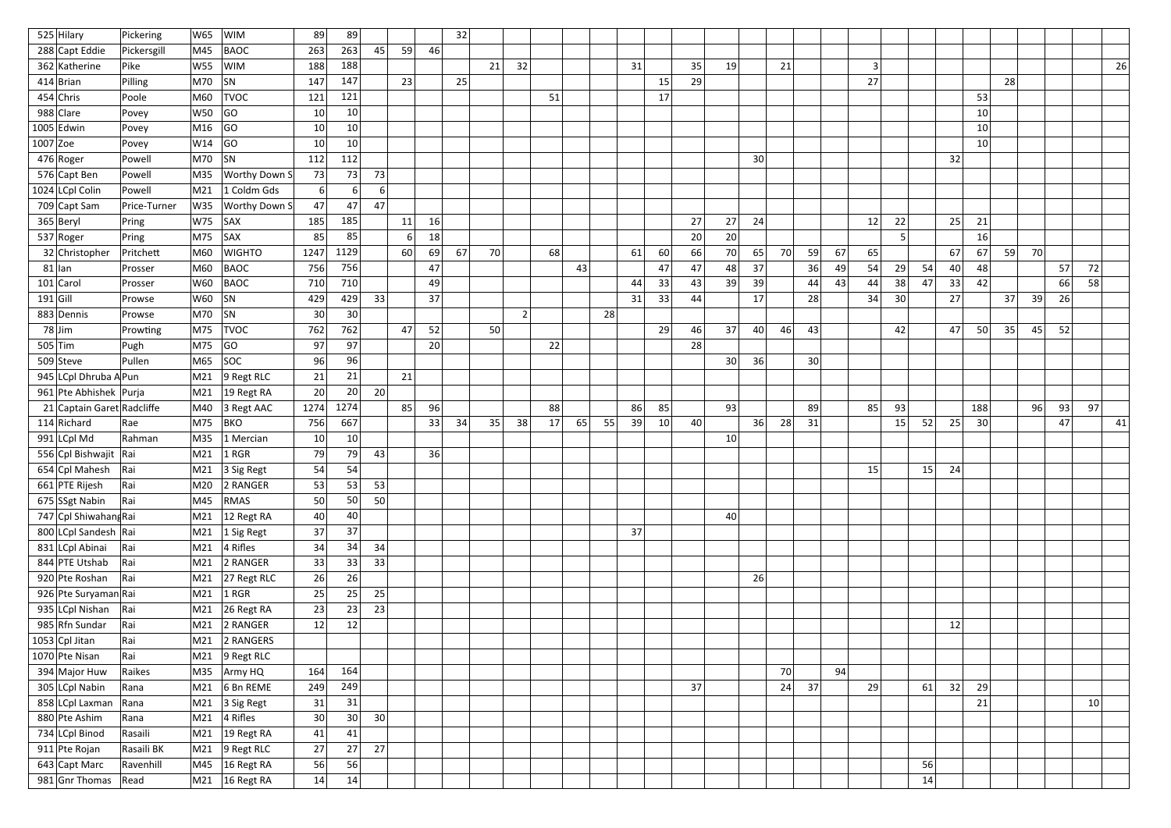| 525 Hilary                 | Pickering    | W65        | <b>WIM</b>                      | 89              | 89             |                 |    |    | 32 |    |    |    |    |    |    |    |    |                 |    |    |                 |    |    |    |    |    |                 |    |    |    |    |
|----------------------------|--------------|------------|---------------------------------|-----------------|----------------|-----------------|----|----|----|----|----|----|----|----|----|----|----|-----------------|----|----|-----------------|----|----|----|----|----|-----------------|----|----|----|----|
| 288 Capt Eddie             | Pickersgill  | M45        | <b>BAOC</b>                     | 263             | 263            | 45              | 59 | 46 |    |    |    |    |    |    |    |    |    |                 |    |    |                 |    |    |    |    |    |                 |    |    |    |    |
| 362 Katherine              | Pike         | W55        | <b>WIM</b>                      | 188             | 188            |                 |    |    |    | 21 | 32 |    |    |    | 31 |    | 35 | 19              |    | 21 |                 |    | 3  |    |    |    |                 |    |    |    | 26 |
| $414$  Brian               | Pilling      | M70        | SN                              | 147             | 147            |                 | 23 |    | 25 |    |    |    |    |    |    | 15 | 29 |                 |    |    |                 |    | 27 |    |    |    |                 | 28 |    |    |    |
| $454$ Chris                | Poole        | M60        | <b>TVOC</b>                     | 121             | 121            |                 |    |    |    |    |    | 51 |    |    |    | 17 |    |                 |    |    |                 |    |    |    |    |    | 53              |    |    |    |    |
| 988 Clare                  | Povey        | <b>W50</b> | GO                              | 10              | 10             |                 |    |    |    |    |    |    |    |    |    |    |    |                 |    |    |                 |    |    |    |    |    | 10 <sup>1</sup> |    |    |    |    |
| $1005$ Edwin               | Povey        | M16        | GO                              | 10              | 10             |                 |    |    |    |    |    |    |    |    |    |    |    |                 |    |    |                 |    |    |    |    |    | 10 <sup>1</sup> |    |    |    |    |
| $1007$ Zoe                 | Povey        | W14        | GO                              | 10              | 10             |                 |    |    |    |    |    |    |    |    |    |    |    |                 |    |    |                 |    |    |    |    |    | 10              |    |    |    |    |
| 476 Roger                  | Powell       | M70        | $ $ SN                          | 112             | 112            |                 |    |    |    |    |    |    |    |    |    |    |    |                 | 30 |    |                 |    |    |    |    | 32 |                 |    |    |    |    |
| 576 Capt Ben               | Powell       | M35        | <b>Worthy Down S</b>            | 73              | 73             | 73              |    |    |    |    |    |    |    |    |    |    |    |                 |    |    |                 |    |    |    |    |    |                 |    |    |    |    |
| 1024 LCpl Colin            | Powell       | M21        | 1 Coldm Gds                     | 6               | 6 <sup>1</sup> | $6 \mid$        |    |    |    |    |    |    |    |    |    |    |    |                 |    |    |                 |    |    |    |    |    |                 |    |    |    |    |
| 709 Capt Sam               | Price-Turner | W35        | <b>Worthy Down S</b>            | 47              | 47             | 47              |    |    |    |    |    |    |    |    |    |    |    |                 |    |    |                 |    |    |    |    |    |                 |    |    |    |    |
| 365 Beryl                  | Pring        | W75        | SAX                             | 185             | 185            |                 | 11 | 16 |    |    |    |    |    |    |    |    | 27 | 27              | 24 |    |                 |    | 12 | 22 |    | 25 | 21              |    |    |    |    |
| 537 Roger                  | Pring        | M75        | <b>SAX</b>                      | 85              | 85             |                 | 6  | 18 |    |    |    |    |    |    |    |    | 20 | 20              |    |    |                 |    |    |    |    |    | 16              |    |    |    |    |
| 32 Christopher             | Pritchett    | M60        | <b>WIGHTO</b>                   | 1247            | 1129           |                 | 60 | 69 | 67 | 70 |    | 68 |    |    | 61 | 60 | 66 | 70              | 65 | 70 | 59              | 67 | 65 |    |    | 67 | 67              | 59 | 70 |    |    |
| $81$  lan                  | Prosser      | M60        | BAOC                            | 756             | 756            |                 |    | 47 |    |    |    |    | 43 |    |    | 47 | 47 | 48              | 37 |    | 36              | 49 | 54 | 29 | 54 | 40 | 48              |    |    | 57 | 72 |
| $101$ Carol                | Prosser      | W60        | <b>BAOC</b>                     | 710             | 710            |                 |    | 49 |    |    |    |    |    |    | 44 | 33 | 43 | 39              | 39 |    | 44              | 43 | 44 | 38 | 47 | 33 | 42              |    |    | 66 | 58 |
| $191$ Gill                 | Prowse       | W60        | SN                              | 429             | 429            | 33              |    | 37 |    |    |    |    |    |    | 31 | 33 | 44 |                 | 17 |    | 28              |    | 34 | 30 |    | 27 |                 | 37 | 39 | 26 |    |
| 883 Dennis                 | Prowse       | M70        | SN                              | 30 <sup>°</sup> | 30             |                 |    |    |    |    | 2  |    |    | 28 |    |    |    |                 |    |    |                 |    |    |    |    |    |                 |    |    |    |    |
| $78$ Jim                   | Prowting     | M75        | <b>TVOC</b>                     | 762             | 762            |                 | 47 | 52 |    | 50 |    |    |    |    |    | 29 | 46 | 37              | 40 | 46 | 43              |    |    | 42 |    | 47 | 50              | 35 | 45 | 52 |    |
| $505$ Tim                  | Pugh         | M75        | GO                              | 97              | 97             |                 |    | 20 |    |    |    | 22 |    |    |    |    | 28 |                 |    |    |                 |    |    |    |    |    |                 |    |    |    |    |
| $509$ Steve                | Pullen       | M65        | SOC                             | 96              | 96             |                 |    |    |    |    |    |    |    |    |    |    |    | 30 <sup>1</sup> | 36 |    | 30 <sup>°</sup> |    |    |    |    |    |                 |    |    |    |    |
| 945 LCpl Dhruba A Pun      |              | M21        | $9$ Regt RLC                    | 21              | 21             |                 | 21 |    |    |    |    |    |    |    |    |    |    |                 |    |    |                 |    |    |    |    |    |                 |    |    |    |    |
| 961 Pte Abhishek Purja     |              | M21        | 19 Regt RA                      | 20              | 20             | 20 <sup>2</sup> |    |    |    |    |    |    |    |    |    |    |    |                 |    |    |                 |    |    |    |    |    |                 |    |    |    |    |
| 21 Captain Garet Radcliffe |              | M40        | $ 3$ Regt AAC                   | 1274            | 1274           |                 | 85 | 96 |    |    |    | 88 |    |    | 86 | 85 |    | 93              |    |    | 89              |    | 85 | 93 |    |    | 188             |    | 96 | 93 | 97 |
| 114 Richard                | Rae          | M75        | <b>BKO</b>                      | 756             | 667            |                 |    | 33 | 34 | 35 | 38 | 17 | 65 | 55 | 39 | 10 | 40 |                 | 36 | 28 | 31              |    |    | 15 | 52 | 25 | 30              |    |    | 47 | 41 |
| $991$ LCpl Md              | Rahman       | M35        | 1 Mercian                       | 10              | 10             |                 |    |    |    |    |    |    |    |    |    |    |    | 10 <sup>1</sup> |    |    |                 |    |    |    |    |    |                 |    |    |    |    |
| 556 Cpl Bishwajit   Rai    |              | M21        | $1$ RGR                         | 79              | 79             | 43              |    | 36 |    |    |    |    |    |    |    |    |    |                 |    |    |                 |    |    |    |    |    |                 |    |    |    |    |
| 654 Cpl Mahesh   Rai       |              |            | $ M21 $ 3 Sig Regt              | 54              | 54             |                 |    |    |    |    |    |    |    |    |    |    |    |                 |    |    |                 |    | 15 |    | 15 | 24 |                 |    |    |    |    |
| 661 PTE Rijesh             | Rai          |            | M20 2 RANGER                    | 53              | 53             | 53              |    |    |    |    |    |    |    |    |    |    |    |                 |    |    |                 |    |    |    |    |    |                 |    |    |    |    |
| 675 SSgt Nabin             | Rai          |            | M45 RMAS                        | 50              | 50             | 50              |    |    |    |    |    |    |    |    |    |    |    |                 |    |    |                 |    |    |    |    |    |                 |    |    |    |    |
| 747 Cpl Shiwahang Rai      |              |            | $\vert$ M21 $\vert$ 12 Regt RA  | 40              | 40             |                 |    |    |    |    |    |    |    |    |    |    |    | 40              |    |    |                 |    |    |    |    |    |                 |    |    |    |    |
| 800 LCpl Sandesh Rai       |              |            | $\vert$ M21 $\vert$ 1 Sig Regt  | 37              | 37             |                 |    |    |    |    |    |    |    |    | 37 |    |    |                 |    |    |                 |    |    |    |    |    |                 |    |    |    |    |
| 831 LCpl Abinai            | Rai          |            | $\vert$ M21 $\vert$ 4 Rifles    | 34              | 34             | 34              |    |    |    |    |    |    |    |    |    |    |    |                 |    |    |                 |    |    |    |    |    |                 |    |    |    |    |
| 844 PTE Utshab             | Rai          |            | M21 2 RANGER                    | 33              | 33             | 33              |    |    |    |    |    |    |    |    |    |    |    |                 |    |    |                 |    |    |    |    |    |                 |    |    |    |    |
| 920 Pte Roshan             | Rai          |            | $\vert$ M21 $\vert$ 27 Regt RLC | 26              | 26             |                 |    |    |    |    |    |    |    |    |    |    |    |                 | 26 |    |                 |    |    |    |    |    |                 |    |    |    |    |
| 926 Pte Suryaman Rai       |              |            | $M21$ 1 RGR                     | 25              | 25             | 25              |    |    |    |    |    |    |    |    |    |    |    |                 |    |    |                 |    |    |    |    |    |                 |    |    |    |    |
| 935 LCpl Nishan Rai        |              |            | $\vert$ M21 26 Regt RA          | 23              | 23             | 23              |    |    |    |    |    |    |    |    |    |    |    |                 |    |    |                 |    |    |    |    |    |                 |    |    |    |    |
| 985 Rfn Sundar             | Rai          |            | $\mid$ M21 2 RANGER             | 12              | 12             |                 |    |    |    |    |    |    |    |    |    |    |    |                 |    |    |                 |    |    |    |    | 12 |                 |    |    |    |    |
| $1053$ Cpl Jitan           | Rai          |            | M21 2 RANGERS                   |                 |                |                 |    |    |    |    |    |    |    |    |    |    |    |                 |    |    |                 |    |    |    |    |    |                 |    |    |    |    |
| 1070 Pte Nisan             | Rai          |            | $\vert$ M21 $\vert$ 9 Regt RLC  |                 |                |                 |    |    |    |    |    |    |    |    |    |    |    |                 |    |    |                 |    |    |    |    |    |                 |    |    |    |    |
| 394 Major Huw              | Raikes       |            | M35 Army HQ                     | 164             | 164            |                 |    |    |    |    |    |    |    |    |    |    |    |                 |    | 70 |                 | 94 |    |    |    |    |                 |    |    |    |    |
| 305 LCpl Nabin             | Rana         |            | $M21$ 6 Bn REME                 | 249             | 249            |                 |    |    |    |    |    |    |    |    |    |    | 37 |                 |    | 24 | 37              |    | 29 |    | 61 | 32 | 29              |    |    |    |    |
| 858 LCpl Laxman            | Rana         |            | $\vert$ M21 $\vert$ 3 Sig Regt  | 31              | 31             |                 |    |    |    |    |    |    |    |    |    |    |    |                 |    |    |                 |    |    |    |    |    | 21              |    |    |    | 10 |
| 880 Pte Ashim              | Rana         |            | $\vert$ M21 $\vert$ 4 Rifles    | 30              | $30\,$         | 30              |    |    |    |    |    |    |    |    |    |    |    |                 |    |    |                 |    |    |    |    |    |                 |    |    |    |    |
| 734 LCpl Binod             | Rasaili      |            | $\vert$ M21 $\vert$ 19 Regt RA  | 41              | 41             |                 |    |    |    |    |    |    |    |    |    |    |    |                 |    |    |                 |    |    |    |    |    |                 |    |    |    |    |
| 911 Pte Rojan              | Rasaili BK   |            | $\vert$ M21 $\vert$ 9 Regt RLC  | 27              | 27             | 27              |    |    |    |    |    |    |    |    |    |    |    |                 |    |    |                 |    |    |    |    |    |                 |    |    |    |    |
| 643 Capt Marc              | Ravenhill    |            | $\vert$ M45 $\vert$ 16 Regt RA  | 56              | 56             |                 |    |    |    |    |    |    |    |    |    |    |    |                 |    |    |                 |    |    |    | 56 |    |                 |    |    |    |    |
| 981 Gnr Thomas   Read      |              |            | $\vert$ M21 $\vert$ 16 Regt RA  | 14              | 14             |                 |    |    |    |    |    |    |    |    |    |    |    |                 |    |    |                 |    |    |    | 14 |    |                 |    |    |    |    |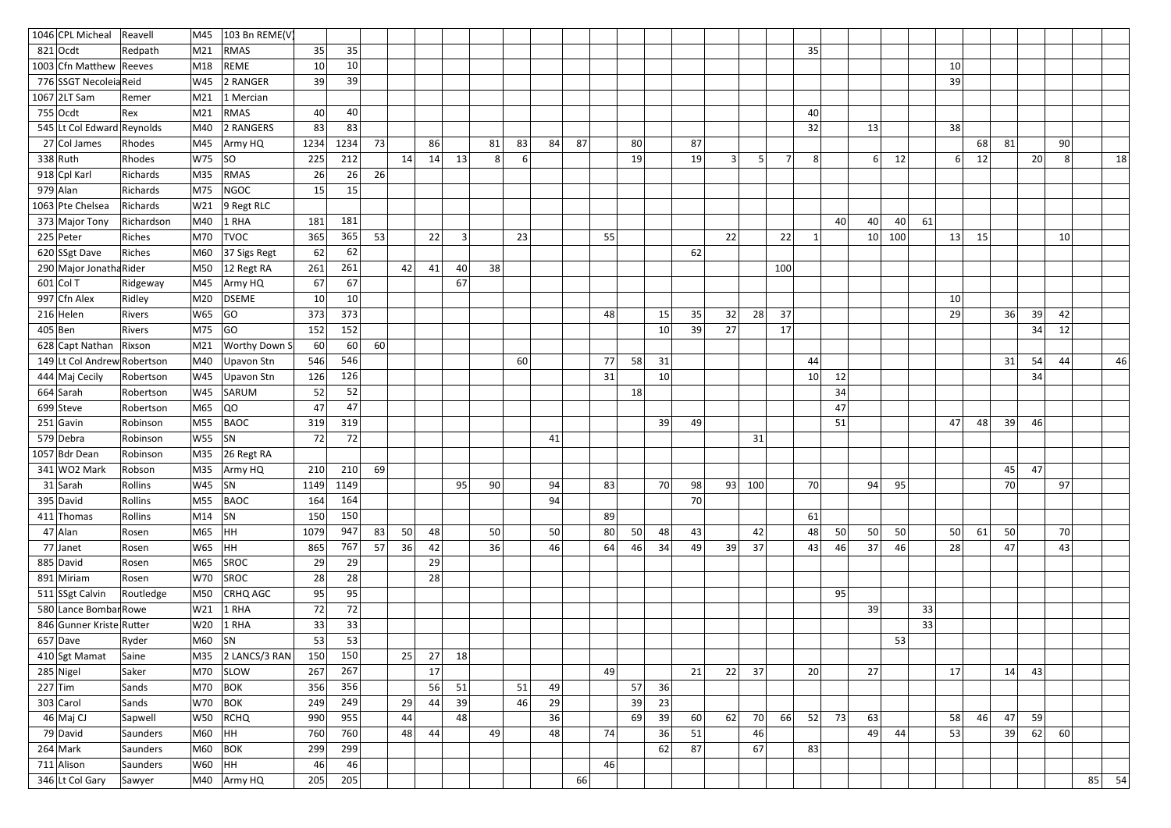|                 | 1046 CPL Micheal            | Reavell    | M45             | 103 Bn REME(V)       |                 |                 |    |    |    |                |    |    |    |    |    |    |                 |    |    |     |     |                 |    |    |     |    |                 |    |    |    |    |         |
|-----------------|-----------------------------|------------|-----------------|----------------------|-----------------|-----------------|----|----|----|----------------|----|----|----|----|----|----|-----------------|----|----|-----|-----|-----------------|----|----|-----|----|-----------------|----|----|----|----|---------|
|                 | $821$ Ocdt                  | Redpath    | M21             | RMAS                 | 35              | 35              |    |    |    |                |    |    |    |    |    |    |                 |    |    |     |     | 35              |    |    |     |    |                 |    |    |    |    |         |
|                 | 1003 Cfn Matthew Reeves     |            | M18             | REME                 | 10              | 10 <sup>1</sup> |    |    |    |                |    |    |    |    |    |    |                 |    |    |     |     |                 |    |    |     |    | 10 <sup>1</sup> |    |    |    |    |         |
|                 | 776 SSGT Necoleia Reid      |            | W45             | 2 RANGER             | 39              | 39              |    |    |    |                |    |    |    |    |    |    |                 |    |    |     |     |                 |    |    |     |    | 39              |    |    |    |    |         |
|                 | $1067$  2LT Sam             | Remer      | M21             | 1 Mercian            |                 |                 |    |    |    |                |    |    |    |    |    |    |                 |    |    |     |     |                 |    |    |     |    |                 |    |    |    |    |         |
|                 | $755$ Ocdt                  | Rex        | M <sub>21</sub> | RMAS                 | 40 <sup>°</sup> | 40              |    |    |    |                |    |    |    |    |    |    |                 |    |    |     |     | 40              |    |    |     |    |                 |    |    |    |    |         |
|                 | 545 Lt Col Edward Reynolds  |            | M40             | 2 RANGERS            | 83              | 83              |    |    |    |                |    |    |    |    |    |    |                 |    |    |     |     | 32              |    | 13 |     |    | 38              |    |    |    |    |         |
|                 | 27 Col James                | Rhodes     | M45             | Army HQ              | 1234            | 1234            | 73 |    | 86 |                | 81 | 83 | 84 | 87 |    | 80 |                 | 87 |    |     |     |                 |    |    |     |    |                 | 68 | 81 |    | 90 |         |
|                 | $338$ Ruth                  | Rhodes     | W75             | SO                   | 225             | 212             |    | 14 | 14 | 13             | 8  | 6  |    |    |    | 19 |                 | 19 | 3  |     | 7   | 8 <sup>1</sup>  |    | 6  | 12  |    | $6 \mid$        | 12 |    | 20 | 8  | 18      |
|                 | 918 Cpl Karl                | Richards   | M35             | RMAS                 | 26              | 26              | 26 |    |    |                |    |    |    |    |    |    |                 |    |    |     |     |                 |    |    |     |    |                 |    |    |    |    |         |
|                 | $979$ Alan                  | Richards   | M75             | NGOC                 | 15              | 15              |    |    |    |                |    |    |    |    |    |    |                 |    |    |     |     |                 |    |    |     |    |                 |    |    |    |    |         |
|                 | 1063 Pte Chelsea            | Richards   | W21             | $9$ Regt RLC         |                 |                 |    |    |    |                |    |    |    |    |    |    |                 |    |    |     |     |                 |    |    |     |    |                 |    |    |    |    |         |
|                 | 373 Major Tony              | Richardson | M40             | $1$ RHA              | 181             | 181             |    |    |    |                |    |    |    |    |    |    |                 |    |    |     |     |                 | 40 | 40 | 40  | 61 |                 |    |    |    |    |         |
|                 | $225$ Peter                 | Riches     | M70             | <b>TVOC</b>          | 365             | 365             | 53 |    | 22 | $\overline{3}$ |    | 23 |    |    | 55 |    |                 |    | 22 |     | 22  | 1               |    | 10 | 100 |    | 13              | 15 |    |    | 10 |         |
|                 | 620 SSgt Dave               | Riches     | M60             | 37 Sigs Regt         | 62              | 62              |    |    |    |                |    |    |    |    |    |    |                 | 62 |    |     |     |                 |    |    |     |    |                 |    |    |    |    |         |
|                 | 290 Major Jonatha Rider     |            | M50             | 12 Regt RA           | 261             | 261             |    | 42 | 41 | 40             | 38 |    |    |    |    |    |                 |    |    |     | 100 |                 |    |    |     |    |                 |    |    |    |    |         |
|                 | $601$ Col T                 | Ridgeway   | M45             | Army HQ              | 67              | 67              |    |    |    | 67             |    |    |    |    |    |    |                 |    |    |     |     |                 |    |    |     |    |                 |    |    |    |    |         |
|                 | 997 Cfn Alex                | Ridley     | M20             | <b>DSEME</b>         | 10              | 10 <sup>°</sup> |    |    |    |                |    |    |    |    |    |    |                 |    |    |     |     |                 |    |    |     |    | 10              |    |    |    |    |         |
|                 | $216$ Helen                 | Rivers     | W65             | GO                   | 373             | 373             |    |    |    |                |    |    |    |    | 48 |    | 15              | 35 | 32 | 28  | 37  |                 |    |    |     |    | 29              |    | 36 | 39 | 42 |         |
|                 | $405$ Ben                   | Rivers     | M75             | GO                   | 152             | 152             |    |    |    |                |    |    |    |    |    |    | 10              | 39 | 27 |     | 17  |                 |    |    |     |    |                 |    |    | 34 | 12 |         |
|                 | 628 Capt Nathan             | Rixson     | M21             | <b>Worthy Down S</b> | 60              | 60              | 60 |    |    |                |    |    |    |    |    |    |                 |    |    |     |     |                 |    |    |     |    |                 |    |    |    |    |         |
|                 | 149 Lt Col Andrew Robertson |            | M40             | Upavon Stn           | 546             | 546             |    |    |    |                |    | 60 |    |    | 77 | 58 | 31              |    |    |     |     | 44              |    |    |     |    |                 |    | 31 | 54 | 44 | 46      |
|                 | 444 Maj Cecily              | Robertson  | W45             | Upavon Stn           | 126             | 126             |    |    |    |                |    |    |    |    | 31 |    | 10 <sup>1</sup> |    |    |     |     | 10              | 12 |    |     |    |                 |    |    | 34 |    |         |
|                 | $664$ Sarah                 | Robertson  | W45             | SARUM                | 52              | 52              |    |    |    |                |    |    |    |    |    | 18 |                 |    |    |     |     |                 | 34 |    |     |    |                 |    |    |    |    |         |
|                 | $699$ Steve                 | Robertson  | M65             | QO                   | 47              | 47              |    |    |    |                |    |    |    |    |    |    |                 |    |    |     |     |                 | 47 |    |     |    |                 |    |    |    |    |         |
|                 | $251$ Gavin                 | Robinson   | M55             | <b>BAOC</b>          | 319             | 319             |    |    |    |                |    |    |    |    |    |    | 39              | 49 |    |     |     |                 | 51 |    |     |    | 47              | 48 | 39 | 46 |    |         |
|                 | 579 Debra                   | Robinson   | W55             | <b>SN</b>            | 72              | 72              |    |    |    |                |    |    | 41 |    |    |    |                 |    |    | 31  |     |                 |    |    |     |    |                 |    |    |    |    |         |
|                 | 1057 Bdr Dean               | Robinson   | M35             | 26 Regt RA           |                 |                 |    |    |    |                |    |    |    |    |    |    |                 |    |    |     |     |                 |    |    |     |    |                 |    |    |    |    |         |
|                 | 341 WO2 Mark                | Robson     | M35             | Army HQ              |                 | $210$ 210       | 69 |    |    |                |    |    |    |    |    |    |                 |    |    |     |     |                 |    |    |     |    |                 |    | 45 | 47 |    |         |
|                 | $31$ Sarah                  | Rollins    | $W45$ SN        |                      | 1149            | 1149            |    |    |    | 95             | 90 |    | 94 |    | 83 |    | 70              | 98 | 93 | 100 |     | 70              |    | 94 | 95  |    |                 |    | 70 |    | 97 |         |
|                 | $395$ David                 | Rollins    | M55             | <b>BAOC</b>          | 164             | 164             |    |    |    |                |    |    | 94 |    |    |    |                 | 70 |    |     |     |                 |    |    |     |    |                 |    |    |    |    |         |
|                 | $411$ Thomas                | Rollins    | $M14$ SN        |                      | 150             | 150             |    |    |    |                |    |    |    |    | 89 |    |                 |    |    |     |     | 61              |    |    |     |    |                 |    |    |    |    |         |
|                 | $47$ Alan                   | Rosen      | M65             | HH                   | 1079            | 947             | 83 | 50 | 48 |                | 50 |    | 50 |    | 80 | 50 | 48              | 43 |    | 42  |     | 48              | 50 | 50 | 50  |    | 50              | 61 | 50 |    | 70 |         |
|                 | $77$ Janet                  | Rosen      | $W65$ $ HH$     |                      | 865             | 767             | 57 | 36 | 42 |                | 36 |    | 46 |    | 64 | 46 | 34              | 49 | 39 | 37  |     | 43              | 46 | 37 | 46  |    | 28              |    | 47 |    | 43 |         |
|                 | 885 David                   | Rosen      | M65             | SROC                 | 29              | 29              |    |    | 29 |                |    |    |    |    |    |    |                 |    |    |     |     |                 |    |    |     |    |                 |    |    |    |    |         |
|                 | 891 Miriam                  | Rosen      | W70             | SROC                 | 28              | 28              |    |    | 28 |                |    |    |    |    |    |    |                 |    |    |     |     |                 |    |    |     |    |                 |    |    |    |    |         |
|                 | 511 SSgt Calvin             | Routledge  | M50             | <b>CRHQ AGC</b>      | 95              | 95              |    |    |    |                |    |    |    |    |    |    |                 |    |    |     |     |                 | 95 |    |     |    |                 |    |    |    |    |         |
|                 | 580 Lance Bombar Rowe       |            | W21             | $1$ RHA              | 72              | 72              |    |    |    |                |    |    |    |    |    |    |                 |    |    |     |     |                 |    | 39 |     | 33 |                 |    |    |    |    |         |
|                 | 846 Gunner Kriste Rutter    |            | W20             | $1$ RHA              | 33              | 33              |    |    |    |                |    |    |    |    |    |    |                 |    |    |     |     |                 |    |    |     | 33 |                 |    |    |    |    |         |
|                 | $657$ Dave                  | Ryder      | $M60$ SN        |                      | 53              | 53              |    |    |    |                |    |    |    |    |    |    |                 |    |    |     |     |                 |    |    | 53  |    |                 |    |    |    |    |         |
|                 | 410 Sgt Mamat               | Saine      |                 | M35 2 LANCS/3 RAN    | 150             | 150             |    | 25 | 27 | 18             |    |    |    |    |    |    |                 |    |    |     |     |                 |    |    |     |    |                 |    |    |    |    |         |
|                 | $285$ Nigel                 | Saker      | M70             | <b>SLOW</b>          | 267             | 267             |    |    | 17 |                |    |    |    |    | 49 |    |                 | 21 | 22 | 37  |     | 20 <sup>1</sup> |    | 27 |     |    | 17              |    | 14 | 43 |    |         |
|                 | $227$ Tim                   | Sands      | M70             | $ $ BOK              | 356             | 356             |    |    | 56 | 51             |    | 51 | 49 |    |    | 57 | 36              |    |    |     |     |                 |    |    |     |    |                 |    |    |    |    |         |
|                 | 303 Carol                   | Sands      | W70             | $ $ BOK              | 249             | 249             |    | 29 | 44 | 39             |    | 46 | 29 |    |    | 39 | 23              |    |    |     |     |                 |    |    |     |    |                 |    |    |    |    |         |
|                 | $46$ Maj CJ                 | Sapwell    | W50             | <b>RCHQ</b>          | 990             | 955             |    | 44 |    | 48             |    |    | 36 |    |    | 69 | 39              | 60 | 62 | 70  | 66  | 52              | 73 | 63 |     |    | 58              | 46 | 47 | 59 |    |         |
|                 | 79 David                    | Saunders   | M60             | HH.                  | 760             | 760             |    | 48 | 44 |                | 49 |    | 48 |    | 74 |    | 36              | 51 |    | 46  |     |                 |    | 49 | 44  |    | 53              |    | 39 | 62 | 60 |         |
|                 | $264$ Mark                  | Saunders   | M60             | BOK                  | 299             | 299             |    |    |    |                |    |    |    |    |    |    | 62              | 87 |    | 67  |     | 83              |    |    |     |    |                 |    |    |    |    |         |
|                 | 711 Alison                  | Saunders   | $W60$ HH        |                      | 46              | 46              |    |    |    |                |    |    |    |    | 46 |    |                 |    |    |     |     |                 |    |    |     |    |                 |    |    |    |    |         |
| 346 Lt Col Gary |                             |            |                 | M40   Army HQ        | 205             | 205             |    |    |    |                |    |    |    | 66 |    |    |                 |    |    |     |     |                 |    |    |     |    |                 |    |    |    |    | $85$ 54 |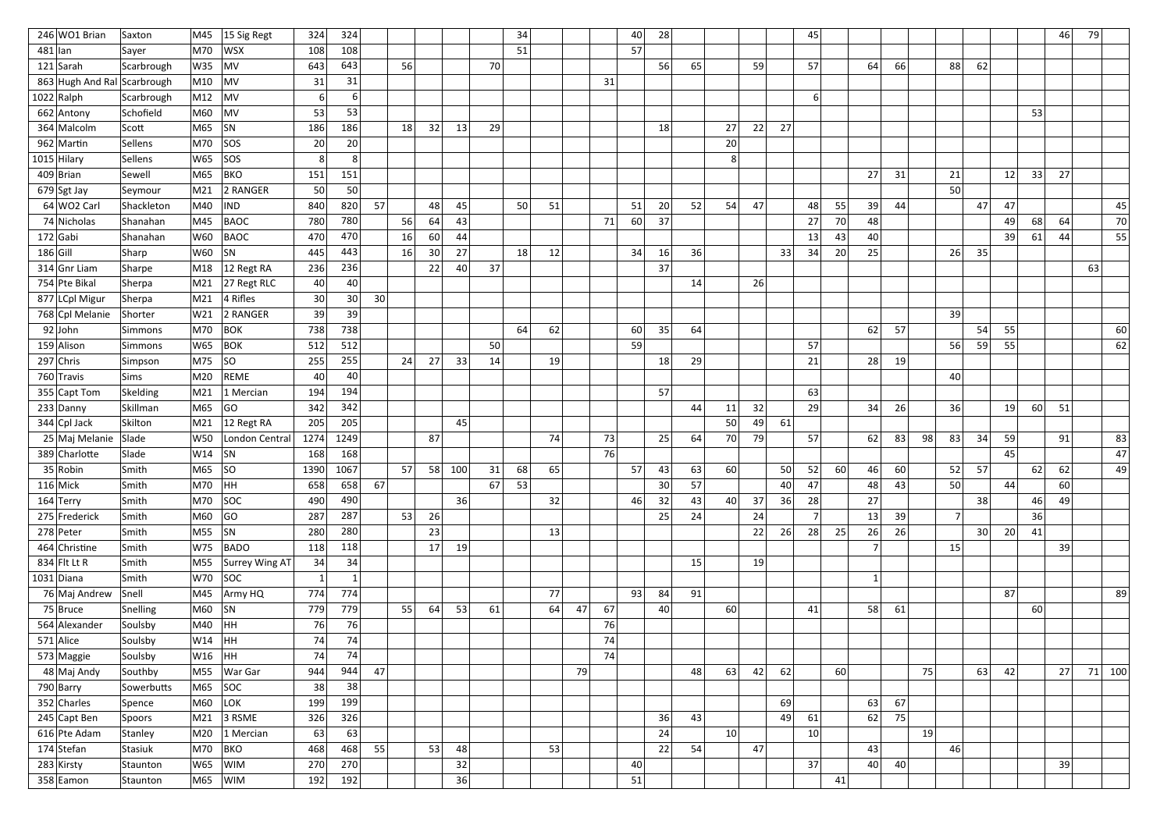|            | 246 WO1 Brian                 | Saxton               | M45             | 15 Sig Regt     | 324       | 324          |                 |                 |    |     |    | 34 |    |    |    | 40 | 28 |    |          |    |    | 45             |    |    |           |    |                |                 |    |    | 46 | 79 |          |
|------------|-------------------------------|----------------------|-----------------|-----------------|-----------|--------------|-----------------|-----------------|----|-----|----|----|----|----|----|----|----|----|----------|----|----|----------------|----|----|-----------|----|----------------|-----------------|----|----|----|----|----------|
| $481$  lan |                               | Sayer                | M70             | <b>WSX</b>      | 108       | 108          |                 |                 |    |     |    | 51 |    |    |    | 57 |    |    |          |    |    |                |    |    |           |    |                |                 |    |    |    |    |          |
|            | $121$ Sarah                   | Scarbrough           | W35             | MV              | 643       | 643          |                 | 56              |    |     | 70 |    |    |    |    |    | 56 | 65 |          | 59 |    | 57             |    | 64 | <b>66</b> |    | 88             | 62              |    |    |    |    |          |
|            | 863 Hugh And Ral Scarbrough   |                      | M10             | $\vert$ MV      | 31        | 31           |                 |                 |    |     |    |    |    |    | 31 |    |    |    |          |    |    |                |    |    |           |    |                |                 |    |    |    |    |          |
|            | $1022$ Ralph                  | Scarbrough           | M12             | MV              | 6         | 6            |                 |                 |    |     |    |    |    |    |    |    |    |    |          |    |    | 6              |    |    |           |    |                |                 |    |    |    |    |          |
|            | 662 Antony                    | Schofield            | M60             | MV              | 53        | 53           |                 |                 |    |     |    |    |    |    |    |    |    |    |          |    |    |                |    |    |           |    |                |                 |    | 53 |    |    |          |
|            | 364 Malcolm                   | Scott                | M65             | SN              | 186       | 186          |                 | 18 <sup>1</sup> | 32 | 13  | 29 |    |    |    |    |    | 18 |    | 27       | 22 | 27 |                |    |    |           |    |                |                 |    |    |    |    |          |
|            | 962 Martin                    | Sellens              | M70             | SOS             | 20        | 20           |                 |                 |    |     |    |    |    |    |    |    |    |    | 20       |    |    |                |    |    |           |    |                |                 |    |    |    |    |          |
|            | $1015$ Hilary                 | Sellens              | W65             | <b>SOS</b>      | 8         | 8            |                 |                 |    |     |    |    |    |    |    |    |    |    | 8        |    |    |                |    |    |           |    |                |                 |    |    |    |    |          |
|            | $409$  Brian                  | Sewell               | M65             | BKO             | 151       | 151          |                 |                 |    |     |    |    |    |    |    |    |    |    |          |    |    |                |    | 27 | 31        |    | 21             |                 | 12 | 33 | 27 |    |          |
|            | $679$ Sgt Jay                 | Seymour              | M21             | 2 RANGER        | 50        | 50           |                 |                 |    |     |    |    |    |    |    |    |    |    |          |    |    |                |    |    |           |    | 50             |                 |    |    |    |    |          |
|            | 64 WO2 Carl                   | Shackleton           | M40             | <b>IND</b>      | 840       | 820          | 57              |                 | 48 | 45  |    | 50 | 51 |    |    | 51 | 20 | 52 | 54       | 47 |    | 48             | 55 | 39 | 44        |    |                | 47              | 47 |    |    |    | 45       |
|            | 74 Nicholas                   | Shanahan             | M45             | <b>BAOC</b>     | 780       | 780          |                 | 56              | 64 | 43  |    |    |    |    | 71 | 60 | 37 |    |          |    |    | 27             | 70 | 48 |           |    |                |                 | 49 | 68 | 64 |    | 70       |
|            | $172$ Gabi                    | Shanahan             | W60             | <b>BAOC</b>     | 470       | 470          |                 | 16              | 60 | 44  |    |    |    |    |    |    |    |    |          |    |    | 13             | 43 | 40 |           |    |                |                 | 39 | 61 | 44 |    | 55       |
| $186$ Gill |                               | Sharp                | W60             | <b>SN</b>       | 445       | 443          |                 | 16              | 30 | 27  |    | 18 | 12 |    |    | 34 | 16 | 36 |          |    | 33 | 34             | 20 | 25 |           |    | 26             | 35              |    |    |    |    |          |
|            | 314 Gnr Liam                  | Sharpe               | M18             | 12 Regt RA      | 236       | 236          |                 |                 | 22 | 40  | 37 |    |    |    |    |    | 37 |    |          |    |    |                |    |    |           |    |                |                 |    |    |    | 63 |          |
|            | 754 Pte Bikal                 | Sherpa               | M21             | 27 Regt RLC     | 40        | 40           |                 |                 |    |     |    |    |    |    |    |    |    | 14 |          | 26 |    |                |    |    |           |    |                |                 |    |    |    |    |          |
|            | 877 LCpl Migur                | Sherpa               | M21             | $ 4$ Rifles     | 30        | 30           | 30 <sup>1</sup> |                 |    |     |    |    |    |    |    |    |    |    |          |    |    |                |    |    |           |    |                |                 |    |    |    |    |          |
|            | 768 Cpl Melanie               | Shorter              | W21             | 2 RANGER        | 39        | 39           |                 |                 |    |     |    |    |    |    |    |    |    |    |          |    |    |                |    |    |           |    | 39             |                 |    |    |    |    |          |
|            | $92$ John                     | Simmons              | M70             | BOK             | 738       | 738          |                 |                 |    |     |    | 64 | 62 |    |    | 60 | 35 | 64 |          |    |    |                |    | 62 | 57        |    |                | 54              | 55 |    |    |    | 60       |
|            | 159 Alison                    | Simmons              | W65             | BOK             | 512       | 512          |                 |                 |    |     | 50 |    |    |    |    | 59 |    |    |          |    |    | 57             |    |    |           |    | 56             | 59              | 55 |    |    |    | 62       |
|            | $297$ Chris                   | Simpson              | M75             | SO              | 255       | 255          |                 | 24              | 27 | 33  | 14 |    | 19 |    |    |    | 18 | 29 |          |    |    | 21             |    | 28 | 19        |    |                |                 |    |    |    |    |          |
|            | 760 Travis                    | Sims                 | M20             | <b>REME</b>     | 40<br>194 | 40<br>194    |                 |                 |    |     |    |    |    |    |    |    | 57 |    |          |    |    |                |    |    |           |    | 40             |                 |    |    |    |    |          |
|            | 355 Capt Tom                  | Skelding<br>Skillman | M21<br>M65      | 1 Mercian<br>GO | 342       | 342          |                 |                 |    |     |    |    |    |    |    |    |    | 44 |          | 32 |    | 63<br>29       |    | 34 | 26        |    | 36             |                 | 19 | 60 | 51 |    |          |
|            | $233$ Danny<br>$344$ Cpl Jack | Skilton              | M21             | 12 Regt RA      | 205       | 205          |                 |                 |    | 45  |    |    |    |    |    |    |    |    | 11<br>50 | 49 | 61 |                |    |    |           |    |                |                 |    |    |    |    |          |
|            | 25 Maj Melanie                | Slade                | W50             | London Central  | 1274      | 1249         |                 |                 | 87 |     |    |    | 74 |    | 73 |    | 25 | 64 | 70       | 79 |    | 57             |    | 62 | 83        | 98 | 83             | 34              | 59 |    | 91 |    | 83       |
|            | 389 Charlotte                 | Slade                | W14             | <b>SN</b>       | 168       | 168          |                 |                 |    |     |    |    |    |    | 76 |    |    |    |          |    |    |                |    |    |           |    |                |                 | 45 |    |    |    | 47       |
|            | $35 R$ obin                   | Smith                | M65             | SO              | 1390      | 1067         |                 | 57              | 58 | 100 | 31 | 68 | 65 |    |    | 57 | 43 | 63 | 60       |    | 50 | 52             | 60 | 46 | 60        |    | 52             | 57              |    | 62 | 62 |    | 49       |
|            | $116$ Mick                    | Smith                | M70  HH         |                 | 658       | 658          | 67              |                 |    |     | 67 | 53 |    |    |    |    | 30 | 57 |          |    | 40 | 47             |    | 48 | 43        |    | 50             |                 | 44 |    | 60 |    |          |
|            | $164$ Terry                   | Smith                | $ M70 $ $ SOC $ |                 | 490       | 490          |                 |                 |    | 36  |    |    | 32 |    |    | 46 | 32 | 43 | 40       | 37 | 36 | 28             |    | 27 |           |    |                | 38              |    | 46 | 49 |    |          |
|            | 275 Frederick                 | Smith                | M60             | GO              | 287       | 287          |                 | 53              | 26 |     |    |    |    |    |    |    | 25 | 24 |          | 24 |    | 7 <sup>1</sup> |    | 13 | 39        |    | 7 <sup>1</sup> |                 |    | 36 |    |    |          |
|            | 278 Peter                     | Smith                | M55             | SN              | 280       | 280          |                 |                 | 23 |     |    |    | 13 |    |    |    |    |    |          | 22 | 26 | 28             | 25 | 26 | 26        |    |                | 30 <sup>2</sup> | 20 | 41 |    |    |          |
|            | 464 Christine                 | Smith                | W75             | BADO            | 118       | 118          |                 |                 | 17 | 19  |    |    |    |    |    |    |    |    |          |    |    |                |    |    |           |    | 15             |                 |    |    | 39 |    |          |
|            | 834 Flt Lt R                  | Smith                | M55             | Surrey Wing AT  | 34        | 34           |                 |                 |    |     |    |    |    |    |    |    |    | 15 |          | 19 |    |                |    |    |           |    |                |                 |    |    |    |    |          |
|            | $1031$ Diana                  | Smith                | W70             | SOC             |           | $\mathbf{1}$ |                 |                 |    |     |    |    |    |    |    |    |    |    |          |    |    |                |    | 1  |           |    |                |                 |    |    |    |    |          |
|            | 76 Maj Andrew                 | Snell                | M45             | Army HQ         | 774       | 774          |                 |                 |    |     |    |    | 77 |    |    | 93 | 84 | 91 |          |    |    |                |    |    |           |    |                |                 | 87 |    |    |    | 89       |
|            | $75$ Bruce                    | Snelling             | M60             | SN              | 779       | 779          |                 | 55              | 64 | 53  | 61 |    | 64 | 47 | 67 |    | 40 |    | 60       |    |    | 41             |    | 58 | 61        |    |                |                 |    | 60 |    |    |          |
|            | 564 Alexander                 | Soulsby              | M40             | HH              | 76        | 76           |                 |                 |    |     |    |    |    |    | 76 |    |    |    |          |    |    |                |    |    |           |    |                |                 |    |    |    |    |          |
|            | $571$ Alice                   | Soulsby              | $ W14 $ $ HH$   |                 | 74        | 74           |                 |                 |    |     |    |    |    |    | 74 |    |    |    |          |    |    |                |    |    |           |    |                |                 |    |    |    |    |          |
|            | 573 Maggie                    | Soulsby              | W16  HH         |                 | 74        | 74           |                 |                 |    |     |    |    |    |    | 74 |    |    |    |          |    |    |                |    |    |           |    |                |                 |    |    |    |    |          |
|            | 48 Maj Andy                   | Southby              | M55             | War Gar         | 944       | 944          | 47              |                 |    |     |    |    |    | 79 |    |    |    | 48 | 63       | 42 | 62 |                | 60 |    |           | 75 |                | 63              | 42 |    | 27 |    | $71$ 100 |
|            | $790$ Barry                   | Sowerbutts           | M65             | SOC             | 38        | 38           |                 |                 |    |     |    |    |    |    |    |    |    |    |          |    |    |                |    |    |           |    |                |                 |    |    |    |    |          |
|            | 352 Charles                   | Spence               | M60             | LOK             | 199       | 199          |                 |                 |    |     |    |    |    |    |    |    |    |    |          |    | 69 |                |    | 63 | 67        |    |                |                 |    |    |    |    |          |
|            | 245 Capt Ben                  | Spoors               | M21             | $ 3$ RSME       | 326       | 326          |                 |                 |    |     |    |    |    |    |    |    | 36 | 43 |          |    | 49 | 61             |    | 62 | 75        |    |                |                 |    |    |    |    |          |
|            | 616 Pte Adam                  | Stanley              | M20             | $ 1$ Mercian    | 63        | 63           |                 |                 |    |     |    |    |    |    |    |    | 24 |    | 10       |    |    | 10             |    |    |           | 19 |                |                 |    |    |    |    |          |
|            | $174$ Stefan                  | Stasiuk              | M70             | BKO             | 468       | 468          | 55              |                 | 53 | 48  |    |    | 53 |    |    |    | 22 | 54 |          | 47 |    |                |    | 43 |           |    | 46             |                 |    |    |    |    |          |
|            | 283 Kirsty                    | Staunton             | W65             | WIM             | 270       | 270          |                 |                 |    | 32  |    |    |    |    |    | 40 |    |    |          |    |    | 37             |    | 40 | 40        |    |                |                 |    |    | 39 |    |          |
|            | 358 Eamon                     | Staunton             |                 | $ M65 $ WIM     | 192       | 192          |                 |                 |    | 36  |    |    |    |    |    | 51 |    |    |          |    |    |                | 41 |    |           |    |                |                 |    |    |    |    |          |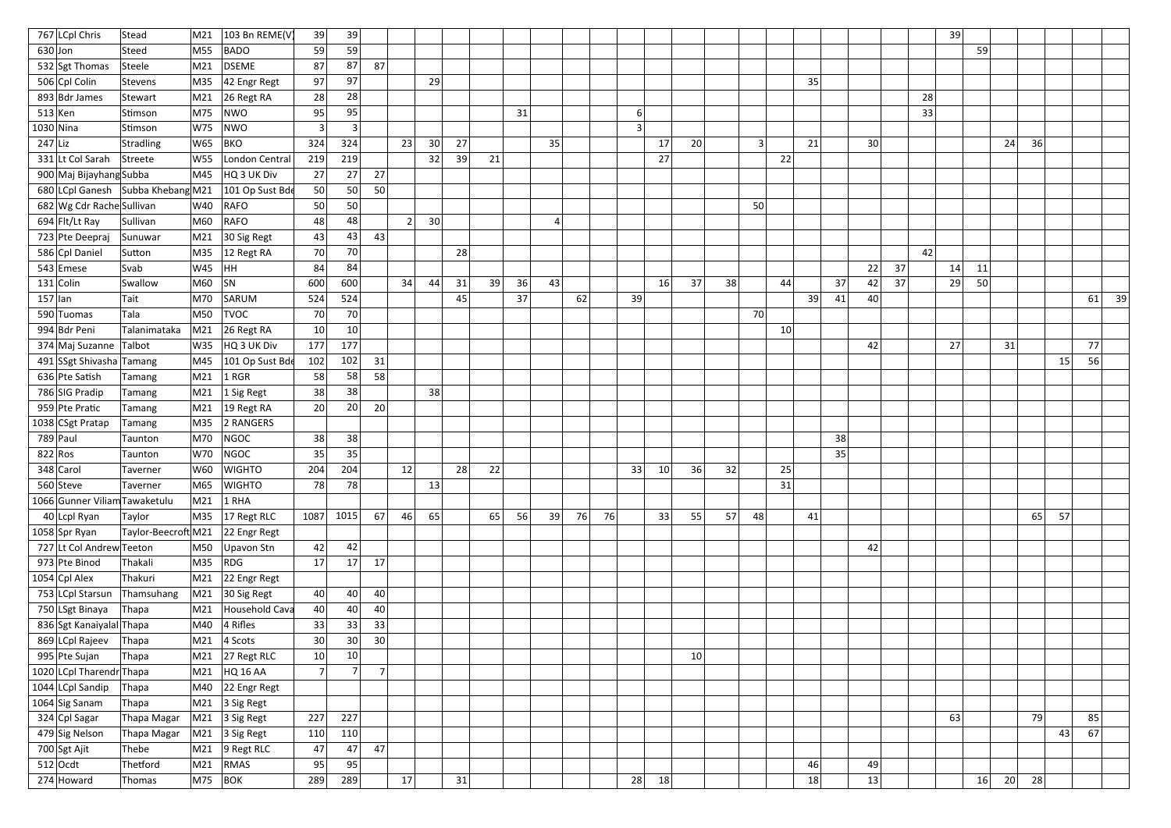| 767 LCpl Chris                    | Stead                            | M21         | 103 Bn REME(V                    | 39              | 39             |                 |    |    |    |    |    |    |    |          |    |    |    |                |    |    |    |    |    | 39 |    |    |    |    |    |    |
|-----------------------------------|----------------------------------|-------------|----------------------------------|-----------------|----------------|-----------------|----|----|----|----|----|----|----|----------|----|----|----|----------------|----|----|----|----|----|----|----|----|----|----|----|----|
| $630$ Jon                         | Steed                            | M55         | BADO                             | 59              | 59             |                 |    |    |    |    |    |    |    |          |    |    |    |                |    |    |    |    |    |    | 59 |    |    |    |    |    |
| 532 Sgt Thomas                    | Steele                           | M21         | DSEME                            | 87              | 87             | 87              |    |    |    |    |    |    |    |          |    |    |    |                |    |    |    |    |    |    |    |    |    |    |    |    |
| 506 Cpl Colin                     | Stevens                          | M35         | $ 42$ Engr Regt                  | 97              | 97             |                 |    | 29 |    |    |    |    |    |          |    |    |    |                |    | 35 |    |    |    |    |    |    |    |    |    |    |
| 893 Bdr James                     | Stewart                          | M21         | $26$ Regt RA                     | 28              | 28             |                 |    |    |    |    |    |    |    |          |    |    |    |                |    |    |    |    |    | 28 |    |    |    |    |    |    |
| $513$ Ken                         | Stimson                          | M75         | NWO                              | 95              | 95             |                 |    |    |    |    | 31 |    |    | $6 \mid$ |    |    |    |                |    |    |    |    |    | 33 |    |    |    |    |    |    |
| $1030$ Nina                       | Stimson                          | W75         | NWO                              |                 | $\overline{3}$ |                 |    |    |    |    |    |    |    | 3        |    |    |    |                |    |    |    |    |    |    |    |    |    |    |    |    |
| $247$ Liz                         | Stradling                        | W65         | BKO                              | 324             | 324            |                 | 23 | 30 | 27 |    |    | 35 |    |          | 17 | 20 |    | $\overline{3}$ |    | 21 |    | 30 |    |    |    | 24 | 36 |    |    |    |
| 331 Lt Col Sarah                  | Streete                          | <b>W55</b>  | London Central                   | 219             | 219            |                 |    | 32 | 39 | 21 |    |    |    |          | 27 |    |    |                | 22 |    |    |    |    |    |    |    |    |    |    |    |
| 900 Maj Bijayhang Subba           |                                  |             | M45 HQ 3 UK Div                  | 27              | 27             | 27              |    |    |    |    |    |    |    |          |    |    |    |                |    |    |    |    |    |    |    |    |    |    |    |    |
| 680 LCpl Ganesh Subba Khebang M21 |                                  |             | 101 Op Sust Bde                  | 50              | 50             | 50              |    |    |    |    |    |    |    |          |    |    |    |                |    |    |    |    |    |    |    |    |    |    |    |    |
| 682 Wg Cdr Rache Sullivan         |                                  | W40         | RAFO                             | 50              | 50             |                 |    |    |    |    |    |    |    |          |    |    |    | 50             |    |    |    |    |    |    |    |    |    |    |    |    |
| 694 Flt/Lt Ray                    | Sullivan                         | M60         | RAFO                             | 48              | 48             |                 | 2  | 30 |    |    |    | 4  |    |          |    |    |    |                |    |    |    |    |    |    |    |    |    |    |    |    |
| 723 Pte Deepraj                   | Sunuwar                          | M21         | 30 Sig Regt                      | 43              | 43             | 43              |    |    |    |    |    |    |    |          |    |    |    |                |    |    |    |    |    |    |    |    |    |    |    |    |
| 586 Cpl Daniel                    | Sutton                           | M35         | $12$ Regt RA                     | 70              | 70             |                 |    |    | 28 |    |    |    |    |          |    |    |    |                |    |    |    |    |    | 42 |    |    |    |    |    |    |
| $543$ Emese                       | Svab                             | W45         | HH                               | 84              | 84             |                 |    |    |    |    |    |    |    |          |    |    |    |                |    |    |    | 22 | 37 | 14 | 11 |    |    |    |    |    |
| $131$ Colin                       | Swallow                          | M60         | SN                               | 600             | 600            |                 | 34 | 44 | 31 | 39 | 36 | 43 |    |          | 16 | 37 | 38 |                | 44 |    | 37 | 42 | 37 | 29 | 50 |    |    |    |    |    |
| $157$ lan                         | Tait                             | M70         | SARUM                            | 524             | 524            |                 |    |    | 45 |    | 37 |    | 62 | 39       |    |    |    |                |    | 39 | 41 | 40 |    |    |    |    |    |    | 61 | 39 |
| 590 Tuomas                        | Tala                             | M50         | <b>TVOC</b>                      | 70              | 70             |                 |    |    |    |    |    |    |    |          |    |    |    | 70             |    |    |    |    |    |    |    |    |    |    |    |    |
| 994 Bdr Peni                      | Talanimataka                     | M21         | $26$ Regt RA                     | 10 <sup>1</sup> | 10             |                 |    |    |    |    |    |    |    |          |    |    |    |                | 10 |    |    |    |    |    |    |    |    |    |    |    |
| 374 Maj Suzanne                   | Talbot                           | W35         | HQ 3 UK Div                      | 177             | 177            |                 |    |    |    |    |    |    |    |          |    |    |    |                |    |    |    | 42 |    | 27 |    | 31 |    |    | 77 |    |
| 491 SSgt Shivasha Tamang          |                                  | M45         | 101 Op Sust Bde                  | 102             | 102            | 31              |    |    |    |    |    |    |    |          |    |    |    |                |    |    |    |    |    |    |    |    |    | 15 | 56 |    |
| 636 Pte Satish                    | Tamang                           | M21         | $ 1$ RGR                         | 58              | 58             | 58              |    |    |    |    |    |    |    |          |    |    |    |                |    |    |    |    |    |    |    |    |    |    |    |    |
| 786 SIG Pradip                    | Tamang                           | M21         | $ 1$ Sig Regt                    | 38              | 38             |                 |    | 38 |    |    |    |    |    |          |    |    |    |                |    |    |    |    |    |    |    |    |    |    |    |    |
| 959 Pte Pratic                    | Tamang                           | M21         | 19 Regt RA                       | 20              | 20             | 20              |    |    |    |    |    |    |    |          |    |    |    |                |    |    |    |    |    |    |    |    |    |    |    |    |
| 1038 CSgt Pratap                  | Tamang                           | M35         | 2 RANGERS                        |                 |                |                 |    |    |    |    |    |    |    |          |    |    |    |                |    |    |    |    |    |    |    |    |    |    |    |    |
| $789$ Paul                        | Taunton                          | M70         | NGOC                             | 38              | 38             |                 |    |    |    |    |    |    |    |          |    |    |    |                |    |    | 38 |    |    |    |    |    |    |    |    |    |
| $822$ Ros                         | Taunton                          | W70         | NGOC                             | 35              | 35             |                 |    |    |    |    |    |    |    |          |    |    |    |                |    |    | 35 |    |    |    |    |    |    |    |    |    |
| $348$ Carol                       | Taverner                         |             | W60 WIGHTO                       | 204             | 204            |                 | 12 |    | 28 | 22 |    |    |    | 33       | 10 | 36 | 32 |                | 25 |    |    |    |    |    |    |    |    |    |    |    |
| 560 Steve                         | Taverner                         | M65         | <b>WIGHTO</b>                    | 78              | 78             |                 |    | 13 |    |    |    |    |    |          |    |    |    |                | 31 |    |    |    |    |    |    |    |    |    |    |    |
| 1066 Gunner Viliam Tawaketulu     |                                  |             | $\vert$ M21 $\vert$ 1 RHA        |                 |                |                 |    |    |    |    |    |    |    |          |    |    |    |                |    |    |    |    |    |    |    |    |    |    |    |    |
| 40 Lcpl Ryan                      | Taylor                           |             | $\vert$ M35 $\vert$ 17 Regt RLC  | 1087            | 1015           | 67              | 46 | 65 |    | 65 | 56 | 39 | 76 | 76       | 33 | 55 | 57 | 48             |    | 41 |    |    |    |    |    |    | 65 | 57 |    |    |
| $1058$ Spr Ryan                   | Taylor-Beecroft M21 22 Engr Regt |             |                                  |                 |                |                 |    |    |    |    |    |    |    |          |    |    |    |                |    |    |    |    |    |    |    |    |    |    |    |    |
| 727 Lt Col Andrew Teeton          |                                  |             | M50 Upavon Stn                   | 42              | 42             |                 |    |    |    |    |    |    |    |          |    |    |    |                |    |    |    | 42 |    |    |    |    |    |    |    |    |
| 973 Pte Binod                     | Thakali                          | M35         | ROG                              | 17              | 17             | 17              |    |    |    |    |    |    |    |          |    |    |    |                |    |    |    |    |    |    |    |    |    |    |    |    |
| $1054$ Cpl Alex                   | Thakuri                          | M21         | 22 Engr Regt                     |                 |                |                 |    |    |    |    |    |    |    |          |    |    |    |                |    |    |    |    |    |    |    |    |    |    |    |    |
| 753 LCpl Starsun                  | Thamsuhang                       |             | $\vert$ M21 30 Sig Regt          | 40              | 40             | 40              |    |    |    |    |    |    |    |          |    |    |    |                |    |    |    |    |    |    |    |    |    |    |    |    |
| 750 LSgt Binaya                   | Thapa                            | M21         | Household Cava                   | 40              | 40             | 40              |    |    |    |    |    |    |    |          |    |    |    |                |    |    |    |    |    |    |    |    |    |    |    |    |
| 836 Sgt Kanaiyalal Thapa          |                                  | M40         | $4$ Rifles                       | 33              | 33             | 33              |    |    |    |    |    |    |    |          |    |    |    |                |    |    |    |    |    |    |    |    |    |    |    |    |
| 869 LCpl Rajeev                   | Thapa                            |             | $\vert$ M21 $\vert$ 4 Scots      | 30 <sup>°</sup> | 30             | 30 <sup>2</sup> |    |    |    |    |    |    |    |          |    |    |    |                |    |    |    |    |    |    |    |    |    |    |    |    |
| 995 Pte Sujan                     | Thapa                            |             | $\vert$ M21 27 Regt RLC          | 10              | 10             |                 |    |    |    |    |    |    |    |          |    | 10 |    |                |    |    |    |    |    |    |    |    |    |    |    |    |
| 1020 LCpl Tharendr Thapa          |                                  |             | M21 HQ 16 AA                     |                 |                | 7 <sup>1</sup>  |    |    |    |    |    |    |    |          |    |    |    |                |    |    |    |    |    |    |    |    |    |    |    |    |
| 1044 LCpl Sandip                  | Thapa                            |             | $\vert$ M40 $\vert$ 22 Engr Regt |                 |                |                 |    |    |    |    |    |    |    |          |    |    |    |                |    |    |    |    |    |    |    |    |    |    |    |    |
| $1064$ Sig Sanam                  | Thapa                            |             | $\vert$ M21 $\vert$ 3 Sig Regt   |                 |                |                 |    |    |    |    |    |    |    |          |    |    |    |                |    |    |    |    |    |    |    |    |    |    |    |    |
| 324 Cpl Sagar                     | Thapa Magar                      |             | $\vert$ M21 $\vert$ 3 Sig Regt   | 227             | 227            |                 |    |    |    |    |    |    |    |          |    |    |    |                |    |    |    |    |    | 63 |    |    | 79 |    | 85 |    |
| 479 Sig Nelson                    | Thapa Magar                      |             | $\vert$ M21 3 Sig Regt           | 110             | 110            |                 |    |    |    |    |    |    |    |          |    |    |    |                |    |    |    |    |    |    |    |    |    | 43 | 67 |    |
| 700 Sgt Ajit                      | Thebe                            |             | $\vert$ M21 $\vert$ 9 Regt RLC   | 47              | 47             | 47              |    |    |    |    |    |    |    |          |    |    |    |                |    |    |    |    |    |    |    |    |    |    |    |    |
| $512$ Ocdt                        | Thetford                         |             | M21 RMAS                         | 95              | 95             |                 |    |    |    |    |    |    |    |          |    |    |    |                |    | 46 |    | 49 |    |    |    |    |    |    |    |    |
| $274$ Howard                      | Thomas                           | $ M75 $ BOK |                                  | 289             | 289            |                 | 17 |    | 31 |    |    |    |    | 28       | 18 |    |    |                |    | 18 |    | 13 |    |    | 16 | 20 | 28 |    |    |    |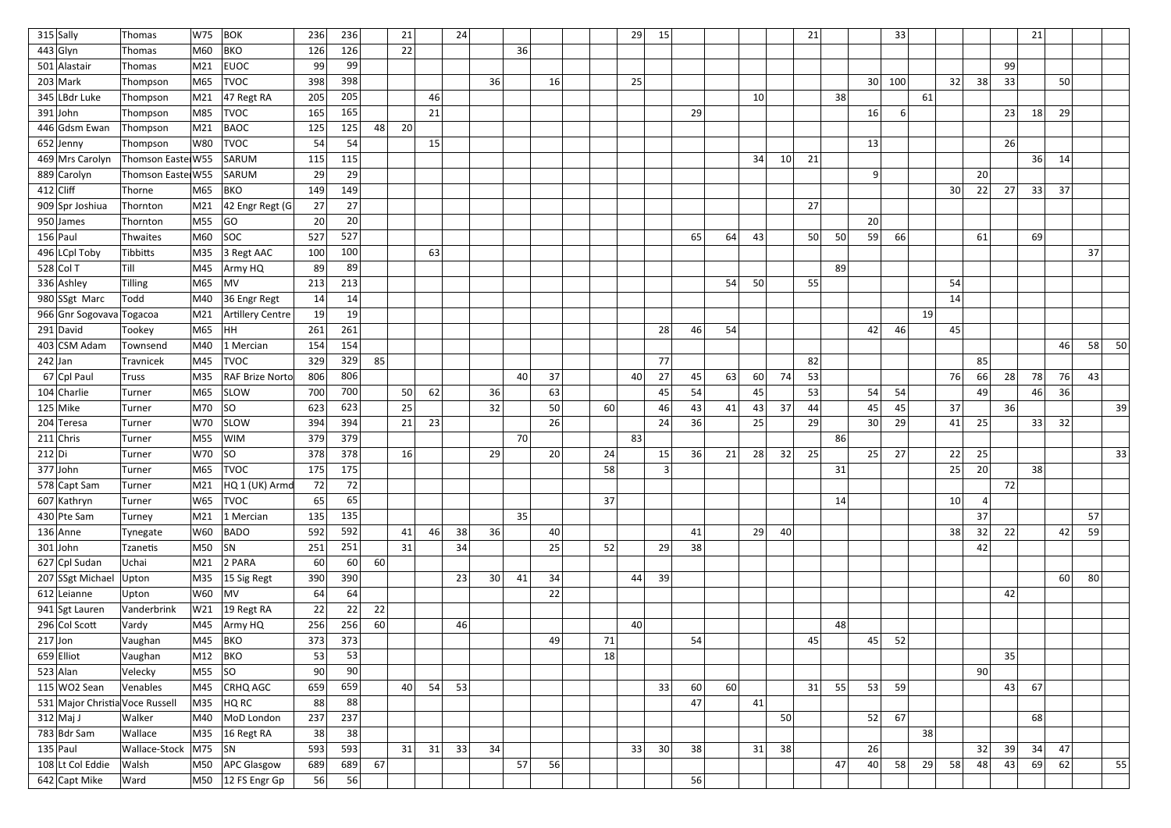|           | $315$ Sally                     | Thomas                   | W75     | <b>BOK</b>                        | 236       | 236 |    | 21 |    | 24 |                 |    |    |    | 29 | 15              |    |    |    |    | 21 |    |    | 33  |    |                 |    |     | 21 |    |    |    |
|-----------|---------------------------------|--------------------------|---------|-----------------------------------|-----------|-----|----|----|----|----|-----------------|----|----|----|----|-----------------|----|----|----|----|----|----|----|-----|----|-----------------|----|-----|----|----|----|----|
|           | $443$ Glyn                      | Thomas                   | M60     | <b>BKO</b>                        | 126       | 126 |    | 22 |    |    |                 | 36 |    |    |    |                 |    |    |    |    |    |    |    |     |    |                 |    |     |    |    |    |    |
|           | 501 Alastair                    | Thomas                   | M21     | <b>EUOC</b>                       | 99        | 99  |    |    |    |    |                 |    |    |    |    |                 |    |    |    |    |    |    |    |     |    |                 |    | -99 |    |    |    |    |
|           | $203$ Mark                      | Thompson                 | M65     | <b>TVOC</b>                       | 398       | 398 |    |    |    |    | 36              |    | 16 |    | 25 |                 |    |    |    |    |    |    | 30 | 100 |    | 32              | 38 | 33  |    | 50 |    |    |
|           | 345 LBdr Luke                   | Thompson                 | M21     | $ 47$ Regt RA                     | 205       | 205 |    |    | 46 |    |                 |    |    |    |    |                 |    |    | 10 |    |    | 38 |    |     | 61 |                 |    |     |    |    |    |    |
|           | $391$ John                      | Thompson                 | M85     | <b>TVOC</b>                       | 165       | 165 |    |    | 21 |    |                 |    |    |    |    |                 | 29 |    |    |    |    |    | 16 | 6   |    |                 |    | 23  | 18 | 29 |    |    |
|           | 446 Gdsm Ewan                   | Thompson                 | M21     | <b>BAOC</b>                       | 125       | 125 | 48 | 20 |    |    |                 |    |    |    |    |                 |    |    |    |    |    |    |    |     |    |                 |    |     |    |    |    |    |
|           | $652$ Jenny                     | Thompson                 | W80     | <b>TVOC</b>                       | 54        | 54  |    |    | 15 |    |                 |    |    |    |    |                 |    |    |    |    |    |    | 13 |     |    |                 |    | 26  |    |    |    |    |
|           | 469 Mrs Carolyn                 | Thomson Easte W55        |         | SARUM                             | 115       | 115 |    |    |    |    |                 |    |    |    |    |                 |    |    | 34 | 10 | 21 |    |    |     |    |                 |    |     | 36 | 14 |    |    |
|           | 889 Carolyn                     | Thomson Easte W55        |         | SARUM                             | 29        | 29  |    |    |    |    |                 |    |    |    |    |                 |    |    |    |    |    |    | 9  |     |    |                 | 20 |     |    |    |    |    |
|           | $412$ Cliff                     | Thorne                   | M65     | <b>BKO</b>                        | 149       | 149 |    |    |    |    |                 |    |    |    |    |                 |    |    |    |    |    |    |    |     |    | 30 <sup>2</sup> | 22 | 27  | 33 | 37 |    |    |
|           | 909 Spr Joshiua                 | Thornton                 | M21     | 42 Engr Regt (G                   | 27        | 27  |    |    |    |    |                 |    |    |    |    |                 |    |    |    |    | 27 |    |    |     |    |                 |    |     |    |    |    |    |
|           | 950 James                       | Thornton                 | M55     | GO                                | <b>20</b> | 20  |    |    |    |    |                 |    |    |    |    |                 |    |    |    |    |    |    | 20 |     |    |                 |    |     |    |    |    |    |
|           | $156$ Paul                      | Thwaites                 | M60     | <b>SOC</b>                        | 527       | 527 |    |    |    |    |                 |    |    |    |    |                 | 65 | 64 | 43 |    | 50 | 50 | 59 | 66  |    |                 | 61 |     | 69 |    |    |    |
|           | 496 LCpl Toby                   | Tibbitts                 | M35     | 3 Regt AAC                        | 100       | 100 |    |    | 63 |    |                 |    |    |    |    |                 |    |    |    |    |    |    |    |     |    |                 |    |     |    |    | 37 |    |
|           | $528$ Col T                     | Till                     | M45     | Army HQ                           | 89        | 89  |    |    |    |    |                 |    |    |    |    |                 |    |    |    |    |    | 89 |    |     |    |                 |    |     |    |    |    |    |
|           | 336 Ashley                      | Tilling                  | M65     | MV                                | 213       | 213 |    |    |    |    |                 |    |    |    |    |                 |    | 54 | 50 |    | 55 |    |    |     |    | 54              |    |     |    |    |    |    |
|           | 980 SSgt Marc                   | Todd                     | M40     | 36 Engr Regt                      | 14        | 14  |    |    |    |    |                 |    |    |    |    |                 |    |    |    |    |    |    |    |     |    | 14              |    |     |    |    |    |    |
|           | 966 Gnr Sogovava Togacoa        |                          | M21     | Artillery Centre                  | 19        | 19  |    |    |    |    |                 |    |    |    |    |                 |    |    |    |    |    |    |    |     | 19 |                 |    |     |    |    |    |    |
|           | $291$ David                     | Tookey                   | M65     | HH                                | 261       | 261 |    |    |    |    |                 |    |    |    |    | 28              | 46 | 54 |    |    |    |    | 42 | 46  |    | 45              |    |     |    |    |    |    |
|           | 403 CSM Adam                    | Townsend                 | M40     | 1 Mercian                         | 154       | 154 |    |    |    |    |                 |    |    |    |    |                 |    |    |    |    |    |    |    |     |    |                 |    |     |    | 46 | 58 | 50 |
| $242$ Jan |                                 | Travnicek                | M45     | <b>TVOC</b>                       | 329       | 329 | 85 |    |    |    |                 |    |    |    |    | 77              |    |    |    |    | 82 |    |    |     |    |                 | 85 |     |    |    |    |    |
|           | 67 Cpl Paul                     | <b>Truss</b>             | M35     | <b>RAF Brize Norto</b>            | 806       | 806 |    |    |    |    |                 | 40 | 37 |    | 40 | 27              | 45 | 63 | 60 | 74 | 53 |    |    |     |    | 76              | 66 | 28  | 78 | 76 | 43 |    |
|           | 104 Charlie                     | Turner                   | M65     | <b>SLOW</b>                       | 700       | 700 |    | 50 | 62 |    | 36              |    | 63 |    |    | 45              | 54 |    | 45 |    | 53 |    | 54 | 54  |    |                 | 49 |     | 46 | 36 |    |    |
|           | $125$ Mike                      | Turner                   | M70     | SO                                | 623       | 623 |    | 25 |    |    | 32              |    | 50 | 60 |    | 46              | 43 | 41 | 43 | 37 | 44 |    | 45 | 45  |    | 37              |    | 36  |    |    |    | 39 |
|           | 204 Teresa                      | Turner                   | W70     | <b>SLOW</b>                       | 394       | 394 |    | 21 | 23 |    |                 |    | 26 |    |    | 24              | 36 |    | 25 |    | 29 |    | 30 | 29  |    | 41              | 25 |     | 33 | 32 |    |    |
|           | $211$ Chris                     | Turner                   | M55     | <b>WIM</b>                        | 379       | 379 |    |    |    |    |                 | 70 |    |    | 83 |                 |    |    |    |    |    | 86 |    |     |    |                 |    |     |    |    |    |    |
| 212 Di    |                                 | Turner                   | W70     | SO                                | 378       | 378 |    | 16 |    |    | 29              |    | 20 | 24 |    | 15              | 36 | 21 | 28 | 32 | 25 |    | 25 | 27  |    | 22              | 25 |     |    |    |    | 33 |
|           | $377$ John                      | Turner                   | M65     | <b>TVOC</b>                       | 175       | 175 |    |    |    |    |                 |    |    | 58 |    |                 |    |    |    |    |    | 31 |    |     |    | 25              | 20 |     | 38 |    |    |    |
|           | 578 Capt Sam                    | Turner                   | M21     | HQ 1 (UK) Armd                    | 72        | 72  |    |    |    |    |                 |    |    |    |    |                 |    |    |    |    |    |    |    |     |    |                 |    | 72  |    |    |    |    |
|           | 607 Kathryn                     | Turner                   | W65     | <b>TVOC</b>                       | 65        | 65  |    |    |    |    |                 |    |    | 37 |    |                 |    |    |    |    |    | 14 |    |     |    | 10 <sup>1</sup> | 4  |     |    |    |    |    |
|           | 430 Pte Sam                     | Turney                   |         | M21 1 Mercian                     | 135       | 135 |    |    |    |    |                 | 35 |    |    |    |                 |    |    |    |    |    |    |    |     |    |                 | 37 |     |    |    | 57 |    |
|           | $136$ Anne                      | Tynegate                 | W60     | <b>BADO</b>                       | 592       | 592 |    | 41 | 46 | 38 | 36              |    | 40 |    |    |                 | 41 |    | 29 | 40 |    |    |    |     |    | 38              | 32 | 22  |    | 42 | 59 |    |
|           | $301$ John                      | Tzanetis                 | M50  SN |                                   | 251       | 251 |    | 31 |    | 34 |                 |    | 25 | 52 |    | 29              | 38 |    |    |    |    |    |    |     |    |                 | 42 |     |    |    |    |    |
|           | 627 Cpl Sudan                   | Uchai                    | M21     | $2$ PARA                          | 60        | 60  | 60 |    |    |    |                 |    |    |    |    |                 |    |    |    |    |    |    |    |     |    |                 |    |     |    |    |    |    |
|           | 207 SSgt Michael                | Upton                    |         | $\vert$ M35 $\vert$ 15 Sig Regt   | 390       | 390 |    |    |    | 23 | 30 <sup>2</sup> | 41 | 34 |    | 44 | 39              |    |    |    |    |    |    |    |     |    |                 |    |     |    | 60 | 80 |    |
|           | $612$ Leianne                   | Upton                    | W60     | MV                                | 64        | 64  |    |    |    |    |                 |    | 22 |    |    |                 |    |    |    |    |    |    |    |     |    |                 |    | 42  |    |    |    |    |
|           | 941 Sgt Lauren                  | Vanderbrink              | W21     | $ 19$ Regt RA                     | 22        | 22  | 22 |    |    |    |                 |    |    |    |    |                 |    |    |    |    |    |    |    |     |    |                 |    |     |    |    |    |    |
|           | 296 Col Scott                   | Vardy                    | M45     | Army HQ                           | 256       | 256 | 60 |    |    | 46 |                 |    |    |    | 40 |                 |    |    |    |    |    | 48 |    |     |    |                 |    |     |    |    |    |    |
| $217$ Jon |                                 | Vaughan                  | M45     | BKO                               | 373       | 373 |    |    |    |    |                 |    | 49 | 71 |    |                 | 54 |    |    |    | 45 |    | 45 | 52  |    |                 |    |     |    |    |    |    |
|           | $659$ Elliot                    | Vaughan                  | M12     | BKO                               | 53        | 53  |    |    |    |    |                 |    |    | 18 |    |                 |    |    |    |    |    |    |    |     |    |                 |    | 35  |    |    |    |    |
|           | $523$ Alan                      | Velecky                  | M55     | SO                                | 90        | 90  |    |    |    |    |                 |    |    |    |    |                 |    |    |    |    |    |    |    |     |    |                 | 90 |     |    |    |    |    |
|           | $115$ WO2 Sean                  | Venables                 | M45     | CRHQ AGC                          | 659       | 659 |    | 40 | 54 | 53 |                 |    |    |    |    | 33              | 60 | 60 |    |    | 31 | 55 | 53 | 59  |    |                 |    | 43  | 67 |    |    |    |
|           | 531 Major Christia Voce Russell |                          | M35     | HQ RC                             | 88        | 88  |    |    |    |    |                 |    |    |    |    |                 | 47 |    | 41 |    |    |    |    |     |    |                 |    |     |    |    |    |    |
|           | $312$ Maj J                     | Walker                   | M40     | MoD London                        | 237       | 237 |    |    |    |    |                 |    |    |    |    |                 |    |    |    | 50 |    |    | 52 | 67  |    |                 |    |     | 68 |    |    |    |
|           | $783$ Bdr Sam                   | Wallace                  | M35     | $16$ Regt RA                      | 38        | 38  |    |    |    |    |                 |    |    |    |    |                 |    |    |    |    |    |    |    |     | 38 |                 |    |     |    |    |    |    |
|           | $135$ Paul                      | Wallace-Stock   M75   SN |         |                                   | 593       | 593 |    | 31 | 31 | 33 | 34              |    |    |    | 33 | 30 <sup>2</sup> | 38 |    | 31 | 38 |    |    | 26 |     |    |                 | 32 | 39  | 34 | 47 |    |    |
|           | 108 Lt Col Eddie                | Walsh                    |         | M50   APC Glasgow                 | 689       | 689 | 67 |    |    |    |                 | 57 | 56 |    |    |                 |    |    |    |    |    | 47 | 40 | 58  | 29 | 58              | 48 | 43  | 69 | 62 |    | 55 |
|           | 642 Capt Mike                   | Ward                     |         | $\vert$ M50 $\vert$ 12 FS Engr Gp | 56        | 56  |    |    |    |    |                 |    |    |    |    |                 | 56 |    |    |    |    |    |    |     |    |                 |    |     |    |    |    |    |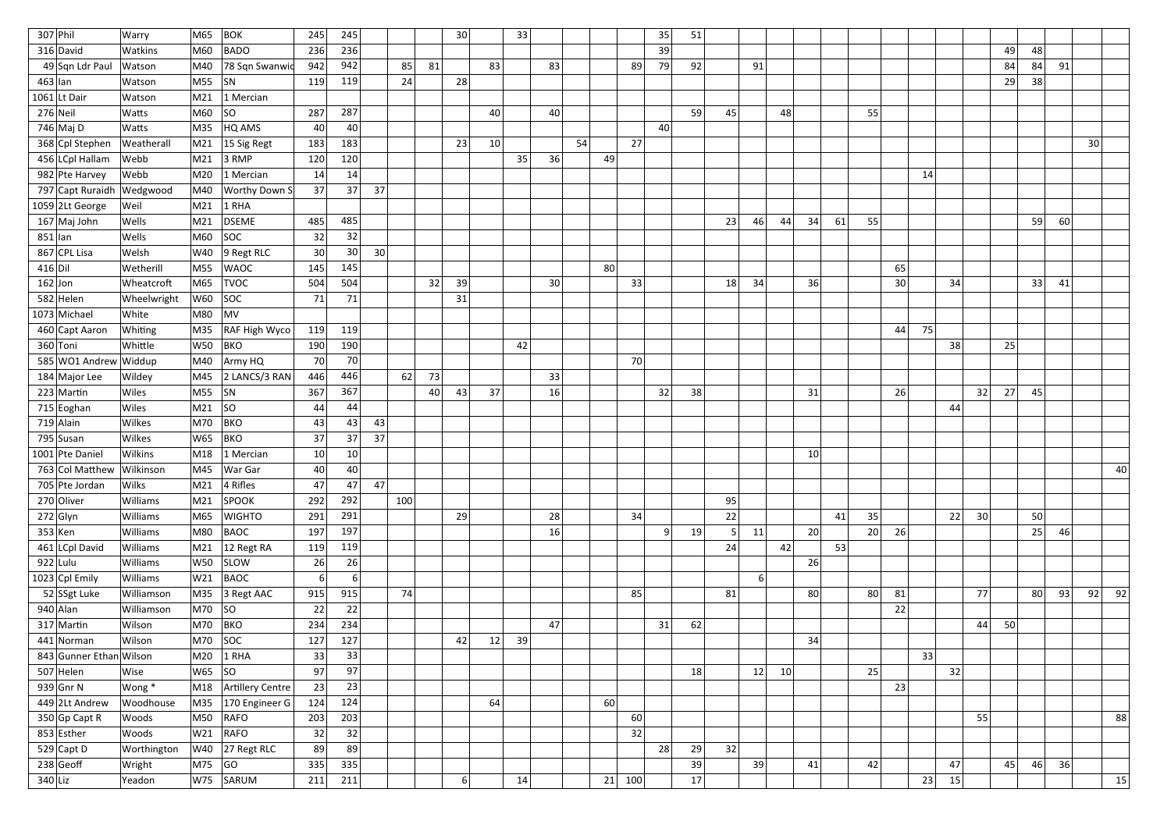| $307$ Phil |                           | Warry       | M65     | <b>BOK</b>           | 245             | 245              |                 |     |    | 30               |    | 33 |    |    |     | 35        | 51 |                |                |    |                 |    |    |    |    |    |                 |    |    |    |    |    |
|------------|---------------------------|-------------|---------|----------------------|-----------------|------------------|-----------------|-----|----|------------------|----|----|----|----|-----|-----------|----|----------------|----------------|----|-----------------|----|----|----|----|----|-----------------|----|----|----|----|----|
|            | 316 David                 | Watkins     | M60     | BADO                 | 236             | 236              |                 |     |    |                  |    |    |    |    |     | 39        |    |                |                |    |                 |    |    |    |    |    |                 | 49 | 48 |    |    |    |
|            | 49 Sqn Ldr Paul           | Watson      | M40     | 78 Sqn Swanwic       | 942             | 942              |                 | 85  | 81 |                  | 83 |    | 83 |    | 89  | 79        | 92 |                | 91             |    |                 |    |    |    |    |    |                 | 84 | 84 | 91 |    |    |
| $463$ lan  |                           | Watson      | M55     | <b>SN</b>            | 119             | 119              |                 | 24  |    | 28               |    |    |    |    |     |           |    |                |                |    |                 |    |    |    |    |    |                 | 29 | 38 |    |    |    |
|            | $1061$ Lt Dair            | Watson      | M21     | 1 Mercian            |                 |                  |                 |     |    |                  |    |    |    |    |     |           |    |                |                |    |                 |    |    |    |    |    |                 |    |    |    |    |    |
| $276$ Neil |                           | Watts       | M60     | SO                   | 287             | 287              |                 |     |    |                  | 40 |    | 40 |    |     |           | 59 | 45             |                | 48 |                 |    | 55 |    |    |    |                 |    |    |    |    |    |
|            | 746 Maj D                 | Watts       | M35     | HQ AMS               | 40              | 40               |                 |     |    |                  |    |    |    |    |     | 40        |    |                |                |    |                 |    |    |    |    |    |                 |    |    |    |    |    |
|            | 368 Cpl Stephen           | Weatherall  | M21     | 15 Sig Regt          | 183             | 183              |                 |     |    | 23               | 10 |    |    | 54 | 27  |           |    |                |                |    |                 |    |    |    |    |    |                 |    |    |    | 30 |    |
|            | 456 LCpl Hallam           | Webb        | M21     | $ 3$ RMP             | 120             | 120              |                 |     |    |                  |    | 35 | 36 | 49 |     |           |    |                |                |    |                 |    |    |    |    |    |                 |    |    |    |    |    |
|            | 982 Pte Harvey            | Webb        | M20     | 1 Mercian            | 14              | 14               |                 |     |    |                  |    |    |    |    |     |           |    |                |                |    |                 |    |    |    | 14 |    |                 |    |    |    |    |    |
|            | 797 Capt Ruraidh          | Wedgwood    | M40     | <b>Worthy Down S</b> | 37              | 37               | 37              |     |    |                  |    |    |    |    |     |           |    |                |                |    |                 |    |    |    |    |    |                 |    |    |    |    |    |
|            | $1059$ 2Lt George         | Weil        | M21     | $1$ RHA              |                 |                  |                 |     |    |                  |    |    |    |    |     |           |    |                |                |    |                 |    |    |    |    |    |                 |    |    |    |    |    |
|            | 167 Maj John              | Wells       | M21     | DSEME                | 485             | 485              |                 |     |    |                  |    |    |    |    |     |           |    | 23             | 46             | 44 | 34              | 61 | 55 |    |    |    |                 |    | 59 | 60 |    |    |
| $851$  lan |                           | Wells       | M60     | SOC                  | 32              | 32               |                 |     |    |                  |    |    |    |    |     |           |    |                |                |    |                 |    |    |    |    |    |                 |    |    |    |    |    |
|            | 867 CPL Lisa              | Welsh       | W40     | $ 9$ Regt RLC        | 30              | 30 <sup>°</sup>  | 30 <sup>2</sup> |     |    |                  |    |    |    |    |     |           |    |                |                |    |                 |    |    |    |    |    |                 |    |    |    |    |    |
| 416 D      |                           | Wetherill   | M55     | <b>WAOC</b>          | 145             | 145              |                 |     |    |                  |    |    |    | 80 |     |           |    |                |                |    |                 |    |    | 65 |    |    |                 |    |    |    |    |    |
| $162$ Jon  |                           | Wheatcroft  | M65     | <b>TVOC</b>          | 504             | 504              |                 |     | 32 | 39               |    |    | 30 |    | 33  |           |    | 18             | 34             |    | 36              |    |    | 30 |    | 34 |                 |    | 33 | 41 |    |    |
|            | 582 Helen                 | Wheelwright | W60     | SOC                  | 71              | 71               |                 |     |    | 31               |    |    |    |    |     |           |    |                |                |    |                 |    |    |    |    |    |                 |    |    |    |    |    |
|            | 1073 Michael              | White       | M80     | MV                   |                 |                  |                 |     |    |                  |    |    |    |    |     |           |    |                |                |    |                 |    |    |    |    |    |                 |    |    |    |    |    |
|            | 460 Capt Aaron            | Whiting     | M35     | RAF High Wyco        | 119             | 119              |                 |     |    |                  |    |    |    |    |     |           |    |                |                |    |                 |    |    | 44 | 75 |    |                 |    |    |    |    |    |
| 360 Toni   |                           | Whittle     | W50     | <b>BKO</b>           | 190             | 190              |                 |     |    |                  |    | 42 |    |    |     |           |    |                |                |    |                 |    |    |    |    | 38 |                 | 25 |    |    |    |    |
|            | 585 WO1 Andrew Widdup     |             | M40     | Army HQ              | 70              | 70               |                 |     |    |                  |    |    |    |    | 70  |           |    |                |                |    |                 |    |    |    |    |    |                 |    |    |    |    |    |
|            | 184 Major Lee             | Wildey      | M45     | 2 LANCS/3 RAN        | 446             | 446              |                 | 62  | 73 |                  |    |    | 33 |    |     |           |    |                |                |    |                 |    |    |    |    |    |                 |    |    |    |    |    |
|            | $223$ Martin              | Wiles       | M55     | SN                   | 367             | 367              |                 |     | 40 | 43               | 37 |    | 16 |    |     | 32        | 38 |                |                |    | 31              |    |    | 26 |    |    | 32              | 27 | 45 |    |    |    |
|            | 715 Eoghan                | Wiles       | M21     | SO                   | 44              | 44               |                 |     |    |                  |    |    |    |    |     |           |    |                |                |    |                 |    |    |    |    | 44 |                 |    |    |    |    |    |
|            | $719$ Alain               | Wilkes      | M70     | <b>BKO</b>           | 43              | 43               | 43              |     |    |                  |    |    |    |    |     |           |    |                |                |    |                 |    |    |    |    |    |                 |    |    |    |    |    |
|            | 795 Susan                 | Wilkes      | W65     | <b>BKO</b>           | 37              | 37               | 37              |     |    |                  |    |    |    |    |     |           |    |                |                |    |                 |    |    |    |    |    |                 |    |    |    |    |    |
|            | 1001 Pte Danie            | Wilkins     | M18     | 1 Mercian            | 10 <sub>l</sub> | 10 <sup>1</sup>  |                 |     |    |                  |    |    |    |    |     |           |    |                |                |    | 10 <sup>1</sup> |    |    |    |    |    |                 |    |    |    |    |    |
|            | 763 Col Matthew Wilkinson |             | M45     | War Gar              | 40              | 40               |                 |     |    |                  |    |    |    |    |     |           |    |                |                |    |                 |    |    |    |    |    |                 |    |    |    |    | 40 |
|            | 705 Pte Jordan            | Wilks       | M21     | 4 Rifles             | 47              | 47               | 47              |     |    |                  |    |    |    |    |     |           |    |                |                |    |                 |    |    |    |    |    |                 |    |    |    |    |    |
|            | 270 Oliver                | Williams    | M21     | SPOOK                | 292             | 292              |                 | 100 |    |                  |    |    |    |    |     |           |    | 95             |                |    |                 |    |    |    |    |    |                 |    |    |    |    |    |
|            | $272$ Glyn                | Williams    | M65     | <b>WIGHTO</b>        | 291             | 291              |                 |     |    | 29               |    |    | 28 |    | 34  |           |    | 22             |                |    |                 | 41 | 35 |    |    | 22 | 30 <sup>2</sup> |    | 50 |    |    |    |
| $353$ Ken  |                           | Williams    | M80     | BAOC                 | 197             | 197              |                 |     |    |                  |    |    | 16 |    |     | $\vert$ 9 | 19 | $\overline{5}$ | 11             |    | 20              |    | 20 | 26 |    |    |                 |    | 25 | 46 |    |    |
|            | 461 LCpl David            | Williams    | M21     | 12 Regt RA           | 119             | 119              |                 |     |    |                  |    |    |    |    |     |           |    | 24             |                | 42 |                 | 53 |    |    |    |    |                 |    |    |    |    |    |
| $922$ Lulu |                           | Williams    | W50     | <b>SLOW</b>          | 26              | 26               |                 |     |    |                  |    |    |    |    |     |           |    |                |                |    | 26              |    |    |    |    |    |                 |    |    |    |    |    |
|            | 1023 Cpl Emily            | Williams    | W21     | BAOC                 | 6               | $6 \overline{6}$ |                 |     |    |                  |    |    |    |    |     |           |    |                | 6 <sup>1</sup> |    |                 |    |    |    |    |    |                 |    |    |    |    |    |
|            | 52 SSgt Luke              | Williamson  |         | M35 3 Regt AAC       | 915             | 915              |                 | 74  |    |                  |    |    |    |    | 85  |           |    | 81             |                |    | 80              |    | 80 | 81 |    |    | 77              |    | 80 | 93 | 92 | 92 |
|            | $940$ Alan                | Williamson  | M70     | SO                   | 22              | 22               |                 |     |    |                  |    |    |    |    |     |           |    |                |                |    |                 |    |    | 22 |    |    |                 |    |    |    |    |    |
|            | $317$ Martin              | Wilson      | M70 BKO |                      | 234             | 234              |                 |     |    |                  |    |    | 47 |    |     | 31        | 62 |                |                |    |                 |    |    |    |    |    | 44              | 50 |    |    |    |    |
|            | 441 Norman                | Wilson      | M70 SOC |                      | 127             | 127              |                 |     |    | 42               | 12 | 39 |    |    |     |           |    |                |                |    | 34              |    |    |    |    |    |                 |    |    |    |    |    |
|            | 843 Gunner Ethan Wilson   |             | M20     | $1$ RHA              | 33              | 33               |                 |     |    |                  |    |    |    |    |     |           |    |                |                |    |                 |    |    |    | 33 |    |                 |    |    |    |    |    |
|            | $507$ Helen               | Wise        | W65     | SO                   | 97              | 97               |                 |     |    |                  |    |    |    |    |     |           | 18 |                | 12             | 10 |                 |    | 25 |    |    | 32 |                 |    |    |    |    |    |
|            | $939$ Gnr N               | Wong *      | M18     | Artillery Centre     | 23              | 23               |                 |     |    |                  |    |    |    |    |     |           |    |                |                |    |                 |    |    | 23 |    |    |                 |    |    |    |    |    |
|            | 449 2Lt Andrew            | Woodhouse   | M35     | 170 Engineer G       | 124             | 124              |                 |     |    |                  | 64 |    |    | 60 |     |           |    |                |                |    |                 |    |    |    |    |    |                 |    |    |    |    |    |
|            | $350$ Gp Capt R           | Woods       | M50     | RAFO                 | 203             | 203              |                 |     |    |                  |    |    |    |    | 60  |           |    |                |                |    |                 |    |    |    |    |    | 55              |    |    |    |    | 88 |
|            | 853 Esther                | Woods       | W21     | RAFO                 | 32              | 32               |                 |     |    |                  |    |    |    |    | 32  |           |    |                |                |    |                 |    |    |    |    |    |                 |    |    |    |    |    |
|            | 529 Capt D                | Worthington |         | $W40$ 27 Regt RLC    | 89              | 89               |                 |     |    |                  |    |    |    |    |     | 28        | 29 | 32             |                |    |                 |    |    |    |    |    |                 |    |    |    |    |    |
|            | $238$ Geoff               | Wright      | M75     | GO                   | 335             | 335              |                 |     |    |                  |    |    |    |    |     |           | 39 |                | 39             |    | 41              |    | 42 |    |    | 47 |                 | 45 | 46 | 36 |    |    |
| $340$ Liz  |                           | Yeadon      |         | W75 SARUM            | 211             | 211              |                 |     |    | $6 \overline{6}$ |    | 14 |    | 21 | 100 |           | 17 |                |                |    |                 |    |    |    | 23 | 15 |                 |    |    |    |    | 15 |